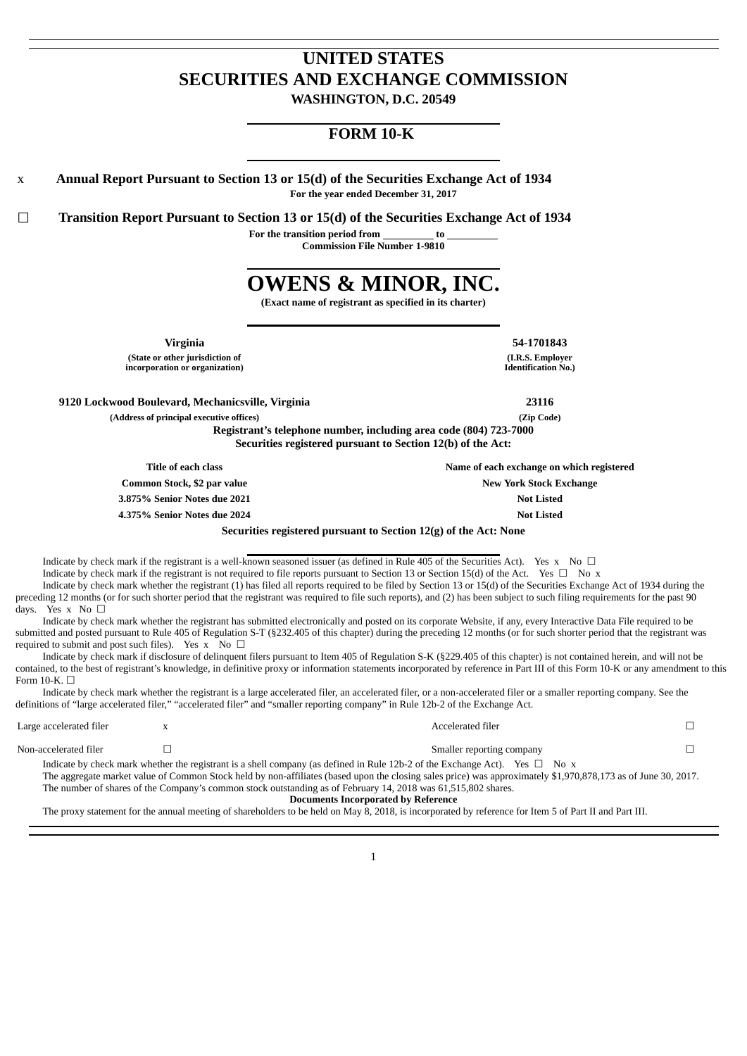# **UNITED STATES SECURITIES AND EXCHANGE COMMISSION**

**WASHINGTON, D.C. 20549**

# **FORM 10-K**

x **Annual Report Pursuant to Section 13 or 15(d) of the Securities Exchange Act of 1934 For the year ended December 31, 2017**

☐ **Transition Report Pursuant to Section 13 or 15(d) of the Securities Exchange Act of 1934**

For the transition period from \_\_\_\_\_\_\_\_\_\_ to **Commission File Number 1-9810**

# **OWENS & MINOR, INC.**

**(Exact name of registrant as specified in its charter)**

**Virginia 54-1701843**

**(State or other jurisdiction of incorporation or organization)** **(I.R.S. Employer**

**Identification No.)**

**9120 Lockwood Boulevard, Mechanicsville, Virginia 23116**

**(Address of principal executive offices) (Zip Code)**

**Registrant's telephone number, including area code (804) 723-7000**

**Securities registered pursuant to Section 12(b) of the Act:**

| Title of each class                                              | Name of each exchange on which registered |  |  |  |  |  |  |
|------------------------------------------------------------------|-------------------------------------------|--|--|--|--|--|--|
| Common Stock, \$2 par value                                      | <b>New York Stock Exchange</b>            |  |  |  |  |  |  |
| 3.875% Senior Notes due 2021                                     | Not Listed                                |  |  |  |  |  |  |
| 4.375% Senior Notes due 2024                                     | <b>Not Listed</b>                         |  |  |  |  |  |  |
| Securities registered pursuant to Section 12(g) of the Act: None |                                           |  |  |  |  |  |  |

Indicate by check mark if the registrant is a well-known seasoned issuer (as defined in Rule 405 of the Securities Act). Yes x No  $\Box$ 

Indicate by check mark if the registrant is not required to file reports pursuant to Section 13 or Section 15(d) of the Act. Yes  $\Box$  No x

Indicate by check mark whether the registrant (1) has filed all reports required to be filed by Section 13 or 15(d) of the Securities Exchange Act of 1934 during the preceding 12 months (or for such shorter period that the registrant was required to file such reports), and (2) has been subject to such filing requirements for the past 90 days. Yes x No □

Indicate by check mark whether the registrant has submitted electronically and posted on its corporate Website, if any, every Interactive Data File required to be submitted and posted pursuant to Rule 405 of Regulation S-T (§232.405 of this chapter) during the preceding 12 months (or for such shorter period that the registrant was required to submit and post such files). Yes  $x \in No \square$ 

Indicate by check mark if disclosure of delinquent filers pursuant to Item 405 of Regulation S-K (§229.405 of this chapter) is not contained herein, and will not be contained, to the best of registrant's knowledge, in definitive proxy or information statements incorporated by reference in Part III of this Form 10-K or any amendment to this Form 10-K.  $\Box$ 

Indicate by check mark whether the registrant is a large accelerated filer, an accelerated filer, or a non-accelerated filer or a smaller reporting company. See the definitions of "large accelerated filer," "accelerated filer" and "smaller reporting company" in Rule 12b-2 of the Exchange Act.

Large accelerated filer  $\Box$ 

Non-accelerated filer ☐ Smaller reporting company ☐

Indicate by check mark whether the registrant is a shell company (as defined in Rule 12b-2 of the Exchange Act). Yes  $\Box$  No x The aggregate market value of Common Stock held by non-affiliates (based upon the closing sales price) was approximately \$1,970,878,173 as of June 30, 2017. The number of shares of the Company's common stock outstanding as of February 14, 2018 was 61,515,802 shares.

**Documents Incorporated by Reference**

The proxy statement for the annual meeting of shareholders to be held on May 8, 2018, is incorporated by reference for Item 5 of Part II and Part III.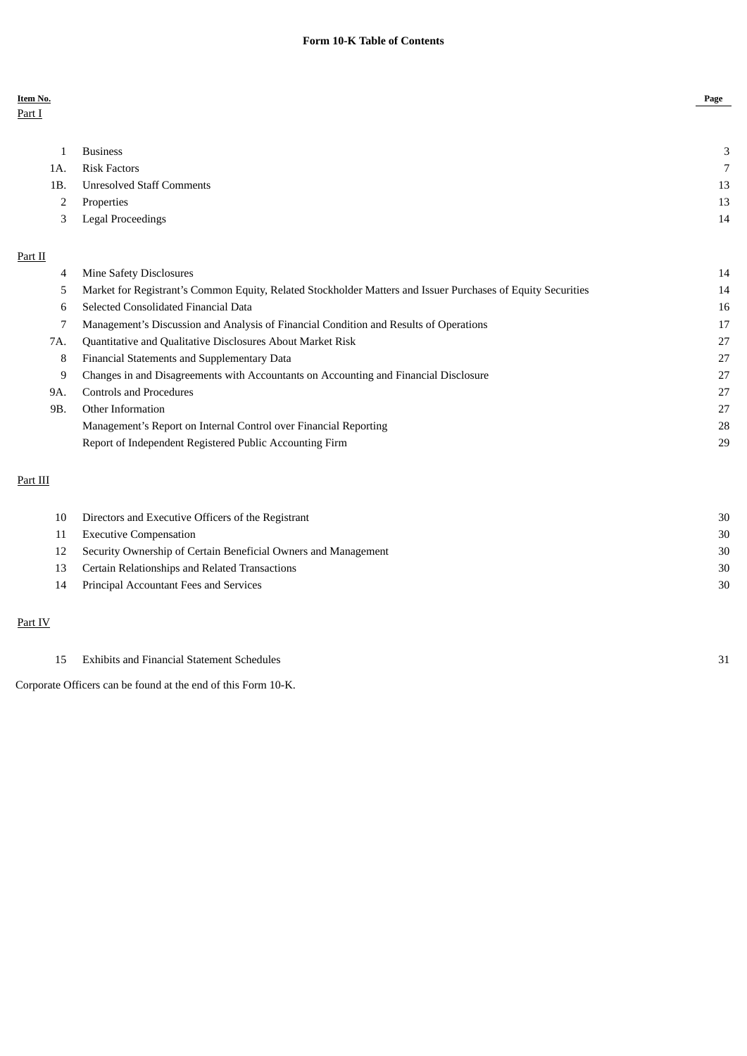| Item No. |                                                                                                              | Page |
|----------|--------------------------------------------------------------------------------------------------------------|------|
| Part I   |                                                                                                              |      |
|          |                                                                                                              |      |
| 1        | <b>Business</b>                                                                                              | 3    |
| 1A.      | <b>Risk Factors</b>                                                                                          | 7    |
| 1B.      | <b>Unresolved Staff Comments</b>                                                                             | 13   |
| 2        | Properties                                                                                                   | 13   |
| 3        | <b>Legal Proceedings</b>                                                                                     | 14   |
|          |                                                                                                              |      |
| Part II  |                                                                                                              |      |
| 4        | <b>Mine Safety Disclosures</b>                                                                               | 14   |
| 5        | Market for Registrant's Common Equity, Related Stockholder Matters and Issuer Purchases of Equity Securities | 14   |
| 6        | Selected Consolidated Financial Data                                                                         | 16   |
| 7        | Management's Discussion and Analysis of Financial Condition and Results of Operations                        | 17   |
| 7A.      | Quantitative and Qualitative Disclosures About Market Risk                                                   | 27   |
| 8        | Financial Statements and Supplementary Data                                                                  | 27   |
| 9        | Changes in and Disagreements with Accountants on Accounting and Financial Disclosure                         | 27   |
| 9A.      | <b>Controls and Procedures</b>                                                                               | 27   |
| 9B.      | Other Information                                                                                            | 27   |
|          | Management's Report on Internal Control over Financial Reporting                                             | 28   |
|          | Report of Independent Registered Public Accounting Firm                                                      | 29   |
|          |                                                                                                              |      |
| Part III |                                                                                                              |      |

| 10 | Directors and Executive Officers of the Registrant             | 30 |
|----|----------------------------------------------------------------|----|
| 11 | <b>Executive Compensation</b>                                  | 30 |
| 12 | Security Ownership of Certain Beneficial Owners and Management | 30 |
| 13 | Certain Relationships and Related Transactions                 | 30 |
| 14 | Principal Accountant Fees and Services                         | 30 |
|    |                                                                |    |

# [Part](#page-30-0) IV

15 Exhibits and Financial Statement [Schedules](#page-30-1) [31](#page-30-1)

Corporate Officers can be found at the end of this Form 10-K.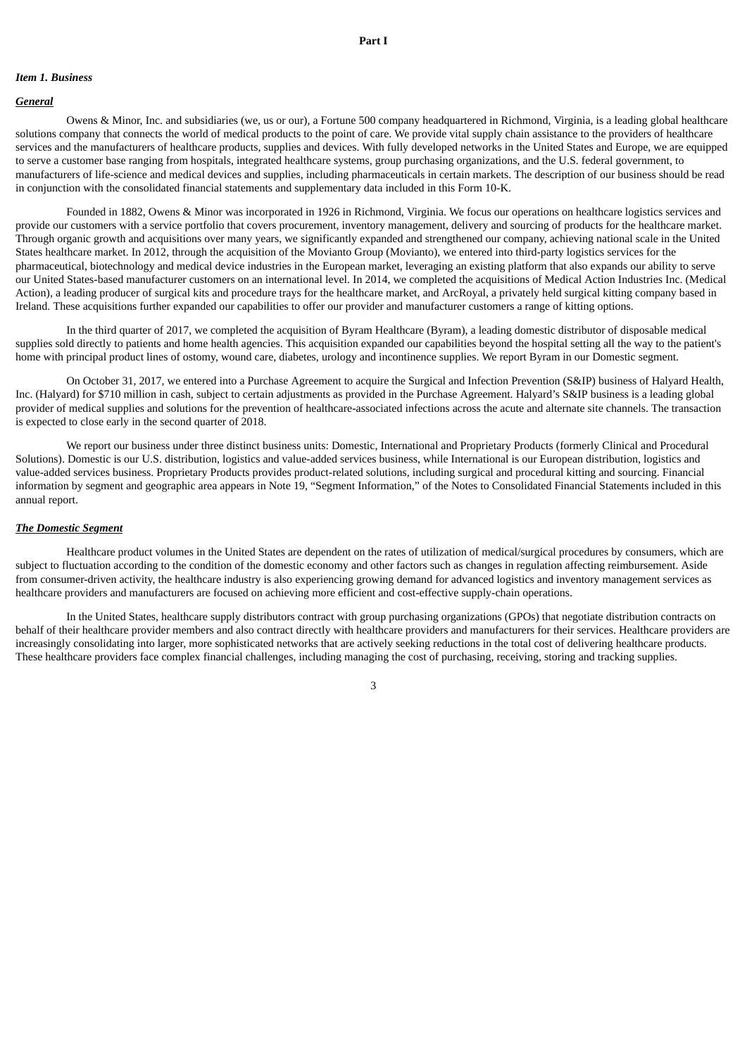## <span id="page-2-1"></span><span id="page-2-0"></span>*Item 1. Business*

## *General*

Owens & Minor, Inc. and subsidiaries (we, us or our), a Fortune 500 company headquartered in Richmond, Virginia, is a leading global healthcare solutions company that connects the world of medical products to the point of care. We provide vital supply chain assistance to the providers of healthcare services and the manufacturers of healthcare products, supplies and devices. With fully developed networks in the United States and Europe, we are equipped to serve a customer base ranging from hospitals, integrated healthcare systems, group purchasing organizations, and the U.S. federal government, to manufacturers of life-science and medical devices and supplies, including pharmaceuticals in certain markets. The description of our business should be read in conjunction with the consolidated financial statements and supplementary data included in this Form 10-K.

Founded in 1882, Owens & Minor was incorporated in 1926 in Richmond, Virginia. We focus our operations on healthcare logistics services and provide our customers with a service portfolio that covers procurement, inventory management, delivery and sourcing of products for the healthcare market. Through organic growth and acquisitions over many years, we significantly expanded and strengthened our company, achieving national scale in the United States healthcare market. In 2012, through the acquisition of the Movianto Group (Movianto), we entered into third-party logistics services for the pharmaceutical, biotechnology and medical device industries in the European market, leveraging an existing platform that also expands our ability to serve our United States-based manufacturer customers on an international level. In 2014, we completed the acquisitions of Medical Action Industries Inc. (Medical Action), a leading producer of surgical kits and procedure trays for the healthcare market, and ArcRoyal, a privately held surgical kitting company based in Ireland. These acquisitions further expanded our capabilities to offer our provider and manufacturer customers a range of kitting options.

In the third quarter of 2017, we completed the acquisition of Byram Healthcare (Byram), a leading domestic distributor of disposable medical supplies sold directly to patients and home health agencies. This acquisition expanded our capabilities beyond the hospital setting all the way to the patient's home with principal product lines of ostomy, wound care, diabetes, urology and incontinence supplies. We report Byram in our Domestic segment.

On October 31, 2017, we entered into a Purchase Agreement to acquire the Surgical and Infection Prevention (S&IP) business of Halyard Health, Inc. (Halyard) for \$710 million in cash, subject to certain adjustments as provided in the Purchase Agreement. Halyard's S&IP business is a leading global provider of medical supplies and solutions for the prevention of healthcare-associated infections across the acute and alternate site channels. The transaction is expected to close early in the second quarter of 2018.

We report our business under three distinct business units: Domestic, International and Proprietary Products (formerly Clinical and Procedural Solutions). Domestic is our U.S. distribution, logistics and value-added services business, while International is our European distribution, logistics and value-added services business. Proprietary Products provides product-related solutions, including surgical and procedural kitting and sourcing. Financial information by segment and geographic area appears in Note 19, "Segment Information," of the Notes to Consolidated Financial Statements included in this annual report.

## *The Domestic Segment*

Healthcare product volumes in the United States are dependent on the rates of utilization of medical/surgical procedures by consumers, which are subject to fluctuation according to the condition of the domestic economy and other factors such as changes in regulation affecting reimbursement. Aside from consumer-driven activity, the healthcare industry is also experiencing growing demand for advanced logistics and inventory management services as healthcare providers and manufacturers are focused on achieving more efficient and cost-effective supply-chain operations.

In the United States, healthcare supply distributors contract with group purchasing organizations (GPOs) that negotiate distribution contracts on behalf of their healthcare provider members and also contract directly with healthcare providers and manufacturers for their services. Healthcare providers are increasingly consolidating into larger, more sophisticated networks that are actively seeking reductions in the total cost of delivering healthcare products. These healthcare providers face complex financial challenges, including managing the cost of purchasing, receiving, storing and tracking supplies.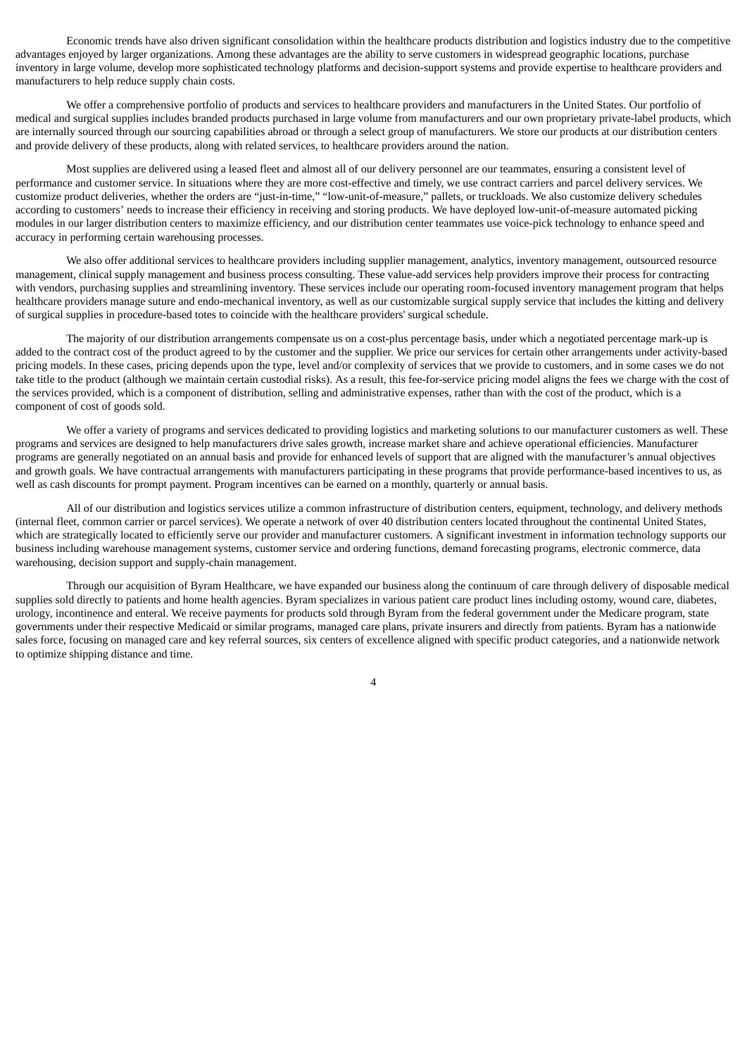Economic trends have also driven significant consolidation within the healthcare products distribution and logistics industry due to the competitive advantages enjoyed by larger organizations. Among these advantages are the ability to serve customers in widespread geographic locations, purchase inventory in large volume, develop more sophisticated technology platforms and decision-support systems and provide expertise to healthcare providers and manufacturers to help reduce supply chain costs.

We offer a comprehensive portfolio of products and services to healthcare providers and manufacturers in the United States. Our portfolio of medical and surgical supplies includes branded products purchased in large volume from manufacturers and our own proprietary private-label products, which are internally sourced through our sourcing capabilities abroad or through a select group of manufacturers. We store our products at our distribution centers and provide delivery of these products, along with related services, to healthcare providers around the nation.

Most supplies are delivered using a leased fleet and almost all of our delivery personnel are our teammates, ensuring a consistent level of performance and customer service. In situations where they are more cost-effective and timely, we use contract carriers and parcel delivery services. We customize product deliveries, whether the orders are "just-in-time," "low-unit-of-measure," pallets, or truckloads. We also customize delivery schedules according to customers' needs to increase their efficiency in receiving and storing products. We have deployed low-unit-of-measure automated picking modules in our larger distribution centers to maximize efficiency, and our distribution center teammates use voice-pick technology to enhance speed and accuracy in performing certain warehousing processes.

We also offer additional services to healthcare providers including supplier management, analytics, inventory management, outsourced resource management, clinical supply management and business process consulting. These value-add services help providers improve their process for contracting with vendors, purchasing supplies and streamlining inventory. These services include our operating room-focused inventory management program that helps healthcare providers manage suture and endo-mechanical inventory, as well as our customizable surgical supply service that includes the kitting and delivery of surgical supplies in procedure-based totes to coincide with the healthcare providers' surgical schedule.

The majority of our distribution arrangements compensate us on a cost-plus percentage basis, under which a negotiated percentage mark-up is added to the contract cost of the product agreed to by the customer and the supplier. We price our services for certain other arrangements under activity-based pricing models. In these cases, pricing depends upon the type, level and/or complexity of services that we provide to customers, and in some cases we do not take title to the product (although we maintain certain custodial risks). As a result, this fee-for-service pricing model aligns the fees we charge with the cost of the services provided, which is a component of distribution, selling and administrative expenses, rather than with the cost of the product, which is a component of cost of goods sold.

We offer a variety of programs and services dedicated to providing logistics and marketing solutions to our manufacturer customers as well. These programs and services are designed to help manufacturers drive sales growth, increase market share and achieve operational efficiencies. Manufacturer programs are generally negotiated on an annual basis and provide for enhanced levels of support that are aligned with the manufacturer's annual objectives and growth goals. We have contractual arrangements with manufacturers participating in these programs that provide performance-based incentives to us, as well as cash discounts for prompt payment. Program incentives can be earned on a monthly, quarterly or annual basis.

All of our distribution and logistics services utilize a common infrastructure of distribution centers, equipment, technology, and delivery methods (internal fleet, common carrier or parcel services). We operate a network of over 40 distribution centers located throughout the continental United States, which are strategically located to efficiently serve our provider and manufacturer customers. A significant investment in information technology supports our business including warehouse management systems, customer service and ordering functions, demand forecasting programs, electronic commerce, data warehousing, decision support and supply-chain management.

Through our acquisition of Byram Healthcare, we have expanded our business along the continuum of care through delivery of disposable medical supplies sold directly to patients and home health agencies. Byram specializes in various patient care product lines including ostomy, wound care, diabetes, urology, incontinence and enteral. We receive payments for products sold through Byram from the federal government under the Medicare program, state governments under their respective Medicaid or similar programs, managed care plans, private insurers and directly from patients. Byram has a nationwide sales force, focusing on managed care and key referral sources, six centers of excellence aligned with specific product categories, and a nationwide network to optimize shipping distance and time.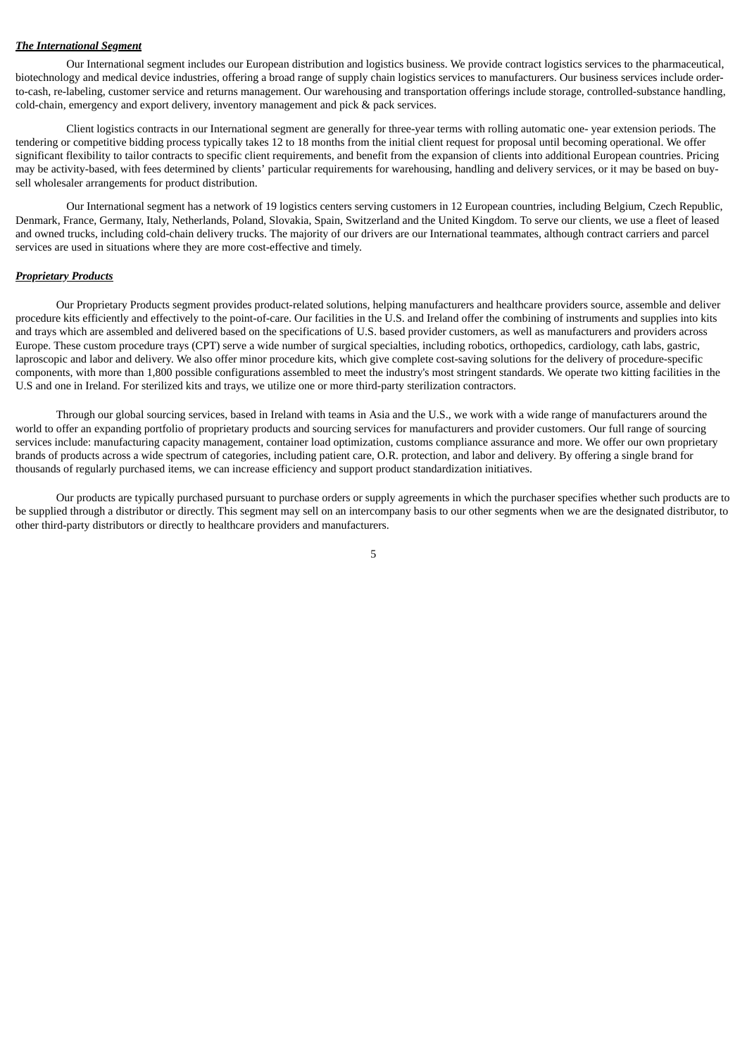# *The International Segment*

Our International segment includes our European distribution and logistics business. We provide contract logistics services to the pharmaceutical, biotechnology and medical device industries, offering a broad range of supply chain logistics services to manufacturers. Our business services include orderto-cash, re-labeling, customer service and returns management. Our warehousing and transportation offerings include storage, controlled-substance handling, cold-chain, emergency and export delivery, inventory management and pick & pack services.

Client logistics contracts in our International segment are generally for three-year terms with rolling automatic one- year extension periods. The tendering or competitive bidding process typically takes 12 to 18 months from the initial client request for proposal until becoming operational. We offer significant flexibility to tailor contracts to specific client requirements, and benefit from the expansion of clients into additional European countries. Pricing may be activity-based, with fees determined by clients' particular requirements for warehousing, handling and delivery services, or it may be based on buysell wholesaler arrangements for product distribution.

Our International segment has a network of 19 logistics centers serving customers in 12 European countries, including Belgium, Czech Republic, Denmark, France, Germany, Italy, Netherlands, Poland, Slovakia, Spain, Switzerland and the United Kingdom. To serve our clients, we use a fleet of leased and owned trucks, including cold-chain delivery trucks. The majority of our drivers are our International teammates, although contract carriers and parcel services are used in situations where they are more cost-effective and timely.

#### *Proprietary Products*

Our Proprietary Products segment provides product-related solutions, helping manufacturers and healthcare providers source, assemble and deliver procedure kits efficiently and effectively to the point-of-care. Our facilities in the U.S. and Ireland offer the combining of instruments and supplies into kits and trays which are assembled and delivered based on the specifications of U.S. based provider customers, as well as manufacturers and providers across Europe. These custom procedure trays (CPT) serve a wide number of surgical specialties, including robotics, orthopedics, cardiology, cath labs, gastric, laproscopic and labor and delivery. We also offer minor procedure kits, which give complete cost-saving solutions for the delivery of procedure-specific components, with more than 1,800 possible configurations assembled to meet the industry's most stringent standards. We operate two kitting facilities in the U.S and one in Ireland. For sterilized kits and trays, we utilize one or more third-party sterilization contractors.

Through our global sourcing services, based in Ireland with teams in Asia and the U.S., we work with a wide range of manufacturers around the world to offer an expanding portfolio of proprietary products and sourcing services for manufacturers and provider customers. Our full range of sourcing services include: manufacturing capacity management, container load optimization, customs compliance assurance and more. We offer our own proprietary brands of products across a wide spectrum of categories, including patient care, O.R. protection, and labor and delivery. By offering a single brand for thousands of regularly purchased items, we can increase efficiency and support product standardization initiatives.

Our products are typically purchased pursuant to purchase orders or supply agreements in which the purchaser specifies whether such products are to be supplied through a distributor or directly. This segment may sell on an intercompany basis to our other segments when we are the designated distributor, to other third-party distributors or directly to healthcare providers and manufacturers.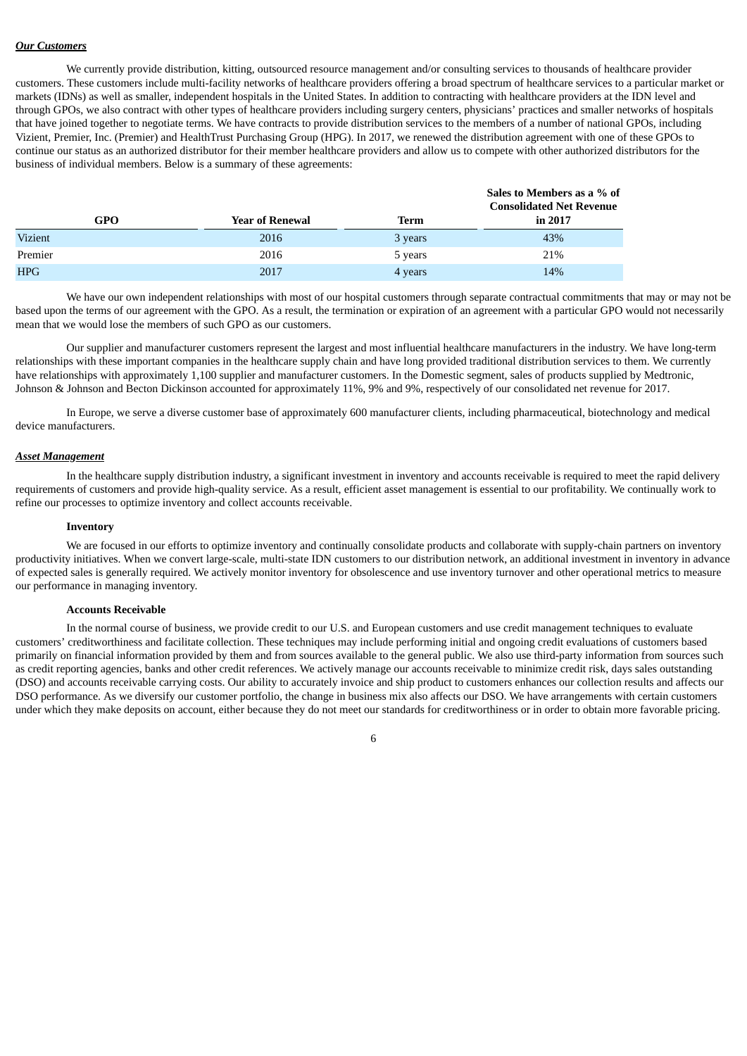# *Our Customers*

We currently provide distribution, kitting, outsourced resource management and/or consulting services to thousands of healthcare provider customers. These customers include multi-facility networks of healthcare providers offering a broad spectrum of healthcare services to a particular market or markets (IDNs) as well as smaller, independent hospitals in the United States. In addition to contracting with healthcare providers at the IDN level and through GPOs, we also contract with other types of healthcare providers including surgery centers, physicians' practices and smaller networks of hospitals that have joined together to negotiate terms. We have contracts to provide distribution services to the members of a number of national GPOs, including Vizient, Premier, Inc. (Premier) and HealthTrust Purchasing Group (HPG). In 2017, we renewed the distribution agreement with one of these GPOs to continue our status as an authorized distributor for their member healthcare providers and allow us to compete with other authorized distributors for the business of individual members. Below is a summary of these agreements:

| <b>GPO</b>     | <b>Year of Renewal</b> | Term    | Sales to Members as a % of<br><b>Consolidated Net Revenue</b><br>in 2017 |
|----------------|------------------------|---------|--------------------------------------------------------------------------|
| <b>Vizient</b> | 2016                   | 3 years | 43%                                                                      |
| Premier        | 2016                   | 5 years | 21%                                                                      |
| <b>HPG</b>     | 2017                   | 4 years | 14%                                                                      |

We have our own independent relationships with most of our hospital customers through separate contractual commitments that may or may not be based upon the terms of our agreement with the GPO. As a result, the termination or expiration of an agreement with a particular GPO would not necessarily mean that we would lose the members of such GPO as our customers.

Our supplier and manufacturer customers represent the largest and most influential healthcare manufacturers in the industry. We have long-term relationships with these important companies in the healthcare supply chain and have long provided traditional distribution services to them. We currently have relationships with approximately 1,100 supplier and manufacturer customers. In the Domestic segment, sales of products supplied by Medtronic, Johnson & Johnson and Becton Dickinson accounted for approximately 11%, 9% and 9%, respectively of our consolidated net revenue for 2017.

In Europe, we serve a diverse customer base of approximately 600 manufacturer clients, including pharmaceutical, biotechnology and medical device manufacturers.

#### *Asset Management*

In the healthcare supply distribution industry, a significant investment in inventory and accounts receivable is required to meet the rapid delivery requirements of customers and provide high-quality service. As a result, efficient asset management is essential to our profitability. We continually work to refine our processes to optimize inventory and collect accounts receivable.

#### **Inventory**

We are focused in our efforts to optimize inventory and continually consolidate products and collaborate with supply-chain partners on inventory productivity initiatives. When we convert large-scale, multi-state IDN customers to our distribution network, an additional investment in inventory in advance of expected sales is generally required. We actively monitor inventory for obsolescence and use inventory turnover and other operational metrics to measure our performance in managing inventory.

## **Accounts Receivable**

In the normal course of business, we provide credit to our U.S. and European customers and use credit management techniques to evaluate customers' creditworthiness and facilitate collection. These techniques may include performing initial and ongoing credit evaluations of customers based primarily on financial information provided by them and from sources available to the general public. We also use third-party information from sources such as credit reporting agencies, banks and other credit references. We actively manage our accounts receivable to minimize credit risk, days sales outstanding (DSO) and accounts receivable carrying costs. Our ability to accurately invoice and ship product to customers enhances our collection results and affects our DSO performance. As we diversify our customer portfolio, the change in business mix also affects our DSO. We have arrangements with certain customers under which they make deposits on account, either because they do not meet our standards for creditworthiness or in order to obtain more favorable pricing.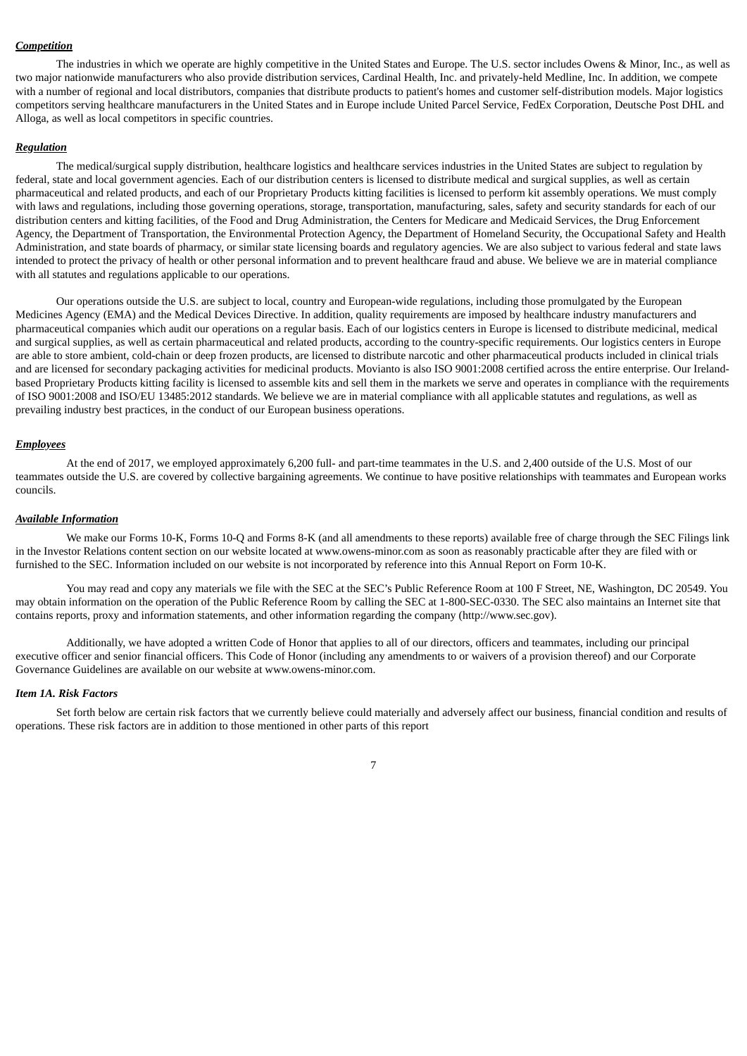# *Competition*

The industries in which we operate are highly competitive in the United States and Europe. The U.S. sector includes Owens & Minor, Inc., as well as two major nationwide manufacturers who also provide distribution services, Cardinal Health, Inc. and privately-held Medline, Inc. In addition, we compete with a number of regional and local distributors, companies that distribute products to patient's homes and customer self-distribution models. Major logistics competitors serving healthcare manufacturers in the United States and in Europe include United Parcel Service, FedEx Corporation, Deutsche Post DHL and Alloga, as well as local competitors in specific countries.

#### *Regulation*

The medical/surgical supply distribution, healthcare logistics and healthcare services industries in the United States are subject to regulation by federal, state and local government agencies. Each of our distribution centers is licensed to distribute medical and surgical supplies, as well as certain pharmaceutical and related products, and each of our Proprietary Products kitting facilities is licensed to perform kit assembly operations. We must comply with laws and regulations, including those governing operations, storage, transportation, manufacturing, sales, safety and security standards for each of our distribution centers and kitting facilities, of the Food and Drug Administration, the Centers for Medicare and Medicaid Services, the Drug Enforcement Agency, the Department of Transportation, the Environmental Protection Agency, the Department of Homeland Security, the Occupational Safety and Health Administration, and state boards of pharmacy, or similar state licensing boards and regulatory agencies. We are also subject to various federal and state laws intended to protect the privacy of health or other personal information and to prevent healthcare fraud and abuse. We believe we are in material compliance with all statutes and regulations applicable to our operations.

Our operations outside the U.S. are subject to local, country and European-wide regulations, including those promulgated by the European Medicines Agency (EMA) and the Medical Devices Directive. In addition, quality requirements are imposed by healthcare industry manufacturers and pharmaceutical companies which audit our operations on a regular basis. Each of our logistics centers in Europe is licensed to distribute medicinal, medical and surgical supplies, as well as certain pharmaceutical and related products, according to the country-specific requirements. Our logistics centers in Europe are able to store ambient, cold-chain or deep frozen products, are licensed to distribute narcotic and other pharmaceutical products included in clinical trials and are licensed for secondary packaging activities for medicinal products. Movianto is also ISO 9001:2008 certified across the entire enterprise. Our Irelandbased Proprietary Products kitting facility is licensed to assemble kits and sell them in the markets we serve and operates in compliance with the requirements of ISO 9001:2008 and ISO/EU 13485:2012 standards. We believe we are in material compliance with all applicable statutes and regulations, as well as prevailing industry best practices, in the conduct of our European business operations.

#### *Employees*

At the end of 2017, we employed approximately 6,200 full- and part-time teammates in the U.S. and 2,400 outside of the U.S. Most of our teammates outside the U.S. are covered by collective bargaining agreements. We continue to have positive relationships with teammates and European works councils.

#### *Available Information*

We make our Forms 10-K, Forms 10-Q and Forms 8-K (and all amendments to these reports) available free of charge through the SEC Filings link in the Investor Relations content section on our website located at www.owens-minor.com as soon as reasonably practicable after they are filed with or furnished to the SEC. Information included on our website is not incorporated by reference into this Annual Report on Form 10-K.

You may read and copy any materials we file with the SEC at the SEC's Public Reference Room at 100 F Street, NE, Washington, DC 20549. You may obtain information on the operation of the Public Reference Room by calling the SEC at 1-800-SEC-0330. The SEC also maintains an Internet site that contains reports, proxy and information statements, and other information regarding the company (http://www.sec.gov).

Additionally, we have adopted a written Code of Honor that applies to all of our directors, officers and teammates, including our principal executive officer and senior financial officers. This Code of Honor (including any amendments to or waivers of a provision thereof) and our Corporate Governance Guidelines are available on our website at www.owens-minor.com.

# <span id="page-6-0"></span>*Item 1A. Risk Factors*

Set forth below are certain risk factors that we currently believe could materially and adversely affect our business, financial condition and results of operations. These risk factors are in addition to those mentioned in other parts of this report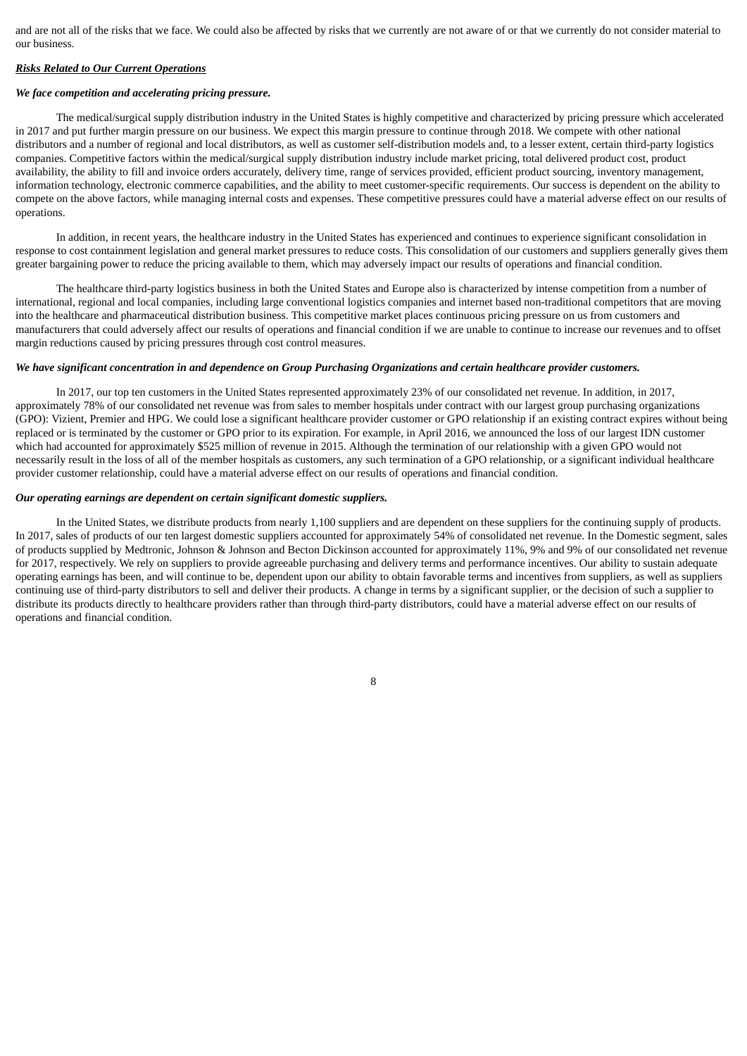and are not all of the risks that we face. We could also be affected by risks that we currently are not aware of or that we currently do not consider material to our business.

#### *Risks Related to Our Current Operations*

# *We face competition and accelerating pricing pressure.*

The medical/surgical supply distribution industry in the United States is highly competitive and characterized by pricing pressure which accelerated in 2017 and put further margin pressure on our business. We expect this margin pressure to continue through 2018. We compete with other national distributors and a number of regional and local distributors, as well as customer self-distribution models and, to a lesser extent, certain third-party logistics companies. Competitive factors within the medical/surgical supply distribution industry include market pricing, total delivered product cost, product availability, the ability to fill and invoice orders accurately, delivery time, range of services provided, efficient product sourcing, inventory management, information technology, electronic commerce capabilities, and the ability to meet customer-specific requirements. Our success is dependent on the ability to compete on the above factors, while managing internal costs and expenses. These competitive pressures could have a material adverse effect on our results of operations.

In addition, in recent years, the healthcare industry in the United States has experienced and continues to experience significant consolidation in response to cost containment legislation and general market pressures to reduce costs. This consolidation of our customers and suppliers generally gives them greater bargaining power to reduce the pricing available to them, which may adversely impact our results of operations and financial condition.

The healthcare third-party logistics business in both the United States and Europe also is characterized by intense competition from a number of international, regional and local companies, including large conventional logistics companies and internet based non-traditional competitors that are moving into the healthcare and pharmaceutical distribution business. This competitive market places continuous pricing pressure on us from customers and manufacturers that could adversely affect our results of operations and financial condition if we are unable to continue to increase our revenues and to offset margin reductions caused by pricing pressures through cost control measures.

## We have significant concentration in and dependence on Group Purchasing Organizations and certain healthcare provider customers.

In 2017, our top ten customers in the United States represented approximately 23% of our consolidated net revenue. In addition, in 2017, approximately 78% of our consolidated net revenue was from sales to member hospitals under contract with our largest group purchasing organizations (GPO): Vizient, Premier and HPG. We could lose a significant healthcare provider customer or GPO relationship if an existing contract expires without being replaced or is terminated by the customer or GPO prior to its expiration. For example, in April 2016, we announced the loss of our largest IDN customer which had accounted for approximately \$525 million of revenue in 2015. Although the termination of our relationship with a given GPO would not necessarily result in the loss of all of the member hospitals as customers, any such termination of a GPO relationship, or a significant individual healthcare provider customer relationship, could have a material adverse effect on our results of operations and financial condition.

#### *Our operating earnings are dependent on certain significant domestic suppliers.*

In the United States, we distribute products from nearly 1,100 suppliers and are dependent on these suppliers for the continuing supply of products. In 2017, sales of products of our ten largest domestic suppliers accounted for approximately 54% of consolidated net revenue. In the Domestic segment, sales of products supplied by Medtronic, Johnson & Johnson and Becton Dickinson accounted for approximately 11%, 9% and 9% of our consolidated net revenue for 2017, respectively. We rely on suppliers to provide agreeable purchasing and delivery terms and performance incentives. Our ability to sustain adequate operating earnings has been, and will continue to be, dependent upon our ability to obtain favorable terms and incentives from suppliers, as well as suppliers continuing use of third-party distributors to sell and deliver their products. A change in terms by a significant supplier, or the decision of such a supplier to distribute its products directly to healthcare providers rather than through third-party distributors, could have a material adverse effect on our results of operations and financial condition.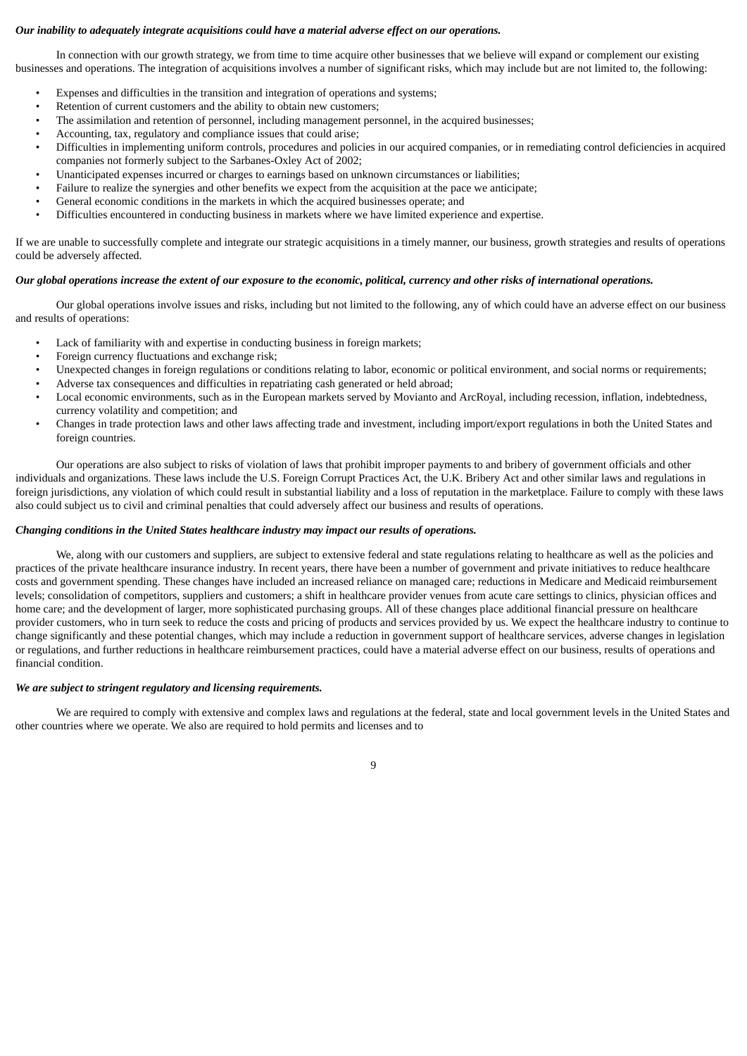#### *Our inability to adequately integrate acquisitions could have a material adverse effect on our operations.*

In connection with our growth strategy, we from time to time acquire other businesses that we believe will expand or complement our existing businesses and operations. The integration of acquisitions involves a number of significant risks, which may include but are not limited to, the following:

- Expenses and difficulties in the transition and integration of operations and systems;
- Retention of current customers and the ability to obtain new customers;
- The assimilation and retention of personnel, including management personnel, in the acquired businesses;
- Accounting, tax, regulatory and compliance issues that could arise;
- Difficulties in implementing uniform controls, procedures and policies in our acquired companies, or in remediating control deficiencies in acquired companies not formerly subject to the Sarbanes-Oxley Act of 2002;
- Unanticipated expenses incurred or charges to earnings based on unknown circumstances or liabilities;
- Failure to realize the synergies and other benefits we expect from the acquisition at the pace we anticipate;
- General economic conditions in the markets in which the acquired businesses operate; and
- Difficulties encountered in conducting business in markets where we have limited experience and expertise.

If we are unable to successfully complete and integrate our strategic acquisitions in a timely manner, our business, growth strategies and results of operations could be adversely affected.

## Our global operations increase the extent of our exposure to the economic, political, currency and other risks of international operations.

Our global operations involve issues and risks, including but not limited to the following, any of which could have an adverse effect on our business and results of operations:

- Lack of familiarity with and expertise in conducting business in foreign markets;
- Foreign currency fluctuations and exchange risk;
- Unexpected changes in foreign regulations or conditions relating to labor, economic or political environment, and social norms or requirements;
- Adverse tax consequences and difficulties in repatriating cash generated or held abroad;
- Local economic environments, such as in the European markets served by Movianto and ArcRoyal, including recession, inflation, indebtedness, currency volatility and competition; and
- Changes in trade protection laws and other laws affecting trade and investment, including import/export regulations in both the United States and foreign countries.

Our operations are also subject to risks of violation of laws that prohibit improper payments to and bribery of government officials and other individuals and organizations. These laws include the U.S. Foreign Corrupt Practices Act, the U.K. Bribery Act and other similar laws and regulations in foreign jurisdictions, any violation of which could result in substantial liability and a loss of reputation in the marketplace. Failure to comply with these laws also could subject us to civil and criminal penalties that could adversely affect our business and results of operations.

## *Changing conditions in the United States healthcare industry may impact our results of operations.*

We, along with our customers and suppliers, are subject to extensive federal and state regulations relating to healthcare as well as the policies and practices of the private healthcare insurance industry. In recent years, there have been a number of government and private initiatives to reduce healthcare costs and government spending. These changes have included an increased reliance on managed care; reductions in Medicare and Medicaid reimbursement levels; consolidation of competitors, suppliers and customers; a shift in healthcare provider venues from acute care settings to clinics, physician offices and home care; and the development of larger, more sophisticated purchasing groups. All of these changes place additional financial pressure on healthcare provider customers, who in turn seek to reduce the costs and pricing of products and services provided by us. We expect the healthcare industry to continue to change significantly and these potential changes, which may include a reduction in government support of healthcare services, adverse changes in legislation or regulations, and further reductions in healthcare reimbursement practices, could have a material adverse effect on our business, results of operations and financial condition.

#### *We are subject to stringent regulatory and licensing requirements.*

We are required to comply with extensive and complex laws and regulations at the federal, state and local government levels in the United States and other countries where we operate. We also are required to hold permits and licenses and to

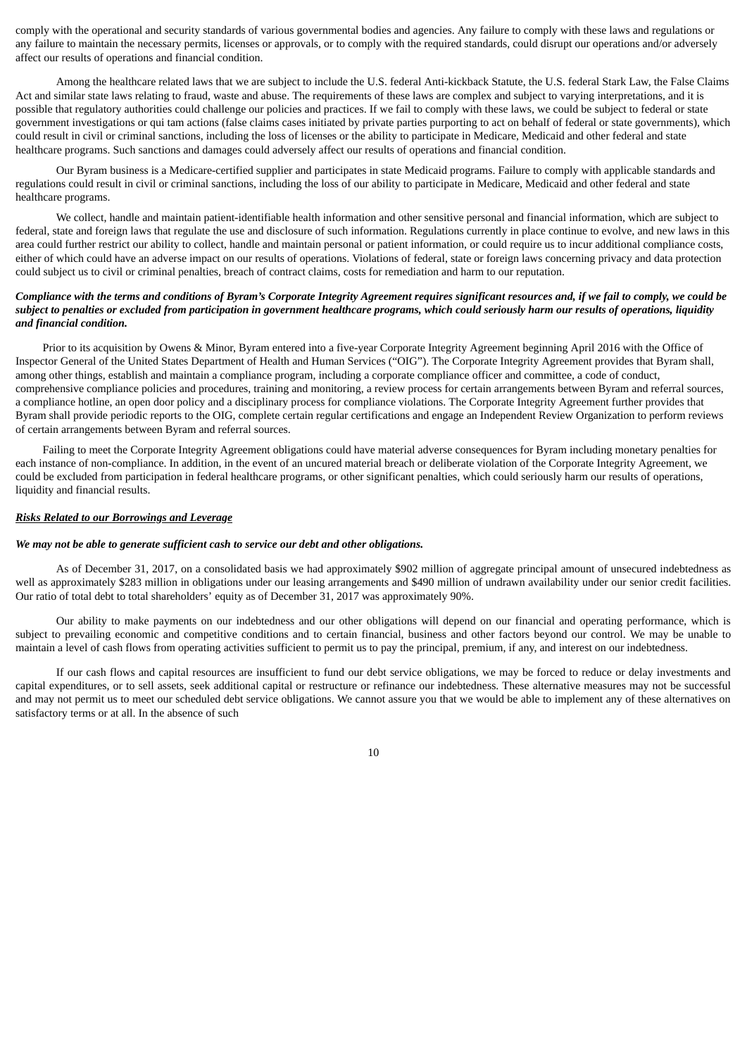comply with the operational and security standards of various governmental bodies and agencies. Any failure to comply with these laws and regulations or any failure to maintain the necessary permits, licenses or approvals, or to comply with the required standards, could disrupt our operations and/or adversely affect our results of operations and financial condition.

Among the healthcare related laws that we are subject to include the U.S. federal Anti-kickback Statute, the U.S. federal Stark Law, the False Claims Act and similar state laws relating to fraud, waste and abuse. The requirements of these laws are complex and subject to varying interpretations, and it is possible that regulatory authorities could challenge our policies and practices. If we fail to comply with these laws, we could be subject to federal or state government investigations or qui tam actions (false claims cases initiated by private parties purporting to act on behalf of federal or state governments), which could result in civil or criminal sanctions, including the loss of licenses or the ability to participate in Medicare, Medicaid and other federal and state healthcare programs. Such sanctions and damages could adversely affect our results of operations and financial condition.

Our Byram business is a Medicare-certified supplier and participates in state Medicaid programs. Failure to comply with applicable standards and regulations could result in civil or criminal sanctions, including the loss of our ability to participate in Medicare, Medicaid and other federal and state healthcare programs.

We collect, handle and maintain patient-identifiable health information and other sensitive personal and financial information, which are subject to federal, state and foreign laws that regulate the use and disclosure of such information. Regulations currently in place continue to evolve, and new laws in this area could further restrict our ability to collect, handle and maintain personal or patient information, or could require us to incur additional compliance costs, either of which could have an adverse impact on our results of operations. Violations of federal, state or foreign laws concerning privacy and data protection could subject us to civil or criminal penalties, breach of contract claims, costs for remediation and harm to our reputation.

# Compliance with the terms and conditions of Byram's Corporate Integrity Agreement requires significant resources and, if we fail to comply, we could be subject to penalties or excluded from participation in government healthcare programs, which could seriously harm our results of operations, liquidity *and financial condition.*

Prior to its acquisition by Owens & Minor, Byram entered into a five-year Corporate Integrity Agreement beginning April 2016 with the Office of Inspector General of the United States Department of Health and Human Services ("OIG"). The Corporate Integrity Agreement provides that Byram shall, among other things, establish and maintain a compliance program, including a corporate compliance officer and committee, a code of conduct, comprehensive compliance policies and procedures, training and monitoring, a review process for certain arrangements between Byram and referral sources, a compliance hotline, an open door policy and a disciplinary process for compliance violations. The Corporate Integrity Agreement further provides that Byram shall provide periodic reports to the OIG, complete certain regular certifications and engage an Independent Review Organization to perform reviews of certain arrangements between Byram and referral sources.

Failing to meet the Corporate Integrity Agreement obligations could have material adverse consequences for Byram including monetary penalties for each instance of non-compliance. In addition, in the event of an uncured material breach or deliberate violation of the Corporate Integrity Agreement, we could be excluded from participation in federal healthcare programs, or other significant penalties, which could seriously harm our results of operations, liquidity and financial results.

## *Risks Related to our Borrowings and Leverage*

#### *We may not be able to generate sufficient cash to service our debt and other obligations.*

As of December 31, 2017, on a consolidated basis we had approximately \$902 million of aggregate principal amount of unsecured indebtedness as well as approximately \$283 million in obligations under our leasing arrangements and \$490 million of undrawn availability under our senior credit facilities. Our ratio of total debt to total shareholders' equity as of December 31, 2017 was approximately 90%.

Our ability to make payments on our indebtedness and our other obligations will depend on our financial and operating performance, which is subject to prevailing economic and competitive conditions and to certain financial, business and other factors beyond our control. We may be unable to maintain a level of cash flows from operating activities sufficient to permit us to pay the principal, premium, if any, and interest on our indebtedness.

If our cash flows and capital resources are insufficient to fund our debt service obligations, we may be forced to reduce or delay investments and capital expenditures, or to sell assets, seek additional capital or restructure or refinance our indebtedness. These alternative measures may not be successful and may not permit us to meet our scheduled debt service obligations. We cannot assure you that we would be able to implement any of these alternatives on satisfactory terms or at all. In the absence of such

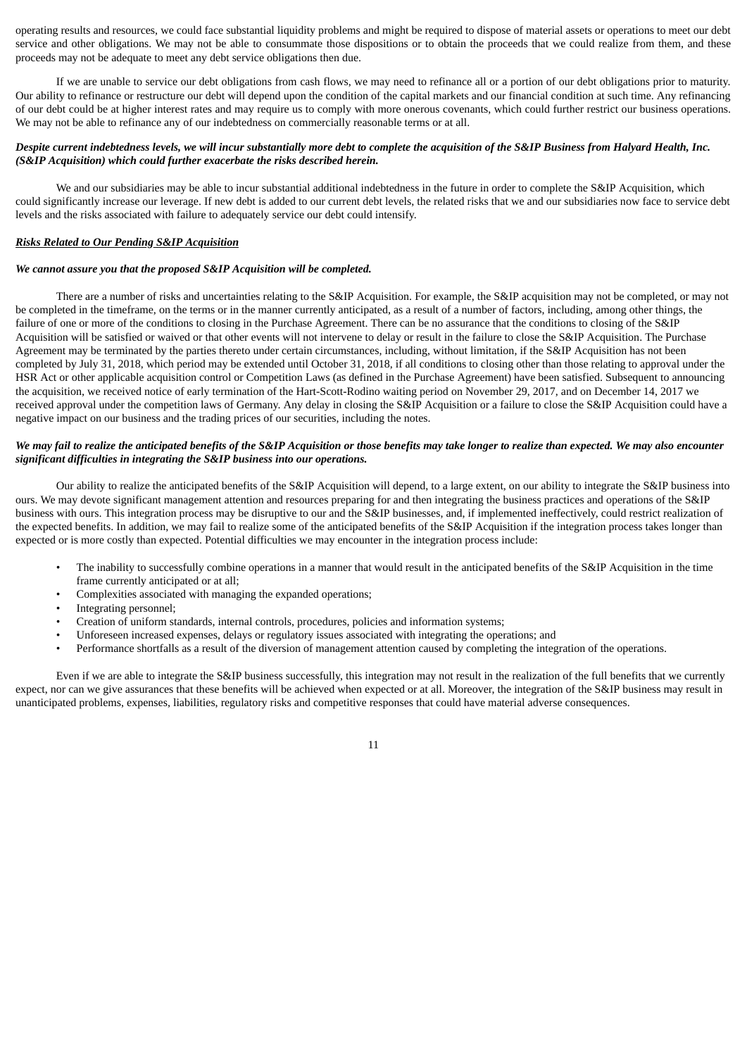operating results and resources, we could face substantial liquidity problems and might be required to dispose of material assets or operations to meet our debt service and other obligations. We may not be able to consummate those dispositions or to obtain the proceeds that we could realize from them, and these proceeds may not be adequate to meet any debt service obligations then due.

If we are unable to service our debt obligations from cash flows, we may need to refinance all or a portion of our debt obligations prior to maturity. Our ability to refinance or restructure our debt will depend upon the condition of the capital markets and our financial condition at such time. Any refinancing of our debt could be at higher interest rates and may require us to comply with more onerous covenants, which could further restrict our business operations. We may not be able to refinance any of our indebtedness on commercially reasonable terms or at all.

## Despite current indebtedness levels, we will incur substantially more debt to complete the acquisition of the S&IP Business from Halyard Health, Inc. *(S&IP Acquisition) which could further exacerbate the risks described herein.*

We and our subsidiaries may be able to incur substantial additional indebtedness in the future in order to complete the S&IP Acquisition, which could significantly increase our leverage. If new debt is added to our current debt levels, the related risks that we and our subsidiaries now face to service debt levels and the risks associated with failure to adequately service our debt could intensify.

## *Risks Related to Our Pending S&IP Acquisition*

## *We cannot assure you that the proposed S&IP Acquisition will be completed.*

There are a number of risks and uncertainties relating to the S&IP Acquisition. For example, the S&IP acquisition may not be completed, or may not be completed in the timeframe, on the terms or in the manner currently anticipated, as a result of a number of factors, including, among other things, the failure of one or more of the conditions to closing in the Purchase Agreement. There can be no assurance that the conditions to closing of the S&IP Acquisition will be satisfied or waived or that other events will not intervene to delay or result in the failure to close the S&IP Acquisition. The Purchase Agreement may be terminated by the parties thereto under certain circumstances, including, without limitation, if the S&IP Acquisition has not been completed by July 31, 2018, which period may be extended until October 31, 2018, if all conditions to closing other than those relating to approval under the HSR Act or other applicable acquisition control or Competition Laws (as defined in the Purchase Agreement) have been satisfied. Subsequent to announcing the acquisition, we received notice of early termination of the Hart-Scott-Rodino waiting period on November 29, 2017, and on December 14, 2017 we received approval under the competition laws of Germany. Any delay in closing the S&IP Acquisition or a failure to close the S&IP Acquisition could have a negative impact on our business and the trading prices of our securities, including the notes.

# We may fail to realize the anticipated benefits of the S&IP Acquisition or those benefits may take longer to realize than expected. We may also encounter *significant difficulties in integrating the S&IP business into our operations.*

Our ability to realize the anticipated benefits of the S&IP Acquisition will depend, to a large extent, on our ability to integrate the S&IP business into ours. We may devote significant management attention and resources preparing for and then integrating the business practices and operations of the S&IP business with ours. This integration process may be disruptive to our and the S&IP businesses, and, if implemented ineffectively, could restrict realization of the expected benefits. In addition, we may fail to realize some of the anticipated benefits of the S&IP Acquisition if the integration process takes longer than expected or is more costly than expected. Potential difficulties we may encounter in the integration process include:

- The inability to successfully combine operations in a manner that would result in the anticipated benefits of the S&IP Acquisition in the time frame currently anticipated or at all;
- Complexities associated with managing the expanded operations;
- Integrating personnel;
- Creation of uniform standards, internal controls, procedures, policies and information systems;
- Unforeseen increased expenses, delays or regulatory issues associated with integrating the operations; and
- Performance shortfalls as a result of the diversion of management attention caused by completing the integration of the operations.

Even if we are able to integrate the S&IP business successfully, this integration may not result in the realization of the full benefits that we currently expect, nor can we give assurances that these benefits will be achieved when expected or at all. Moreover, the integration of the S&IP business may result in unanticipated problems, expenses, liabilities, regulatory risks and competitive responses that could have material adverse consequences.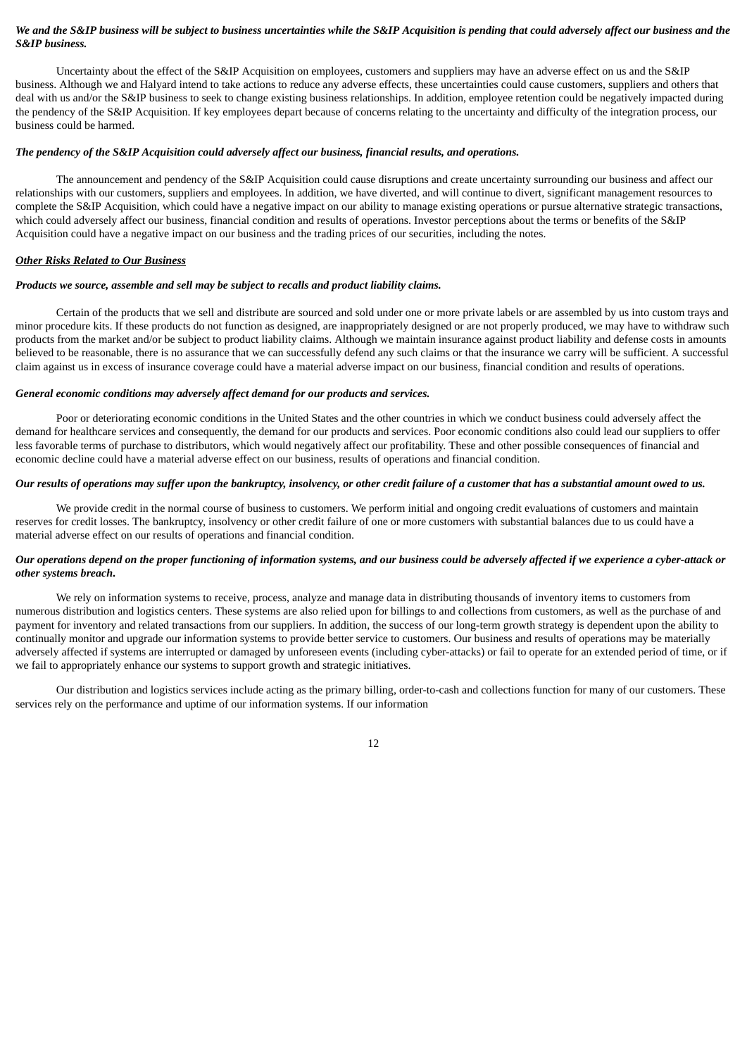# We and the S&IP business will be subject to business uncertainties while the S&IP Acquisition is pending that could adversely affect our business and the *S&IP business.*

Uncertainty about the effect of the S&IP Acquisition on employees, customers and suppliers may have an adverse effect on us and the S&IP business. Although we and Halyard intend to take actions to reduce any adverse effects, these uncertainties could cause customers, suppliers and others that deal with us and/or the S&IP business to seek to change existing business relationships. In addition, employee retention could be negatively impacted during the pendency of the S&IP Acquisition. If key employees depart because of concerns relating to the uncertainty and difficulty of the integration process, our business could be harmed.

#### *The pendency of the S&IP Acquisition could adversely affect our business, financial results, and operations.*

The announcement and pendency of the S&IP Acquisition could cause disruptions and create uncertainty surrounding our business and affect our relationships with our customers, suppliers and employees. In addition, we have diverted, and will continue to divert, significant management resources to complete the S&IP Acquisition, which could have a negative impact on our ability to manage existing operations or pursue alternative strategic transactions, which could adversely affect our business, financial condition and results of operations. Investor perceptions about the terms or benefits of the S&IP Acquisition could have a negative impact on our business and the trading prices of our securities, including the notes.

#### *Other Risks Related to Our Business*

#### *Products we source, assemble and sell may be subject to recalls and product liability claims.*

Certain of the products that we sell and distribute are sourced and sold under one or more private labels or are assembled by us into custom trays and minor procedure kits. If these products do not function as designed, are inappropriately designed or are not properly produced, we may have to withdraw such products from the market and/or be subject to product liability claims. Although we maintain insurance against product liability and defense costs in amounts believed to be reasonable, there is no assurance that we can successfully defend any such claims or that the insurance we carry will be sufficient. A successful claim against us in excess of insurance coverage could have a material adverse impact on our business, financial condition and results of operations.

#### *General economic conditions may adversely affect demand for our products and services.*

Poor or deteriorating economic conditions in the United States and the other countries in which we conduct business could adversely affect the demand for healthcare services and consequently, the demand for our products and services. Poor economic conditions also could lead our suppliers to offer less favorable terms of purchase to distributors, which would negatively affect our profitability. These and other possible consequences of financial and economic decline could have a material adverse effect on our business, results of operations and financial condition.

#### Our results of operations may suffer upon the bankruptcy, insolvency, or other credit failure of a customer that has a substantial amount owed to us.

We provide credit in the normal course of business to customers. We perform initial and ongoing credit evaluations of customers and maintain reserves for credit losses. The bankruptcy, insolvency or other credit failure of one or more customers with substantial balances due to us could have a material adverse effect on our results of operations and financial condition.

# Our operations depend on the proper functioning of information systems, and our business could be adversely affected if we experience a cyber-attack or *other systems breach***.**

We rely on information systems to receive, process, analyze and manage data in distributing thousands of inventory items to customers from numerous distribution and logistics centers. These systems are also relied upon for billings to and collections from customers, as well as the purchase of and payment for inventory and related transactions from our suppliers. In addition, the success of our long-term growth strategy is dependent upon the ability to continually monitor and upgrade our information systems to provide better service to customers. Our business and results of operations may be materially adversely affected if systems are interrupted or damaged by unforeseen events (including cyber-attacks) or fail to operate for an extended period of time, or if we fail to appropriately enhance our systems to support growth and strategic initiatives.

Our distribution and logistics services include acting as the primary billing, order-to-cash and collections function for many of our customers. These services rely on the performance and uptime of our information systems. If our information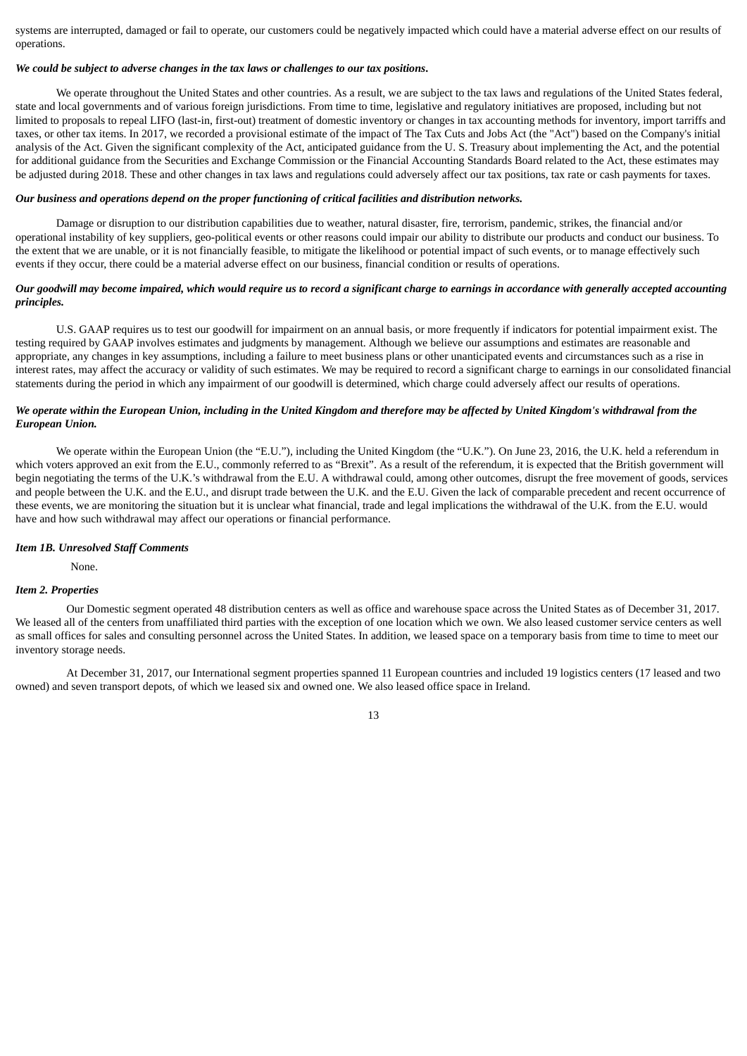systems are interrupted, damaged or fail to operate, our customers could be negatively impacted which could have a material adverse effect on our results of operations.

# *We could be subject to adverse changes in the tax laws or challenges to our tax positions***.**

We operate throughout the United States and other countries. As a result, we are subject to the tax laws and regulations of the United States federal, state and local governments and of various foreign jurisdictions. From time to time, legislative and regulatory initiatives are proposed, including but not limited to proposals to repeal LIFO (last-in, first-out) treatment of domestic inventory or changes in tax accounting methods for inventory, import tarriffs and taxes, or other tax items. In 2017, we recorded a provisional estimate of the impact of The Tax Cuts and Jobs Act (the "Act") based on the Company's initial analysis of the Act. Given the significant complexity of the Act, anticipated guidance from the U. S. Treasury about implementing the Act, and the potential for additional guidance from the Securities and Exchange Commission or the Financial Accounting Standards Board related to the Act, these estimates may be adjusted during 2018. These and other changes in tax laws and regulations could adversely affect our tax positions, tax rate or cash payments for taxes.

# *Our business and operations depend on the proper functioning of critical facilities and distribution networks.*

Damage or disruption to our distribution capabilities due to weather, natural disaster, fire, terrorism, pandemic, strikes, the financial and/or operational instability of key suppliers, geo-political events or other reasons could impair our ability to distribute our products and conduct our business. To the extent that we are unable, or it is not financially feasible, to mitigate the likelihood or potential impact of such events, or to manage effectively such events if they occur, there could be a material adverse effect on our business, financial condition or results of operations.

# Our goodwill may become impaired, which would require us to record a significant charge to earnings in accordance with generally accepted accounting *principles.*

U.S. GAAP requires us to test our goodwill for impairment on an annual basis, or more frequently if indicators for potential impairment exist. The testing required by GAAP involves estimates and judgments by management. Although we believe our assumptions and estimates are reasonable and appropriate, any changes in key assumptions, including a failure to meet business plans or other unanticipated events and circumstances such as a rise in interest rates, may affect the accuracy or validity of such estimates. We may be required to record a significant charge to earnings in our consolidated financial statements during the period in which any impairment of our goodwill is determined, which charge could adversely affect our results of operations.

# We operate within the European Union, including in the United Kingdom and therefore may be affected by United Kingdom's withdrawal from the *European Union.*

We operate within the European Union (the "E.U."), including the United Kingdom (the "U.K."). On June 23, 2016, the U.K. held a referendum in which voters approved an exit from the E.U., commonly referred to as "Brexit". As a result of the referendum, it is expected that the British government will begin negotiating the terms of the U.K.'s withdrawal from the E.U. A withdrawal could, among other outcomes, disrupt the free movement of goods, services and people between the U.K. and the E.U., and disrupt trade between the U.K. and the E.U. Given the lack of comparable precedent and recent occurrence of these events, we are monitoring the situation but it is unclear what financial, trade and legal implications the withdrawal of the U.K. from the E.U. would have and how such withdrawal may affect our operations or financial performance.

# <span id="page-12-0"></span>*Item 1B. Unresolved Staff Comments*

None.

# <span id="page-12-1"></span>*Item 2. Properties*

Our Domestic segment operated 48 distribution centers as well as office and warehouse space across the United States as of December 31, 2017. We leased all of the centers from unaffiliated third parties with the exception of one location which we own. We also leased customer service centers as well as small offices for sales and consulting personnel across the United States. In addition, we leased space on a temporary basis from time to time to meet our inventory storage needs.

At December 31, 2017, our International segment properties spanned 11 European countries and included 19 logistics centers (17 leased and two owned) and seven transport depots, of which we leased six and owned one. We also leased office space in Ireland.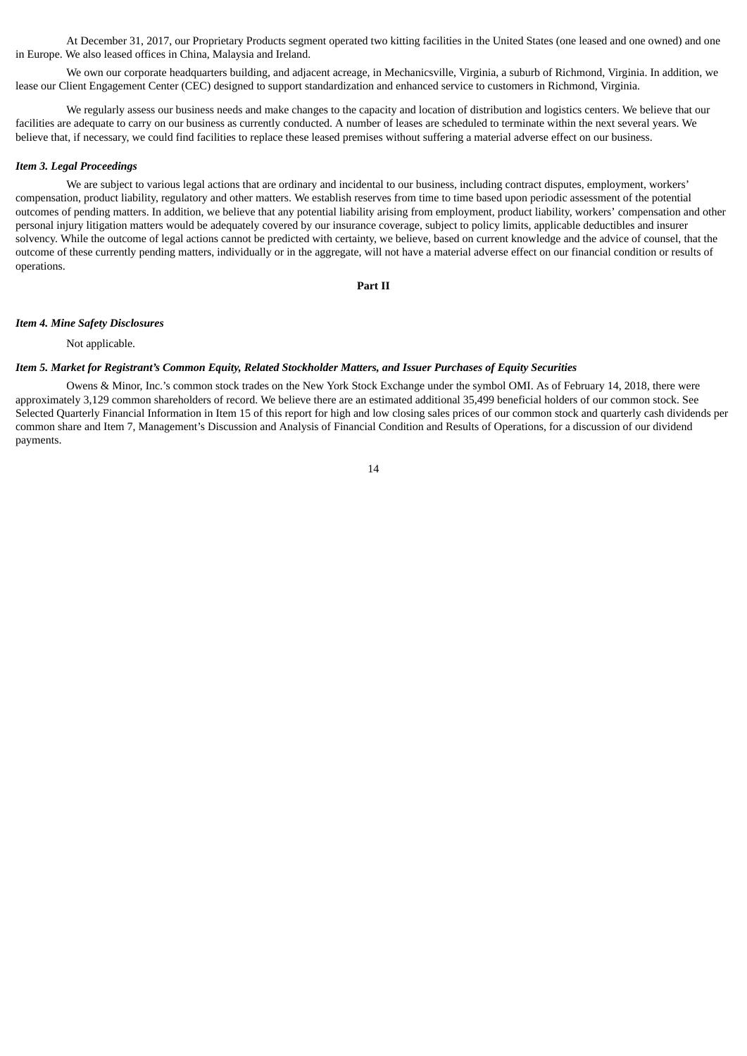At December 31, 2017, our Proprietary Products segment operated two kitting facilities in the United States (one leased and one owned) and one in Europe. We also leased offices in China, Malaysia and Ireland.

We own our corporate headquarters building, and adjacent acreage, in Mechanicsville, Virginia, a suburb of Richmond, Virginia. In addition, we lease our Client Engagement Center (CEC) designed to support standardization and enhanced service to customers in Richmond, Virginia.

We regularly assess our business needs and make changes to the capacity and location of distribution and logistics centers. We believe that our facilities are adequate to carry on our business as currently conducted. A number of leases are scheduled to terminate within the next several years. We believe that, if necessary, we could find facilities to replace these leased premises without suffering a material adverse effect on our business.

## <span id="page-13-0"></span>*Item 3. Legal Proceedings*

We are subject to various legal actions that are ordinary and incidental to our business, including contract disputes, employment, workers' compensation, product liability, regulatory and other matters. We establish reserves from time to time based upon periodic assessment of the potential outcomes of pending matters. In addition, we believe that any potential liability arising from employment, product liability, workers' compensation and other personal injury litigation matters would be adequately covered by our insurance coverage, subject to policy limits, applicable deductibles and insurer solvency. While the outcome of legal actions cannot be predicted with certainty, we believe, based on current knowledge and the advice of counsel, that the outcome of these currently pending matters, individually or in the aggregate, will not have a material adverse effect on our financial condition or results of operations.

# **Part II**

#### <span id="page-13-2"></span><span id="page-13-1"></span>*Item 4. Mine Safety Disclosures*

Not applicable.

## <span id="page-13-3"></span>Item 5. Market for Registrant's Common Equity, Related Stockholder Matters, and Issuer Purchases of Equity Securities

Owens & Minor, Inc.'s common stock trades on the New York Stock Exchange under the symbol OMI. As of February 14, 2018, there were approximately 3,129 common shareholders of record. We believe there are an estimated additional 35,499 beneficial holders of our common stock. See Selected Quarterly Financial Information in Item 15 of this report for high and low closing sales prices of our common stock and quarterly cash dividends per common share and Item 7, Management's Discussion and Analysis of Financial Condition and Results of Operations, for a discussion of our dividend payments.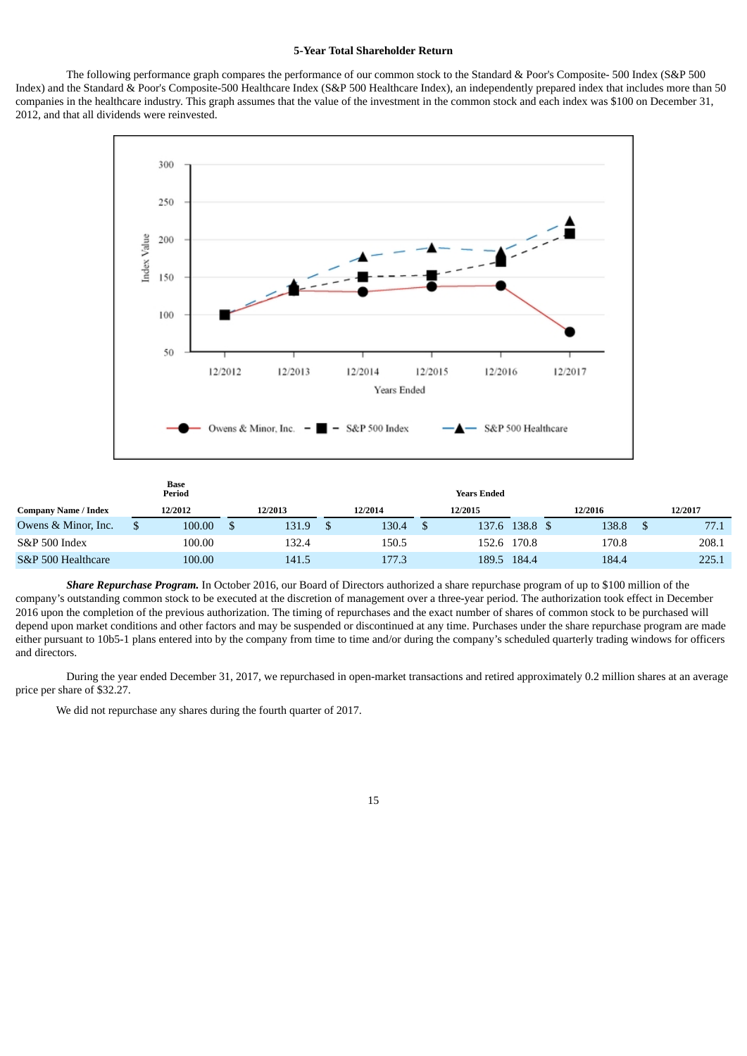## **5-Year Total Shareholder Return**

The following performance graph compares the performance of our common stock to the Standard & Poor's Composite- 500 Index (S&P 500 Index) and the Standard & Poor's Composite-500 Healthcare Index (S&P 500 Healthcare Index), an independently prepared index that includes more than 50 companies in the healthcare industry. This graph assumes that the value of the investment in the common stock and each index was \$100 on December 31, 2012, and that all dividends were reinvested.



| ------<br>Period            |  |         |  |         |  | <b>Years Ended</b> |  |         |                |  |         |  |         |  |  |  |
|-----------------------------|--|---------|--|---------|--|--------------------|--|---------|----------------|--|---------|--|---------|--|--|--|
| <b>Company Name / Index</b> |  | 12/2012 |  | 12/2013 |  | 12/2014            |  | 12/2015 |                |  | 12/2016 |  | 12/2017 |  |  |  |
| Owens & Minor, Inc.         |  | 100.00  |  | 131.9   |  | 130.4              |  |         | 137.6 138.8 \$ |  | 138.8   |  | 77.1    |  |  |  |
| S&P 500 Index               |  | 100.00  |  | 132.4   |  | 150.5              |  |         | 152.6 170.8    |  | 170.8   |  | 208.1   |  |  |  |
| S&P 500 Healthcare          |  | 100.00  |  | 141.5   |  | 177.3              |  |         | 189.5 184.4    |  | 184.4   |  | 225.1   |  |  |  |

*Share Repurchase Program.* In October 2016, our Board of Directors authorized a share repurchase program of up to \$100 million of the company's outstanding common stock to be executed at the discretion of management over a three-year period. The authorization took effect in December 2016 upon the completion of the previous authorization. The timing of repurchases and the exact number of shares of common stock to be purchased will depend upon market conditions and other factors and may be suspended or discontinued at any time. Purchases under the share repurchase program are made either pursuant to 10b5-1 plans entered into by the company from time to time and/or during the company's scheduled quarterly trading windows for officers and directors.

During the year ended December 31, 2017, we repurchased in open-market transactions and retired approximately 0.2 million shares at an average price per share of \$32.27.

We did not repurchase any shares during the fourth quarter of 2017.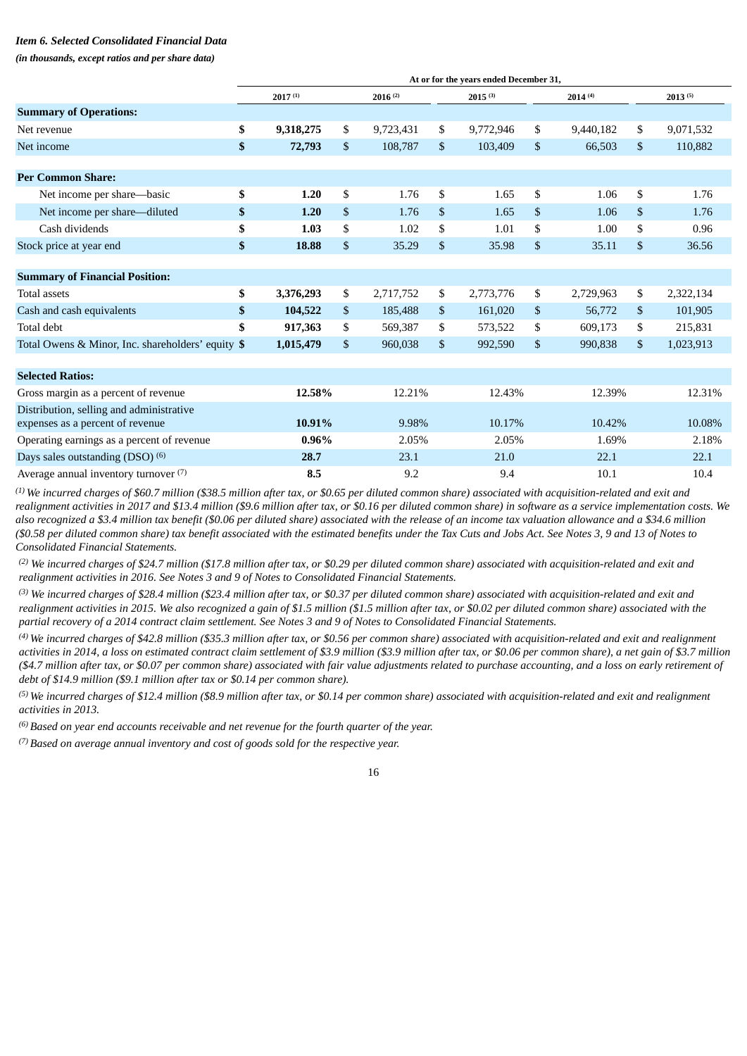# <span id="page-15-0"></span>*Item 6. Selected Consolidated Financial Data*

*(in thousands, except ratios and per share data)*

|                                                                              | At or for the years ended December 31, |           |    |              |    |              |    |           |    |           |  |
|------------------------------------------------------------------------------|----------------------------------------|-----------|----|--------------|----|--------------|----|-----------|----|-----------|--|
|                                                                              |                                        | 2017(1)   |    | $2016^{(2)}$ |    | $2015^{(3)}$ |    | 2014(4)   |    | 2013(5)   |  |
| <b>Summary of Operations:</b>                                                |                                        |           |    |              |    |              |    |           |    |           |  |
| Net revenue                                                                  | \$                                     | 9,318,275 | \$ | 9,723,431    | \$ | 9,772,946    | \$ | 9,440,182 | \$ | 9,071,532 |  |
| Net income                                                                   | \$                                     | 72,793    | \$ | 108,787      | \$ | 103,409      | \$ | 66,503    | \$ | 110,882   |  |
| <b>Per Common Share:</b>                                                     |                                        |           |    |              |    |              |    |           |    |           |  |
| Net income per share-basic                                                   | \$                                     | 1.20      | \$ | 1.76         | \$ | 1.65         | \$ | 1.06      | \$ | 1.76      |  |
| Net income per share-diluted                                                 | \$                                     | 1.20      | \$ | 1.76         | \$ | 1.65         | \$ | 1.06      | \$ | 1.76      |  |
| Cash dividends                                                               | \$                                     | 1.03      | \$ | 1.02         | \$ | 1.01         | \$ | 1.00      | \$ | 0.96      |  |
| Stock price at year end                                                      | \$                                     | 18.88     | \$ | 35.29        | \$ | 35.98        | \$ | 35.11     | \$ | 36.56     |  |
| <b>Summary of Financial Position:</b>                                        |                                        |           |    |              |    |              |    |           |    |           |  |
| <b>Total assets</b>                                                          | \$                                     | 3,376,293 | \$ | 2,717,752    | \$ | 2,773,776    | \$ | 2,729,963 | \$ | 2,322,134 |  |
| Cash and cash equivalents                                                    | \$                                     | 104,522   | \$ | 185,488      | \$ | 161,020      | \$ | 56,772    | \$ | 101,905   |  |
| Total debt                                                                   | \$                                     | 917,363   | \$ | 569,387      | \$ | 573,522      | \$ | 609,173   | \$ | 215,831   |  |
| Total Owens & Minor, Inc. shareholders' equity \$                            |                                        | 1,015,479 | \$ | 960,038      | \$ | 992,590      | \$ | 990,838   | \$ | 1,023,913 |  |
| <b>Selected Ratios:</b>                                                      |                                        |           |    |              |    |              |    |           |    |           |  |
| Gross margin as a percent of revenue                                         |                                        | 12.58%    |    | 12.21%       |    | 12.43%       |    | 12.39%    |    | 12.31%    |  |
| Distribution, selling and administrative<br>expenses as a percent of revenue |                                        | 10.91%    |    | 9.98%        |    | 10.17%       |    | 10.42%    |    | 10.08%    |  |
| Operating earnings as a percent of revenue                                   |                                        | $0.96\%$  |    | 2.05%        |    | 2.05%        |    | 1.69%     |    | 2.18%     |  |
| Days sales outstanding $(DSO)$ <sup>(6)</sup>                                |                                        | 28.7      |    | 23.1         |    | 21.0         |    | 22.1      |    | 22.1      |  |
| Average annual inventory turnover <sup>(7)</sup>                             |                                        | 8.5       |    | 9.2          |    | 9.4          |    | 10.1      |    | 10.4      |  |

 $^{(1)}$  We incurred charges of \$60.7 million (\$38.5 million after tax, or \$0.65 per diluted common share) associated with acquisition-related and exit and realignment activities in 2017 and \$13.4 million (\$9.6 million after tax, or \$0.16 per diluted common share) in software as a service implementation costs. We also recognized a \$3.4 million tax benefit (\$0.06 per diluted share) associated with the release of an income tax valuation allowance and a \$34.6 million (\$0.58 per diluted common share) tax benefit associated with the estimated benefits under the Tax Cuts and Jobs Act. See Notes 3, 9 and 13 of Notes to *Consolidated Financial Statements.*

(2) We incurred charges of \$24.7 million (\$17.8 million after tax, or \$0.29 per diluted common share) associated with acquisition-related and exit and *realignment activities in 2016. See Notes 3 and 9 of Notes to Consolidated Financial Statements.*

(3) We incurred charges of \$28.4 million (\$23.4 million after tax, or \$0.37 per diluted common share) associated with acquisition-related and exit and realignment activities in 2015. We also recognized a gain of \$1.5 million (\$1.5 million after tax, or \$0.02 per diluted common share) associated with the partial recovery of a 2014 contract claim settlement. See Notes 3 and 9 of Notes to Consolidated Financial Statements.

 $^{(4)}$  We incurred charges of \$42.8 million (\$35.3 million after tax, or \$0.56 per common share) associated with acquisition-related and exit and realignment activities in 2014, a loss on estimated contract claim settlement of \$3.9 million (\$3.9 million after tax, or \$0.06 per common share), a net gain of \$3.7 million (\$4.7 million after tax, or \$0.07 per common share) associated with fair value adjustments related to purchase accounting, and a loss on early retirement of *debt of \$14.9 million (\$9.1 million after tax or \$0.14 per common share).*

(5) We incurred charaes of \$12.4 million (\$8.9 million after tax, or \$0.14 per common share) associated with acquisition-related and exit and realianment *activities in 2013.*

*(6) Based on year end accounts receivable and net revenue for the fourth quarter of the year.*

*(7) Based on average annual inventory and cost of goods sold for the respective year.*

<sup>16</sup>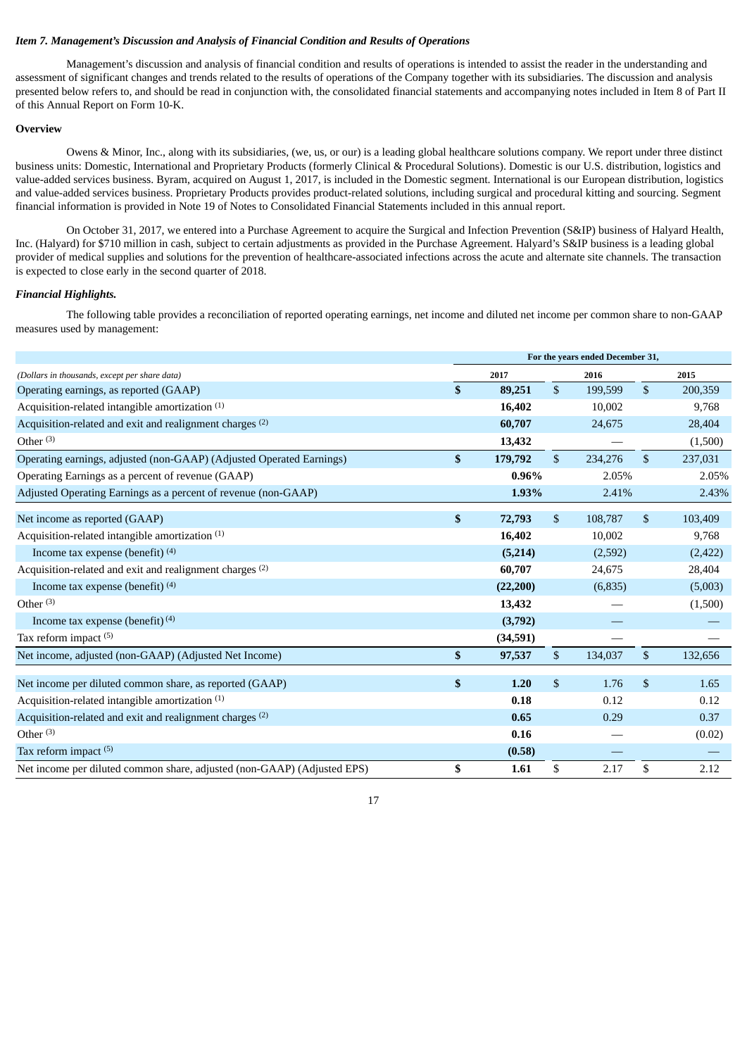# <span id="page-16-0"></span>*Item 7. Management's Discussion and Analysis of Financial Condition and Results of Operations*

Management's discussion and analysis of financial condition and results of operations is intended to assist the reader in the understanding and assessment of significant changes and trends related to the results of operations of the Company together with its subsidiaries. The discussion and analysis presented below refers to, and should be read in conjunction with, the consolidated financial statements and accompanying notes included in Item 8 of Part II of this Annual Report on Form 10-K.

## **Overview**

Owens & Minor, Inc., along with its subsidiaries, (we, us, or our) is a leading global healthcare solutions company. We report under three distinct business units: Domestic, International and Proprietary Products (formerly Clinical & Procedural Solutions). Domestic is our U.S. distribution, logistics and value-added services business. Byram, acquired on August 1, 2017, is included in the Domestic segment. International is our European distribution, logistics and value-added services business. Proprietary Products provides product-related solutions, including surgical and procedural kitting and sourcing. Segment financial information is provided in Note 19 of Notes to Consolidated Financial Statements included in this annual report.

On October 31, 2017, we entered into a Purchase Agreement to acquire the Surgical and Infection Prevention (S&IP) business of Halyard Health, Inc. (Halyard) for \$710 million in cash, subject to certain adjustments as provided in the Purchase Agreement. Halyard's S&IP business is a leading global provider of medical supplies and solutions for the prevention of healthcare-associated infections across the acute and alternate site channels. The transaction is expected to close early in the second quarter of 2018.

# *Financial Highlights.*

The following table provides a reconciliation of reported operating earnings, net income and diluted net income per common share to non-GAAP measures used by management:

|                                                                         |              | For the years ended December 31, |              |          |              |          |  |  |  |
|-------------------------------------------------------------------------|--------------|----------------------------------|--------------|----------|--------------|----------|--|--|--|
| (Dollars in thousands, except per share data)                           |              | 2017                             |              | 2016     |              | 2015     |  |  |  |
| Operating earnings, as reported (GAAP)                                  | $\mathbf{s}$ | 89,251                           | $\mathbb{S}$ | 199,599  | \$           | 200,359  |  |  |  |
| Acquisition-related intangible amortization (1)                         |              | 16,402                           |              | 10,002   |              | 9,768    |  |  |  |
| Acquisition-related and exit and realignment charges <sup>(2)</sup>     |              | 60,707                           |              | 24,675   |              | 28,404   |  |  |  |
| Other $(3)$                                                             |              | 13,432                           |              |          |              | (1,500)  |  |  |  |
| Operating earnings, adjusted (non-GAAP) (Adjusted Operated Earnings)    | \$           | 179,792                          | $\mathbb{S}$ | 234,276  | \$           | 237,031  |  |  |  |
| Operating Earnings as a percent of revenue (GAAP)                       |              | $0.96\%$                         |              | 2.05%    |              | 2.05%    |  |  |  |
| Adjusted Operating Earnings as a percent of revenue (non-GAAP)          |              | 1.93%                            |              | 2.41%    |              | 2.43%    |  |  |  |
| Net income as reported (GAAP)                                           | \$           | 72,793                           | $\mathbb{S}$ | 108,787  | $\mathbb{S}$ | 103,409  |  |  |  |
| Acquisition-related intangible amortization (1)                         |              | 16,402                           |              | 10,002   |              | 9,768    |  |  |  |
| Income tax expense (benefit) $(4)$                                      |              | (5,214)                          |              | (2,592)  |              | (2, 422) |  |  |  |
| Acquisition-related and exit and realignment charges (2)                |              | 60,707                           |              | 24,675   |              | 28,404   |  |  |  |
| Income tax expense (benefit) $(4)$                                      |              | (22, 200)                        |              | (6, 835) |              | (5,003)  |  |  |  |
| Other $(3)$                                                             |              | 13,432                           |              |          |              | (1,500)  |  |  |  |
| Income tax expense (benefit) <sup>(4)</sup>                             |              | (3,792)                          |              |          |              |          |  |  |  |
| Tax reform impact (5)                                                   |              | (34,591)                         |              |          |              |          |  |  |  |
| Net income, adjusted (non-GAAP) (Adjusted Net Income)                   | \$           | 97,537                           | $\mathbb{S}$ | 134,037  | \$           | 132,656  |  |  |  |
| Net income per diluted common share, as reported (GAAP)                 | \$           | 1.20                             | \$           | 1.76     | \$           | 1.65     |  |  |  |
| Acquisition-related intangible amortization $(1)$                       |              | 0.18                             |              | 0.12     |              | 0.12     |  |  |  |
| Acquisition-related and exit and realignment charges <sup>(2)</sup>     |              | 0.65                             |              | 0.29     |              | 0.37     |  |  |  |
| Other $(3)$                                                             |              | 0.16                             |              |          |              | (0.02)   |  |  |  |
| Tax reform impact (5)                                                   |              | (0.58)                           |              |          |              |          |  |  |  |
| Net income per diluted common share, adjusted (non-GAAP) (Adjusted EPS) | \$           | 1.61                             | \$           | 2.17     | \$           | 2.12     |  |  |  |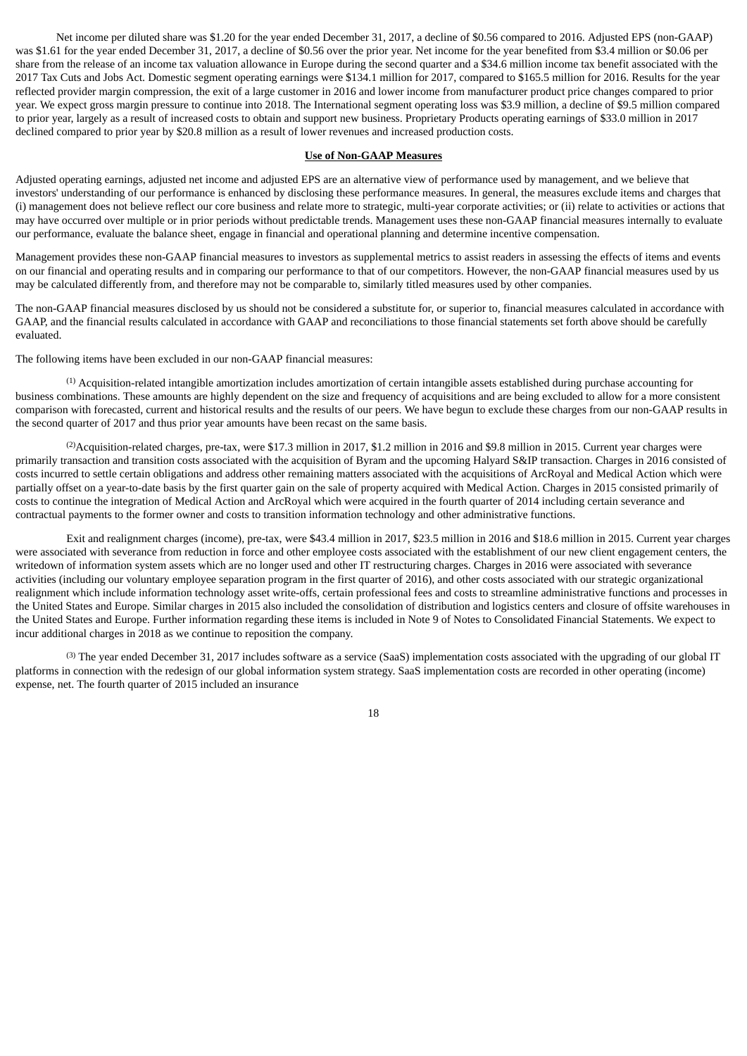Net income per diluted share was \$1.20 for the year ended December 31, 2017, a decline of \$0.56 compared to 2016. Adjusted EPS (non-GAAP) was \$1.61 for the year ended December 31, 2017, a decline of \$0.56 over the prior year. Net income for the year benefited from \$3.4 million or \$0.06 per share from the release of an income tax valuation allowance in Europe during the second quarter and a \$34.6 million income tax benefit associated with the 2017 Tax Cuts and Jobs Act. Domestic segment operating earnings were \$134.1 million for 2017, compared to \$165.5 million for 2016. Results for the year reflected provider margin compression, the exit of a large customer in 2016 and lower income from manufacturer product price changes compared to prior year. We expect gross margin pressure to continue into 2018. The International segment operating loss was \$3.9 million, a decline of \$9.5 million compared to prior year, largely as a result of increased costs to obtain and support new business. Proprietary Products operating earnings of \$33.0 million in 2017 declined compared to prior year by \$20.8 million as a result of lower revenues and increased production costs.

#### **Use of Non-GAAP Measures**

Adjusted operating earnings, adjusted net income and adjusted EPS are an alternative view of performance used by management, and we believe that investors' understanding of our performance is enhanced by disclosing these performance measures. In general, the measures exclude items and charges that (i) management does not believe reflect our core business and relate more to strategic, multi-year corporate activities; or (ii) relate to activities or actions that may have occurred over multiple or in prior periods without predictable trends. Management uses these non-GAAP financial measures internally to evaluate our performance, evaluate the balance sheet, engage in financial and operational planning and determine incentive compensation.

Management provides these non-GAAP financial measures to investors as supplemental metrics to assist readers in assessing the effects of items and events on our financial and operating results and in comparing our performance to that of our competitors. However, the non-GAAP financial measures used by us may be calculated differently from, and therefore may not be comparable to, similarly titled measures used by other companies.

The non-GAAP financial measures disclosed by us should not be considered a substitute for, or superior to, financial measures calculated in accordance with GAAP, and the financial results calculated in accordance with GAAP and reconciliations to those financial statements set forth above should be carefully evaluated.

The following items have been excluded in our non-GAAP financial measures:

(1) Acquisition-related intangible amortization includes amortization of certain intangible assets established during purchase accounting for business combinations. These amounts are highly dependent on the size and frequency of acquisitions and are being excluded to allow for a more consistent comparison with forecasted, current and historical results and the results of our peers. We have begun to exclude these charges from our non-GAAP results in the second quarter of 2017 and thus prior year amounts have been recast on the same basis.

(2)Acquisition-related charges, pre-tax, were \$17.3 million in 2017, \$1.2 million in 2016 and \$9.8 million in 2015. Current year charges were primarily transaction and transition costs associated with the acquisition of Byram and the upcoming Halyard S&IP transaction. Charges in 2016 consisted of costs incurred to settle certain obligations and address other remaining matters associated with the acquisitions of ArcRoyal and Medical Action which were partially offset on a year-to-date basis by the first quarter gain on the sale of property acquired with Medical Action. Charges in 2015 consisted primarily of costs to continue the integration of Medical Action and ArcRoyal which were acquired in the fourth quarter of 2014 including certain severance and contractual payments to the former owner and costs to transition information technology and other administrative functions.

Exit and realignment charges (income), pre-tax, were \$43.4 million in 2017, \$23.5 million in 2016 and \$18.6 million in 2015. Current year charges were associated with severance from reduction in force and other employee costs associated with the establishment of our new client engagement centers, the writedown of information system assets which are no longer used and other IT restructuring charges. Charges in 2016 were associated with severance activities (including our voluntary employee separation program in the first quarter of 2016), and other costs associated with our strategic organizational realignment which include information technology asset write-offs, certain professional fees and costs to streamline administrative functions and processes in the United States and Europe. Similar charges in 2015 also included the consolidation of distribution and logistics centers and closure of offsite warehouses in the United States and Europe. Further information regarding these items is included in Note 9 of Notes to Consolidated Financial Statements. We expect to incur additional charges in 2018 as we continue to reposition the company.

(3) The year ended December 31, 2017 includes software as a service (SaaS) implementation costs associated with the upgrading of our global IT platforms in connection with the redesign of our global information system strategy. SaaS implementation costs are recorded in other operating (income) expense, net. The fourth quarter of 2015 included an insurance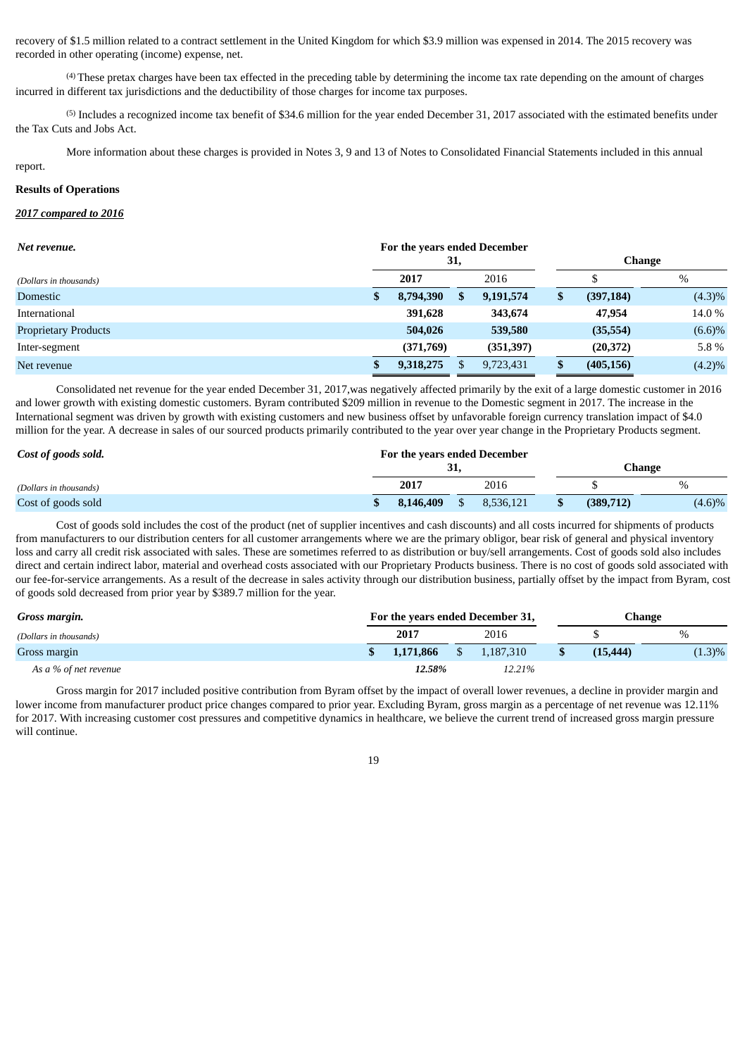recovery of \$1.5 million related to a contract settlement in the United Kingdom for which \$3.9 million was expensed in 2014. The 2015 recovery was recorded in other operating (income) expense, net.

(4) These pretax charges have been tax effected in the preceding table by determining the income tax rate depending on the amount of charges incurred in different tax jurisdictions and the deductibility of those charges for income tax purposes.

(5) Includes a recognized income tax benefit of \$34.6 million for the year ended December 31, 2017 associated with the estimated benefits under the Tax Cuts and Jobs Act.

More information about these charges is provided in Notes 3, 9 and 13 of Notes to Consolidated Financial Statements included in this annual report.

#### **Results of Operations**

#### *2017 compared to 2016*

| Net revenue.                | For the years ended December | 31,  |            | Change |            |           |  |
|-----------------------------|------------------------------|------|------------|--------|------------|-----------|--|
| (Dollars in thousands)      | 2017                         |      | 2016       |        |            | $\%$      |  |
| Domestic                    | 8,794,390                    | - 55 | 9,191,574  |        | (397, 184) | $(4.3)\%$ |  |
| International               | 391,628                      |      | 343,674    |        | 47,954     | 14.0%     |  |
| <b>Proprietary Products</b> | 504,026                      |      | 539,580    |        | (35, 554)  | (6.6)%    |  |
| Inter-segment               | (371,769)                    |      | (351, 397) |        | (20, 372)  | 5.8%      |  |
| Net revenue                 | 9,318,275                    |      | 9,723,431  |        | (405, 156) | $(4.2)\%$ |  |

Consolidated net revenue for the year ended December 31, 2017,was negatively affected primarily by the exit of a large domestic customer in 2016 and lower growth with existing domestic customers. Byram contributed \$209 million in revenue to the Domestic segment in 2017. The increase in the International segment was driven by growth with existing customers and new business offset by unfavorable foreign currency translation impact of \$4.0 million for the year. A decrease in sales of our sourced products primarily contributed to the year over year change in the Proprietary Products segment.

| Cost of goods sold.    | For the years ended December |           |    |           |        |            |           |  |  |
|------------------------|------------------------------|-----------|----|-----------|--------|------------|-----------|--|--|
|                        |                              |           | ЭL |           | Change |            |           |  |  |
| (Dollars in thousands) |                              | 2017      |    | 2016      |        |            | $\%$      |  |  |
| Cost of goods sold     |                              | 8,146,409 |    | 8,536,121 |        | (389, 712) | $(4.6)\%$ |  |  |

Cost of goods sold includes the cost of the product (net of supplier incentives and cash discounts) and all costs incurred for shipments of products from manufacturers to our distribution centers for all customer arrangements where we are the primary obligor, bear risk of general and physical inventory loss and carry all credit risk associated with sales. These are sometimes referred to as distribution or buy/sell arrangements. Cost of goods sold also includes direct and certain indirect labor, material and overhead costs associated with our Proprietary Products business. There is no cost of goods sold associated with our fee-for-service arrangements. As a result of the decrease in sales activity through our distribution business, partially offset by the impact from Byram, cost of goods sold decreased from prior year by \$389.7 million for the year.

| Gross margin.          | For the years ended December 31, |  | Change    |  |           |           |
|------------------------|----------------------------------|--|-----------|--|-----------|-----------|
| (Dollars in thousands) | 2017                             |  | 2016      |  |           | $\%$      |
| Gross margin           | 1,171,866                        |  | 1.187.310 |  | (15, 444) | $(1.3)\%$ |
| As a % of net revenue  | 12.58%                           |  | 12.21%    |  |           |           |

Gross margin for 2017 included positive contribution from Byram offset by the impact of overall lower revenues, a decline in provider margin and lower income from manufacturer product price changes compared to prior year. Excluding Byram, gross margin as a percentage of net revenue was 12.11% for 2017. With increasing customer cost pressures and competitive dynamics in healthcare, we believe the current trend of increased gross margin pressure will continue.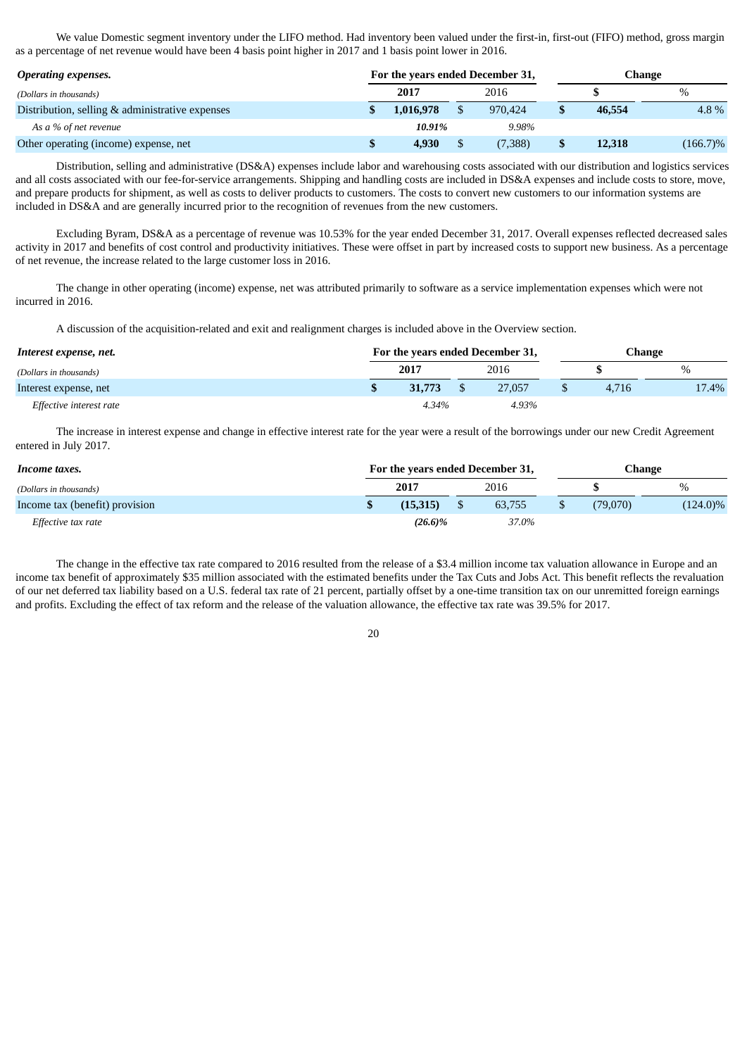We value Domestic segment inventory under the LIFO method. Had inventory been valued under the first-in, first-out (FIFO) method, gross margin as a percentage of net revenue would have been 4 basis point higher in 2017 and 1 basis point lower in 2016.

| Operating expenses.                             | For the years ended December 31, |  |         |  | Change |             |  |  |
|-------------------------------------------------|----------------------------------|--|---------|--|--------|-------------|--|--|
| (Dollars in thousands)                          | 2017                             |  | 2016    |  |        | $\%$        |  |  |
| Distribution, selling & administrative expenses | 1.016.978                        |  | 970.424 |  | 46,554 | 4.8%        |  |  |
| As a % of net revenue                           | 10.91%                           |  | 9.98%   |  |        |             |  |  |
| Other operating (income) expense, net           | 4,930                            |  | (7,388) |  | 12,318 | $(166.7)\%$ |  |  |

Distribution, selling and administrative (DS&A) expenses include labor and warehousing costs associated with our distribution and logistics services and all costs associated with our fee-for-service arrangements. Shipping and handling costs are included in DS&A expenses and include costs to store, move, and prepare products for shipment, as well as costs to deliver products to customers. The costs to convert new customers to our information systems are included in DS&A and are generally incurred prior to the recognition of revenues from the new customers.

Excluding Byram, DS&A as a percentage of revenue was 10.53% for the year ended December 31, 2017. Overall expenses reflected decreased sales activity in 2017 and benefits of cost control and productivity initiatives. These were offset in part by increased costs to support new business. As a percentage of net revenue, the increase related to the large customer loss in 2016.

The change in other operating (income) expense, net was attributed primarily to software as a service implementation expenses which were not incurred in 2016.

A discussion of the acquisition-related and exit and realignment charges is included above in the Overview section.

| Interest expense, net.  | For the years ended December 31, | Change |  |       |       |
|-------------------------|----------------------------------|--------|--|-------|-------|
| (Dollars in thousands)  | 2017                             | 2016   |  |       | $\%$  |
| Interest expense, net   | 31,773                           | 27,057 |  | 4.716 | 17.4% |
| Effective interest rate | 4.34%                            | 4.93%  |  |       |       |

The increase in interest expense and change in effective interest rate for the year were a result of the borrowings under our new Credit Agreement entered in July 2017.

| Income taxes.                  | For the years ended December 31, |            |  |        | Change |          |             |  |
|--------------------------------|----------------------------------|------------|--|--------|--------|----------|-------------|--|
| (Dollars in thousands)         |                                  | 2017       |  | 2016   |        |          | $\%$        |  |
| Income tax (benefit) provision |                                  | (15,315)   |  | 63.755 |        | (79,070) | $(124.0)\%$ |  |
| Effective tax rate             |                                  | $(26.6)\%$ |  | 37.0%  |        |          |             |  |

The change in the effective tax rate compared to 2016 resulted from the release of a \$3.4 million income tax valuation allowance in Europe and an income tax benefit of approximately \$35 million associated with the estimated benefits under the Tax Cuts and Jobs Act. This benefit reflects the revaluation of our net deferred tax liability based on a U.S. federal tax rate of 21 percent, partially offset by a one-time transition tax on our unremitted foreign earnings and profits. Excluding the effect of tax reform and the release of the valuation allowance, the effective tax rate was 39.5% for 2017.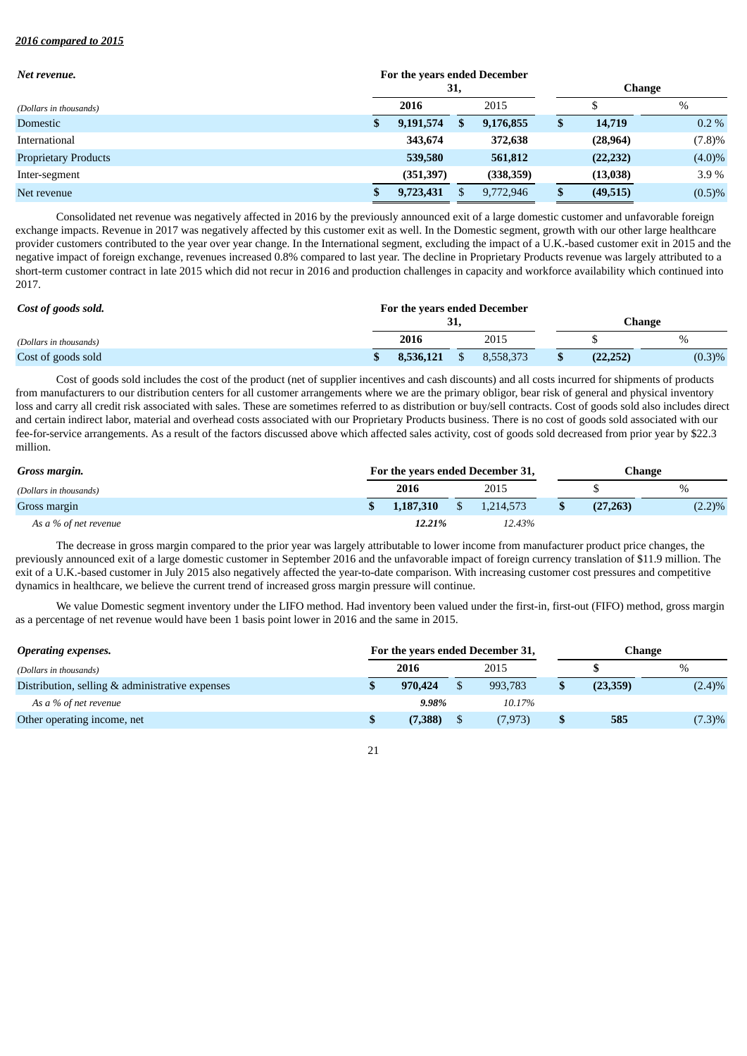# *2016 compared to 2015*

| For the years ended December<br>Net revenue.<br>31, |  |            |   |            | Change |           |           |  |  |
|-----------------------------------------------------|--|------------|---|------------|--------|-----------|-----------|--|--|
| (Dollars in thousands)                              |  | 2016       |   | 2015       |        |           | %         |  |  |
| Domestic                                            |  | 9,191,574  | S | 9,176,855  | w      | 14,719    | $0.2\%$   |  |  |
| International                                       |  | 343,674    |   | 372,638    |        | (28, 964) | (7.8)%    |  |  |
| <b>Proprietary Products</b>                         |  | 539,580    |   | 561,812    |        | (22, 232) | $(4.0)\%$ |  |  |
| Inter-segment                                       |  | (351, 397) |   | (338, 359) |        | (13,038)  | $3.9\%$   |  |  |
| Net revenue                                         |  | 9,723,431  |   | 9,772,946  |        | (49, 515) | $(0.5)\%$ |  |  |

Consolidated net revenue was negatively affected in 2016 by the previously announced exit of a large domestic customer and unfavorable foreign exchange impacts. Revenue in 2017 was negatively affected by this customer exit as well. In the Domestic segment, growth with our other large healthcare provider customers contributed to the year over year change. In the International segment, excluding the impact of a U.K.-based customer exit in 2015 and the negative impact of foreign exchange, revenues increased 0.8% compared to last year. The decline in Proprietary Products revenue was largely attributed to a short-term customer contract in late 2015 which did not recur in 2016 and production challenges in capacity and workforce availability which continued into 2017.

| Cost of goods sold.    | For the years ended December |  |           |  |           |        |  |  |  |
|------------------------|------------------------------|--|-----------|--|-----------|--------|--|--|--|
|                        |                              |  |           |  | Change    |        |  |  |  |
| (Dollars in thousands) | 2016                         |  | 2015      |  |           | $\%$   |  |  |  |
| Cost of goods sold     | 8,536,121                    |  | 8.558.373 |  | (22, 252) | (0.3)% |  |  |  |

Cost of goods sold includes the cost of the product (net of supplier incentives and cash discounts) and all costs incurred for shipments of products from manufacturers to our distribution centers for all customer arrangements where we are the primary obligor, bear risk of general and physical inventory loss and carry all credit risk associated with sales. These are sometimes referred to as distribution or buy/sell contracts. Cost of goods sold also includes direct and certain indirect labor, material and overhead costs associated with our Proprietary Products business. There is no cost of goods sold associated with our fee-for-service arrangements. As a result of the factors discussed above which affected sales activity, cost of goods sold decreased from prior year by \$22.3 million.

| Gross margin.          | For the years ended December 31, |  |           |  | Change   |           |  |  |
|------------------------|----------------------------------|--|-----------|--|----------|-----------|--|--|
| (Dollars in thousands) | 2016                             |  | 2015      |  |          | $\%$      |  |  |
| Gross margin           | 1,187,310                        |  | 1,214,573 |  | (27,263) | $(2.2)\%$ |  |  |
| As a % of net revenue  | 12.21%                           |  | 12.43%    |  |          |           |  |  |

The decrease in gross margin compared to the prior year was largely attributable to lower income from manufacturer product price changes, the previously announced exit of a large domestic customer in September 2016 and the unfavorable impact of foreign currency translation of \$11.9 million. The exit of a U.K.-based customer in July 2015 also negatively affected the year-to-date comparison. With increasing customer cost pressures and competitive dynamics in healthcare, we believe the current trend of increased gross margin pressure will continue.

We value Domestic segment inventory under the LIFO method. Had inventory been valued under the first-in, first-out (FIFO) method, gross margin as a percentage of net revenue would have been 1 basis point lower in 2016 and the same in 2015.

| Operating expenses.                             | For the years ended December 31, |         |  | Change   |  |          |           |
|-------------------------------------------------|----------------------------------|---------|--|----------|--|----------|-----------|
| (Dollars in thousands)                          |                                  | 2016    |  | 2015     |  |          | $\%$      |
| Distribution, selling & administrative expenses |                                  | 970.424 |  | 993.783  |  | (23,359) | $(2.4)\%$ |
| As a % of net revenue                           |                                  | 9.98%   |  | 10.17%   |  |          |           |
| Other operating income, net                     |                                  | (7,388) |  | (7, 973) |  | 585      | $(7.3)\%$ |

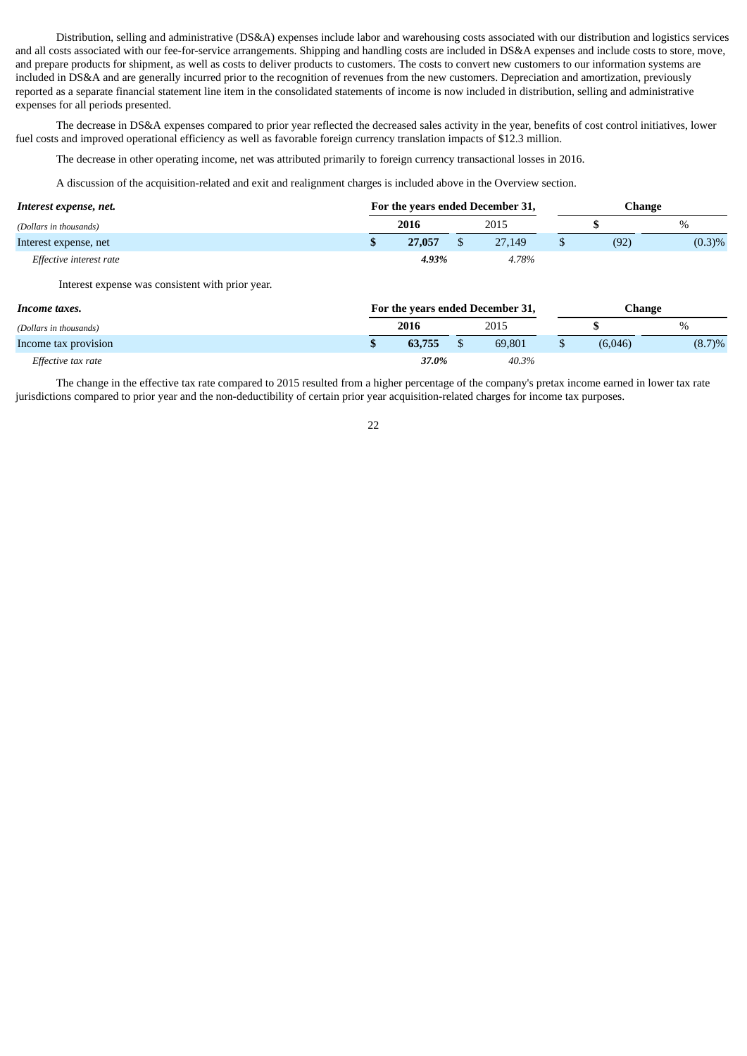Distribution, selling and administrative (DS&A) expenses include labor and warehousing costs associated with our distribution and logistics services and all costs associated with our fee-for-service arrangements. Shipping and handling costs are included in DS&A expenses and include costs to store, move, and prepare products for shipment, as well as costs to deliver products to customers. The costs to convert new customers to our information systems are included in DS&A and are generally incurred prior to the recognition of revenues from the new customers. Depreciation and amortization, previously reported as a separate financial statement line item in the consolidated statements of income is now included in distribution, selling and administrative expenses for all periods presented.

The decrease in DS&A expenses compared to prior year reflected the decreased sales activity in the year, benefits of cost control initiatives, lower fuel costs and improved operational efficiency as well as favorable foreign currency translation impacts of \$12.3 million.

The decrease in other operating income, net was attributed primarily to foreign currency transactional losses in 2016.

A discussion of the acquisition-related and exit and realignment charges is included above in the Overview section.

| Interest expense, net.  | For the years ended December 31, |  |        |  |      | Change |  |  |  |
|-------------------------|----------------------------------|--|--------|--|------|--------|--|--|--|
| (Dollars in thousands)  | 2016                             |  | 2015   |  |      | $\%$   |  |  |  |
| Interest expense, net   | 27,057                           |  | 27,149 |  | (92) | (0.3)% |  |  |  |
| Effective interest rate | 4.93%                            |  | 4.78%  |  |      |        |  |  |  |

Interest expense was consistent with prior year.

| Income taxes.          | For the years ended December 31, |  |        |  | Change  |        |  |  |
|------------------------|----------------------------------|--|--------|--|---------|--------|--|--|
| (Dollars in thousands) | 2016                             |  | 2015   |  |         | $\%$   |  |  |
| Income tax provision   | 63,755                           |  | 69.801 |  | (6,046) | (8.7)% |  |  |
| Effective tax rate     | 37.0%                            |  | 40.3%  |  |         |        |  |  |

The change in the effective tax rate compared to 2015 resulted from a higher percentage of the company's pretax income earned in lower tax rate jurisdictions compared to prior year and the non-deductibility of certain prior year acquisition-related charges for income tax purposes.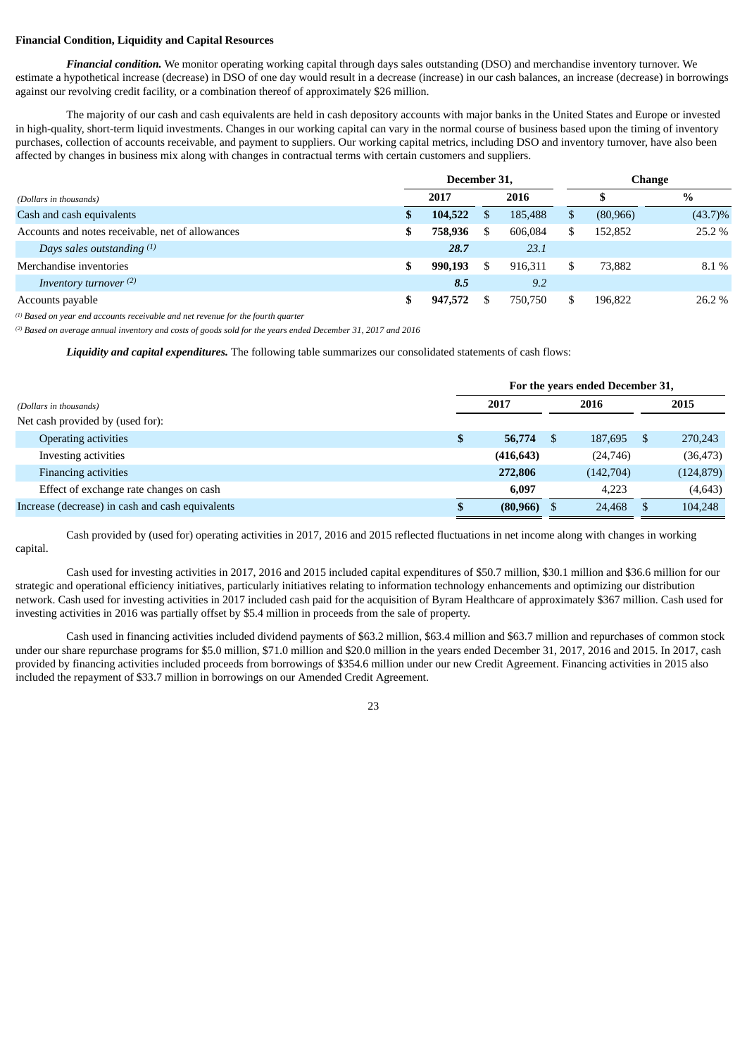## **Financial Condition, Liquidity and Capital Resources**

*Financial condition.* We monitor operating working capital through days sales outstanding (DSO) and merchandise inventory turnover. We estimate a hypothetical increase (decrease) in DSO of one day would result in a decrease (increase) in our cash balances, an increase (decrease) in borrowings against our revolving credit facility, or a combination thereof of approximately \$26 million.

The majority of our cash and cash equivalents are held in cash depository accounts with major banks in the United States and Europe or invested in high-quality, short-term liquid investments. Changes in our working capital can vary in the normal course of business based upon the timing of inventory purchases, collection of accounts receivable, and payment to suppliers. Our working capital metrics, including DSO and inventory turnover, have also been affected by changes in business mix along with changes in contractual terms with certain customers and suppliers.

|                                                  |  | December 31, |  |         | Change |           |            |  |
|--------------------------------------------------|--|--------------|--|---------|--------|-----------|------------|--|
| (Dollars in thousands)                           |  | 2017         |  |         |        |           | $\%$       |  |
| Cash and cash equivalents                        |  | 104,522      |  | 185,488 | \$     | (80, 966) | $(43.7)\%$ |  |
| Accounts and notes receivable, net of allowances |  | 758.936      |  | 606.084 | \$     | 152.852   | 25.2 %     |  |
| Days sales outstanding $(1)$                     |  | 28.7         |  | 23.1    |        |           |            |  |
| Merchandise inventories                          |  | 990,193      |  | 916,311 | \$     | 73.882    | 8.1%       |  |
| Inventory turnover $(2)$                         |  | 8.5          |  | 9.2     |        |           |            |  |
| Accounts payable                                 |  | 947,572      |  | 750,750 |        | 196.822   | 26.2 %     |  |

*(1) Based on year end accounts receivable and net revenue for the fourth quarter*

<sup>(2)</sup> Based on average annual inventory and costs of goods sold for the years ended December 31, 2017 and 2016

*Liquidity and capital expenditures.* The following table summarizes our consolidated statements of cash flows:

|                                                  | For the years ended December 31, |            |          |           |     |            |  |  |
|--------------------------------------------------|----------------------------------|------------|----------|-----------|-----|------------|--|--|
| (Dollars in thousands)                           |                                  | 2017       |          |           |     | 2015       |  |  |
| Net cash provided by (used for):                 |                                  |            |          |           |     |            |  |  |
| <b>Operating activities</b>                      | \$                               | 56,774     | <b>S</b> | 187.695   | \$. | 270,243    |  |  |
| Investing activities                             |                                  | (416, 643) |          | (24,746)  |     | (36, 473)  |  |  |
| <b>Financing activities</b>                      |                                  | 272,806    |          | (142,704) |     | (124, 879) |  |  |
| Effect of exchange rate changes on cash          |                                  | 6,097      |          | 4.223     |     | (4,643)    |  |  |
| Increase (decrease) in cash and cash equivalents |                                  | (80, 966)  |          | 24,468    |     | 104,248    |  |  |

Cash provided by (used for) operating activities in 2017, 2016 and 2015 reflected fluctuations in net income along with changes in working capital.

Cash used for investing activities in 2017, 2016 and 2015 included capital expenditures of \$50.7 million, \$30.1 million and \$36.6 million for our strategic and operational efficiency initiatives, particularly initiatives relating to information technology enhancements and optimizing our distribution network. Cash used for investing activities in 2017 included cash paid for the acquisition of Byram Healthcare of approximately \$367 million. Cash used for investing activities in 2016 was partially offset by \$5.4 million in proceeds from the sale of property.

Cash used in financing activities included dividend payments of \$63.2 million, \$63.4 million and \$63.7 million and repurchases of common stock under our share repurchase programs for \$5.0 million, \$71.0 million and \$20.0 million in the years ended December 31, 2017, 2016 and 2015. In 2017, cash provided by financing activities included proceeds from borrowings of \$354.6 million under our new Credit Agreement. Financing activities in 2015 also included the repayment of \$33.7 million in borrowings on our Amended Credit Agreement.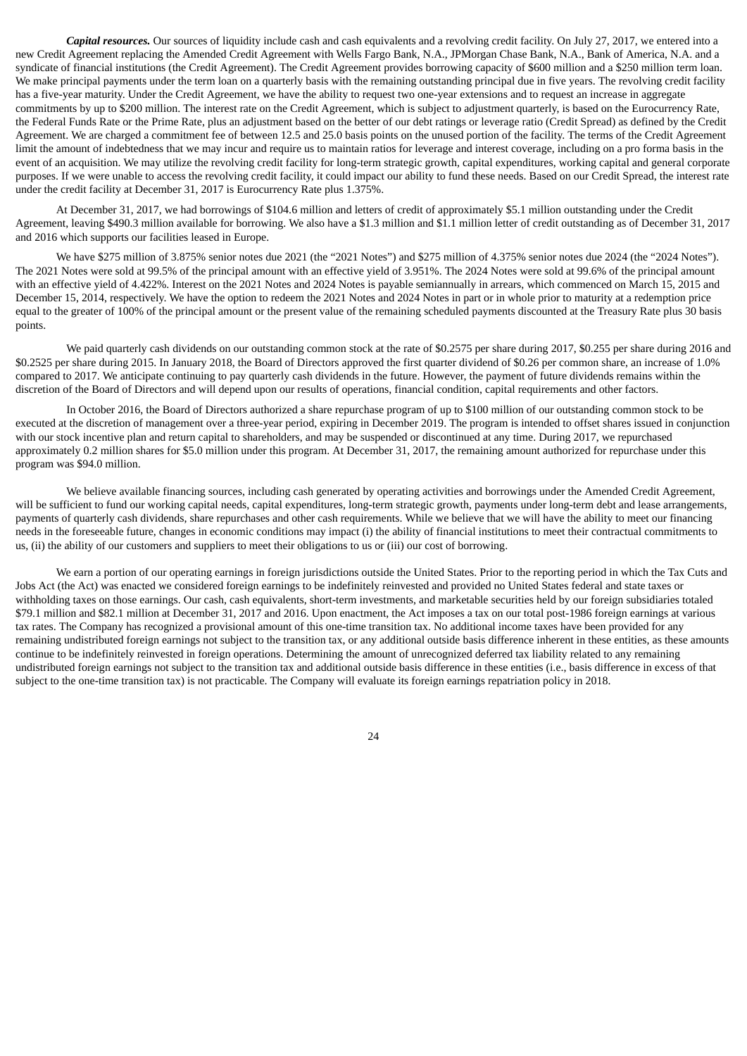*Capital resources.* Our sources of liquidity include cash and cash equivalents and a revolving credit facility. On July 27, 2017, we entered into a new Credit Agreement replacing the Amended Credit Agreement with Wells Fargo Bank, N.A., JPMorgan Chase Bank, N.A., Bank of America, N.A. and a syndicate of financial institutions (the Credit Agreement). The Credit Agreement provides borrowing capacity of \$600 million and a \$250 million term loan. We make principal payments under the term loan on a quarterly basis with the remaining outstanding principal due in five years. The revolving credit facility has a five-year maturity. Under the Credit Agreement, we have the ability to request two one-year extensions and to request an increase in aggregate commitments by up to \$200 million. The interest rate on the Credit Agreement, which is subject to adjustment quarterly, is based on the Eurocurrency Rate, the Federal Funds Rate or the Prime Rate, plus an adjustment based on the better of our debt ratings or leverage ratio (Credit Spread) as defined by the Credit Agreement. We are charged a commitment fee of between 12.5 and 25.0 basis points on the unused portion of the facility. The terms of the Credit Agreement limit the amount of indebtedness that we may incur and require us to maintain ratios for leverage and interest coverage, including on a pro forma basis in the event of an acquisition. We may utilize the revolving credit facility for long-term strategic growth, capital expenditures, working capital and general corporate purposes. If we were unable to access the revolving credit facility, it could impact our ability to fund these needs. Based on our Credit Spread, the interest rate under the credit facility at December 31, 2017 is Eurocurrency Rate plus 1.375%.

At December 31, 2017, we had borrowings of \$104.6 million and letters of credit of approximately \$5.1 million outstanding under the Credit Agreement, leaving \$490.3 million available for borrowing. We also have a \$1.3 million and \$1.1 million letter of credit outstanding as of December 31, 2017 and 2016 which supports our facilities leased in Europe.

We have \$275 million of 3.875% senior notes due 2021 (the "2021 Notes") and \$275 million of 4.375% senior notes due 2024 (the "2024 Notes"). The 2021 Notes were sold at 99.5% of the principal amount with an effective yield of 3.951%. The 2024 Notes were sold at 99.6% of the principal amount with an effective yield of 4.422%. Interest on the 2021 Notes and 2024 Notes is payable semiannually in arrears, which commenced on March 15, 2015 and December 15, 2014, respectively. We have the option to redeem the 2021 Notes and 2024 Notes in part or in whole prior to maturity at a redemption price equal to the greater of 100% of the principal amount or the present value of the remaining scheduled payments discounted at the Treasury Rate plus 30 basis points.

We paid quarterly cash dividends on our outstanding common stock at the rate of \$0.2575 per share during 2017, \$0.255 per share during 2016 and \$0.2525 per share during 2015. In January 2018, the Board of Directors approved the first quarter dividend of \$0.26 per common share, an increase of 1.0% compared to 2017. We anticipate continuing to pay quarterly cash dividends in the future. However, the payment of future dividends remains within the discretion of the Board of Directors and will depend upon our results of operations, financial condition, capital requirements and other factors.

In October 2016, the Board of Directors authorized a share repurchase program of up to \$100 million of our outstanding common stock to be executed at the discretion of management over a three-year period, expiring in December 2019. The program is intended to offset shares issued in conjunction with our stock incentive plan and return capital to shareholders, and may be suspended or discontinued at any time. During 2017, we repurchased approximately 0.2 million shares for \$5.0 million under this program. At December 31, 2017, the remaining amount authorized for repurchase under this program was \$94.0 million.

We believe available financing sources, including cash generated by operating activities and borrowings under the Amended Credit Agreement, will be sufficient to fund our working capital needs, capital expenditures, long-term strategic growth, payments under long-term debt and lease arrangements, payments of quarterly cash dividends, share repurchases and other cash requirements. While we believe that we will have the ability to meet our financing needs in the foreseeable future, changes in economic conditions may impact (i) the ability of financial institutions to meet their contractual commitments to us, (ii) the ability of our customers and suppliers to meet their obligations to us or (iii) our cost of borrowing.

We earn a portion of our operating earnings in foreign jurisdictions outside the United States. Prior to the reporting period in which the Tax Cuts and Jobs Act (the Act) was enacted we considered foreign earnings to be indefinitely reinvested and provided no United States federal and state taxes or withholding taxes on those earnings. Our cash, cash equivalents, short-term investments, and marketable securities held by our foreign subsidiaries totaled \$79.1 million and \$82.1 million at December 31, 2017 and 2016. Upon enactment, the Act imposes a tax on our total post-1986 foreign earnings at various tax rates. The Company has recognized a provisional amount of this one-time transition tax. No additional income taxes have been provided for any remaining undistributed foreign earnings not subject to the transition tax, or any additional outside basis difference inherent in these entities, as these amounts continue to be indefinitely reinvested in foreign operations. Determining the amount of unrecognized deferred tax liability related to any remaining undistributed foreign earnings not subject to the transition tax and additional outside basis difference in these entities (i.e., basis difference in excess of that subject to the one-time transition tax) is not practicable. The Company will evaluate its foreign earnings repatriation policy in 2018.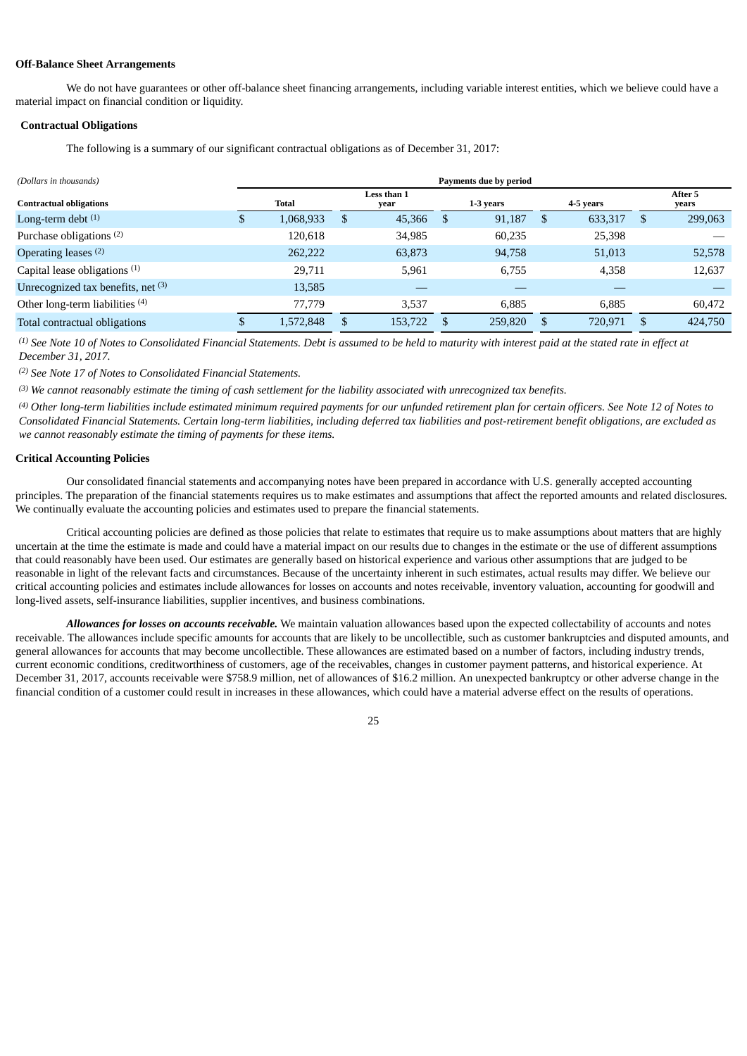## **Off-Balance Sheet Arrangements**

We do not have guarantees or other off-balance sheet financing arrangements, including variable interest entities, which we believe could have a material impact on financial condition or liquidity.

# **Contractual Obligations**

The following is a summary of our significant contractual obligations as of December 31, 2017:

| (Dollars in thousands)                     | <b>Payments due by period</b> |           |    |                     |    |         |     |                        |     |         |  |                  |
|--------------------------------------------|-------------------------------|-----------|----|---------------------|----|---------|-----|------------------------|-----|---------|--|------------------|
| <b>Contractual obligations</b>             |                               | Total     |    | Less than 1<br>year |    |         |     | 1-3 years<br>4-5 years |     |         |  | After 5<br>years |
| Long-term debt (1)                         |                               | 1,068,933 | \$ | 45,366              | -S | 91,187  | S   | 633,317                | \$  | 299,063 |  |                  |
| Purchase obligations <sup>(2)</sup>        |                               | 120,618   |    | 34,985              |    | 60,235  |     | 25,398                 |     |         |  |                  |
| Operating leases <sup>(2)</sup>            |                               | 262,222   |    | 63,873              |    | 94,758  |     | 51,013                 |     | 52,578  |  |                  |
| Capital lease obligations $(1)$            |                               | 29,711    |    | 5.961               |    | 6.755   |     | 4,358                  |     | 12,637  |  |                  |
| Unrecognized tax benefits, net $(3)$       |                               | 13,585    |    |                     |    |         |     |                        |     |         |  |                  |
| Other long-term liabilities <sup>(4)</sup> |                               | 77.779    |    | 3,537               |    | 6,885   |     | 6,885                  |     | 60,472  |  |                  |
| Total contractual obligations              |                               | 1,572,848 | \$ | 153,722             |    | 259,820 | \$. | 720,971                | -\$ | 424,750 |  |                  |

<sup>(1)</sup> See Note 10 of Notes to Consolidated Financial Statements. Debt is assumed to be held to maturity with interest paid at the stated rate in effect at *December 31, 2017.*

*(2) See Note 17 of Notes to Consolidated Financial Statements.*

(3) We cannot reasonably estimate the timing of cash settlement for the liability associated with unrecognized tax benefits.

(4) Other long-term liabilities include estimated minimum required payments for our unfunded retirement plan for certain officers. See Note 12 of Notes to Consolidated Financial Statements. Certain long-term liabilities, including deferred tax liabilities and post-retirement benefit obligations, are excluded as *we cannot reasonably estimate the timing of payments for these items.*

## **Critical Accounting Policies**

Our consolidated financial statements and accompanying notes have been prepared in accordance with U.S. generally accepted accounting principles. The preparation of the financial statements requires us to make estimates and assumptions that affect the reported amounts and related disclosures. We continually evaluate the accounting policies and estimates used to prepare the financial statements.

Critical accounting policies are defined as those policies that relate to estimates that require us to make assumptions about matters that are highly uncertain at the time the estimate is made and could have a material impact on our results due to changes in the estimate or the use of different assumptions that could reasonably have been used. Our estimates are generally based on historical experience and various other assumptions that are judged to be reasonable in light of the relevant facts and circumstances. Because of the uncertainty inherent in such estimates, actual results may differ. We believe our critical accounting policies and estimates include allowances for losses on accounts and notes receivable, inventory valuation, accounting for goodwill and long-lived assets, self-insurance liabilities, supplier incentives, and business combinations.

*Allowances for losses on accounts receivable.* We maintain valuation allowances based upon the expected collectability of accounts and notes receivable. The allowances include specific amounts for accounts that are likely to be uncollectible, such as customer bankruptcies and disputed amounts, and general allowances for accounts that may become uncollectible. These allowances are estimated based on a number of factors, including industry trends, current economic conditions, creditworthiness of customers, age of the receivables, changes in customer payment patterns, and historical experience. At December 31, 2017, accounts receivable were \$758.9 million, net of allowances of \$16.2 million. An unexpected bankruptcy or other adverse change in the financial condition of a customer could result in increases in these allowances, which could have a material adverse effect on the results of operations.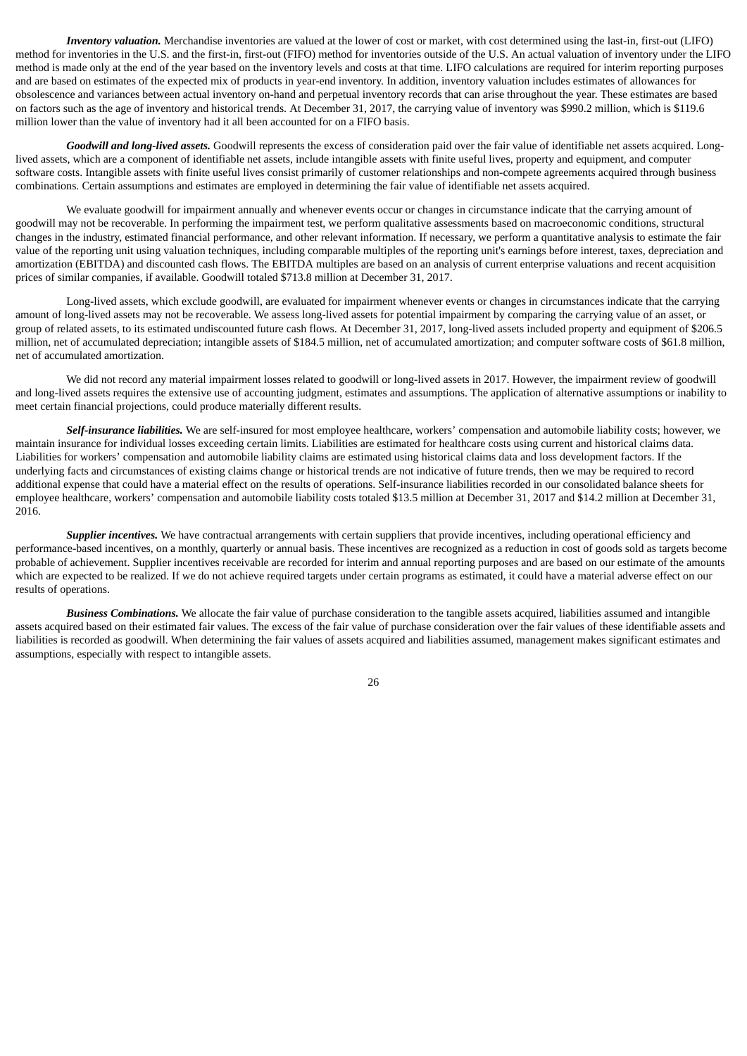*Inventory valuation.* Merchandise inventories are valued at the lower of cost or market, with cost determined using the last-in, first-out (LIFO) method for inventories in the U.S. and the first-in, first-out (FIFO) method for inventories outside of the U.S. An actual valuation of inventory under the LIFO method is made only at the end of the year based on the inventory levels and costs at that time. LIFO calculations are required for interim reporting purposes and are based on estimates of the expected mix of products in year-end inventory. In addition, inventory valuation includes estimates of allowances for obsolescence and variances between actual inventory on-hand and perpetual inventory records that can arise throughout the year. These estimates are based on factors such as the age of inventory and historical trends. At December 31, 2017, the carrying value of inventory was \$990.2 million, which is \$119.6 million lower than the value of inventory had it all been accounted for on a FIFO basis.

*Goodwill and long-lived assets.* Goodwill represents the excess of consideration paid over the fair value of identifiable net assets acquired. Longlived assets, which are a component of identifiable net assets, include intangible assets with finite useful lives, property and equipment, and computer software costs. Intangible assets with finite useful lives consist primarily of customer relationships and non-compete agreements acquired through business combinations. Certain assumptions and estimates are employed in determining the fair value of identifiable net assets acquired.

We evaluate goodwill for impairment annually and whenever events occur or changes in circumstance indicate that the carrying amount of goodwill may not be recoverable. In performing the impairment test, we perform qualitative assessments based on macroeconomic conditions, structural changes in the industry, estimated financial performance, and other relevant information. If necessary, we perform a quantitative analysis to estimate the fair value of the reporting unit using valuation techniques, including comparable multiples of the reporting unit's earnings before interest, taxes, depreciation and amortization (EBITDA) and discounted cash flows. The EBITDA multiples are based on an analysis of current enterprise valuations and recent acquisition prices of similar companies, if available. Goodwill totaled \$713.8 million at December 31, 2017.

Long-lived assets, which exclude goodwill, are evaluated for impairment whenever events or changes in circumstances indicate that the carrying amount of long-lived assets may not be recoverable. We assess long-lived assets for potential impairment by comparing the carrying value of an asset, or group of related assets, to its estimated undiscounted future cash flows. At December 31, 2017, long-lived assets included property and equipment of \$206.5 million, net of accumulated depreciation; intangible assets of \$184.5 million, net of accumulated amortization; and computer software costs of \$61.8 million, net of accumulated amortization.

We did not record any material impairment losses related to goodwill or long-lived assets in 2017. However, the impairment review of goodwill and long-lived assets requires the extensive use of accounting judgment, estimates and assumptions. The application of alternative assumptions or inability to meet certain financial projections, could produce materially different results.

*Self-insurance liabilities.* We are self-insured for most employee healthcare, workers' compensation and automobile liability costs; however, we maintain insurance for individual losses exceeding certain limits. Liabilities are estimated for healthcare costs using current and historical claims data. Liabilities for workers' compensation and automobile liability claims are estimated using historical claims data and loss development factors. If the underlying facts and circumstances of existing claims change or historical trends are not indicative of future trends, then we may be required to record additional expense that could have a material effect on the results of operations. Self-insurance liabilities recorded in our consolidated balance sheets for employee healthcare, workers' compensation and automobile liability costs totaled \$13.5 million at December 31, 2017 and \$14.2 million at December 31, 2016.

*Supplier incentives.* We have contractual arrangements with certain suppliers that provide incentives, including operational efficiency and performance-based incentives, on a monthly, quarterly or annual basis. These incentives are recognized as a reduction in cost of goods sold as targets become probable of achievement. Supplier incentives receivable are recorded for interim and annual reporting purposes and are based on our estimate of the amounts which are expected to be realized. If we do not achieve required targets under certain programs as estimated, it could have a material adverse effect on our results of operations.

*Business Combinations.* We allocate the fair value of purchase consideration to the tangible assets acquired, liabilities assumed and intangible assets acquired based on their estimated fair values. The excess of the fair value of purchase consideration over the fair values of these identifiable assets and liabilities is recorded as goodwill. When determining the fair values of assets acquired and liabilities assumed, management makes significant estimates and assumptions, especially with respect to intangible assets.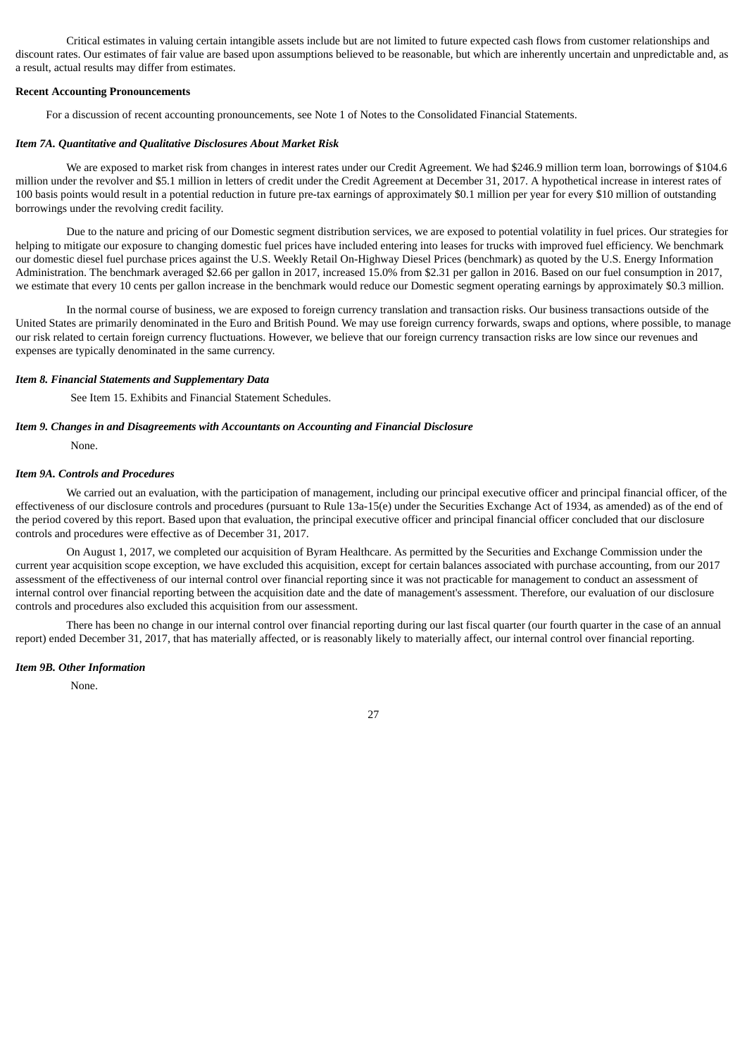Critical estimates in valuing certain intangible assets include but are not limited to future expected cash flows from customer relationships and discount rates. Our estimates of fair value are based upon assumptions believed to be reasonable, but which are inherently uncertain and unpredictable and, as a result, actual results may differ from estimates.

## **Recent Accounting Pronouncements**

For a discussion of recent accounting pronouncements, see Note 1 of Notes to the Consolidated Financial Statements.

## <span id="page-26-0"></span>*Item 7A. Quantitative and Qualitative Disclosures About Market Risk*

We are exposed to market risk from changes in interest rates under our Credit Agreement. We had \$246.9 million term loan, borrowings of \$104.6 million under the revolver and \$5.1 million in letters of credit under the Credit Agreement at December 31, 2017. A hypothetical increase in interest rates of 100 basis points would result in a potential reduction in future pre-tax earnings of approximately \$0.1 million per year for every \$10 million of outstanding borrowings under the revolving credit facility.

Due to the nature and pricing of our Domestic segment distribution services, we are exposed to potential volatility in fuel prices. Our strategies for helping to mitigate our exposure to changing domestic fuel prices have included entering into leases for trucks with improved fuel efficiency. We benchmark our domestic diesel fuel purchase prices against the U.S. Weekly Retail On-Highway Diesel Prices (benchmark) as quoted by the U.S. Energy Information Administration. The benchmark averaged \$2.66 per gallon in 2017, increased 15.0% from \$2.31 per gallon in 2016. Based on our fuel consumption in 2017, we estimate that every 10 cents per gallon increase in the benchmark would reduce our Domestic segment operating earnings by approximately \$0.3 million.

In the normal course of business, we are exposed to foreign currency translation and transaction risks. Our business transactions outside of the United States are primarily denominated in the Euro and British Pound. We may use foreign currency forwards, swaps and options, where possible, to manage our risk related to certain foreign currency fluctuations. However, we believe that our foreign currency transaction risks are low since our revenues and expenses are typically denominated in the same currency.

#### <span id="page-26-1"></span>*Item 8. Financial Statements and Supplementary Data*

See Item 15. Exhibits and Financial Statement Schedules.

## <span id="page-26-2"></span>*Item 9. Changes in and Disagreements with Accountants on Accounting and Financial Disclosure*

None.

## <span id="page-26-3"></span>*Item 9A. Controls and Procedures*

We carried out an evaluation, with the participation of management, including our principal executive officer and principal financial officer, of the effectiveness of our disclosure controls and procedures (pursuant to Rule 13a-15(e) under the Securities Exchange Act of 1934, as amended) as of the end of the period covered by this report. Based upon that evaluation, the principal executive officer and principal financial officer concluded that our disclosure controls and procedures were effective as of December 31, 2017.

On August 1, 2017, we completed our acquisition of Byram Healthcare. As permitted by the Securities and Exchange Commission under the current year acquisition scope exception, we have excluded this acquisition, except for certain balances associated with purchase accounting, from our 2017 assessment of the effectiveness of our internal control over financial reporting since it was not practicable for management to conduct an assessment of internal control over financial reporting between the acquisition date and the date of management's assessment. Therefore, our evaluation of our disclosure controls and procedures also excluded this acquisition from our assessment.

There has been no change in our internal control over financial reporting during our last fiscal quarter (our fourth quarter in the case of an annual report) ended December 31, 2017, that has materially affected, or is reasonably likely to materially affect, our internal control over financial reporting.

# <span id="page-26-4"></span>*Item 9B. Other Information*

None.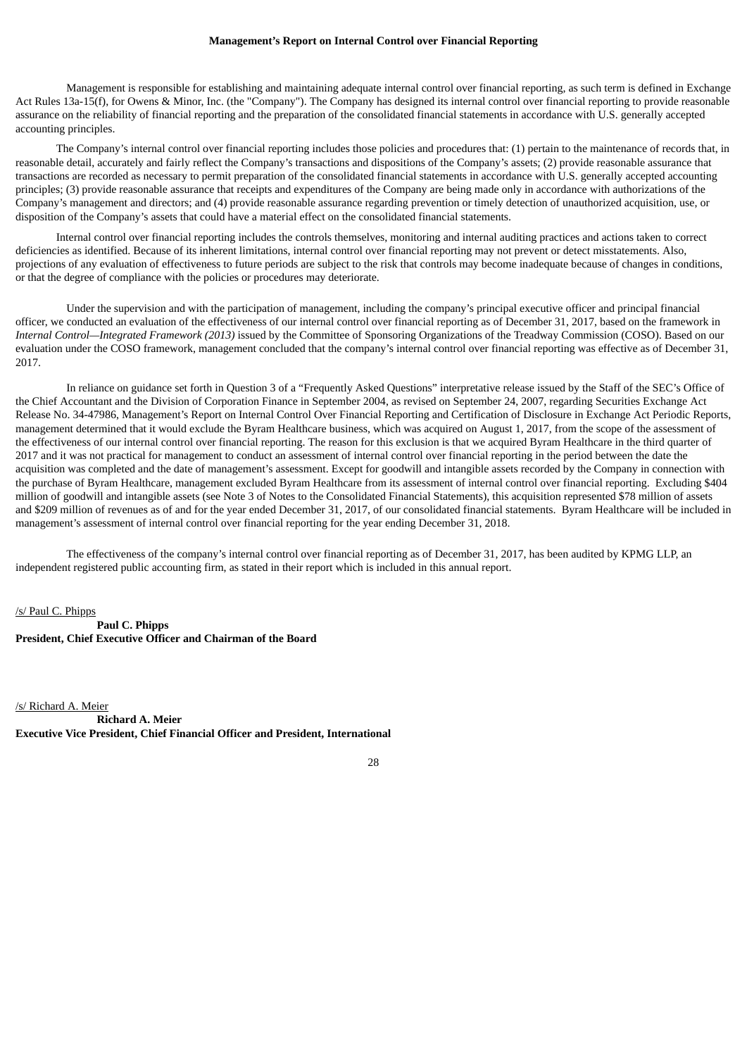#### **Management's Report on Internal Control over Financial Reporting**

<span id="page-27-0"></span>Management is responsible for establishing and maintaining adequate internal control over financial reporting, as such term is defined in Exchange Act Rules 13a-15(f), for Owens & Minor, Inc. (the "Company"). The Company has designed its internal control over financial reporting to provide reasonable assurance on the reliability of financial reporting and the preparation of the consolidated financial statements in accordance with U.S. generally accepted accounting principles.

The Company's internal control over financial reporting includes those policies and procedures that: (1) pertain to the maintenance of records that, in reasonable detail, accurately and fairly reflect the Company's transactions and dispositions of the Company's assets; (2) provide reasonable assurance that transactions are recorded as necessary to permit preparation of the consolidated financial statements in accordance with U.S. generally accepted accounting principles; (3) provide reasonable assurance that receipts and expenditures of the Company are being made only in accordance with authorizations of the Company's management and directors; and (4) provide reasonable assurance regarding prevention or timely detection of unauthorized acquisition, use, or disposition of the Company's assets that could have a material effect on the consolidated financial statements.

Internal control over financial reporting includes the controls themselves, monitoring and internal auditing practices and actions taken to correct deficiencies as identified. Because of its inherent limitations, internal control over financial reporting may not prevent or detect misstatements. Also, projections of any evaluation of effectiveness to future periods are subject to the risk that controls may become inadequate because of changes in conditions, or that the degree of compliance with the policies or procedures may deteriorate.

Under the supervision and with the participation of management, including the company's principal executive officer and principal financial officer, we conducted an evaluation of the effectiveness of our internal control over financial reporting as of December 31, 2017, based on the framework in *Internal Control—Integrated Framework (2013)* issued by the Committee of Sponsoring Organizations of the Treadway Commission (COSO). Based on our evaluation under the COSO framework, management concluded that the company's internal control over financial reporting was effective as of December 31, 2017.

In reliance on guidance set forth in Question 3 of a "Frequently Asked Questions" interpretative release issued by the Staff of the SEC's Office of the Chief Accountant and the Division of Corporation Finance in September 2004, as revised on September 24, 2007, regarding Securities Exchange Act Release No. 34-47986, Management's Report on Internal Control Over Financial Reporting and Certification of Disclosure in Exchange Act Periodic Reports, management determined that it would exclude the Byram Healthcare business, which was acquired on August 1, 2017, from the scope of the assessment of the effectiveness of our internal control over financial reporting. The reason for this exclusion is that we acquired Byram Healthcare in the third quarter of 2017 and it was not practical for management to conduct an assessment of internal control over financial reporting in the period between the date the acquisition was completed and the date of management's assessment. Except for goodwill and intangible assets recorded by the Company in connection with the purchase of Byram Healthcare, management excluded Byram Healthcare from its assessment of internal control over financial reporting. Excluding \$404 million of goodwill and intangible assets (see Note 3 of Notes to the Consolidated Financial Statements), this acquisition represented \$78 million of assets and \$209 million of revenues as of and for the year ended December 31, 2017, of our consolidated financial statements. Byram Healthcare will be included in management's assessment of internal control over financial reporting for the year ending December 31, 2018.

The effectiveness of the company's internal control over financial reporting as of December 31, 2017, has been audited by KPMG LLP, an independent registered public accounting firm, as stated in their report which is included in this annual report.

/s/ Paul C. Phipps **Paul C. Phipps President, Chief Executive Officer and Chairman of the Board**

/s/ Richard A. Meier **Richard A. Meier Executive Vice President, Chief Financial Officer and President, International**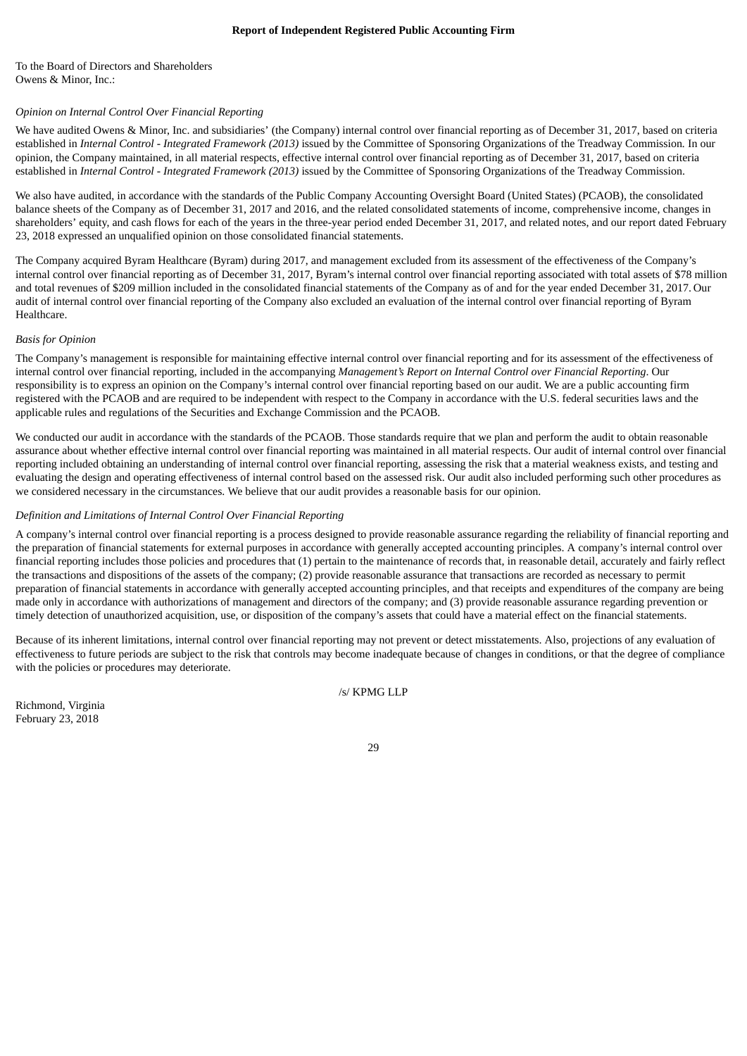## **Report of Independent Registered Public Accounting Firm**

<span id="page-28-0"></span>To the Board of Directors and Shareholders Owens & Minor, Inc.:

# *Opinion on Internal Control Over Financial Reporting*

We have audited Owens & Minor, Inc. and subsidiaries' (the Company) internal control over financial reporting as of December 31, 2017, based on criteria established in *Internal Control - Integrated Framework (2013)* issued by the Committee of Sponsoring Organizations of the Treadway Commission*.* In our opinion, the Company maintained, in all material respects, effective internal control over financial reporting as of December 31, 2017, based on criteria established in *Internal Control - Integrated Framework (2013)* issued by the Committee of Sponsoring Organizations of the Treadway Commission.

We also have audited, in accordance with the standards of the Public Company Accounting Oversight Board (United States) (PCAOB), the consolidated balance sheets of the Company as of December 31, 2017 and 2016, and the related consolidated statements of income, comprehensive income, changes in shareholders' equity, and cash flows for each of the years in the three-year period ended December 31, 2017, and related notes, and our report dated February 23, 2018 expressed an unqualified opinion on those consolidated financial statements.

The Company acquired Byram Healthcare (Byram) during 2017, and management excluded from its assessment of the effectiveness of the Company's internal control over financial reporting as of December 31, 2017, Byram's internal control over financial reporting associated with total assets of \$78 million and total revenues of \$209 million included in the consolidated financial statements of the Company as of and for the year ended December 31, 2017. Our audit of internal control over financial reporting of the Company also excluded an evaluation of the internal control over financial reporting of Byram Healthcare.

# *Basis for Opinion*

The Company's management is responsible for maintaining effective internal control over financial reporting and for its assessment of the effectiveness of internal control over financial reporting, included in the accompanying *Management's Report on Internal Control over Financial Reporting*. Our responsibility is to express an opinion on the Company's internal control over financial reporting based on our audit. We are a public accounting firm registered with the PCAOB and are required to be independent with respect to the Company in accordance with the U.S. federal securities laws and the applicable rules and regulations of the Securities and Exchange Commission and the PCAOB.

We conducted our audit in accordance with the standards of the PCAOB. Those standards require that we plan and perform the audit to obtain reasonable assurance about whether effective internal control over financial reporting was maintained in all material respects. Our audit of internal control over financial reporting included obtaining an understanding of internal control over financial reporting, assessing the risk that a material weakness exists, and testing and evaluating the design and operating effectiveness of internal control based on the assessed risk. Our audit also included performing such other procedures as we considered necessary in the circumstances. We believe that our audit provides a reasonable basis for our opinion.

# *Definition and Limitations of Internal Control Over Financial Reporting*

A company's internal control over financial reporting is a process designed to provide reasonable assurance regarding the reliability of financial reporting and the preparation of financial statements for external purposes in accordance with generally accepted accounting principles. A company's internal control over financial reporting includes those policies and procedures that (1) pertain to the maintenance of records that, in reasonable detail, accurately and fairly reflect the transactions and dispositions of the assets of the company; (2) provide reasonable assurance that transactions are recorded as necessary to permit preparation of financial statements in accordance with generally accepted accounting principles, and that receipts and expenditures of the company are being made only in accordance with authorizations of management and directors of the company; and (3) provide reasonable assurance regarding prevention or timely detection of unauthorized acquisition, use, or disposition of the company's assets that could have a material effect on the financial statements.

Because of its inherent limitations, internal control over financial reporting may not prevent or detect misstatements. Also, projections of any evaluation of effectiveness to future periods are subject to the risk that controls may become inadequate because of changes in conditions, or that the degree of compliance with the policies or procedures may deteriorate.

/s/ KPMG LLP

Richmond, Virginia February 23, 2018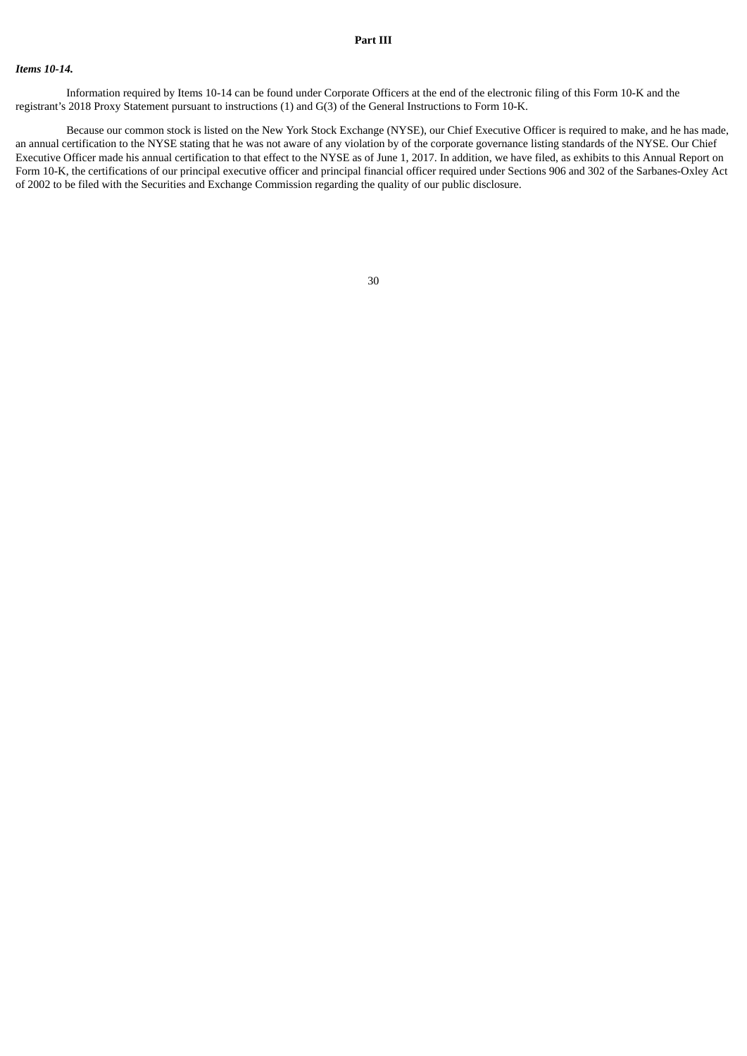#### <span id="page-29-1"></span><span id="page-29-0"></span>*Items 10-14.*

Information required by Items 10-14 can be found under Corporate Officers at the end of the electronic filing of this Form 10-K and the registrant's 2018 Proxy Statement pursuant to instructions (1) and G(3) of the General Instructions to Form 10-K.

<span id="page-29-6"></span><span id="page-29-5"></span><span id="page-29-4"></span><span id="page-29-3"></span><span id="page-29-2"></span>Because our common stock is listed on the New York Stock Exchange (NYSE), our Chief Executive Officer is required to make, and he has made, an annual certification to the NYSE stating that he was not aware of any violation by of the corporate governance listing standards of the NYSE. Our Chief Executive Officer made his annual certification to that effect to the NYSE as of June 1, 2017. In addition, we have filed, as exhibits to this Annual Report on Form 10-K, the certifications of our principal executive officer and principal financial officer required under Sections 906 and 302 of the Sarbanes-Oxley Act of 2002 to be filed with the Securities and Exchange Commission regarding the quality of our public disclosure.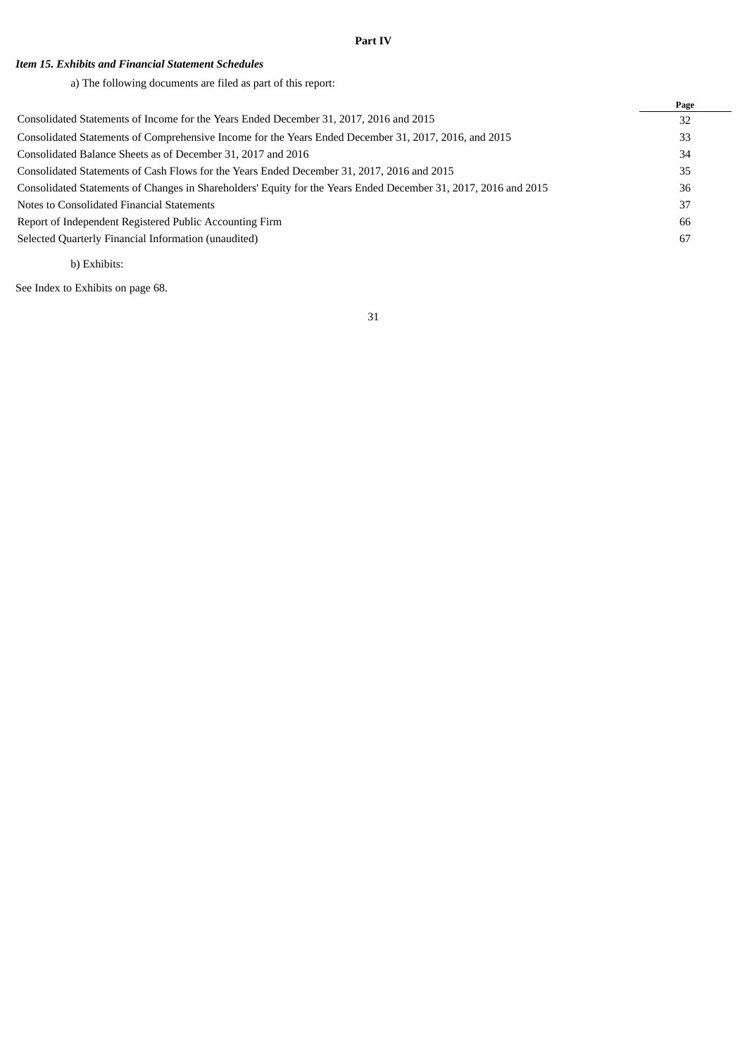# **Part IV**

# <span id="page-30-1"></span><span id="page-30-0"></span>*Item 15. Exhibits and Financial Statement Schedules*

a) The following documents are filed as part of this report:

|                                                                                                                 | Page |
|-----------------------------------------------------------------------------------------------------------------|------|
| Consolidated Statements of Income for the Years Ended December 31, 2017, 2016 and 2015                          | 32   |
| Consolidated Statements of Comprehensive Income for the Years Ended December 31, 2017, 2016, and 2015           | 33   |
| Consolidated Balance Sheets as of December 31, 2017 and 2016                                                    | 34   |
| Consolidated Statements of Cash Flows for the Years Ended December 31, 2017, 2016 and 2015                      | 35   |
| Consolidated Statements of Changes in Shareholders' Equity for the Years Ended December 31, 2017, 2016 and 2015 | 36   |
| Notes to Consolidated Financial Statements                                                                      | 37   |
| Report of Independent Registered Public Accounting Firm                                                         | 66   |
| Selected Quarterly Financial Information (unaudited)                                                            | 67   |

b) Exhibits:

See Index to Exhibits on page 68.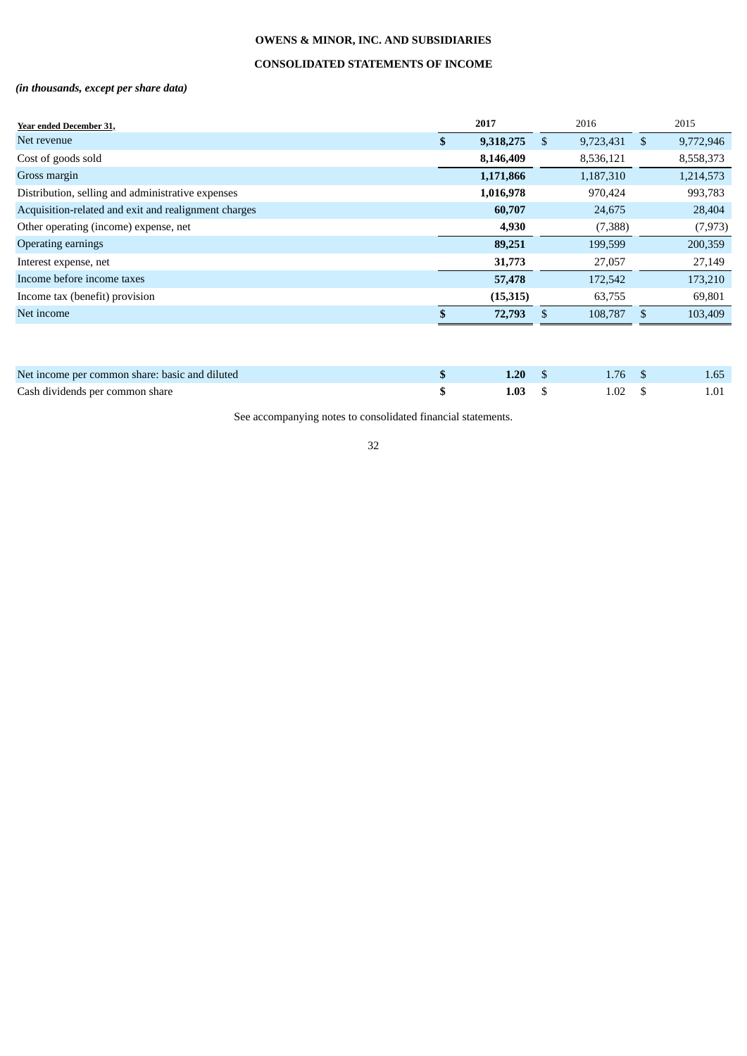# **CONSOLIDATED STATEMENTS OF INCOME**

# <span id="page-31-0"></span>*(in thousands, except per share data)*

| Year ended December 31,                              | 2017 |           | 2016          |           |               | 2015      |
|------------------------------------------------------|------|-----------|---------------|-----------|---------------|-----------|
| Net revenue                                          | S    | 9,318,275 | <sup>\$</sup> | 9,723,431 | <sup>\$</sup> | 9,772,946 |
| Cost of goods sold                                   |      | 8,146,409 |               | 8,536,121 |               | 8,558,373 |
| Gross margin                                         |      | 1,171,866 |               | 1,187,310 |               | 1,214,573 |
| Distribution, selling and administrative expenses    |      | 1,016,978 |               | 970.424   |               | 993,783   |
| Acquisition-related and exit and realignment charges |      | 60,707    |               | 24,675    |               | 28,404    |
| Other operating (income) expense, net                |      | 4,930     |               | (7,388)   |               | (7, 973)  |
| <b>Operating earnings</b>                            |      | 89,251    |               | 199,599   |               | 200,359   |
| Interest expense, net                                |      | 31,773    |               | 27,057    |               | 27,149    |
| Income before income taxes                           |      | 57,478    |               | 172,542   |               | 173,210   |
| Income tax (benefit) provision                       |      | (15,315)  |               | 63,755    |               | 69,801    |
| Net income                                           |      | 72,793    |               | 108,787   |               | 103,409   |

| Net income per common share: basic and diluted | 1.20 | 1.65 |
|------------------------------------------------|------|------|
| Cash dividends per common share                |      | 1.01 |

See accompanying notes to consolidated financial statements.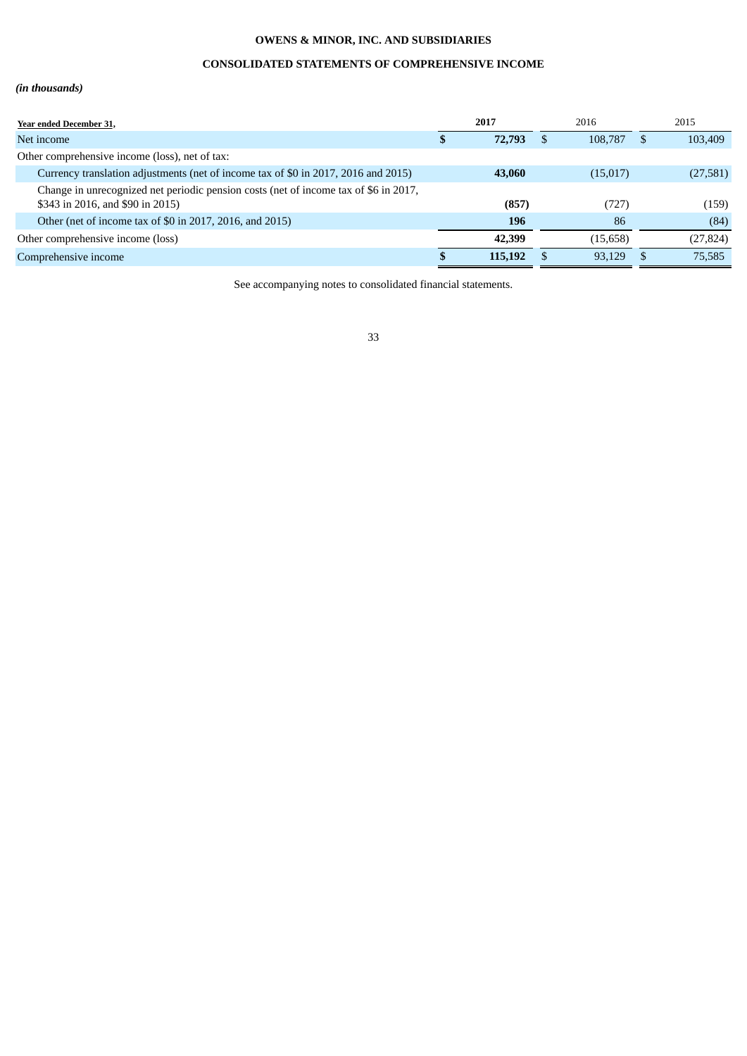# **CONSOLIDATED STATEMENTS OF COMPREHENSIVE INCOME**

# <span id="page-32-0"></span>*(in thousands)*

| Year ended December 31,                                                                                                  | 2017    |  | 2016     |  | 2015      |  |
|--------------------------------------------------------------------------------------------------------------------------|---------|--|----------|--|-----------|--|
| Net income                                                                                                               | 72,793  |  | 108,787  |  | 103,409   |  |
| Other comprehensive income (loss), net of tax:                                                                           |         |  |          |  |           |  |
| Currency translation adjustments (net of income tax of \$0 in 2017, 2016 and 2015)                                       | 43,060  |  | (15,017) |  | (27, 581) |  |
| Change in unrecognized net periodic pension costs (net of income tax of \$6 in 2017,<br>\$343 in 2016, and \$90 in 2015) | (857)   |  | (727)    |  | (159)     |  |
| Other (net of income tax of \$0 in 2017, 2016, and 2015)                                                                 | 196     |  | 86       |  | (84)      |  |
| Other comprehensive income (loss)                                                                                        | 42,399  |  | (15,658) |  | (27, 824) |  |
| Comprehensive income                                                                                                     | 115,192 |  | 93,129   |  | 75,585    |  |

See accompanying notes to consolidated financial statements.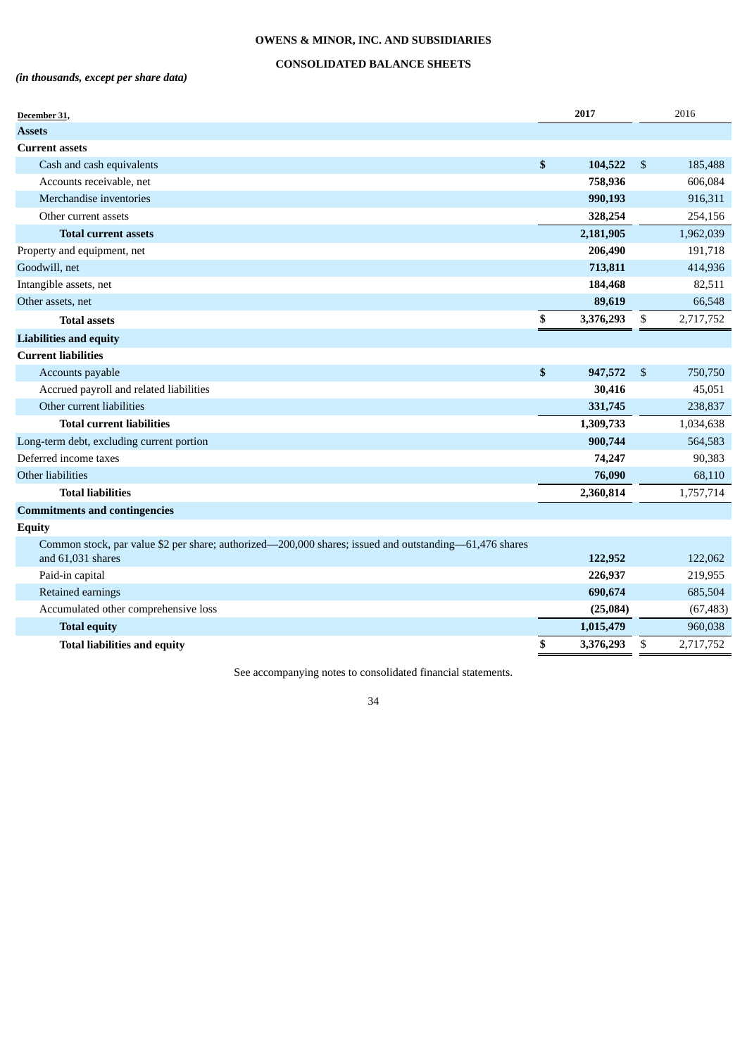# **CONSOLIDATED BALANCE SHEETS**

# <span id="page-33-0"></span>*(in thousands, except per share data)*

| December 31,                                                                                                                | 2017            | 2016            |
|-----------------------------------------------------------------------------------------------------------------------------|-----------------|-----------------|
| <b>Assets</b>                                                                                                               |                 |                 |
| <b>Current assets</b>                                                                                                       |                 |                 |
| Cash and cash equivalents                                                                                                   | \$<br>104,522   | \$<br>185,488   |
| Accounts receivable, net                                                                                                    | 758,936         | 606,084         |
| Merchandise inventories                                                                                                     | 990,193         | 916,311         |
| Other current assets                                                                                                        | 328,254         | 254,156         |
| <b>Total current assets</b>                                                                                                 | 2,181,905       | 1,962,039       |
| Property and equipment, net                                                                                                 | 206,490         | 191,718         |
| Goodwill, net                                                                                                               | 713,811         | 414,936         |
| Intangible assets, net                                                                                                      | 184,468         | 82,511          |
| Other assets, net                                                                                                           | 89,619          | 66,548          |
| <b>Total assets</b>                                                                                                         | \$<br>3,376,293 | \$<br>2,717,752 |
| <b>Liabilities and equity</b>                                                                                               |                 |                 |
| <b>Current liabilities</b>                                                                                                  |                 |                 |
| Accounts payable                                                                                                            | \$<br>947,572   | \$<br>750,750   |
| Accrued payroll and related liabilities                                                                                     | 30,416          | 45,051          |
| Other current liabilities                                                                                                   | 331,745         | 238,837         |
| <b>Total current liabilities</b>                                                                                            | 1,309,733       | 1,034,638       |
| Long-term debt, excluding current portion                                                                                   | 900,744         | 564,583         |
| Deferred income taxes                                                                                                       | 74,247          | 90,383          |
| Other liabilities                                                                                                           | 76,090          | 68,110          |
| <b>Total liabilities</b>                                                                                                    | 2,360,814       | 1,757,714       |
| <b>Commitments and contingencies</b>                                                                                        |                 |                 |
| <b>Equity</b>                                                                                                               |                 |                 |
| Common stock, par value \$2 per share; authorized—200,000 shares; issued and outstanding—61,476 shares<br>and 61,031 shares | 122,952         | 122,062         |
| Paid-in capital                                                                                                             | 226,937         | 219,955         |
| Retained earnings                                                                                                           | 690,674         | 685,504         |
| Accumulated other comprehensive loss                                                                                        | (25,084)        | (67, 483)       |
| <b>Total equity</b>                                                                                                         | 1,015,479       | 960,038         |
| <b>Total liabilities and equity</b>                                                                                         | \$<br>3,376,293 | \$<br>2,717,752 |

See accompanying notes to consolidated financial statements.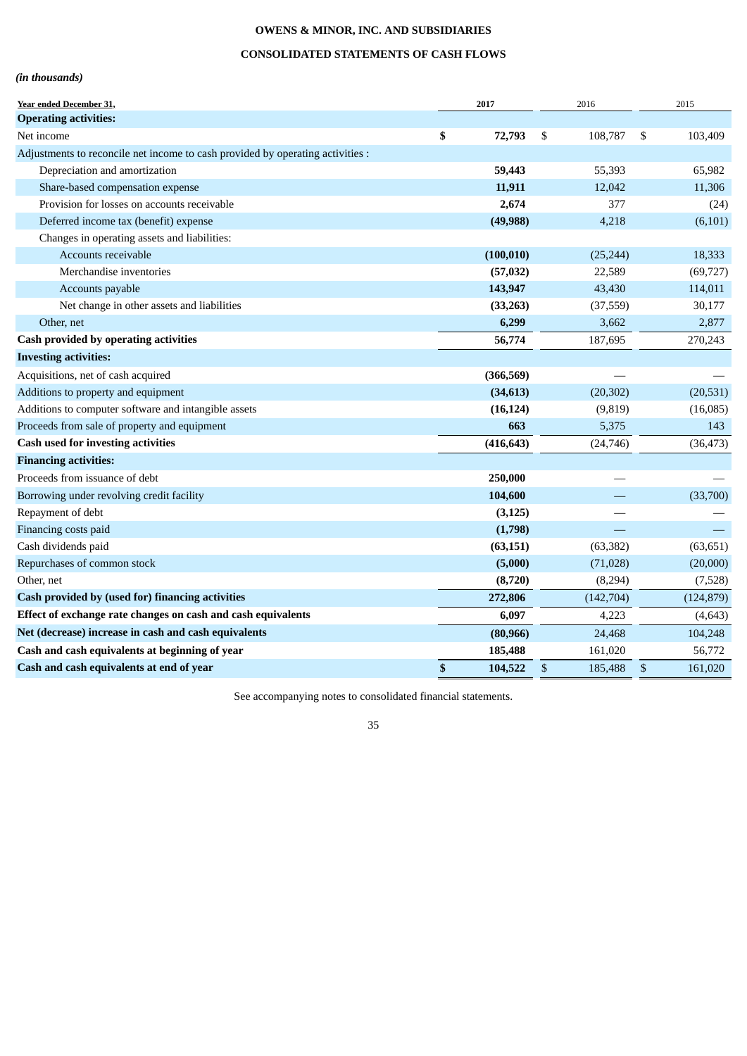# **CONSOLIDATED STATEMENTS OF CASH FLOWS**

# <span id="page-34-0"></span>*(in thousands)*

| <b>Year ended December 31,</b>                                                 | 2017          |    | 2016       |    | 2015       |
|--------------------------------------------------------------------------------|---------------|----|------------|----|------------|
| <b>Operating activities:</b>                                                   |               |    |            |    |            |
| Net income                                                                     | \$<br>72,793  | \$ | 108,787    | \$ | 103,409    |
| Adjustments to reconcile net income to cash provided by operating activities : |               |    |            |    |            |
| Depreciation and amortization                                                  | 59,443        |    | 55,393     |    | 65,982     |
| Share-based compensation expense                                               | 11,911        |    | 12,042     |    | 11,306     |
| Provision for losses on accounts receivable                                    | 2,674         |    | 377        |    | (24)       |
| Deferred income tax (benefit) expense                                          | (49, 988)     |    | 4,218      |    | (6,101)    |
| Changes in operating assets and liabilities:                                   |               |    |            |    |            |
| Accounts receivable                                                            | (100, 010)    |    | (25, 244)  |    | 18,333     |
| Merchandise inventories                                                        | (57, 032)     |    | 22,589     |    | (69, 727)  |
| Accounts payable                                                               | 143,947       |    | 43,430     |    | 114,011    |
| Net change in other assets and liabilities                                     | (33,263)      |    | (37, 559)  |    | 30,177     |
| Other, net                                                                     | 6,299         |    | 3,662      |    | 2,877      |
| <b>Cash provided by operating activities</b>                                   | 56,774        |    | 187,695    |    | 270,243    |
| <b>Investing activities:</b>                                                   |               |    |            |    |            |
| Acquisitions, net of cash acquired                                             | (366, 569)    |    |            |    |            |
| Additions to property and equipment                                            | (34, 613)     |    | (20, 302)  |    | (20, 531)  |
| Additions to computer software and intangible assets                           | (16, 124)     |    | (9,819)    |    | (16,085)   |
| Proceeds from sale of property and equipment                                   | 663           |    | 5,375      |    | 143        |
| <b>Cash used for investing activities</b>                                      | (416, 643)    |    | (24, 746)  |    | (36, 473)  |
| <b>Financing activities:</b>                                                   |               |    |            |    |            |
| Proceeds from issuance of debt                                                 | 250,000       |    |            |    |            |
| Borrowing under revolving credit facility                                      | 104,600       |    |            |    | (33,700)   |
| Repayment of debt                                                              | (3, 125)      |    |            |    |            |
| Financing costs paid                                                           | (1,798)       |    |            |    |            |
| Cash dividends paid                                                            | (63, 151)     |    | (63, 382)  |    | (63, 651)  |
| Repurchases of common stock                                                    | (5,000)       |    | (71,028)   |    | (20,000)   |
| Other, net                                                                     | (8,720)       |    | (8, 294)   |    | (7,528)    |
| Cash provided by (used for) financing activities                               | 272,806       |    | (142, 704) |    | (124, 879) |
| Effect of exchange rate changes on cash and cash equivalents                   | 6,097         |    | 4,223      |    | (4,643)    |
| Net (decrease) increase in cash and cash equivalents                           | (80, 966)     |    | 24,468     |    | 104,248    |
| Cash and cash equivalents at beginning of year                                 | 185,488       |    | 161,020    |    | 56,772     |
| Cash and cash equivalents at end of year                                       | \$<br>104,522 | \$ | 185,488    | \$ | 161,020    |

See accompanying notes to consolidated financial statements.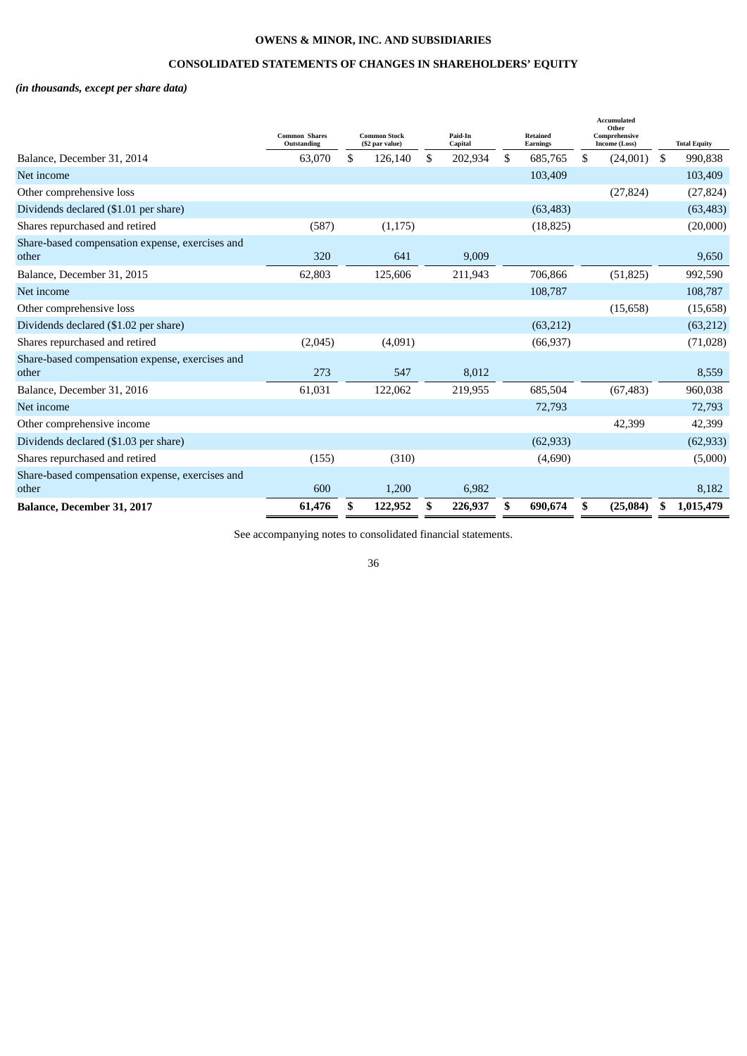# **CONSOLIDATED STATEMENTS OF CHANGES IN SHAREHOLDERS' EQUITY**

# <span id="page-35-0"></span>*(in thousands, except per share data)*

| 202,934<br>685,765<br>\$<br>990,838<br>Balance, December 31, 2014<br>63,070<br>126,140<br>S<br>\$<br>(24,001)<br>S.<br>\$<br>Net income<br>103,409<br>103,409<br>Other comprehensive loss<br>(27, 824)<br>(27, 824)<br>Dividends declared (\$1.01 per share)<br>(63, 483)<br>(63, 483)<br>Shares repurchased and retired<br>(587)<br>(1, 175)<br>(20,000)<br>(18, 825)<br>Share-based compensation expense, exercises and<br>9,009<br>320<br>641<br>9,650<br>other<br>Balance, December 31, 2015<br>62,803<br>125,606<br>211,943<br>706,866<br>(51, 825)<br>992,590<br>108,787<br>Net income<br>108,787<br>(15, 658)<br>Other comprehensive loss<br>(15,658)<br>Dividends declared (\$1.02 per share)<br>(63,212)<br>(63,212)<br>Shares repurchased and retired<br>(71, 028)<br>(2,045)<br>(4,091)<br>(66, 937)<br>Share-based compensation expense, exercises and<br>273<br>547<br>8,012<br>8,559<br>other<br>122,062<br>219,955<br>960,038<br>Balance, December 31, 2016<br>61,031<br>685,504<br>(67, 483)<br>Net income<br>72,793<br>72,793<br>42,399<br>42,399<br>Other comprehensive income<br>Dividends declared (\$1.03 per share)<br>(62, 933)<br>(62, 933)<br>Shares repurchased and retired<br>(155)<br>(5,000)<br>(310)<br>(4,690)<br>Share-based compensation expense, exercises and<br>600<br>1,200<br>6,982<br>8,182<br>other<br>122,952<br>\$<br>226,937<br>690,674<br>\$<br>1,015,479<br>61,476<br>\$<br>\$<br>(25,084)<br><b>Balance, December 31, 2017</b><br>S | <b>Common Shares</b><br>Outstanding | <b>Common Stock</b><br>(\$2 par value) | Paid-In<br>Capital | <b>Retained</b><br><b>Earnings</b> | Accumulated<br>Other<br>Comprehensive<br>Income (Loss) | <b>Total Equity</b> |
|-----------------------------------------------------------------------------------------------------------------------------------------------------------------------------------------------------------------------------------------------------------------------------------------------------------------------------------------------------------------------------------------------------------------------------------------------------------------------------------------------------------------------------------------------------------------------------------------------------------------------------------------------------------------------------------------------------------------------------------------------------------------------------------------------------------------------------------------------------------------------------------------------------------------------------------------------------------------------------------------------------------------------------------------------------------------------------------------------------------------------------------------------------------------------------------------------------------------------------------------------------------------------------------------------------------------------------------------------------------------------------------------------------------------------------------------------------------------------------------|-------------------------------------|----------------------------------------|--------------------|------------------------------------|--------------------------------------------------------|---------------------|
|                                                                                                                                                                                                                                                                                                                                                                                                                                                                                                                                                                                                                                                                                                                                                                                                                                                                                                                                                                                                                                                                                                                                                                                                                                                                                                                                                                                                                                                                                   |                                     |                                        |                    |                                    |                                                        |                     |
|                                                                                                                                                                                                                                                                                                                                                                                                                                                                                                                                                                                                                                                                                                                                                                                                                                                                                                                                                                                                                                                                                                                                                                                                                                                                                                                                                                                                                                                                                   |                                     |                                        |                    |                                    |                                                        |                     |
|                                                                                                                                                                                                                                                                                                                                                                                                                                                                                                                                                                                                                                                                                                                                                                                                                                                                                                                                                                                                                                                                                                                                                                                                                                                                                                                                                                                                                                                                                   |                                     |                                        |                    |                                    |                                                        |                     |
|                                                                                                                                                                                                                                                                                                                                                                                                                                                                                                                                                                                                                                                                                                                                                                                                                                                                                                                                                                                                                                                                                                                                                                                                                                                                                                                                                                                                                                                                                   |                                     |                                        |                    |                                    |                                                        |                     |
|                                                                                                                                                                                                                                                                                                                                                                                                                                                                                                                                                                                                                                                                                                                                                                                                                                                                                                                                                                                                                                                                                                                                                                                                                                                                                                                                                                                                                                                                                   |                                     |                                        |                    |                                    |                                                        |                     |
|                                                                                                                                                                                                                                                                                                                                                                                                                                                                                                                                                                                                                                                                                                                                                                                                                                                                                                                                                                                                                                                                                                                                                                                                                                                                                                                                                                                                                                                                                   |                                     |                                        |                    |                                    |                                                        |                     |
|                                                                                                                                                                                                                                                                                                                                                                                                                                                                                                                                                                                                                                                                                                                                                                                                                                                                                                                                                                                                                                                                                                                                                                                                                                                                                                                                                                                                                                                                                   |                                     |                                        |                    |                                    |                                                        |                     |
|                                                                                                                                                                                                                                                                                                                                                                                                                                                                                                                                                                                                                                                                                                                                                                                                                                                                                                                                                                                                                                                                                                                                                                                                                                                                                                                                                                                                                                                                                   |                                     |                                        |                    |                                    |                                                        |                     |
|                                                                                                                                                                                                                                                                                                                                                                                                                                                                                                                                                                                                                                                                                                                                                                                                                                                                                                                                                                                                                                                                                                                                                                                                                                                                                                                                                                                                                                                                                   |                                     |                                        |                    |                                    |                                                        |                     |
|                                                                                                                                                                                                                                                                                                                                                                                                                                                                                                                                                                                                                                                                                                                                                                                                                                                                                                                                                                                                                                                                                                                                                                                                                                                                                                                                                                                                                                                                                   |                                     |                                        |                    |                                    |                                                        |                     |
|                                                                                                                                                                                                                                                                                                                                                                                                                                                                                                                                                                                                                                                                                                                                                                                                                                                                                                                                                                                                                                                                                                                                                                                                                                                                                                                                                                                                                                                                                   |                                     |                                        |                    |                                    |                                                        |                     |
|                                                                                                                                                                                                                                                                                                                                                                                                                                                                                                                                                                                                                                                                                                                                                                                                                                                                                                                                                                                                                                                                                                                                                                                                                                                                                                                                                                                                                                                                                   |                                     |                                        |                    |                                    |                                                        |                     |
|                                                                                                                                                                                                                                                                                                                                                                                                                                                                                                                                                                                                                                                                                                                                                                                                                                                                                                                                                                                                                                                                                                                                                                                                                                                                                                                                                                                                                                                                                   |                                     |                                        |                    |                                    |                                                        |                     |
|                                                                                                                                                                                                                                                                                                                                                                                                                                                                                                                                                                                                                                                                                                                                                                                                                                                                                                                                                                                                                                                                                                                                                                                                                                                                                                                                                                                                                                                                                   |                                     |                                        |                    |                                    |                                                        |                     |
|                                                                                                                                                                                                                                                                                                                                                                                                                                                                                                                                                                                                                                                                                                                                                                                                                                                                                                                                                                                                                                                                                                                                                                                                                                                                                                                                                                                                                                                                                   |                                     |                                        |                    |                                    |                                                        |                     |
|                                                                                                                                                                                                                                                                                                                                                                                                                                                                                                                                                                                                                                                                                                                                                                                                                                                                                                                                                                                                                                                                                                                                                                                                                                                                                                                                                                                                                                                                                   |                                     |                                        |                    |                                    |                                                        |                     |
|                                                                                                                                                                                                                                                                                                                                                                                                                                                                                                                                                                                                                                                                                                                                                                                                                                                                                                                                                                                                                                                                                                                                                                                                                                                                                                                                                                                                                                                                                   |                                     |                                        |                    |                                    |                                                        |                     |
|                                                                                                                                                                                                                                                                                                                                                                                                                                                                                                                                                                                                                                                                                                                                                                                                                                                                                                                                                                                                                                                                                                                                                                                                                                                                                                                                                                                                                                                                                   |                                     |                                        |                    |                                    |                                                        |                     |
|                                                                                                                                                                                                                                                                                                                                                                                                                                                                                                                                                                                                                                                                                                                                                                                                                                                                                                                                                                                                                                                                                                                                                                                                                                                                                                                                                                                                                                                                                   |                                     |                                        |                    |                                    |                                                        |                     |

See accompanying notes to consolidated financial statements.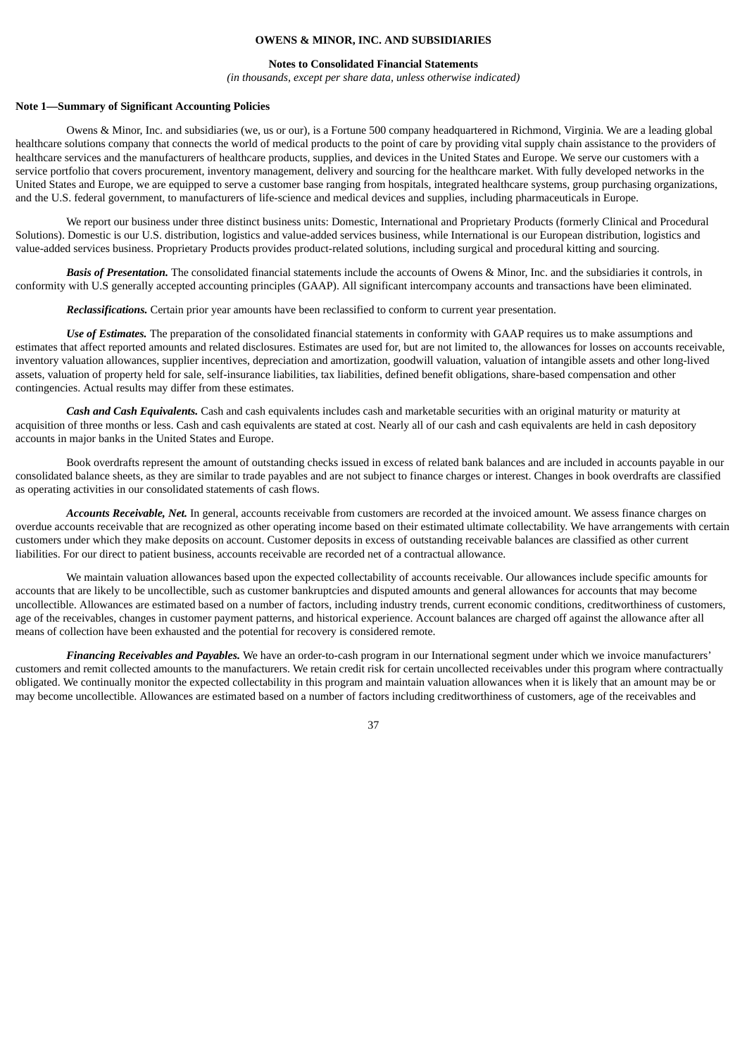# **OWENS & MINOR, INC. AND SUBSIDIARIES**

### **Notes to Consolidated Financial Statements**

*(in thousands, except per share data, unless otherwise indicated)*

#### **Note 1—Summary of Significant Accounting Policies**

Owens & Minor, Inc. and subsidiaries (we, us or our), is a Fortune 500 company headquartered in Richmond, Virginia. We are a leading global healthcare solutions company that connects the world of medical products to the point of care by providing vital supply chain assistance to the providers of healthcare services and the manufacturers of healthcare products, supplies, and devices in the United States and Europe. We serve our customers with a service portfolio that covers procurement, inventory management, delivery and sourcing for the healthcare market. With fully developed networks in the United States and Europe, we are equipped to serve a customer base ranging from hospitals, integrated healthcare systems, group purchasing organizations, and the U.S. federal government, to manufacturers of life-science and medical devices and supplies, including pharmaceuticals in Europe.

We report our business under three distinct business units: Domestic, International and Proprietary Products (formerly Clinical and Procedural Solutions). Domestic is our U.S. distribution, logistics and value-added services business, while International is our European distribution, logistics and value-added services business. Proprietary Products provides product-related solutions, including surgical and procedural kitting and sourcing.

*Basis of Presentation.* The consolidated financial statements include the accounts of Owens & Minor, Inc. and the subsidiaries it controls, in conformity with U.S generally accepted accounting principles (GAAP). All significant intercompany accounts and transactions have been eliminated.

*Reclassifications.* Certain prior year amounts have been reclassified to conform to current year presentation.

*Use of Estimates.* The preparation of the consolidated financial statements in conformity with GAAP requires us to make assumptions and estimates that affect reported amounts and related disclosures. Estimates are used for, but are not limited to, the allowances for losses on accounts receivable, inventory valuation allowances, supplier incentives, depreciation and amortization, goodwill valuation, valuation of intangible assets and other long-lived assets, valuation of property held for sale, self-insurance liabilities, tax liabilities, defined benefit obligations, share-based compensation and other contingencies. Actual results may differ from these estimates.

*Cash and Cash Equivalents.* Cash and cash equivalents includes cash and marketable securities with an original maturity or maturity at acquisition of three months or less. Cash and cash equivalents are stated at cost. Nearly all of our cash and cash equivalents are held in cash depository accounts in major banks in the United States and Europe.

Book overdrafts represent the amount of outstanding checks issued in excess of related bank balances and are included in accounts payable in our consolidated balance sheets, as they are similar to trade payables and are not subject to finance charges or interest. Changes in book overdrafts are classified as operating activities in our consolidated statements of cash flows.

*Accounts Receivable, Net.* In general, accounts receivable from customers are recorded at the invoiced amount. We assess finance charges on overdue accounts receivable that are recognized as other operating income based on their estimated ultimate collectability. We have arrangements with certain customers under which they make deposits on account. Customer deposits in excess of outstanding receivable balances are classified as other current liabilities. For our direct to patient business, accounts receivable are recorded net of a contractual allowance.

We maintain valuation allowances based upon the expected collectability of accounts receivable. Our allowances include specific amounts for accounts that are likely to be uncollectible, such as customer bankruptcies and disputed amounts and general allowances for accounts that may become uncollectible. Allowances are estimated based on a number of factors, including industry trends, current economic conditions, creditworthiness of customers, age of the receivables, changes in customer payment patterns, and historical experience. Account balances are charged off against the allowance after all means of collection have been exhausted and the potential for recovery is considered remote.

*Financing Receivables and Payables.* We have an order-to-cash program in our International segment under which we invoice manufacturers' customers and remit collected amounts to the manufacturers. We retain credit risk for certain uncollected receivables under this program where contractually obligated. We continually monitor the expected collectability in this program and maintain valuation allowances when it is likely that an amount may be or may become uncollectible. Allowances are estimated based on a number of factors including creditworthiness of customers, age of the receivables and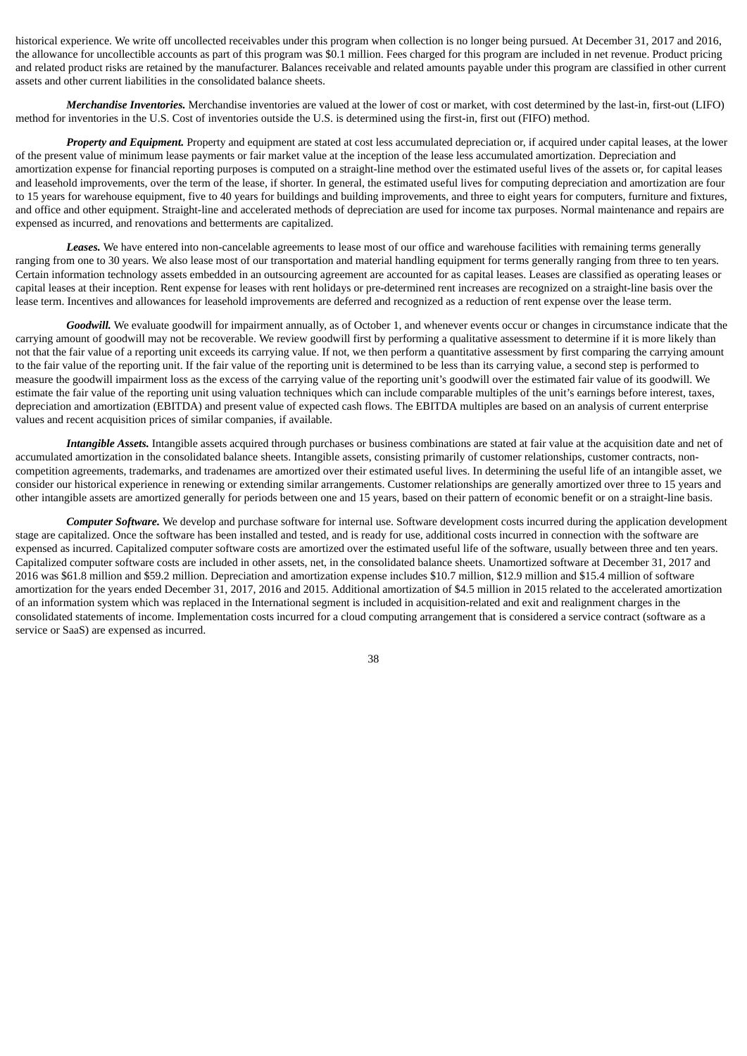historical experience. We write off uncollected receivables under this program when collection is no longer being pursued. At December 31, 2017 and 2016, the allowance for uncollectible accounts as part of this program was \$0.1 million. Fees charged for this program are included in net revenue. Product pricing and related product risks are retained by the manufacturer. Balances receivable and related amounts payable under this program are classified in other current assets and other current liabilities in the consolidated balance sheets.

*Merchandise Inventories.* Merchandise inventories are valued at the lower of cost or market, with cost determined by the last-in, first-out (LIFO) method for inventories in the U.S. Cost of inventories outside the U.S. is determined using the first-in, first out (FIFO) method.

*Property and Equipment.* Property and equipment are stated at cost less accumulated depreciation or, if acquired under capital leases, at the lower of the present value of minimum lease payments or fair market value at the inception of the lease less accumulated amortization. Depreciation and amortization expense for financial reporting purposes is computed on a straight-line method over the estimated useful lives of the assets or, for capital leases and leasehold improvements, over the term of the lease, if shorter. In general, the estimated useful lives for computing depreciation and amortization are four to 15 years for warehouse equipment, five to 40 years for buildings and building improvements, and three to eight years for computers, furniture and fixtures, and office and other equipment. Straight-line and accelerated methods of depreciation are used for income tax purposes. Normal maintenance and repairs are expensed as incurred, and renovations and betterments are capitalized.

*Leases.* We have entered into non-cancelable agreements to lease most of our office and warehouse facilities with remaining terms generally ranging from one to 30 years. We also lease most of our transportation and material handling equipment for terms generally ranging from three to ten years. Certain information technology assets embedded in an outsourcing agreement are accounted for as capital leases. Leases are classified as operating leases or capital leases at their inception. Rent expense for leases with rent holidays or pre-determined rent increases are recognized on a straight-line basis over the lease term. Incentives and allowances for leasehold improvements are deferred and recognized as a reduction of rent expense over the lease term.

*Goodwill.* We evaluate goodwill for impairment annually, as of October 1, and whenever events occur or changes in circumstance indicate that the carrying amount of goodwill may not be recoverable. We review goodwill first by performing a qualitative assessment to determine if it is more likely than not that the fair value of a reporting unit exceeds its carrying value. If not, we then perform a quantitative assessment by first comparing the carrying amount to the fair value of the reporting unit. If the fair value of the reporting unit is determined to be less than its carrying value, a second step is performed to measure the goodwill impairment loss as the excess of the carrying value of the reporting unit's goodwill over the estimated fair value of its goodwill. We estimate the fair value of the reporting unit using valuation techniques which can include comparable multiples of the unit's earnings before interest, taxes, depreciation and amortization (EBITDA) and present value of expected cash flows. The EBITDA multiples are based on an analysis of current enterprise values and recent acquisition prices of similar companies, if available.

*Intangible Assets.* Intangible assets acquired through purchases or business combinations are stated at fair value at the acquisition date and net of accumulated amortization in the consolidated balance sheets. Intangible assets, consisting primarily of customer relationships, customer contracts, noncompetition agreements, trademarks, and tradenames are amortized over their estimated useful lives. In determining the useful life of an intangible asset, we consider our historical experience in renewing or extending similar arrangements. Customer relationships are generally amortized over three to 15 years and other intangible assets are amortized generally for periods between one and 15 years, based on their pattern of economic benefit or on a straight-line basis.

*Computer Software.* We develop and purchase software for internal use. Software development costs incurred during the application development stage are capitalized. Once the software has been installed and tested, and is ready for use, additional costs incurred in connection with the software are expensed as incurred. Capitalized computer software costs are amortized over the estimated useful life of the software, usually between three and ten years. Capitalized computer software costs are included in other assets, net, in the consolidated balance sheets. Unamortized software at December 31, 2017 and 2016 was \$61.8 million and \$59.2 million. Depreciation and amortization expense includes \$10.7 million, \$12.9 million and \$15.4 million of software amortization for the years ended December 31, 2017, 2016 and 2015. Additional amortization of \$4.5 million in 2015 related to the accelerated amortization of an information system which was replaced in the International segment is included in acquisition-related and exit and realignment charges in the consolidated statements of income. Implementation costs incurred for a cloud computing arrangement that is considered a service contract (software as a service or SaaS) are expensed as incurred.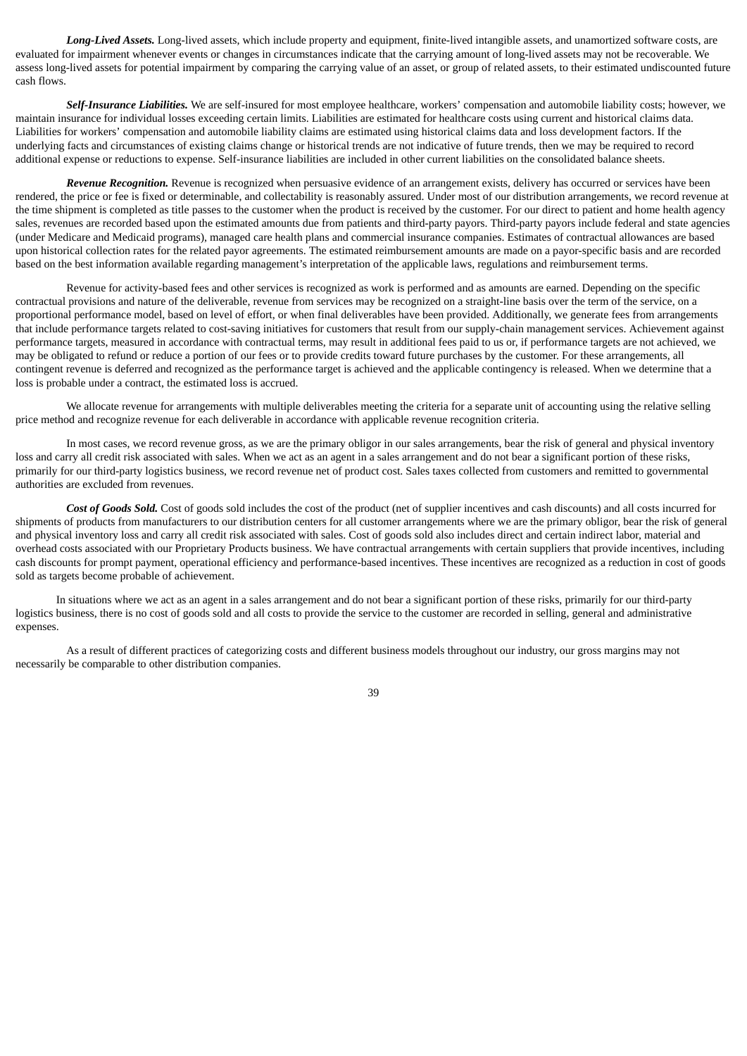*Long-Lived Assets.* Long-lived assets, which include property and equipment, finite-lived intangible assets, and unamortized software costs, are evaluated for impairment whenever events or changes in circumstances indicate that the carrying amount of long-lived assets may not be recoverable. We assess long-lived assets for potential impairment by comparing the carrying value of an asset, or group of related assets, to their estimated undiscounted future cash flows.

*Self-Insurance Liabilities.* We are self-insured for most employee healthcare, workers' compensation and automobile liability costs; however, we maintain insurance for individual losses exceeding certain limits. Liabilities are estimated for healthcare costs using current and historical claims data. Liabilities for workers' compensation and automobile liability claims are estimated using historical claims data and loss development factors. If the underlying facts and circumstances of existing claims change or historical trends are not indicative of future trends, then we may be required to record additional expense or reductions to expense. Self-insurance liabilities are included in other current liabilities on the consolidated balance sheets.

*Revenue Recognition.* Revenue is recognized when persuasive evidence of an arrangement exists, delivery has occurred or services have been rendered, the price or fee is fixed or determinable, and collectability is reasonably assured. Under most of our distribution arrangements, we record revenue at the time shipment is completed as title passes to the customer when the product is received by the customer. For our direct to patient and home health agency sales, revenues are recorded based upon the estimated amounts due from patients and third-party payors. Third-party payors include federal and state agencies (under Medicare and Medicaid programs), managed care health plans and commercial insurance companies. Estimates of contractual allowances are based upon historical collection rates for the related payor agreements. The estimated reimbursement amounts are made on a payor-specific basis and are recorded based on the best information available regarding management's interpretation of the applicable laws, regulations and reimbursement terms.

Revenue for activity-based fees and other services is recognized as work is performed and as amounts are earned. Depending on the specific contractual provisions and nature of the deliverable, revenue from services may be recognized on a straight-line basis over the term of the service, on a proportional performance model, based on level of effort, or when final deliverables have been provided. Additionally, we generate fees from arrangements that include performance targets related to cost-saving initiatives for customers that result from our supply-chain management services. Achievement against performance targets, measured in accordance with contractual terms, may result in additional fees paid to us or, if performance targets are not achieved, we may be obligated to refund or reduce a portion of our fees or to provide credits toward future purchases by the customer. For these arrangements, all contingent revenue is deferred and recognized as the performance target is achieved and the applicable contingency is released. When we determine that a loss is probable under a contract, the estimated loss is accrued.

We allocate revenue for arrangements with multiple deliverables meeting the criteria for a separate unit of accounting using the relative selling price method and recognize revenue for each deliverable in accordance with applicable revenue recognition criteria.

In most cases, we record revenue gross, as we are the primary obligor in our sales arrangements, bear the risk of general and physical inventory loss and carry all credit risk associated with sales. When we act as an agent in a sales arrangement and do not bear a significant portion of these risks, primarily for our third-party logistics business, we record revenue net of product cost. Sales taxes collected from customers and remitted to governmental authorities are excluded from revenues.

*Cost of Goods Sold.* Cost of goods sold includes the cost of the product (net of supplier incentives and cash discounts) and all costs incurred for shipments of products from manufacturers to our distribution centers for all customer arrangements where we are the primary obligor, bear the risk of general and physical inventory loss and carry all credit risk associated with sales. Cost of goods sold also includes direct and certain indirect labor, material and overhead costs associated with our Proprietary Products business. We have contractual arrangements with certain suppliers that provide incentives, including cash discounts for prompt payment, operational efficiency and performance-based incentives. These incentives are recognized as a reduction in cost of goods sold as targets become probable of achievement.

In situations where we act as an agent in a sales arrangement and do not bear a significant portion of these risks, primarily for our third-party logistics business, there is no cost of goods sold and all costs to provide the service to the customer are recorded in selling, general and administrative expenses.

As a result of different practices of categorizing costs and different business models throughout our industry, our gross margins may not necessarily be comparable to other distribution companies.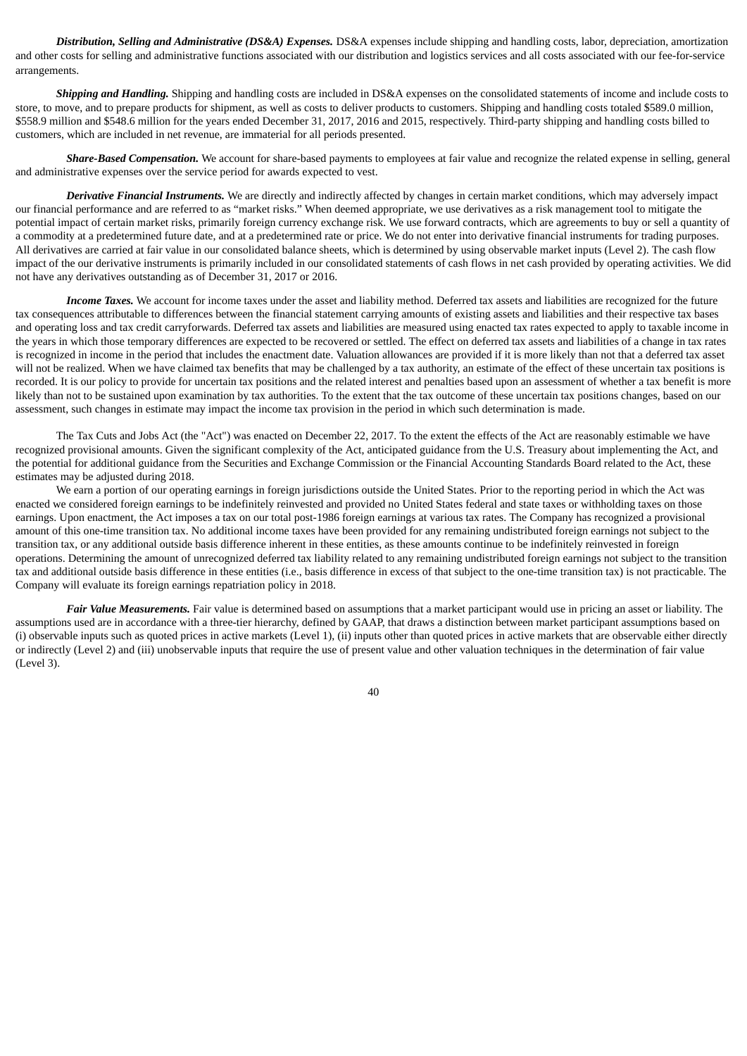*Distribution, Selling and Administrative (DS&A) Expenses.* DS&A expenses include shipping and handling costs, labor, depreciation, amortization and other costs for selling and administrative functions associated with our distribution and logistics services and all costs associated with our fee-for-service arrangements.

*Shipping and Handling.* Shipping and handling costs are included in DS&A expenses on the consolidated statements of income and include costs to store, to move, and to prepare products for shipment, as well as costs to deliver products to customers. Shipping and handling costs totaled \$589.0 million, \$558.9 million and \$548.6 million for the years ended December 31, 2017, 2016 and 2015, respectively. Third-party shipping and handling costs billed to customers, which are included in net revenue, are immaterial for all periods presented.

*Share-Based Compensation.* We account for share-based payments to employees at fair value and recognize the related expense in selling, general and administrative expenses over the service period for awards expected to vest.

*Derivative Financial Instruments.* We are directly and indirectly affected by changes in certain market conditions, which may adversely impact our financial performance and are referred to as "market risks." When deemed appropriate, we use derivatives as a risk management tool to mitigate the potential impact of certain market risks, primarily foreign currency exchange risk. We use forward contracts, which are agreements to buy or sell a quantity of a commodity at a predetermined future date, and at a predetermined rate or price. We do not enter into derivative financial instruments for trading purposes. All derivatives are carried at fair value in our consolidated balance sheets, which is determined by using observable market inputs (Level 2). The cash flow impact of the our derivative instruments is primarily included in our consolidated statements of cash flows in net cash provided by operating activities. We did not have any derivatives outstanding as of December 31, 2017 or 2016.

*Income Taxes.* We account for income taxes under the asset and liability method. Deferred tax assets and liabilities are recognized for the future tax consequences attributable to differences between the financial statement carrying amounts of existing assets and liabilities and their respective tax bases and operating loss and tax credit carryforwards. Deferred tax assets and liabilities are measured using enacted tax rates expected to apply to taxable income in the years in which those temporary differences are expected to be recovered or settled. The effect on deferred tax assets and liabilities of a change in tax rates is recognized in income in the period that includes the enactment date. Valuation allowances are provided if it is more likely than not that a deferred tax asset will not be realized. When we have claimed tax benefits that may be challenged by a tax authority, an estimate of the effect of these uncertain tax positions is recorded. It is our policy to provide for uncertain tax positions and the related interest and penalties based upon an assessment of whether a tax benefit is more likely than not to be sustained upon examination by tax authorities. To the extent that the tax outcome of these uncertain tax positions changes, based on our assessment, such changes in estimate may impact the income tax provision in the period in which such determination is made.

The Tax Cuts and Jobs Act (the "Act") was enacted on December 22, 2017. To the extent the effects of the Act are reasonably estimable we have recognized provisional amounts. Given the significant complexity of the Act, anticipated guidance from the U.S. Treasury about implementing the Act, and the potential for additional guidance from the Securities and Exchange Commission or the Financial Accounting Standards Board related to the Act, these estimates may be adjusted during 2018.

We earn a portion of our operating earnings in foreign jurisdictions outside the United States. Prior to the reporting period in which the Act was enacted we considered foreign earnings to be indefinitely reinvested and provided no United States federal and state taxes or withholding taxes on those earnings. Upon enactment, the Act imposes a tax on our total post-1986 foreign earnings at various tax rates. The Company has recognized a provisional amount of this one-time transition tax. No additional income taxes have been provided for any remaining undistributed foreign earnings not subject to the transition tax, or any additional outside basis difference inherent in these entities, as these amounts continue to be indefinitely reinvested in foreign operations. Determining the amount of unrecognized deferred tax liability related to any remaining undistributed foreign earnings not subject to the transition tax and additional outside basis difference in these entities (i.e., basis difference in excess of that subject to the one-time transition tax) is not practicable. The Company will evaluate its foreign earnings repatriation policy in 2018.

*Fair Value Measurements.* Fair value is determined based on assumptions that a market participant would use in pricing an asset or liability. The assumptions used are in accordance with a three-tier hierarchy, defined by GAAP, that draws a distinction between market participant assumptions based on (i) observable inputs such as quoted prices in active markets (Level 1), (ii) inputs other than quoted prices in active markets that are observable either directly or indirectly (Level 2) and (iii) unobservable inputs that require the use of present value and other valuation techniques in the determination of fair value (Level 3).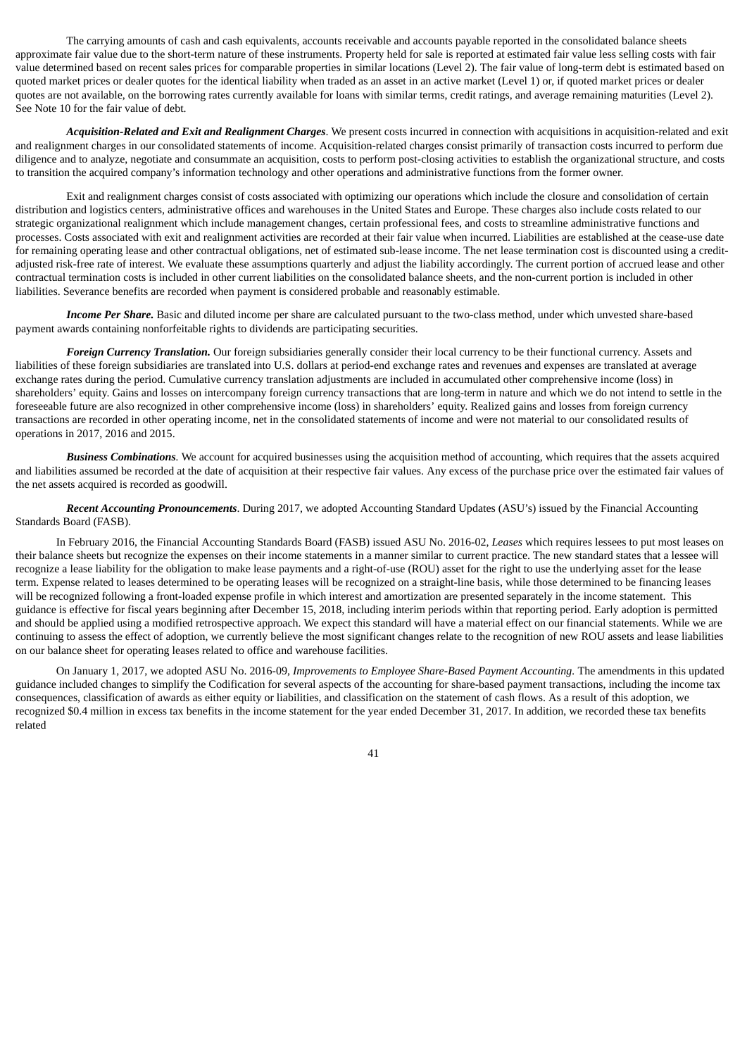The carrying amounts of cash and cash equivalents, accounts receivable and accounts payable reported in the consolidated balance sheets approximate fair value due to the short-term nature of these instruments. Property held for sale is reported at estimated fair value less selling costs with fair value determined based on recent sales prices for comparable properties in similar locations (Level 2). The fair value of long-term debt is estimated based on quoted market prices or dealer quotes for the identical liability when traded as an asset in an active market (Level 1) or, if quoted market prices or dealer quotes are not available, on the borrowing rates currently available for loans with similar terms, credit ratings, and average remaining maturities (Level 2). See Note 10 for the fair value of debt.

*Acquisition-Related and Exit and Realignment Charges*. We present costs incurred in connection with acquisitions in acquisition-related and exit and realignment charges in our consolidated statements of income. Acquisition-related charges consist primarily of transaction costs incurred to perform due diligence and to analyze, negotiate and consummate an acquisition, costs to perform post-closing activities to establish the organizational structure, and costs to transition the acquired company's information technology and other operations and administrative functions from the former owner.

Exit and realignment charges consist of costs associated with optimizing our operations which include the closure and consolidation of certain distribution and logistics centers, administrative offices and warehouses in the United States and Europe. These charges also include costs related to our strategic organizational realignment which include management changes, certain professional fees, and costs to streamline administrative functions and processes. Costs associated with exit and realignment activities are recorded at their fair value when incurred. Liabilities are established at the cease-use date for remaining operating lease and other contractual obligations, net of estimated sub-lease income. The net lease termination cost is discounted using a creditadjusted risk-free rate of interest. We evaluate these assumptions quarterly and adjust the liability accordingly. The current portion of accrued lease and other contractual termination costs is included in other current liabilities on the consolidated balance sheets, and the non-current portion is included in other liabilities. Severance benefits are recorded when payment is considered probable and reasonably estimable.

*Income Per Share.* Basic and diluted income per share are calculated pursuant to the two-class method, under which unvested share-based payment awards containing nonforfeitable rights to dividends are participating securities.

*Foreign Currency Translation.* Our foreign subsidiaries generally consider their local currency to be their functional currency. Assets and liabilities of these foreign subsidiaries are translated into U.S. dollars at period-end exchange rates and revenues and expenses are translated at average exchange rates during the period. Cumulative currency translation adjustments are included in accumulated other comprehensive income (loss) in shareholders' equity. Gains and losses on intercompany foreign currency transactions that are long-term in nature and which we do not intend to settle in the foreseeable future are also recognized in other comprehensive income (loss) in shareholders' equity. Realized gains and losses from foreign currency transactions are recorded in other operating income, net in the consolidated statements of income and were not material to our consolidated results of operations in 2017, 2016 and 2015.

*Business Combinations.* We account for acquired businesses using the acquisition method of accounting, which requires that the assets acquired and liabilities assumed be recorded at the date of acquisition at their respective fair values. Any excess of the purchase price over the estimated fair values of the net assets acquired is recorded as goodwill.

*Recent Accounting Pronouncements*. During 2017, we adopted Accounting Standard Updates (ASU's) issued by the Financial Accounting Standards Board (FASB).

In February 2016, the Financial Accounting Standards Board (FASB) issued ASU No. 2016-02, *Leases* which requires lessees to put most leases on their balance sheets but recognize the expenses on their income statements in a manner similar to current practice. The new standard states that a lessee will recognize a lease liability for the obligation to make lease payments and a right-of-use (ROU) asset for the right to use the underlying asset for the lease term. Expense related to leases determined to be operating leases will be recognized on a straight-line basis, while those determined to be financing leases will be recognized following a front-loaded expense profile in which interest and amortization are presented separately in the income statement. This guidance is effective for fiscal years beginning after December 15, 2018, including interim periods within that reporting period. Early adoption is permitted and should be applied using a modified retrospective approach. We expect this standard will have a material effect on our financial statements. While we are continuing to assess the effect of adoption, we currently believe the most significant changes relate to the recognition of new ROU assets and lease liabilities on our balance sheet for operating leases related to office and warehouse facilities.

On January 1, 2017, we adopted ASU No. 2016-09, *Improvements to Employee Share-Based Payment Accounting.* The amendments in this updated guidance included changes to simplify the Codification for several aspects of the accounting for share-based payment transactions, including the income tax consequences, classification of awards as either equity or liabilities, and classification on the statement of cash flows. As a result of this adoption, we recognized \$0.4 million in excess tax benefits in the income statement for the year ended December 31, 2017. In addition, we recorded these tax benefits related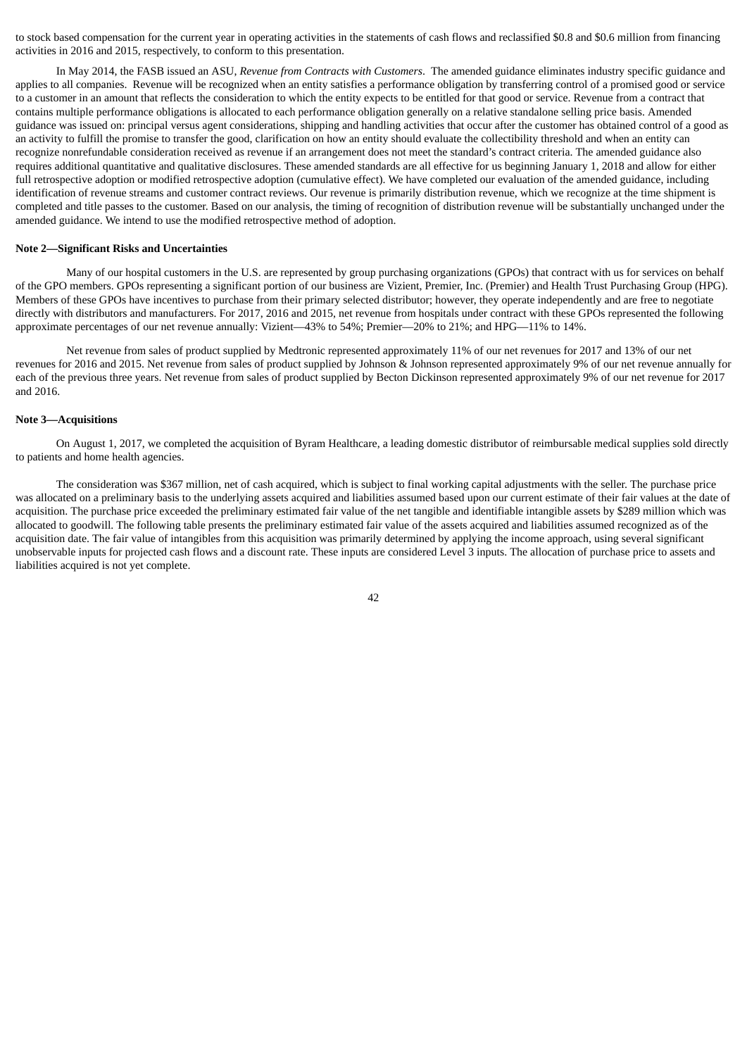to stock based compensation for the current year in operating activities in the statements of cash flows and reclassified \$0.8 and \$0.6 million from financing activities in 2016 and 2015, respectively, to conform to this presentation.

In May 2014, the FASB issued an ASU, *Revenue from Contracts with Customers*. The amended guidance eliminates industry specific guidance and applies to all companies. Revenue will be recognized when an entity satisfies a performance obligation by transferring control of a promised good or service to a customer in an amount that reflects the consideration to which the entity expects to be entitled for that good or service. Revenue from a contract that contains multiple performance obligations is allocated to each performance obligation generally on a relative standalone selling price basis. Amended guidance was issued on: principal versus agent considerations, shipping and handling activities that occur after the customer has obtained control of a good as an activity to fulfill the promise to transfer the good, clarification on how an entity should evaluate the collectibility threshold and when an entity can recognize nonrefundable consideration received as revenue if an arrangement does not meet the standard's contract criteria. The amended guidance also requires additional quantitative and qualitative disclosures. These amended standards are all effective for us beginning January 1, 2018 and allow for either full retrospective adoption or modified retrospective adoption (cumulative effect). We have completed our evaluation of the amended guidance, including identification of revenue streams and customer contract reviews. Our revenue is primarily distribution revenue, which we recognize at the time shipment is completed and title passes to the customer. Based on our analysis, the timing of recognition of distribution revenue will be substantially unchanged under the amended guidance. We intend to use the modified retrospective method of adoption.

#### **Note 2—Significant Risks and Uncertainties**

Many of our hospital customers in the U.S. are represented by group purchasing organizations (GPOs) that contract with us for services on behalf of the GPO members. GPOs representing a significant portion of our business are Vizient, Premier, Inc. (Premier) and Health Trust Purchasing Group (HPG). Members of these GPOs have incentives to purchase from their primary selected distributor; however, they operate independently and are free to negotiate directly with distributors and manufacturers. For 2017, 2016 and 2015, net revenue from hospitals under contract with these GPOs represented the following approximate percentages of our net revenue annually: Vizient—43% to 54%; Premier—20% to 21%; and HPG—11% to 14%.

Net revenue from sales of product supplied by Medtronic represented approximately 11% of our net revenues for 2017 and 13% of our net revenues for 2016 and 2015. Net revenue from sales of product supplied by Johnson & Johnson represented approximately 9% of our net revenue annually for each of the previous three years. Net revenue from sales of product supplied by Becton Dickinson represented approximately 9% of our net revenue for 2017 and 2016.

#### **Note 3—Acquisitions**

On August 1, 2017, we completed the acquisition of Byram Healthcare, a leading domestic distributor of reimbursable medical supplies sold directly to patients and home health agencies.

The consideration was \$367 million, net of cash acquired, which is subject to final working capital adjustments with the seller. The purchase price was allocated on a preliminary basis to the underlying assets acquired and liabilities assumed based upon our current estimate of their fair values at the date of acquisition. The purchase price exceeded the preliminary estimated fair value of the net tangible and identifiable intangible assets by \$289 million which was allocated to goodwill. The following table presents the preliminary estimated fair value of the assets acquired and liabilities assumed recognized as of the acquisition date. The fair value of intangibles from this acquisition was primarily determined by applying the income approach, using several significant unobservable inputs for projected cash flows and a discount rate. These inputs are considered Level 3 inputs. The allocation of purchase price to assets and liabilities acquired is not yet complete.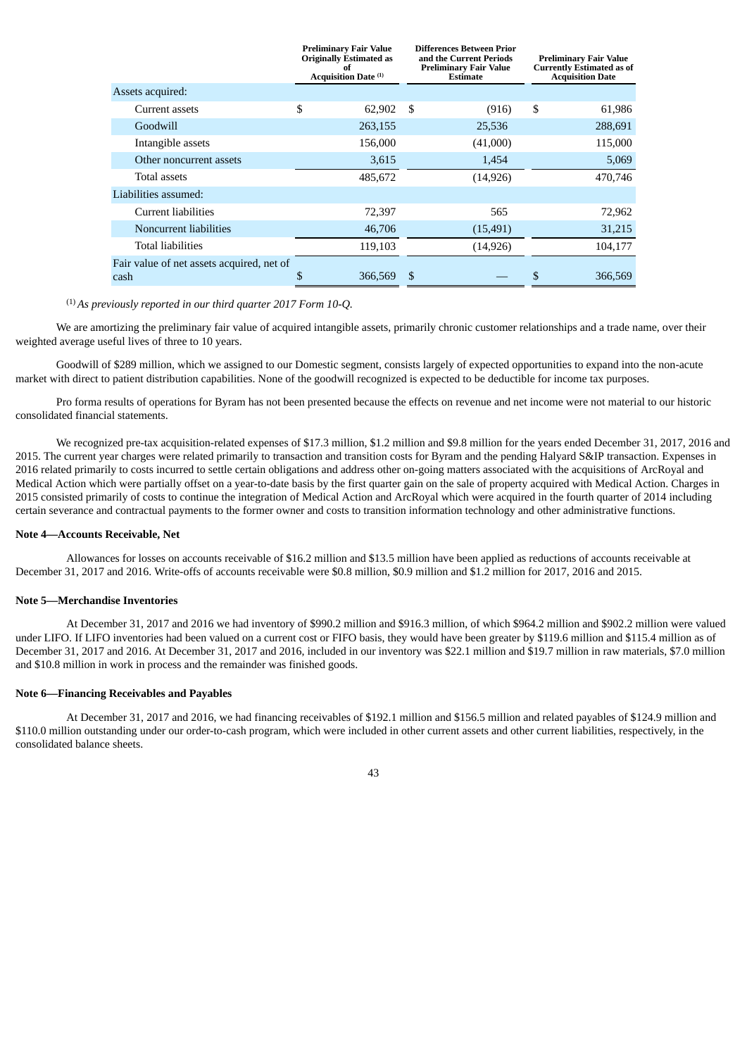|                                                   | <b>Preliminary Fair Value</b><br><b>Originally Estimated as</b><br>nf<br><b>Acquisition Date (1)</b> | Differences Between Prior<br>and the Current Periods<br><b>Preliminary Fair Value</b><br><b>Estimate</b> |           | <b>Preliminary Fair Value</b><br><b>Currently Estimated as of</b><br><b>Acquisition Date</b> |
|---------------------------------------------------|------------------------------------------------------------------------------------------------------|----------------------------------------------------------------------------------------------------------|-----------|----------------------------------------------------------------------------------------------|
| Assets acquired:                                  |                                                                                                      |                                                                                                          |           |                                                                                              |
| Current assets                                    | \$<br>62,902                                                                                         | -\$                                                                                                      | (916)     | \$<br>61,986                                                                                 |
| Goodwill                                          | 263,155                                                                                              |                                                                                                          | 25,536    | 288,691                                                                                      |
| Intangible assets                                 | 156,000                                                                                              |                                                                                                          | (41,000)  | 115,000                                                                                      |
| Other noncurrent assets                           | 3,615                                                                                                |                                                                                                          | 1,454     | 5,069                                                                                        |
| Total assets                                      | 485,672                                                                                              |                                                                                                          | (14, 926) | 470,746                                                                                      |
| Liabilities assumed:                              |                                                                                                      |                                                                                                          |           |                                                                                              |
| Current liabilities                               | 72,397                                                                                               |                                                                                                          | 565       | 72,962                                                                                       |
| Noncurrent liabilities                            | 46,706                                                                                               |                                                                                                          | (15, 491) | 31,215                                                                                       |
| <b>Total liabilities</b>                          | 119,103                                                                                              |                                                                                                          | (14, 926) | 104,177                                                                                      |
| Fair value of net assets acquired, net of<br>cash | \$<br>366,569                                                                                        | S                                                                                                        |           | \$<br>366,569                                                                                |

(1) *As previously reported in our third quarter 2017 Form 10-Q.*

We are amortizing the preliminary fair value of acquired intangible assets, primarily chronic customer relationships and a trade name, over their weighted average useful lives of three to 10 years.

Goodwill of \$289 million, which we assigned to our Domestic segment, consists largely of expected opportunities to expand into the non-acute market with direct to patient distribution capabilities. None of the goodwill recognized is expected to be deductible for income tax purposes.

Pro forma results of operations for Byram has not been presented because the effects on revenue and net income were not material to our historic consolidated financial statements.

We recognized pre-tax acquisition-related expenses of \$17.3 million, \$1.2 million and \$9.8 million for the years ended December 31, 2017, 2016 and 2015. The current year charges were related primarily to transaction and transition costs for Byram and the pending Halyard S&IP transaction. Expenses in 2016 related primarily to costs incurred to settle certain obligations and address other on-going matters associated with the acquisitions of ArcRoyal and Medical Action which were partially offset on a year-to-date basis by the first quarter gain on the sale of property acquired with Medical Action. Charges in 2015 consisted primarily of costs to continue the integration of Medical Action and ArcRoyal which were acquired in the fourth quarter of 2014 including certain severance and contractual payments to the former owner and costs to transition information technology and other administrative functions.

#### **Note 4—Accounts Receivable, Net**

Allowances for losses on accounts receivable of \$16.2 million and \$13.5 million have been applied as reductions of accounts receivable at December 31, 2017 and 2016. Write-offs of accounts receivable were \$0.8 million, \$0.9 million and \$1.2 million for 2017, 2016 and 2015.

#### **Note 5—Merchandise Inventories**

At December 31, 2017 and 2016 we had inventory of \$990.2 million and \$916.3 million, of which \$964.2 million and \$902.2 million were valued under LIFO. If LIFO inventories had been valued on a current cost or FIFO basis, they would have been greater by \$119.6 million and \$115.4 million as of December 31, 2017 and 2016. At December 31, 2017 and 2016, included in our inventory was \$22.1 million and \$19.7 million in raw materials, \$7.0 million and \$10.8 million in work in process and the remainder was finished goods.

### **Note 6—Financing Receivables and Payables**

At December 31, 2017 and 2016, we had financing receivables of \$192.1 million and \$156.5 million and related payables of \$124.9 million and \$110.0 million outstanding under our order-to-cash program, which were included in other current assets and other current liabilities, respectively, in the consolidated balance sheets.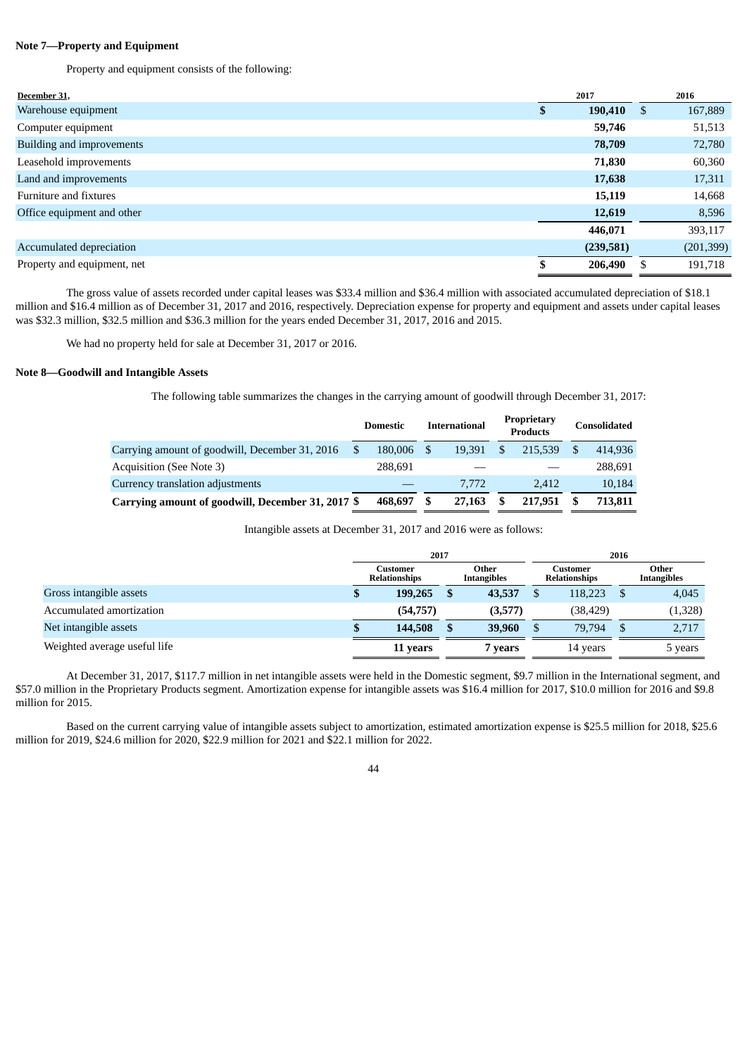### **Note 7—Property and Equipment**

Property and equipment consists of the following:

| December 31,                |   | 2017       |    | 2016       |
|-----------------------------|---|------------|----|------------|
| Warehouse equipment         | Ф | 190,410    | -S | 167,889    |
| Computer equipment          |   | 59,746     |    | 51,513     |
| Building and improvements   |   | 78,709     |    | 72,780     |
| Leasehold improvements      |   | 71,830     |    | 60,360     |
| Land and improvements       |   | 17,638     |    | 17,311     |
| Furniture and fixtures      |   | 15,119     |    | 14,668     |
| Office equipment and other  |   | 12,619     |    | 8,596      |
|                             |   | 446,071    |    | 393,117    |
| Accumulated depreciation    |   | (239, 581) |    | (201, 399) |
| Property and equipment, net |   | 206,490    |    | 191,718    |

The gross value of assets recorded under capital leases was \$33.4 million and \$36.4 million with associated accumulated depreciation of \$18.1 million and \$16.4 million as of December 31, 2017 and 2016, respectively. Depreciation expense for property and equipment and assets under capital leases was \$32.3 million, \$32.5 million and \$36.3 million for the years ended December 31, 2017, 2016 and 2015.

We had no property held for sale at December 31, 2017 or 2016.

### **Note 8—Goodwill and Intangible Assets**

The following table summarizes the changes in the carrying amount of goodwill through December 31, 2017:

|                                                   | <b>Domestic</b> |     | <b>International</b> |               | Proprietary<br><b>Products</b> |     | Consolidated |
|---------------------------------------------------|-----------------|-----|----------------------|---------------|--------------------------------|-----|--------------|
| Carrying amount of goodwill, December 31, 2016    | 180,006         | -\$ | 19.391               | <sup>\$</sup> | 215.539                        | -S  | 414.936      |
| Acquisition (See Note 3)                          | 288.691         |     |                      |               |                                |     | 288,691      |
| Currency translation adjustments                  |                 |     | 7.772                |               | 2.412                          |     | 10,184       |
| Carrying amount of goodwill, December 31, 2017 \$ | 468.697         |     | 27,163               |               | 217,951                        | \$. | 713,811      |

Intangible assets at December 31, 2017 and 2016 were as follows:

|                              | 2017                                                            |           |  |                                  | 2016 |          |                             |         |
|------------------------------|-----------------------------------------------------------------|-----------|--|----------------------------------|------|----------|-----------------------------|---------|
|                              | Other<br>Customer<br><b>Relationships</b><br><b>Intangibles</b> |           |  | Customer<br><b>Relationships</b> |      |          | Other<br><b>Intangibles</b> |         |
| Gross intangible assets      |                                                                 | 199,265   |  | 43,537                           |      | 118,223  |                             | 4,045   |
| Accumulated amortization     |                                                                 | (54, 757) |  | (3,577)                          |      | (38,429) |                             | (1,328) |
| Net intangible assets        |                                                                 | 144,508   |  | 39,960                           |      | 79.794   |                             | 2,717   |
| Weighted average useful life |                                                                 | 11 years  |  | 7 years                          |      | 14 years |                             | 5 years |

At December 31, 2017, \$117.7 million in net intangible assets were held in the Domestic segment, \$9.7 million in the International segment, and \$57.0 million in the Proprietary Products segment. Amortization expense for intangible assets was \$16.4 million for 2017, \$10.0 million for 2016 and \$9.8 million for 2015.

Based on the current carrying value of intangible assets subject to amortization, estimated amortization expense is \$25.5 million for 2018, \$25.6 million for 2019, \$24.6 million for 2020, \$22.9 million for 2021 and \$22.1 million for 2022.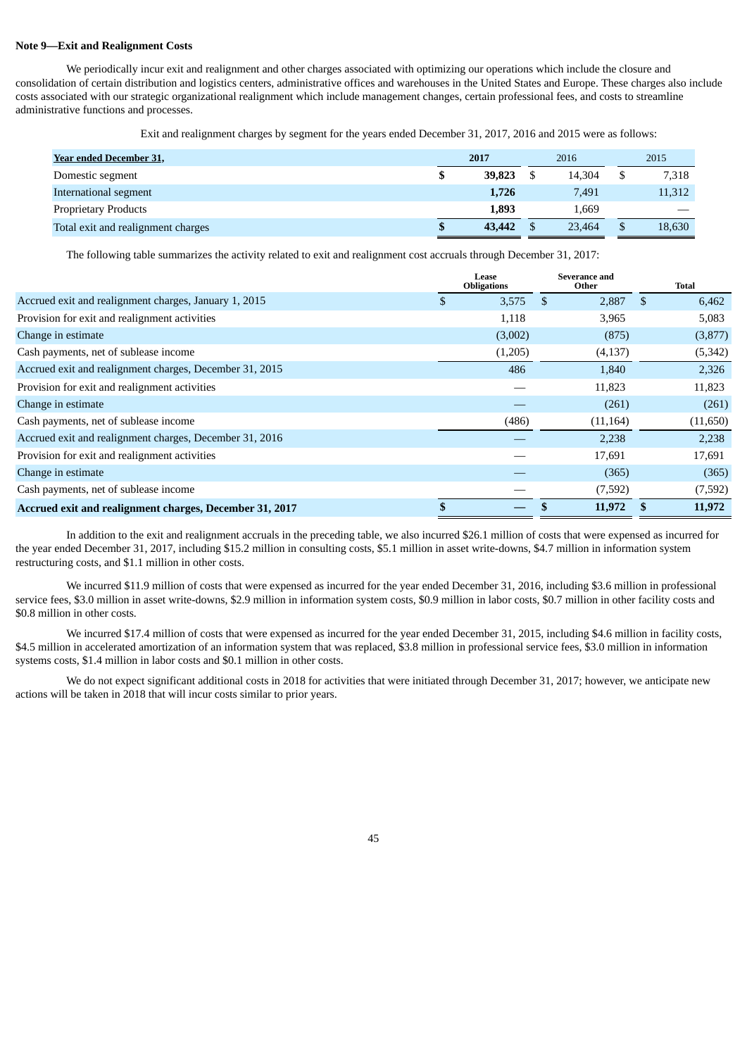### **Note 9—Exit and Realignment Costs**

We periodically incur exit and realignment and other charges associated with optimizing our operations which include the closure and consolidation of certain distribution and logistics centers, administrative offices and warehouses in the United States and Europe. These charges also include costs associated with our strategic organizational realignment which include management changes, certain professional fees, and costs to streamline administrative functions and processes.

Exit and realignment charges by segment for the years ended December 31, 2017, 2016 and 2015 were as follows:

| Year ended December 31,            | 2017 |        | 2016   |   | 2015   |
|------------------------------------|------|--------|--------|---|--------|
| Domestic segment                   |      | 39,823 | 14.304 |   | 7,318  |
| International segment              |      | 1,726  | 7.491  |   | 11,312 |
| Proprietary Products               |      | 1,893  | 1,669  |   |        |
| Total exit and realignment charges | S    | 43,442 | 23,464 | S | 18,630 |

The following table summarizes the activity related to exit and realignment cost accruals through December 31, 2017:

|                                                         | Lease<br><b>Obligations</b> | <b>Severance and</b><br>Other | Total                  |
|---------------------------------------------------------|-----------------------------|-------------------------------|------------------------|
| Accrued exit and realignment charges, January 1, 2015   | 3,575<br>\$                 | \$.<br>2,887                  | <sup>\$</sup><br>6,462 |
| Provision for exit and realignment activities           | 1,118                       | 3,965                         | 5,083                  |
| Change in estimate                                      | (3,002)                     | (875)                         | (3,877)                |
| Cash payments, net of sublease income                   | (1,205)                     | (4,137)                       | (5, 342)               |
| Accrued exit and realignment charges, December 31, 2015 | 486                         | 1,840                         | 2,326                  |
| Provision for exit and realignment activities           |                             | 11,823                        | 11,823                 |
| Change in estimate                                      |                             | (261)                         | (261)                  |
| Cash payments, net of sublease income                   | (486)                       | (11, 164)                     | (11,650)               |
| Accrued exit and realignment charges, December 31, 2016 |                             | 2,238                         | 2,238                  |
| Provision for exit and realignment activities           |                             | 17,691                        | 17,691                 |
| Change in estimate                                      |                             | (365)                         | (365)                  |
| Cash payments, net of sublease income                   |                             | (7,592)                       | (7,592)                |
| Accrued exit and realignment charges, December 31, 2017 | \$                          | 11,972                        | 11,972                 |

In addition to the exit and realignment accruals in the preceding table, we also incurred \$26.1 million of costs that were expensed as incurred for the year ended December 31, 2017, including \$15.2 million in consulting costs, \$5.1 million in asset write-downs, \$4.7 million in information system restructuring costs, and \$1.1 million in other costs.

We incurred \$11.9 million of costs that were expensed as incurred for the year ended December 31, 2016, including \$3.6 million in professional service fees, \$3.0 million in asset write-downs, \$2.9 million in information system costs, \$0.9 million in labor costs, \$0.7 million in other facility costs and \$0.8 million in other costs.

We incurred \$17.4 million of costs that were expensed as incurred for the year ended December 31, 2015, including \$4.6 million in facility costs, \$4.5 million in accelerated amortization of an information system that was replaced, \$3.8 million in professional service fees, \$3.0 million in information systems costs, \$1.4 million in labor costs and \$0.1 million in other costs.

We do not expect significant additional costs in 2018 for activities that were initiated through December 31, 2017; however, we anticipate new actions will be taken in 2018 that will incur costs similar to prior years.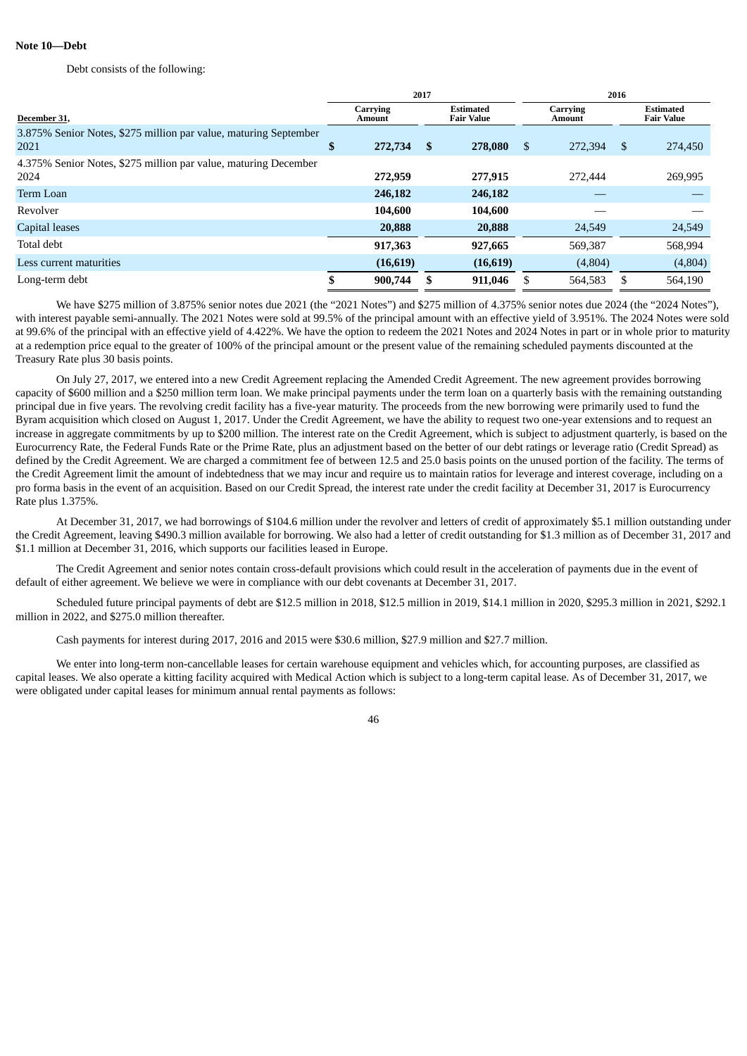### **Note 10—Debt**

Debt consists of the following:

|                                                                          |     | 2017                                                        |      |          |                    |         | 2016          |                                       |  |  |
|--------------------------------------------------------------------------|-----|-------------------------------------------------------------|------|----------|--------------------|---------|---------------|---------------------------------------|--|--|
| December 31,                                                             |     | <b>Estimated</b><br>Carrying<br><b>Fair Value</b><br>Amount |      |          | Carrying<br>Amount |         |               | <b>Estimated</b><br><b>Fair Value</b> |  |  |
| 3.875% Senior Notes, \$275 million par value, maturing September<br>2021 | \$  | 272,734                                                     | - \$ | 278,080  | - \$               | 272,394 | <sup>\$</sup> | 274,450                               |  |  |
| 4.375% Senior Notes, \$275 million par value, maturing December<br>2024  |     | 272,959                                                     |      | 277,915  |                    | 272,444 |               | 269,995                               |  |  |
| Term Loan                                                                |     | 246,182                                                     |      | 246,182  |                    |         |               |                                       |  |  |
| Revolver                                                                 |     | 104.600                                                     |      | 104,600  |                    |         |               |                                       |  |  |
| Capital leases                                                           |     | 20,888                                                      |      | 20,888   |                    | 24,549  |               | 24,549                                |  |  |
| Total debt                                                               |     | 917,363                                                     |      | 927,665  |                    | 569,387 |               | 568,994                               |  |  |
| Less current maturities                                                  |     | (16, 619)                                                   |      | (16,619) |                    | (4,804) |               | (4,804)                               |  |  |
| Long-term debt                                                           | \$. | 900,744                                                     | £.   | 911,046  |                    | 564,583 | S             | 564,190                               |  |  |

We have \$275 million of 3.875% senior notes due 2021 (the "2021 Notes") and \$275 million of 4.375% senior notes due 2024 (the "2024 Notes"), with interest payable semi-annually. The 2021 Notes were sold at 99.5% of the principal amount with an effective yield of 3.951%. The 2024 Notes were sold at 99.6% of the principal with an effective yield of 4.422%. We have the option to redeem the 2021 Notes and 2024 Notes in part or in whole prior to maturity at a redemption price equal to the greater of 100% of the principal amount or the present value of the remaining scheduled payments discounted at the Treasury Rate plus 30 basis points.

On July 27, 2017, we entered into a new Credit Agreement replacing the Amended Credit Agreement. The new agreement provides borrowing capacity of \$600 million and a \$250 million term loan. We make principal payments under the term loan on a quarterly basis with the remaining outstanding principal due in five years. The revolving credit facility has a five-year maturity. The proceeds from the new borrowing were primarily used to fund the Byram acquisition which closed on August 1, 2017. Under the Credit Agreement, we have the ability to request two one-year extensions and to request an increase in aggregate commitments by up to \$200 million. The interest rate on the Credit Agreement, which is subject to adjustment quarterly, is based on the Eurocurrency Rate, the Federal Funds Rate or the Prime Rate, plus an adjustment based on the better of our debt ratings or leverage ratio (Credit Spread) as defined by the Credit Agreement. We are charged a commitment fee of between 12.5 and 25.0 basis points on the unused portion of the facility. The terms of the Credit Agreement limit the amount of indebtedness that we may incur and require us to maintain ratios for leverage and interest coverage, including on a pro forma basis in the event of an acquisition. Based on our Credit Spread, the interest rate under the credit facility at December 31, 2017 is Eurocurrency Rate plus 1.375%.

At December 31, 2017, we had borrowings of \$104.6 million under the revolver and letters of credit of approximately \$5.1 million outstanding under the Credit Agreement, leaving \$490.3 million available for borrowing. We also had a letter of credit outstanding for \$1.3 million as of December 31, 2017 and \$1.1 million at December 31, 2016, which supports our facilities leased in Europe.

The Credit Agreement and senior notes contain cross-default provisions which could result in the acceleration of payments due in the event of default of either agreement. We believe we were in compliance with our debt covenants at December 31, 2017.

Scheduled future principal payments of debt are \$12.5 million in 2018, \$12.5 million in 2019, \$14.1 million in 2020, \$295.3 million in 2021, \$292.1 million in 2022, and \$275.0 million thereafter.

Cash payments for interest during 2017, 2016 and 2015 were \$30.6 million, \$27.9 million and \$27.7 million.

We enter into long-term non-cancellable leases for certain warehouse equipment and vehicles which, for accounting purposes, are classified as capital leases. We also operate a kitting facility acquired with Medical Action which is subject to a long-term capital lease. As of December 31, 2017, we were obligated under capital leases for minimum annual rental payments as follows: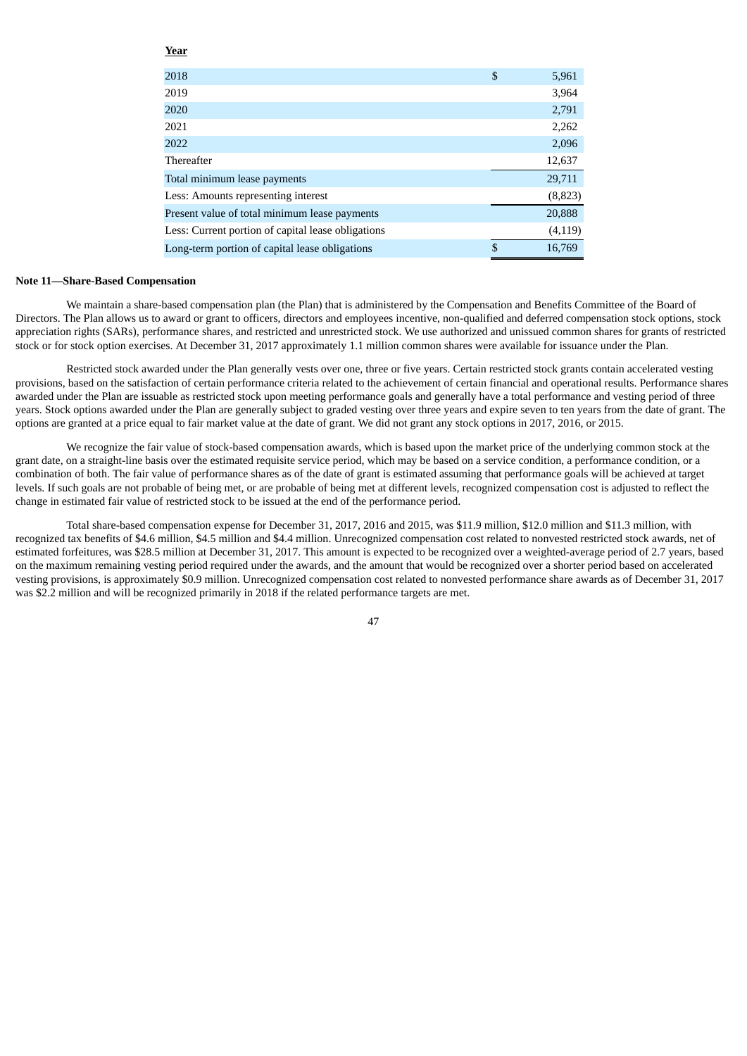#### **Year**

| 2018                                               | \$<br>5,961  |
|----------------------------------------------------|--------------|
| 2019                                               | 3,964        |
| 2020                                               | 2,791        |
| 2021                                               | 2,262        |
| 2022                                               | 2,096        |
| Thereafter                                         | 12,637       |
| Total minimum lease payments                       | 29,711       |
| Less: Amounts representing interest                | (8,823)      |
| Present value of total minimum lease payments      | 20,888       |
| Less: Current portion of capital lease obligations | (4, 119)     |
| Long-term portion of capital lease obligations     | \$<br>16,769 |

#### **Note 11—Share-Based Compensation**

We maintain a share-based compensation plan (the Plan) that is administered by the Compensation and Benefits Committee of the Board of Directors. The Plan allows us to award or grant to officers, directors and employees incentive, non-qualified and deferred compensation stock options, stock appreciation rights (SARs), performance shares, and restricted and unrestricted stock. We use authorized and unissued common shares for grants of restricted stock or for stock option exercises. At December 31, 2017 approximately 1.1 million common shares were available for issuance under the Plan.

Restricted stock awarded under the Plan generally vests over one, three or five years. Certain restricted stock grants contain accelerated vesting provisions, based on the satisfaction of certain performance criteria related to the achievement of certain financial and operational results. Performance shares awarded under the Plan are issuable as restricted stock upon meeting performance goals and generally have a total performance and vesting period of three years. Stock options awarded under the Plan are generally subject to graded vesting over three years and expire seven to ten years from the date of grant. The options are granted at a price equal to fair market value at the date of grant. We did not grant any stock options in 2017, 2016, or 2015.

We recognize the fair value of stock-based compensation awards, which is based upon the market price of the underlying common stock at the grant date, on a straight-line basis over the estimated requisite service period, which may be based on a service condition, a performance condition, or a combination of both. The fair value of performance shares as of the date of grant is estimated assuming that performance goals will be achieved at target levels. If such goals are not probable of being met, or are probable of being met at different levels, recognized compensation cost is adjusted to reflect the change in estimated fair value of restricted stock to be issued at the end of the performance period.

Total share-based compensation expense for December 31, 2017, 2016 and 2015, was \$11.9 million, \$12.0 million and \$11.3 million, with recognized tax benefits of \$4.6 million, \$4.5 million and \$4.4 million. Unrecognized compensation cost related to nonvested restricted stock awards, net of estimated forfeitures, was \$28.5 million at December 31, 2017. This amount is expected to be recognized over a weighted-average period of 2.7 years, based on the maximum remaining vesting period required under the awards, and the amount that would be recognized over a shorter period based on accelerated vesting provisions, is approximately \$0.9 million. Unrecognized compensation cost related to nonvested performance share awards as of December 31, 2017 was \$2.2 million and will be recognized primarily in 2018 if the related performance targets are met.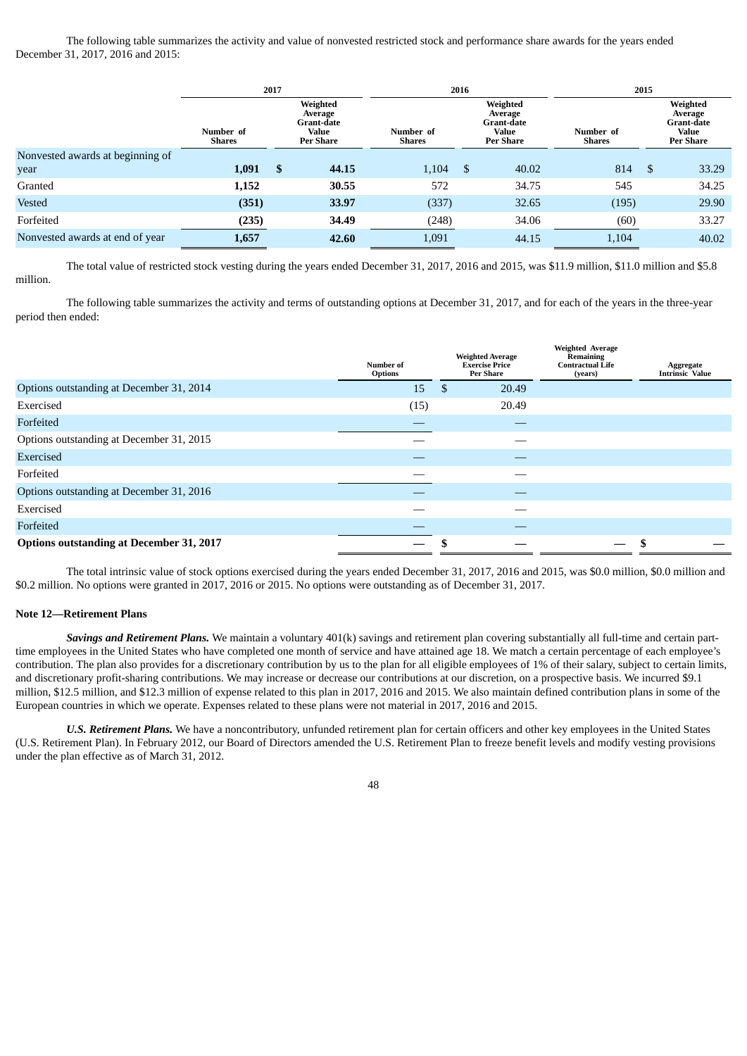The following table summarizes the activity and value of nonvested restricted stock and performance share awards for the years ended December 31, 2017, 2016 and 2015:

|                                  |                            | 2017 | 2016                                                           |                            |   |                                                                | 2015                       |    |                                                                |
|----------------------------------|----------------------------|------|----------------------------------------------------------------|----------------------------|---|----------------------------------------------------------------|----------------------------|----|----------------------------------------------------------------|
|                                  | Number of<br><b>Shares</b> |      | Weighted<br>Average<br>Grant-date<br>Value<br><b>Per Share</b> | Number of<br><b>Shares</b> |   | Weighted<br>Average<br>Grant-date<br>Value<br><b>Per Share</b> | Number of<br><b>Shares</b> |    | Weighted<br>Average<br>Grant-date<br>Value<br><b>Per Share</b> |
| Nonvested awards at beginning of |                            |      |                                                                |                            |   |                                                                |                            |    |                                                                |
| year                             | 1,091                      | -\$  | 44.15                                                          | 1,104                      | S | 40.02                                                          | 814                        | -S | 33.29                                                          |
| Granted                          | 1,152                      |      | 30.55                                                          | 572                        |   | 34.75                                                          | 545                        |    | 34.25                                                          |
| Vested                           | (351)                      |      | 33.97                                                          | (337)                      |   | 32.65                                                          | (195)                      |    | 29.90                                                          |
| Forfeited                        | (235)                      |      | 34.49                                                          | (248)                      |   | 34.06                                                          | (60)                       |    | 33.27                                                          |
| Nonvested awards at end of year  | 1,657                      |      | 42.60                                                          | 1,091                      |   | 44.15                                                          | 1,104                      |    | 40.02                                                          |

The total value of restricted stock vesting during the years ended December 31, 2017, 2016 and 2015, was \$11.9 million, \$11.0 million and \$5.8 million.

The following table summarizes the activity and terms of outstanding options at December 31, 2017, and for each of the years in the three-year period then ended:

|                                          | Number of<br><b>Options</b> | <b>Weighted Average</b><br><b>Exercise Price</b><br>Per Share |       | Weighted Average<br>Remaining<br><b>Contractual Life</b><br>(years) | Aggregate<br><b>Intrinsic Value</b> |
|------------------------------------------|-----------------------------|---------------------------------------------------------------|-------|---------------------------------------------------------------------|-------------------------------------|
| Options outstanding at December 31, 2014 | 15                          | <sup>\$</sup>                                                 | 20.49 |                                                                     |                                     |
| Exercised                                | (15)                        |                                                               | 20.49 |                                                                     |                                     |
| Forfeited                                |                             |                                                               |       |                                                                     |                                     |
| Options outstanding at December 31, 2015 |                             |                                                               |       |                                                                     |                                     |
| Exercised                                |                             |                                                               |       |                                                                     |                                     |
| Forfeited                                |                             |                                                               |       |                                                                     |                                     |
| Options outstanding at December 31, 2016 |                             |                                                               |       |                                                                     |                                     |
| Exercised                                |                             |                                                               |       |                                                                     |                                     |
| Forfeited                                |                             |                                                               |       |                                                                     |                                     |
| Options outstanding at December 31, 2017 |                             |                                                               |       |                                                                     | \$                                  |

The total intrinsic value of stock options exercised during the years ended December 31, 2017, 2016 and 2015, was \$0.0 million, \$0.0 million and \$0.2 million. No options were granted in 2017, 2016 or 2015. No options were outstanding as of December 31, 2017.

#### **Note 12—Retirement Plans**

*Savings and Retirement Plans.* We maintain a voluntary 401(k) savings and retirement plan covering substantially all full-time and certain parttime employees in the United States who have completed one month of service and have attained age 18. We match a certain percentage of each employee's contribution. The plan also provides for a discretionary contribution by us to the plan for all eligible employees of 1% of their salary, subject to certain limits, and discretionary profit-sharing contributions. We may increase or decrease our contributions at our discretion, on a prospective basis. We incurred \$9.1 million, \$12.5 million, and \$12.3 million of expense related to this plan in 2017, 2016 and 2015. We also maintain defined contribution plans in some of the European countries in which we operate. Expenses related to these plans were not material in 2017, 2016 and 2015.

*U.S. Retirement Plans.* We have a noncontributory, unfunded retirement plan for certain officers and other key employees in the United States (U.S. Retirement Plan). In February 2012, our Board of Directors amended the U.S. Retirement Plan to freeze benefit levels and modify vesting provisions under the plan effective as of March 31, 2012.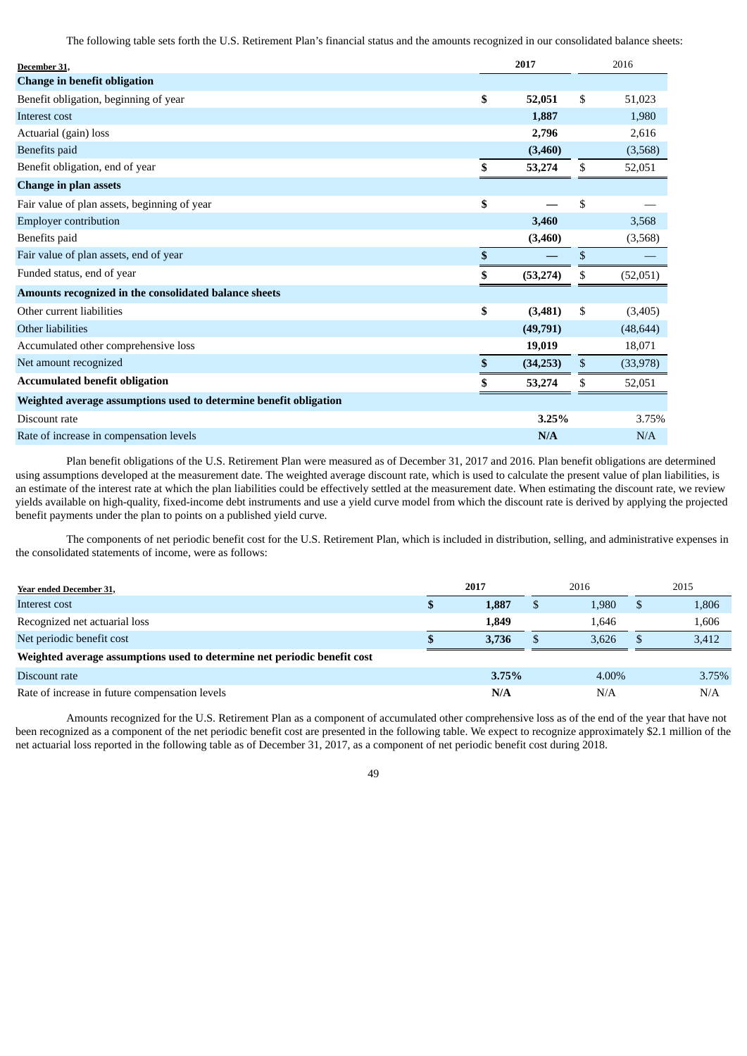The following table sets forth the U.S. Retirement Plan's financial status and the amounts recognized in our consolidated balance sheets:

| December 31,                                                      | 2017            | 2016            |
|-------------------------------------------------------------------|-----------------|-----------------|
| <b>Change in benefit obligation</b>                               |                 |                 |
| Benefit obligation, beginning of year                             | \$<br>52,051    | \$<br>51,023    |
| Interest cost                                                     | 1,887           | 1,980           |
| Actuarial (gain) loss                                             | 2,796           | 2,616           |
| <b>Benefits</b> paid                                              | (3,460)         | (3,568)         |
| Benefit obligation, end of year                                   | \$<br>53,274    | \$<br>52,051    |
| <b>Change in plan assets</b>                                      |                 |                 |
| Fair value of plan assets, beginning of year                      | \$              | \$              |
| <b>Employer contribution</b>                                      | 3,460           | 3,568           |
| Benefits paid                                                     | (3,460)         | (3,568)         |
| Fair value of plan assets, end of year                            | \$              | \$              |
| Funded status, end of year                                        | \$<br>(53, 274) | \$<br>(52,051)  |
| Amounts recognized in the consolidated balance sheets             |                 |                 |
| Other current liabilities                                         | \$<br>(3,481)   | \$<br>(3,405)   |
| Other liabilities                                                 | (49,791)        | (48, 644)       |
| Accumulated other comprehensive loss                              | 19,019          | 18,071          |
| Net amount recognized                                             | \$<br>(34,253)  | \$<br>(33, 978) |
| <b>Accumulated benefit obligation</b>                             | \$<br>53,274    | \$<br>52,051    |
| Weighted average assumptions used to determine benefit obligation |                 |                 |
| Discount rate                                                     | 3.25%           | 3.75%           |
| Rate of increase in compensation levels                           | N/A             | N/A             |

Plan benefit obligations of the U.S. Retirement Plan were measured as of December 31, 2017 and 2016. Plan benefit obligations are determined using assumptions developed at the measurement date. The weighted average discount rate, which is used to calculate the present value of plan liabilities, is an estimate of the interest rate at which the plan liabilities could be effectively settled at the measurement date. When estimating the discount rate, we review yields available on high-quality, fixed-income debt instruments and use a yield curve model from which the discount rate is derived by applying the projected benefit payments under the plan to points on a published yield curve.

The components of net periodic benefit cost for the U.S. Retirement Plan, which is included in distribution, selling, and administrative expenses in the consolidated statements of income, were as follows:

| Year ended December 31,                                                  | 2017 |       | 2016 |       | 2015 |       |
|--------------------------------------------------------------------------|------|-------|------|-------|------|-------|
| Interest cost                                                            |      | 1,887 | S    | 1,980 |      | 1,806 |
| Recognized net actuarial loss                                            |      | 1.849 |      | 1.646 |      | 1,606 |
| Net periodic benefit cost                                                |      | 3.736 |      | 3.626 |      | 3,412 |
| Weighted average assumptions used to determine net periodic benefit cost |      |       |      |       |      |       |
| Discount rate                                                            |      | 3.75% |      | 4.00% |      | 3.75% |
| Rate of increase in future compensation levels                           |      | N/A   |      | N/A   |      | N/A   |

Amounts recognized for the U.S. Retirement Plan as a component of accumulated other comprehensive loss as of the end of the year that have not been recognized as a component of the net periodic benefit cost are presented in the following table. We expect to recognize approximately \$2.1 million of the net actuarial loss reported in the following table as of December 31, 2017, as a component of net periodic benefit cost during 2018.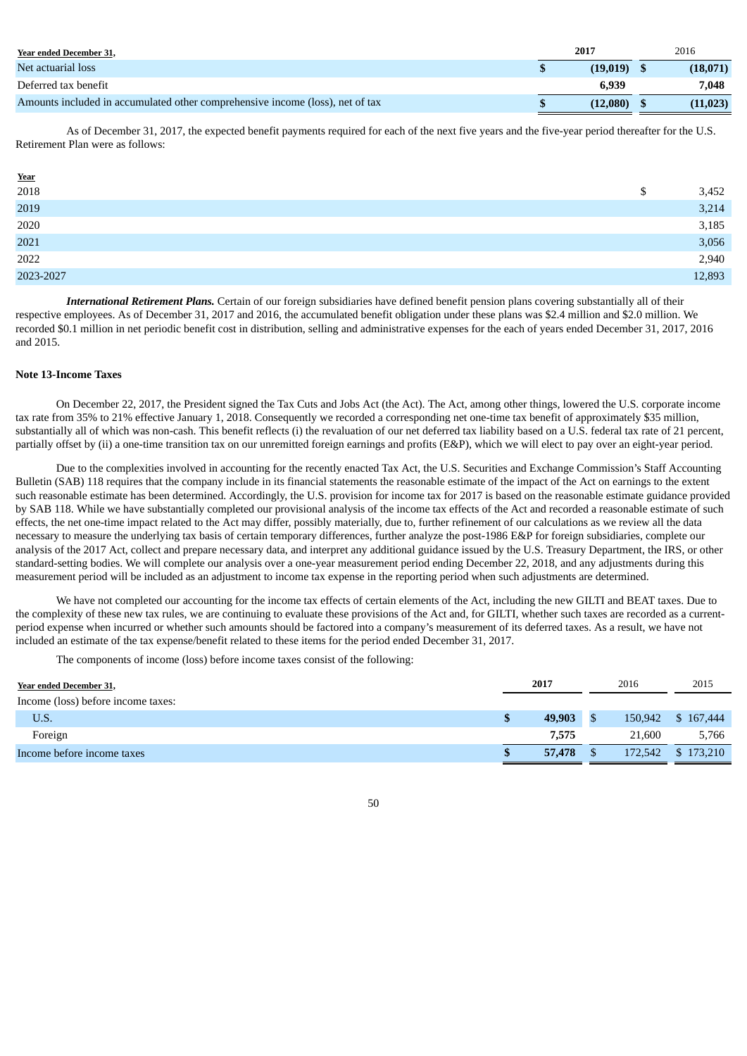| Year ended December 31,                                                       | 2017     | 2016 |           |  |
|-------------------------------------------------------------------------------|----------|------|-----------|--|
| Net actuarial loss                                                            | (19.019) |      | (18,071)  |  |
| Deferred tax benefit                                                          | 6.939    |      | 7.048     |  |
| Amounts included in accumulated other comprehensive income (loss), net of tax | (12.080) |      | (11, 023) |  |

As of December 31, 2017, the expected benefit payments required for each of the next five years and the five-year period thereafter for the U.S. Retirement Plan were as follows:

| Year      |             |
|-----------|-------------|
| 2018      | \$<br>3,452 |
| 2019      | 3,214       |
| 2020      | 3,185       |
| 2021      | 3,056       |
| 2022      | 2,940       |
| 2023-2027 | 12,893      |

*International Retirement Plans.* Certain of our foreign subsidiaries have defined benefit pension plans covering substantially all of their respective employees. As of December 31, 2017 and 2016, the accumulated benefit obligation under these plans was \$2.4 million and \$2.0 million. We recorded \$0.1 million in net periodic benefit cost in distribution, selling and administrative expenses for the each of years ended December 31, 2017, 2016 and 2015.

# **Note 13-Income Taxes**

On December 22, 2017, the President signed the Tax Cuts and Jobs Act (the Act). The Act, among other things, lowered the U.S. corporate income tax rate from 35% to 21% effective January 1, 2018. Consequently we recorded a corresponding net one-time tax benefit of approximately \$35 million, substantially all of which was non-cash. This benefit reflects (i) the revaluation of our net deferred tax liability based on a U.S. federal tax rate of 21 percent, partially offset by (ii) a one-time transition tax on our unremitted foreign earnings and profits (E&P), which we will elect to pay over an eight-year period.

Due to the complexities involved in accounting for the recently enacted Tax Act, the U.S. Securities and Exchange Commission's Staff Accounting Bulletin (SAB) 118 requires that the company include in its financial statements the reasonable estimate of the impact of the Act on earnings to the extent such reasonable estimate has been determined. Accordingly, the U.S. provision for income tax for 2017 is based on the reasonable estimate guidance provided by SAB 118. While we have substantially completed our provisional analysis of the income tax effects of the Act and recorded a reasonable estimate of such effects, the net one-time impact related to the Act may differ, possibly materially, due to, further refinement of our calculations as we review all the data necessary to measure the underlying tax basis of certain temporary differences, further analyze the post-1986 E&P for foreign subsidiaries, complete our analysis of the 2017 Act, collect and prepare necessary data, and interpret any additional guidance issued by the U.S. Treasury Department, the IRS, or other standard-setting bodies. We will complete our analysis over a one-year measurement period ending December 22, 2018, and any adjustments during this measurement period will be included as an adjustment to income tax expense in the reporting period when such adjustments are determined.

We have not completed our accounting for the income tax effects of certain elements of the Act, including the new GILTI and BEAT taxes. Due to the complexity of these new tax rules, we are continuing to evaluate these provisions of the Act and, for GILTI, whether such taxes are recorded as a currentperiod expense when incurred or whether such amounts should be factored into a company's measurement of its deferred taxes. As a result, we have not included an estimate of the tax expense/benefit related to these items for the period ended December 31, 2017.

The components of income (loss) before income taxes consist of the following:

| Year ended December 31,            | 2017   | 2016    | 2015               |  |
|------------------------------------|--------|---------|--------------------|--|
| Income (loss) before income taxes: |        |         |                    |  |
| U.S.                               | 49,903 |         | 150,942 \$ 167,444 |  |
| Foreign                            | 7,575  | 21,600  | 5,766              |  |
| Income before income taxes         | 57,478 | 172,542 | \$173,210          |  |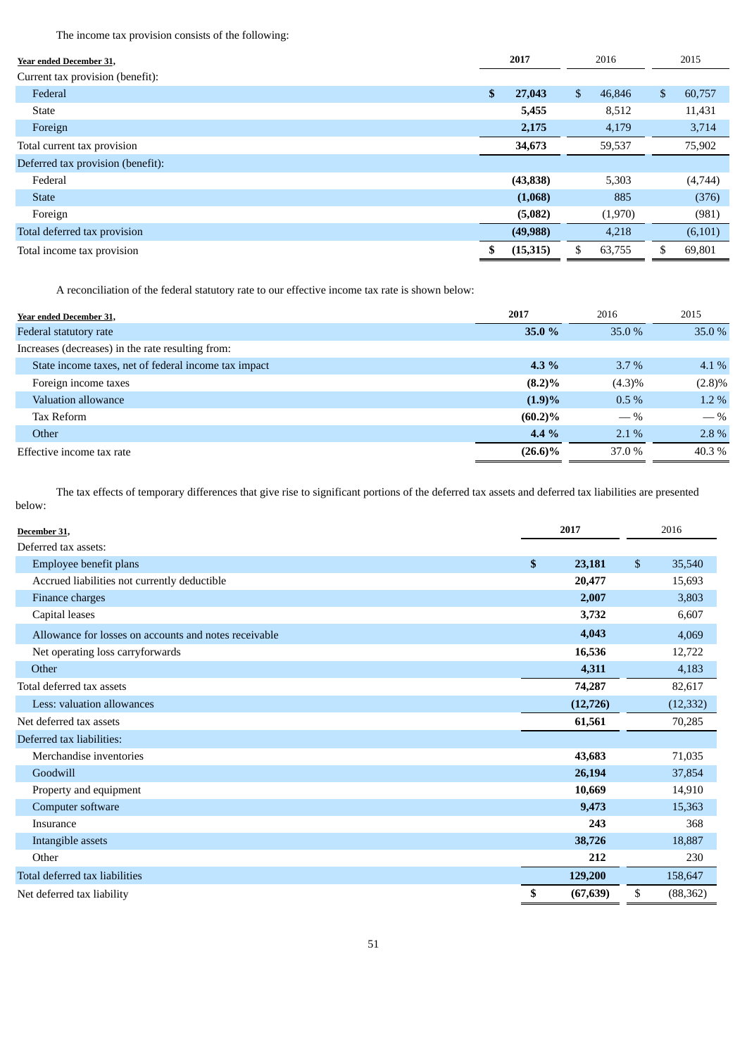The income tax provision consists of the following:

| Year ended December 31,           | 2017           | 2016 |         |    | 2015    |
|-----------------------------------|----------------|------|---------|----|---------|
| Current tax provision (benefit):  |                |      |         |    |         |
| Federal                           | \$<br>27,043   | \$   | 46,846  | \$ | 60,757  |
| <b>State</b>                      | 5,455          |      | 8,512   |    | 11,431  |
| Foreign                           | 2,175          |      | 4,179   |    | 3,714   |
| Total current tax provision       | 34,673         |      | 59,537  |    | 75,902  |
| Deferred tax provision (benefit): |                |      |         |    |         |
| Federal                           | (43, 838)      |      | 5,303   |    | (4,744) |
| <b>State</b>                      | (1,068)        |      | 885     |    | (376)   |
| Foreign                           | (5,082)        |      | (1,970) |    | (981)   |
| Total deferred tax provision      | (49,988)       |      | 4,218   |    | (6,101) |
| Total income tax provision        | \$<br>(15,315) | S    | 63,755  | S  | 69,801  |

A reconciliation of the federal statutory rate to our effective income tax rate is shown below:

| Year ended December 31,                              | 2017          | 2016      | 2015      |
|------------------------------------------------------|---------------|-----------|-----------|
| Federal statutory rate                               | <b>35.0 %</b> | 35.0 %    | 35.0%     |
| Increases (decreases) in the rate resulting from:    |               |           |           |
| State income taxes, net of federal income tax impact | $4.3\%$       | $3.7\%$   | $4.1\%$   |
| Foreign income taxes                                 | $(8.2)\%$     | $(4.3)\%$ | $(2.8)\%$ |
| Valuation allowance                                  | $(1.9)\%$     | $0.5\%$   | $1.2\%$   |
| Tax Reform                                           | $(60.2)\%$    | $-$ %     | $-\%$     |
| Other                                                | $4.4\%$       | $2.1\%$   | $2.8\%$   |
| Effective income tax rate                            | $(26.6)\%$    | 37.0 %    | 40.3%     |

The tax effects of temporary differences that give rise to significant portions of the deferred tax assets and deferred tax liabilities are presented below:

| December 31,                                          | 2017 |           |                | 2016      |
|-------------------------------------------------------|------|-----------|----------------|-----------|
| Deferred tax assets:                                  |      |           |                |           |
| Employee benefit plans                                | \$   | 23,181    | $\mathfrak{S}$ | 35,540    |
| Accrued liabilities not currently deductible          |      | 20,477    |                | 15,693    |
| Finance charges                                       |      | 2,007     |                | 3,803     |
| Capital leases                                        |      | 3,732     |                | 6,607     |
| Allowance for losses on accounts and notes receivable |      | 4,043     |                | 4,069     |
| Net operating loss carryforwards                      |      | 16,536    |                | 12,722    |
| Other                                                 |      | 4,311     |                | 4,183     |
| Total deferred tax assets                             |      | 74,287    |                | 82,617    |
| Less: valuation allowances                            |      | (12, 726) |                | (12, 332) |
| Net deferred tax assets                               |      | 61,561    |                | 70,285    |
| Deferred tax liabilities:                             |      |           |                |           |
| Merchandise inventories                               |      | 43,683    |                | 71,035    |
| Goodwill                                              |      | 26,194    |                | 37,854    |
| Property and equipment                                |      | 10,669    |                | 14,910    |
| Computer software                                     |      | 9,473     |                | 15,363    |
| Insurance                                             |      | 243       |                | 368       |
| Intangible assets                                     |      | 38,726    |                | 18,887    |
| Other                                                 |      | 212       |                | 230       |
| Total deferred tax liabilities                        |      | 129,200   |                | 158,647   |
| Net deferred tax liability                            | \$   | (67, 639) | \$             | (88, 362) |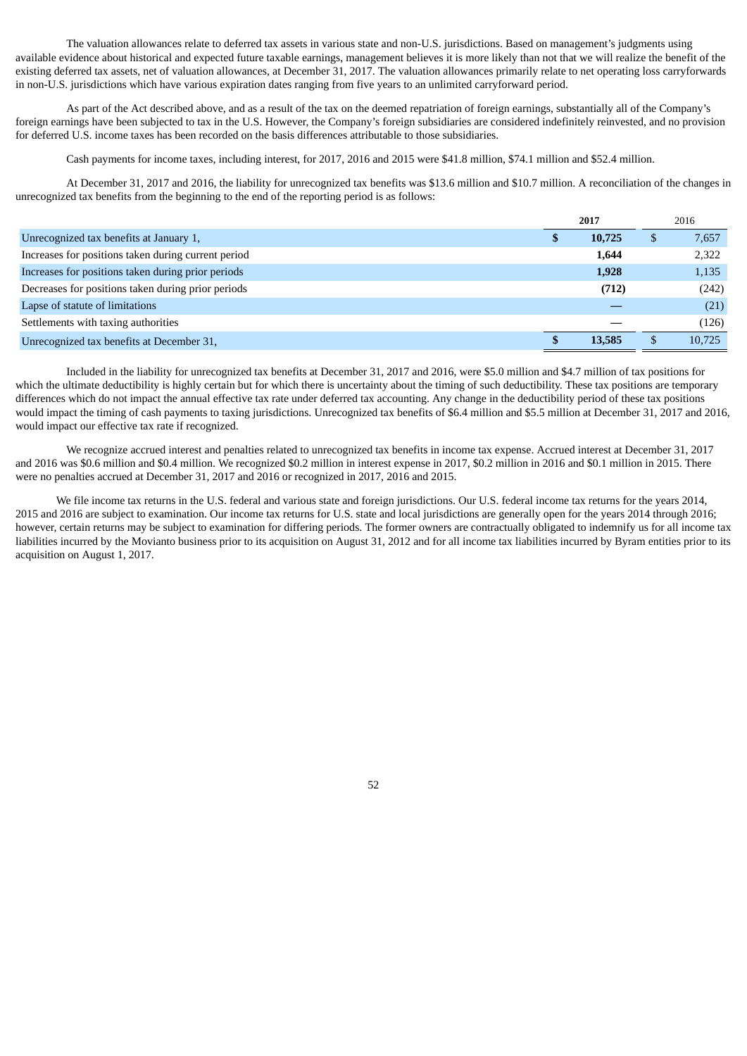The valuation allowances relate to deferred tax assets in various state and non-U.S. jurisdictions. Based on management's judgments using available evidence about historical and expected future taxable earnings, management believes it is more likely than not that we will realize the benefit of the existing deferred tax assets, net of valuation allowances, at December 31, 2017. The valuation allowances primarily relate to net operating loss carryforwards in non-U.S. jurisdictions which have various expiration dates ranging from five years to an unlimited carryforward period.

As part of the Act described above, and as a result of the tax on the deemed repatriation of foreign earnings, substantially all of the Company's foreign earnings have been subjected to tax in the U.S. However, the Company's foreign subsidiaries are considered indefinitely reinvested, and no provision for deferred U.S. income taxes has been recorded on the basis differences attributable to those subsidiaries.

Cash payments for income taxes, including interest, for 2017, 2016 and 2015 were \$41.8 million, \$74.1 million and \$52.4 million.

At December 31, 2017 and 2016, the liability for unrecognized tax benefits was \$13.6 million and \$10.7 million. A reconciliation of the changes in unrecognized tax benefits from the beginning to the end of the reporting period is as follows:

|                                                     |   | 2017   | 2016 |        |  |
|-----------------------------------------------------|---|--------|------|--------|--|
| Unrecognized tax benefits at January 1,             | Φ | 10,725 | - JD | 7,657  |  |
| Increases for positions taken during current period |   | 1,644  |      | 2,322  |  |
| Increases for positions taken during prior periods  |   | 1,928  |      | 1,135  |  |
| Decreases for positions taken during prior periods  |   | (712)  |      | (242)  |  |
| Lapse of statute of limitations                     |   |        |      | (21)   |  |
| Settlements with taxing authorities                 |   |        |      | (126)  |  |
| Unrecognized tax benefits at December 31,           |   | 13,585 |      | 10,725 |  |

Included in the liability for unrecognized tax benefits at December 31, 2017 and 2016, were \$5.0 million and \$4.7 million of tax positions for which the ultimate deductibility is highly certain but for which there is uncertainty about the timing of such deductibility. These tax positions are temporary differences which do not impact the annual effective tax rate under deferred tax accounting. Any change in the deductibility period of these tax positions would impact the timing of cash payments to taxing jurisdictions. Unrecognized tax benefits of \$6.4 million and \$5.5 million at December 31, 2017 and 2016, would impact our effective tax rate if recognized.

We recognize accrued interest and penalties related to unrecognized tax benefits in income tax expense. Accrued interest at December 31, 2017 and 2016 was \$0.6 million and \$0.4 million. We recognized \$0.2 million in interest expense in 2017, \$0.2 million in 2016 and \$0.1 million in 2015. There were no penalties accrued at December 31, 2017 and 2016 or recognized in 2017, 2016 and 2015.

We file income tax returns in the U.S. federal and various state and foreign jurisdictions. Our U.S. federal income tax returns for the years 2014, 2015 and 2016 are subject to examination. Our income tax returns for U.S. state and local jurisdictions are generally open for the years 2014 through 2016; however, certain returns may be subject to examination for differing periods. The former owners are contractually obligated to indemnify us for all income tax liabilities incurred by the Movianto business prior to its acquisition on August 31, 2012 and for all income tax liabilities incurred by Byram entities prior to its acquisition on August 1, 2017.

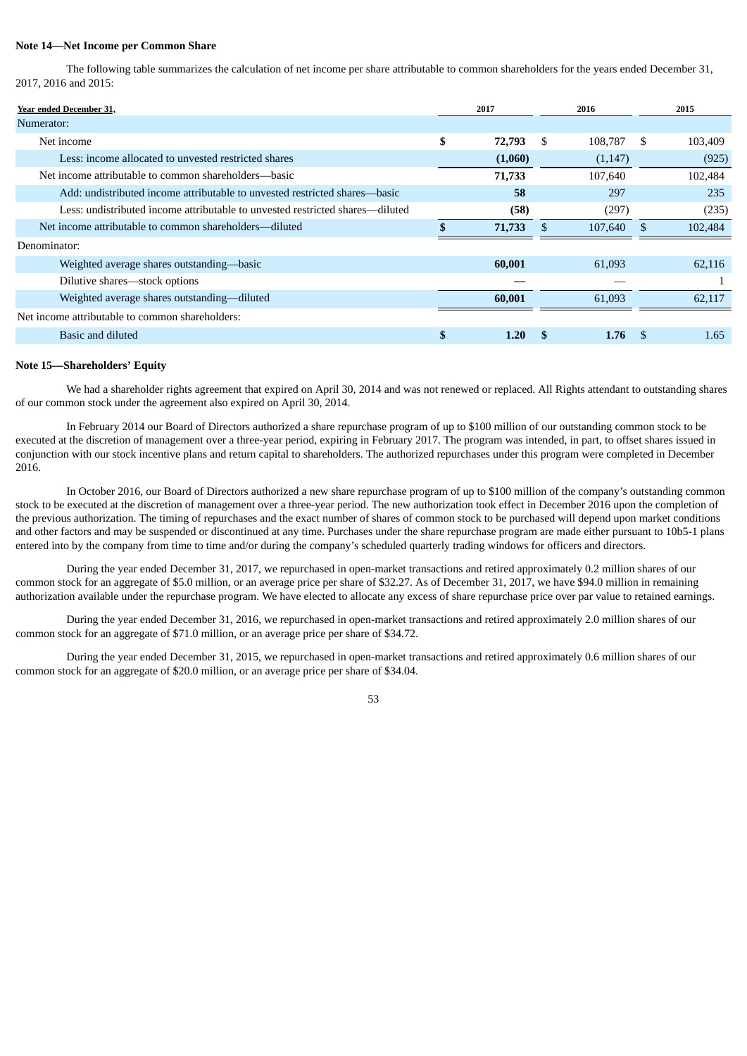### **Note 14—Net Income per Common Share**

The following table summarizes the calculation of net income per share attributable to common shareholders for the years ended December 31, 2017, 2016 and 2015:

| Year ended December 31,                                                       | 2017 |         |    |          | 2016 |         |  |  |  |  |  |  |  |  |  |  | 2015 |  |
|-------------------------------------------------------------------------------|------|---------|----|----------|------|---------|--|--|--|--|--|--|--|--|--|--|------|--|
| Numerator:                                                                    |      |         |    |          |      |         |  |  |  |  |  |  |  |  |  |  |      |  |
| Net income                                                                    | \$   | 72,793  | \$ | 108,787  | \$.  | 103,409 |  |  |  |  |  |  |  |  |  |  |      |  |
| Less: income allocated to unvested restricted shares                          |      | (1,060) |    | (1, 147) |      | (925)   |  |  |  |  |  |  |  |  |  |  |      |  |
| Net income attributable to common shareholders—basic                          |      | 71,733  |    | 107,640  |      | 102,484 |  |  |  |  |  |  |  |  |  |  |      |  |
| Add: undistributed income attributable to unvested restricted shares—basic    |      | 58      |    | 297      |      | 235     |  |  |  |  |  |  |  |  |  |  |      |  |
| Less: undistributed income attributable to unvested restricted shares—diluted |      | (58)    |    | (297)    |      | (235)   |  |  |  |  |  |  |  |  |  |  |      |  |
| Net income attributable to common shareholders—diluted                        |      | 71,733  |    | 107,640  |      | 102,484 |  |  |  |  |  |  |  |  |  |  |      |  |
| Denominator:                                                                  |      |         |    |          |      |         |  |  |  |  |  |  |  |  |  |  |      |  |
| Weighted average shares outstanding—basic                                     |      | 60,001  |    | 61,093   |      | 62,116  |  |  |  |  |  |  |  |  |  |  |      |  |
| Dilutive shares—stock options                                                 |      |         |    |          |      |         |  |  |  |  |  |  |  |  |  |  |      |  |
| Weighted average shares outstanding-diluted                                   |      | 60,001  |    | 61.093   |      | 62,117  |  |  |  |  |  |  |  |  |  |  |      |  |
| Net income attributable to common shareholders:                               |      |         |    |          |      |         |  |  |  |  |  |  |  |  |  |  |      |  |
| Basic and diluted                                                             | \$   | 1.20    |    | 1.76     |      | 1.65    |  |  |  |  |  |  |  |  |  |  |      |  |
|                                                                               |      |         |    |          |      |         |  |  |  |  |  |  |  |  |  |  |      |  |

#### **Note 15—Shareholders' Equity**

We had a shareholder rights agreement that expired on April 30, 2014 and was not renewed or replaced. All Rights attendant to outstanding shares of our common stock under the agreement also expired on April 30, 2014.

In February 2014 our Board of Directors authorized a share repurchase program of up to \$100 million of our outstanding common stock to be executed at the discretion of management over a three-year period, expiring in February 2017. The program was intended, in part, to offset shares issued in conjunction with our stock incentive plans and return capital to shareholders. The authorized repurchases under this program were completed in December 2016.

In October 2016, our Board of Directors authorized a new share repurchase program of up to \$100 million of the company's outstanding common stock to be executed at the discretion of management over a three-year period. The new authorization took effect in December 2016 upon the completion of the previous authorization. The timing of repurchases and the exact number of shares of common stock to be purchased will depend upon market conditions and other factors and may be suspended or discontinued at any time. Purchases under the share repurchase program are made either pursuant to 10b5-1 plans entered into by the company from time to time and/or during the company's scheduled quarterly trading windows for officers and directors.

During the year ended December 31, 2017, we repurchased in open-market transactions and retired approximately 0.2 million shares of our common stock for an aggregate of \$5.0 million, or an average price per share of \$32.27. As of December 31, 2017, we have \$94.0 million in remaining authorization available under the repurchase program. We have elected to allocate any excess of share repurchase price over par value to retained earnings.

During the year ended December 31, 2016, we repurchased in open-market transactions and retired approximately 2.0 million shares of our common stock for an aggregate of \$71.0 million, or an average price per share of \$34.72.

During the year ended December 31, 2015, we repurchased in open-market transactions and retired approximately 0.6 million shares of our common stock for an aggregate of \$20.0 million, or an average price per share of \$34.04.

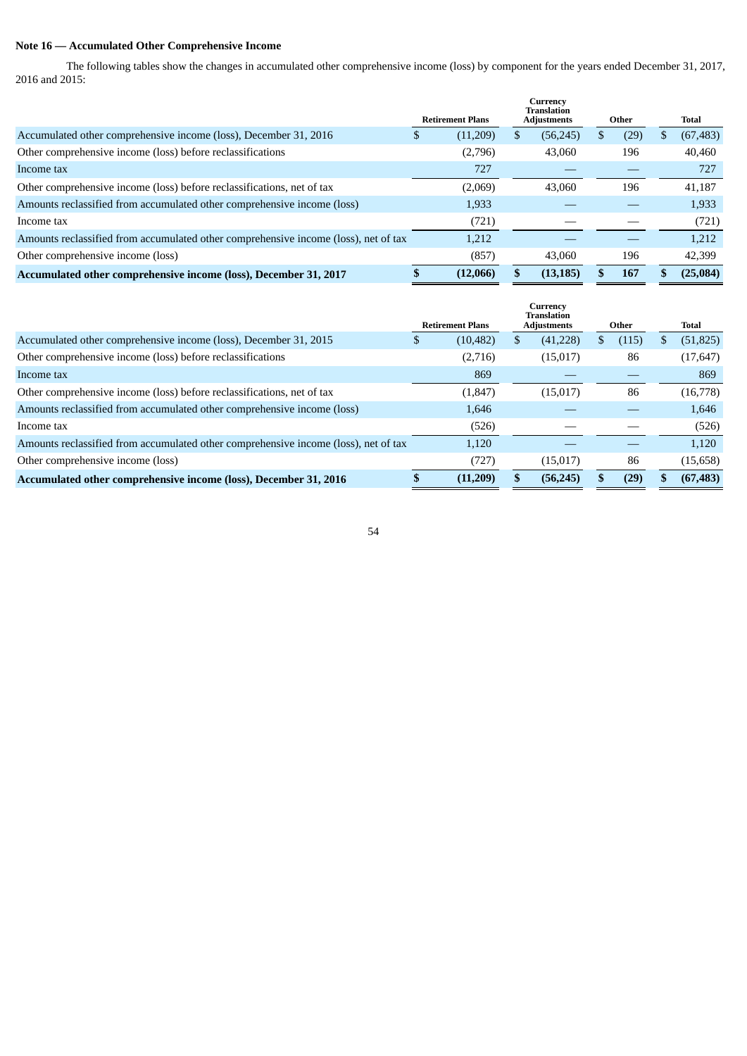# **Note 16 — Accumulated Other Comprehensive Income**

The following tables show the changes in accumulated other comprehensive income (loss) by component for the years ended December 31, 2017, 2016 and 2015:

|                                                                                     |   |                         |  | Currency<br>Translation |   |       |    |           |
|-------------------------------------------------------------------------------------|---|-------------------------|--|-------------------------|---|-------|----|-----------|
|                                                                                     |   | <b>Retirement Plans</b> |  | <b>Adjustments</b>      |   | Other |    | Total     |
| Accumulated other comprehensive income (loss), December 31, 2016                    | D | (11,209)                |  | (56, 245)               | S | (29)  | S. | (67, 483) |
| Other comprehensive income (loss) before reclassifications                          |   | (2,796)                 |  | 43,060                  |   | 196   |    | 40,460    |
| Income tax                                                                          |   | 727                     |  |                         |   |       |    | 727       |
| Other comprehensive income (loss) before reclassifications, net of tax              |   | (2,069)                 |  | 43,060                  |   | 196   |    | 41,187    |
| Amounts reclassified from accumulated other comprehensive income (loss)             |   | 1,933                   |  |                         |   |       |    | 1,933     |
| Income tax                                                                          |   | (721)                   |  |                         |   |       |    | (721)     |
| Amounts reclassified from accumulated other comprehensive income (loss), net of tax |   | 1,212                   |  |                         |   |       |    | 1,212     |
| Other comprehensive income (loss)                                                   |   | (857)                   |  | 43,060                  |   | 196   |    | 42,399    |
| Accumulated other comprehensive income (loss), December 31, 2017                    |   | (12,066)                |  | (13, 185)               |   | 167   |    | (25,084)  |

|                                                                                     |    | Currency<br>Translation |  |                    |    |       |              |
|-------------------------------------------------------------------------------------|----|-------------------------|--|--------------------|----|-------|--------------|
|                                                                                     |    | <b>Retirement Plans</b> |  | <b>Adjustments</b> |    | Other | <b>Total</b> |
| Accumulated other comprehensive income (loss), December 31, 2015                    | .D | (10, 482)               |  | (41,228)           | J. | (115) | (51, 825)    |
| Other comprehensive income (loss) before reclassifications                          |    | (2,716)                 |  | (15,017)           |    | 86    | (17, 647)    |
| Income tax                                                                          |    | 869                     |  |                    |    |       | 869          |
| Other comprehensive income (loss) before reclassifications, net of tax              |    | (1,847)                 |  | (15,017)           |    | 86    | (16,778)     |
| Amounts reclassified from accumulated other comprehensive income (loss)             |    | 1,646                   |  |                    |    |       | 1,646        |
| Income tax                                                                          |    | (526)                   |  |                    |    |       | (526)        |
| Amounts reclassified from accumulated other comprehensive income (loss), net of tax |    | 1,120                   |  |                    |    |       | 1,120        |
| Other comprehensive income (loss)                                                   |    | (727)                   |  | (15,017)           |    | 86    | (15, 658)    |
| Accumulated other comprehensive income (loss), December 31, 2016                    |    | (11,209)                |  | (56, 245)          |    | (29)  | (67, 483)    |
|                                                                                     |    |                         |  |                    |    |       |              |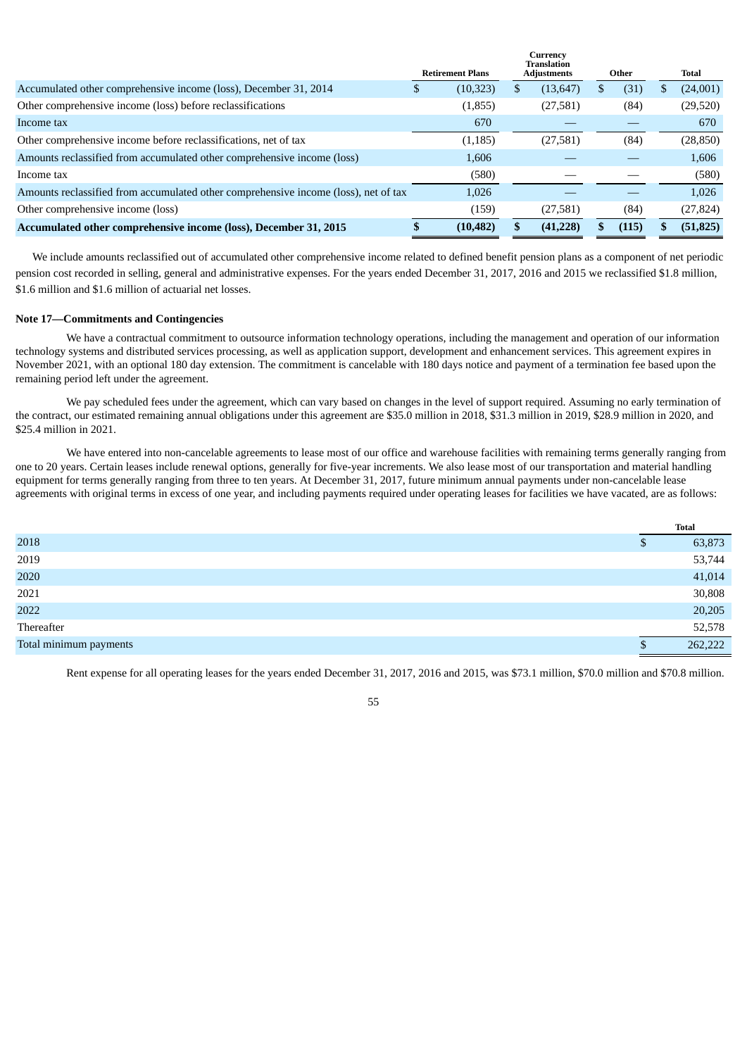|                                                                                     |  |                         |   | Currency<br>Translation |  |       |   |           |  |                    |  |       |  |       |
|-------------------------------------------------------------------------------------|--|-------------------------|---|-------------------------|--|-------|---|-----------|--|--------------------|--|-------|--|-------|
|                                                                                     |  | <b>Retirement Plans</b> |   |                         |  |       |   |           |  | <b>Adjustments</b> |  | Other |  | Total |
| Accumulated other comprehensive income (loss), December 31, 2014                    |  | (10, 323)               | Ð | (13, 647)               |  | (31)  | S | (24,001)  |  |                    |  |       |  |       |
| Other comprehensive income (loss) before reclassifications                          |  | (1,855)                 |   | (27, 581)               |  | (84)  |   | (29, 520) |  |                    |  |       |  |       |
| Income tax                                                                          |  | 670                     |   |                         |  |       |   | 670       |  |                    |  |       |  |       |
| Other comprehensive income before reclassifications, net of tax                     |  | (1, 185)                |   | (27, 581)               |  | (84)  |   | (28, 850) |  |                    |  |       |  |       |
| Amounts reclassified from accumulated other comprehensive income (loss)             |  | 1,606                   |   |                         |  |       |   | 1,606     |  |                    |  |       |  |       |
| Income tax                                                                          |  | (580)                   |   |                         |  |       |   | (580)     |  |                    |  |       |  |       |
| Amounts reclassified from accumulated other comprehensive income (loss), net of tax |  | 1,026                   |   |                         |  |       |   | 1,026     |  |                    |  |       |  |       |
| Other comprehensive income (loss)                                                   |  | (159)                   |   | (27, 581)               |  | (84)  |   | (27, 824) |  |                    |  |       |  |       |
| Accumulated other comprehensive income (loss), December 31, 2015                    |  | (10, 482)               |   | (41,228)                |  | (115) |   | (51, 825) |  |                    |  |       |  |       |

 We include amounts reclassified out of accumulated other comprehensive income related to defined benefit pension plans as a component of net periodic pension cost recorded in selling, general and administrative expenses. For the years ended December 31, 2017, 2016 and 2015 we reclassified \$1.8 million, \$1.6 million and \$1.6 million of actuarial net losses.

#### **Note 17—Commitments and Contingencies**

We have a contractual commitment to outsource information technology operations, including the management and operation of our information technology systems and distributed services processing, as well as application support, development and enhancement services. This agreement expires in November 2021, with an optional 180 day extension. The commitment is cancelable with 180 days notice and payment of a termination fee based upon the remaining period left under the agreement.

We pay scheduled fees under the agreement, which can vary based on changes in the level of support required. Assuming no early termination of the contract, our estimated remaining annual obligations under this agreement are \$35.0 million in 2018, \$31.3 million in 2019, \$28.9 million in 2020, and \$25.4 million in 2021.

We have entered into non-cancelable agreements to lease most of our office and warehouse facilities with remaining terms generally ranging from one to 20 years. Certain leases include renewal options, generally for five-year increments. We also lease most of our transportation and material handling equipment for terms generally ranging from three to ten years. At December 31, 2017, future minimum annual payments under non-cancelable lease agreements with original terms in excess of one year, and including payments required under operating leases for facilities we have vacated, are as follows:

|                        |   | <b>Total</b> |
|------------------------|---|--------------|
| 2018                   | D | 63,873       |
| 2019                   |   | 53,744       |
| 2020                   |   | 41,014       |
| 2021                   |   | 30,808       |
| 2022                   |   | 20,205       |
| Thereafter             |   | 52,578       |
| Total minimum payments | D | 262,222      |

Rent expense for all operating leases for the years ended December 31, 2017, 2016 and 2015, was \$73.1 million, \$70.0 million and \$70.8 million.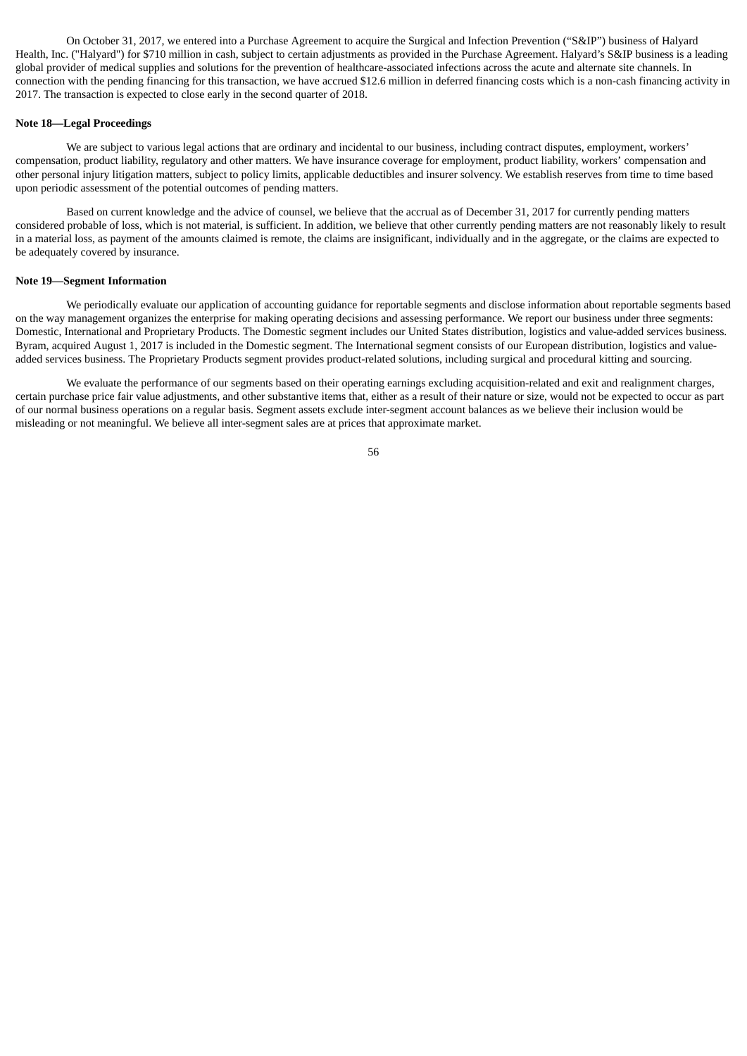On October 31, 2017, we entered into a Purchase Agreement to acquire the Surgical and Infection Prevention ("S&IP") business of Halyard Health, Inc. ("Halyard") for \$710 million in cash, subject to certain adjustments as provided in the Purchase Agreement. Halyard's S&IP business is a leading global provider of medical supplies and solutions for the prevention of healthcare-associated infections across the acute and alternate site channels. In connection with the pending financing for this transaction, we have accrued \$12.6 million in deferred financing costs which is a non-cash financing activity in 2017. The transaction is expected to close early in the second quarter of 2018.

#### **Note 18—Legal Proceedings**

We are subject to various legal actions that are ordinary and incidental to our business, including contract disputes, employment, workers' compensation, product liability, regulatory and other matters. We have insurance coverage for employment, product liability, workers' compensation and other personal injury litigation matters, subject to policy limits, applicable deductibles and insurer solvency. We establish reserves from time to time based upon periodic assessment of the potential outcomes of pending matters.

Based on current knowledge and the advice of counsel, we believe that the accrual as of December 31, 2017 for currently pending matters considered probable of loss, which is not material, is sufficient. In addition, we believe that other currently pending matters are not reasonably likely to result in a material loss, as payment of the amounts claimed is remote, the claims are insignificant, individually and in the aggregate, or the claims are expected to be adequately covered by insurance.

#### **Note 19—Segment Information**

We periodically evaluate our application of accounting guidance for reportable segments and disclose information about reportable segments based on the way management organizes the enterprise for making operating decisions and assessing performance. We report our business under three segments: Domestic, International and Proprietary Products. The Domestic segment includes our United States distribution, logistics and value-added services business. Byram, acquired August 1, 2017 is included in the Domestic segment. The International segment consists of our European distribution, logistics and valueadded services business. The Proprietary Products segment provides product-related solutions, including surgical and procedural kitting and sourcing.

We evaluate the performance of our segments based on their operating earnings excluding acquisition-related and exit and realignment charges, certain purchase price fair value adjustments, and other substantive items that, either as a result of their nature or size, would not be expected to occur as part of our normal business operations on a regular basis. Segment assets exclude inter-segment account balances as we believe their inclusion would be misleading or not meaningful. We believe all inter-segment sales are at prices that approximate market.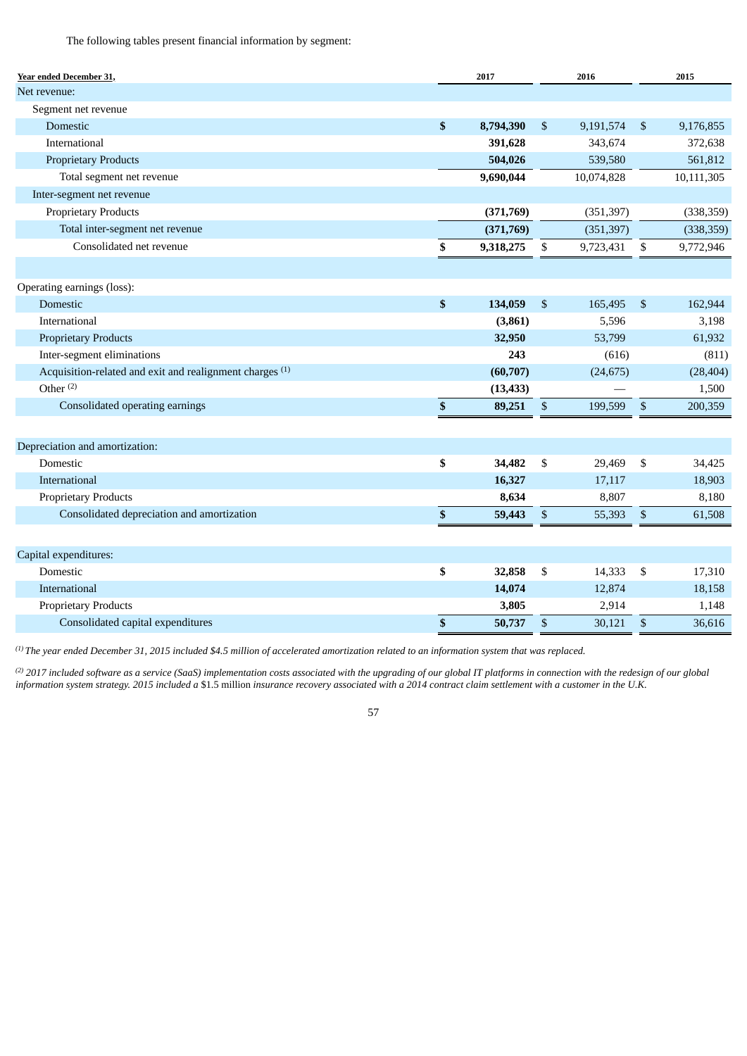The following tables present financial information by segment:

| Year ended December 31,                                             |                           | 2017      |                | 2016       |                | 2015       |
|---------------------------------------------------------------------|---------------------------|-----------|----------------|------------|----------------|------------|
| Net revenue:                                                        |                           |           |                |            |                |            |
| Segment net revenue                                                 |                           |           |                |            |                |            |
| Domestic                                                            | $\boldsymbol{\$}$         | 8,794,390 | \$             | 9,191,574  | \$             | 9,176,855  |
| International                                                       |                           | 391,628   |                | 343,674    |                | 372,638    |
| <b>Proprietary Products</b>                                         |                           | 504,026   |                | 539,580    |                | 561,812    |
| Total segment net revenue                                           |                           | 9,690,044 |                | 10,074,828 |                | 10,111,305 |
| Inter-segment net revenue                                           |                           |           |                |            |                |            |
| <b>Proprietary Products</b>                                         |                           | (371,769) |                | (351, 397) |                | (338, 359) |
| Total inter-segment net revenue                                     |                           | (371,769) |                | (351, 397) |                | (338, 359) |
| Consolidated net revenue                                            | \$                        | 9,318,275 | \$             | 9,723,431  | \$             | 9,772,946  |
|                                                                     |                           |           |                |            |                |            |
| Operating earnings (loss):                                          |                           |           |                |            |                |            |
| Domestic                                                            | \$                        | 134,059   | $\mathfrak{s}$ | 165,495    | $\mathfrak{F}$ | 162,944    |
| International                                                       |                           | (3, 861)  |                | 5,596      |                | 3,198      |
| <b>Proprietary Products</b>                                         |                           | 32,950    |                | 53,799     |                | 61,932     |
| Inter-segment eliminations                                          |                           | 243       |                | (616)      |                | (811)      |
| Acquisition-related and exit and realignment charges <sup>(1)</sup> |                           | (60, 707) |                | (24, 675)  |                | (28, 404)  |
| Other $(2)$                                                         |                           | (13, 433) |                |            |                | 1,500      |
| Consolidated operating earnings                                     | $\boldsymbol{\mathsf{s}}$ | 89,251    | $\mathbb{S}$   | 199,599    | \$             | 200,359    |
|                                                                     |                           |           |                |            |                |            |
|                                                                     |                           |           |                |            |                |            |
| Depreciation and amortization:                                      |                           |           |                |            |                |            |
| Domestic                                                            | \$                        | 34,482    | \$             | 29,469     | \$             | 34,425     |
| International                                                       |                           | 16,327    |                | 17,117     |                | 18,903     |
| <b>Proprietary Products</b>                                         |                           | 8,634     |                | 8,807      |                | 8,180      |
| Consolidated depreciation and amortization                          | \$                        | 59,443    | $\$$           | 55,393     | $\$$           | 61,508     |
|                                                                     |                           |           |                |            |                |            |
| Capital expenditures:                                               |                           |           |                |            |                |            |
| Domestic                                                            | \$                        | 32,858    | \$             | 14,333     | \$             | 17,310     |
| International                                                       |                           | 14,074    |                | 12,874     |                | 18,158     |
| <b>Proprietary Products</b>                                         |                           | 3,805     |                | 2,914      |                | 1,148      |
| Consolidated capital expenditures                                   | \$                        | 50,737    | $\mathbb{S}$   | 30,121     | $\mathbb{S}$   | 36,616     |

*(1) The year ended December 31, 2015 included \$4.5 million of accelerated amortization related to an information system that was replaced.*

*(2) 2017 included software as a service (SaaS) implementation costs associated with the upgrading of our global IT platforms in connection with the redesign of our global information system strategy. 2015 included a* \$1.5 million *insurance recovery associated with a 2014 contract claim settlement with a customer in the U.K.*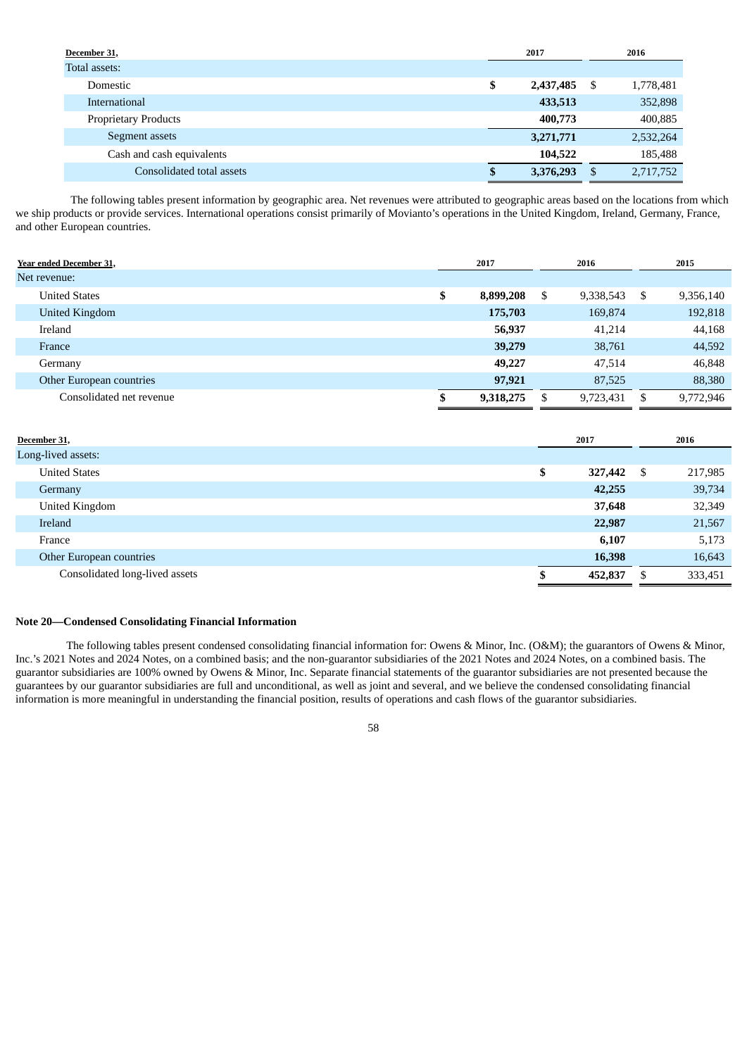| December 31,                | 2017            | 2016            |
|-----------------------------|-----------------|-----------------|
| Total assets:               |                 |                 |
| Domestic                    | \$<br>2,437,485 | \$<br>1,778,481 |
| <b>International</b>        | 433,513         | 352,898         |
| <b>Proprietary Products</b> | 400,773         | 400,885         |
| Segment assets              | 3,271,771       | 2,532,264       |
| Cash and cash equivalents   | 104,522         | 185,488         |
| Consolidated total assets   | 3,376,293       | \$<br>2,717,752 |

The following tables present information by geographic area. Net revenues were attributed to geographic areas based on the locations from which we ship products or provide services. International operations consist primarily of Movianto's operations in the United Kingdom, Ireland, Germany, France, and other European countries.

| Year ended December 31,  | 2017            | 2016 |           |    | 2015      |
|--------------------------|-----------------|------|-----------|----|-----------|
| Net revenue:             |                 |      |           |    |           |
| <b>United States</b>     | \$<br>8,899,208 | \$   | 9,338,543 | S. | 9,356,140 |
| <b>United Kingdom</b>    | 175,703         |      | 169,874   |    | 192,818   |
| Ireland                  | 56,937          |      | 41,214    |    | 44,168    |
| France                   | 39,279          |      | 38,761    |    | 44,592    |
| Germany                  | 49,227          |      | 47,514    |    | 46,848    |
| Other European countries | 97,921          |      | 87,525    |    | 88,380    |
| Consolidated net revenue | 9,318,275       |      | 9,723,431 | \$ | 9,772,946 |

| December 31,                   | 2017 |         |      | 2016    |
|--------------------------------|------|---------|------|---------|
| Long-lived assets:             |      |         |      |         |
| <b>United States</b>           | \$   | 327,442 | - \$ | 217,985 |
| Germany                        |      | 42,255  |      | 39,734  |
| <b>United Kingdom</b>          |      | 37,648  |      | 32,349  |
| Ireland                        |      | 22,987  |      | 21,567  |
| France                         |      | 6,107   |      | 5,173   |
| Other European countries       |      | 16,398  |      | 16,643  |
| Consolidated long-lived assets |      | 452,837 | S    | 333,451 |

# **Note 20—Condensed Consolidating Financial Information**

The following tables present condensed consolidating financial information for: Owens & Minor, Inc. (O&M); the guarantors of Owens & Minor, Inc.'s 2021 Notes and 2024 Notes, on a combined basis; and the non-guarantor subsidiaries of the 2021 Notes and 2024 Notes, on a combined basis. The guarantor subsidiaries are 100% owned by Owens & Minor, Inc. Separate financial statements of the guarantor subsidiaries are not presented because the guarantees by our guarantor subsidiaries are full and unconditional, as well as joint and several, and we believe the condensed consolidating financial information is more meaningful in understanding the financial position, results of operations and cash flows of the guarantor subsidiaries.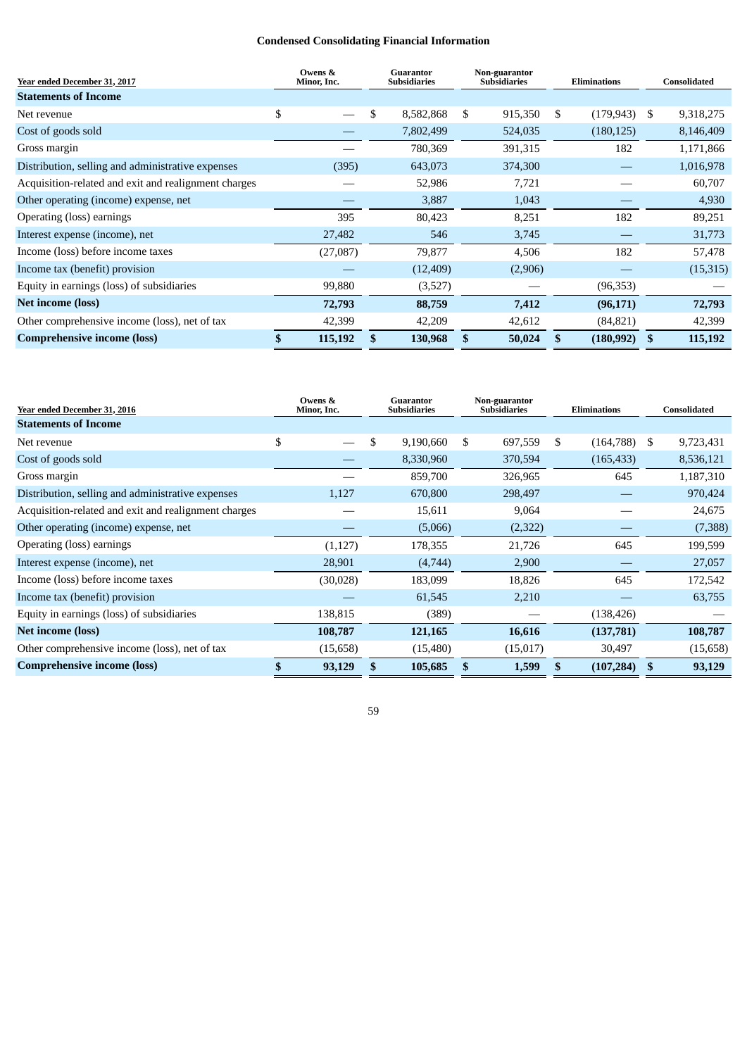# **Condensed Consolidating Financial Information**

| Year ended December 31, 2017                         | Owens &<br>Minor, Inc. | Guarantor<br><b>Subsidiaries</b> | Non-guarantor<br><b>Subsidiaries</b> | <b>Eliminations</b> |            |    | Consolidated |
|------------------------------------------------------|------------------------|----------------------------------|--------------------------------------|---------------------|------------|----|--------------|
| <b>Statements of Income</b>                          |                        |                                  |                                      |                     |            |    |              |
| Net revenue                                          | \$                     | \$<br>8,582,868                  | \$<br>915,350                        | \$                  | (179, 943) | \$ | 9,318,275    |
| Cost of goods sold                                   |                        | 7,802,499                        | 524,035                              |                     | (180, 125) |    | 8,146,409    |
| Gross margin                                         |                        | 780,369                          | 391,315                              |                     | 182        |    | 1,171,866    |
| Distribution, selling and administrative expenses    | (395)                  | 643,073                          | 374,300                              |                     |            |    | 1,016,978    |
| Acquisition-related and exit and realignment charges |                        | 52,986                           | 7,721                                |                     |            |    | 60,707       |
| Other operating (income) expense, net                |                        | 3,887                            | 1,043                                |                     |            |    | 4,930        |
| Operating (loss) earnings                            | 395                    | 80,423                           | 8,251                                |                     | 182        |    | 89,251       |
| Interest expense (income), net                       | 27,482                 | 546                              | 3,745                                |                     |            |    | 31,773       |
| Income (loss) before income taxes                    | (27,087)               | 79,877                           | 4,506                                |                     | 182        |    | 57,478       |
| Income tax (benefit) provision                       |                        | (12, 409)                        | (2,906)                              |                     |            |    | (15, 315)    |
| Equity in earnings (loss) of subsidiaries            | 99,880                 | (3,527)                          |                                      |                     | (96,353)   |    |              |
| <b>Net income (loss)</b>                             | 72,793                 | 88,759                           | 7,412                                |                     | (96, 171)  |    | 72,793       |
| Other comprehensive income (loss), net of tax        | 42,399                 | 42,209                           | 42,612                               |                     | (84, 821)  |    | 42,399       |
| <b>Comprehensive income (loss)</b>                   | \$<br>115,192          | \$<br>130,968                    | \$<br>50,024                         |                     | (180, 992) | S. | 115,192      |

| Year ended December 31, 2016                         | Owens &<br>Minor. Inc. | Guarantor<br><b>Subsidiaries</b> |     | Non-guarantor<br><b>Subsidiaries</b> |     | <b>Eliminations</b> |      | Consolidated |
|------------------------------------------------------|------------------------|----------------------------------|-----|--------------------------------------|-----|---------------------|------|--------------|
| <b>Statements of Income</b>                          |                        |                                  |     |                                      |     |                     |      |              |
| Net revenue                                          | \$                     | \$<br>9,190,660                  | \$. | 697,559                              | \$. | (164, 788)          | - \$ | 9,723,431    |
| Cost of goods sold                                   |                        | 8,330,960                        |     | 370,594                              |     | (165, 433)          |      | 8,536,121    |
| Gross margin                                         |                        | 859,700                          |     | 326,965                              |     | 645                 |      | 1,187,310    |
| Distribution, selling and administrative expenses    | 1,127                  | 670,800                          |     | 298,497                              |     |                     |      | 970,424      |
| Acquisition-related and exit and realignment charges |                        | 15,611                           |     | 9,064                                |     |                     |      | 24,675       |
| Other operating (income) expense, net                |                        | (5,066)                          |     | (2,322)                              |     |                     |      | (7,388)      |
| Operating (loss) earnings                            | (1,127)                | 178,355                          |     | 21,726                               |     | 645                 |      | 199,599      |
| Interest expense (income), net                       | 28,901                 | (4,744)                          |     | 2,900                                |     |                     |      | 27,057       |
| Income (loss) before income taxes                    | (30,028)               | 183,099                          |     | 18,826                               |     | 645                 |      | 172,542      |
| Income tax (benefit) provision                       |                        | 61,545                           |     | 2,210                                |     |                     |      | 63,755       |
| Equity in earnings (loss) of subsidiaries            | 138,815                | (389)                            |     |                                      |     | (138, 426)          |      |              |
| <b>Net income (loss)</b>                             | 108,787                | 121,165                          |     | 16,616                               |     | (137,781)           |      | 108,787      |
| Other comprehensive income (loss), net of tax        | (15,658)               | (15, 480)                        |     | (15,017)                             |     | 30,497              |      | (15, 658)    |
| <b>Comprehensive income (loss)</b>                   | 93,129                 | \$<br>105,685                    |     | 1,599                                |     | (107, 284)          |      | 93,129       |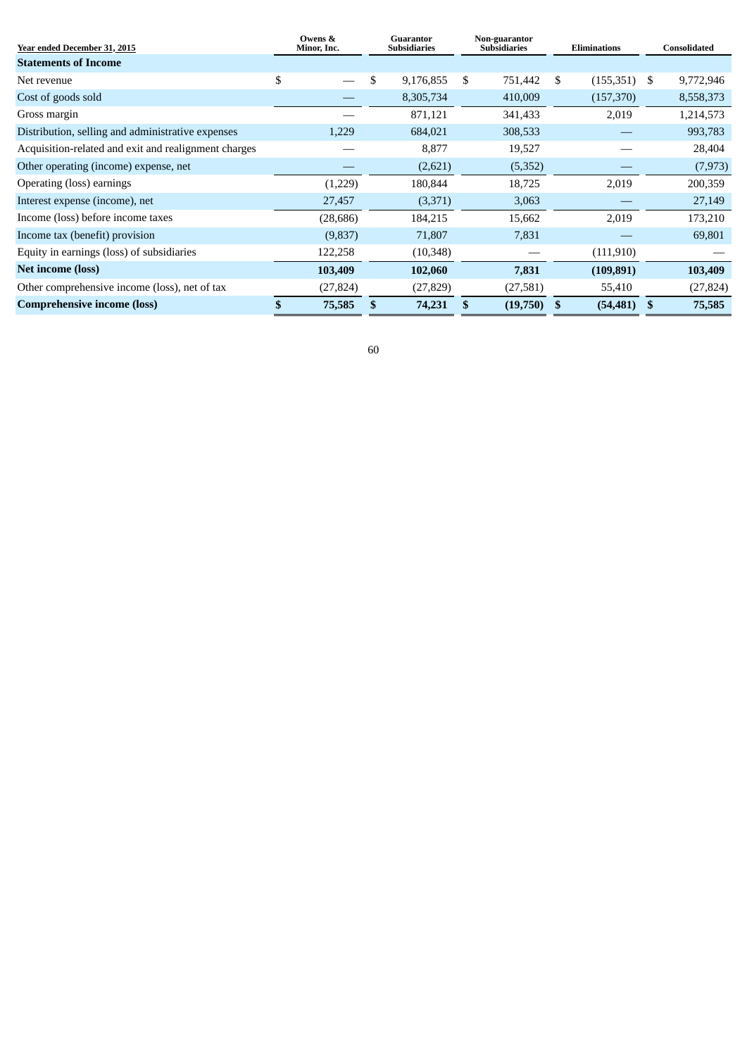| Year ended December 31, 2015                         | Owens &<br>Minor, Inc. | Guarantor<br><b>Subsidiaries</b> | Non-guarantor<br><b>Subsidiaries</b> |    | <b>Eliminations</b> |  | Consolidated |
|------------------------------------------------------|------------------------|----------------------------------|--------------------------------------|----|---------------------|--|--------------|
| <b>Statements of Income</b>                          |                        |                                  |                                      |    |                     |  |              |
| Net revenue                                          | \$                     | \$<br>9,176,855                  | \$<br>751,442                        | S. | $(155,351)$ \$      |  | 9,772,946    |
| Cost of goods sold                                   |                        | 8,305,734                        | 410,009                              |    | (157, 370)          |  | 8,558,373    |
| Gross margin                                         |                        | 871,121                          | 341,433                              |    | 2,019               |  | 1,214,573    |
| Distribution, selling and administrative expenses    | 1,229                  | 684,021                          | 308,533                              |    |                     |  | 993,783      |
| Acquisition-related and exit and realignment charges |                        | 8,877                            | 19,527                               |    |                     |  | 28,404       |
| Other operating (income) expense, net                |                        | (2,621)                          | (5,352)                              |    |                     |  | (7, 973)     |
| Operating (loss) earnings                            | (1,229)                | 180,844                          | 18,725                               |    | 2,019               |  | 200,359      |
| Interest expense (income), net                       | 27,457                 | (3,371)                          | 3,063                                |    |                     |  | 27,149       |
| Income (loss) before income taxes                    | (28, 686)              | 184,215                          | 15,662                               |    | 2,019               |  | 173,210      |
| Income tax (benefit) provision                       | (9,837)                | 71,807                           | 7,831                                |    |                     |  | 69,801       |
| Equity in earnings (loss) of subsidiaries            | 122,258                | (10, 348)                        |                                      |    | (111, 910)          |  |              |
| Net income (loss)                                    | 103,409                | 102,060                          | 7,831                                |    | (109, 891)          |  | 103,409      |
| Other comprehensive income (loss), net of tax        | (27, 824)              | (27, 829)                        | (27, 581)                            |    | 55,410              |  | (27, 824)    |
| Comprehensive income (loss)                          | \$<br>75,585           | \$<br>74,231                     | (19,750)                             |    | $(54, 481)$ \$      |  | 75,585       |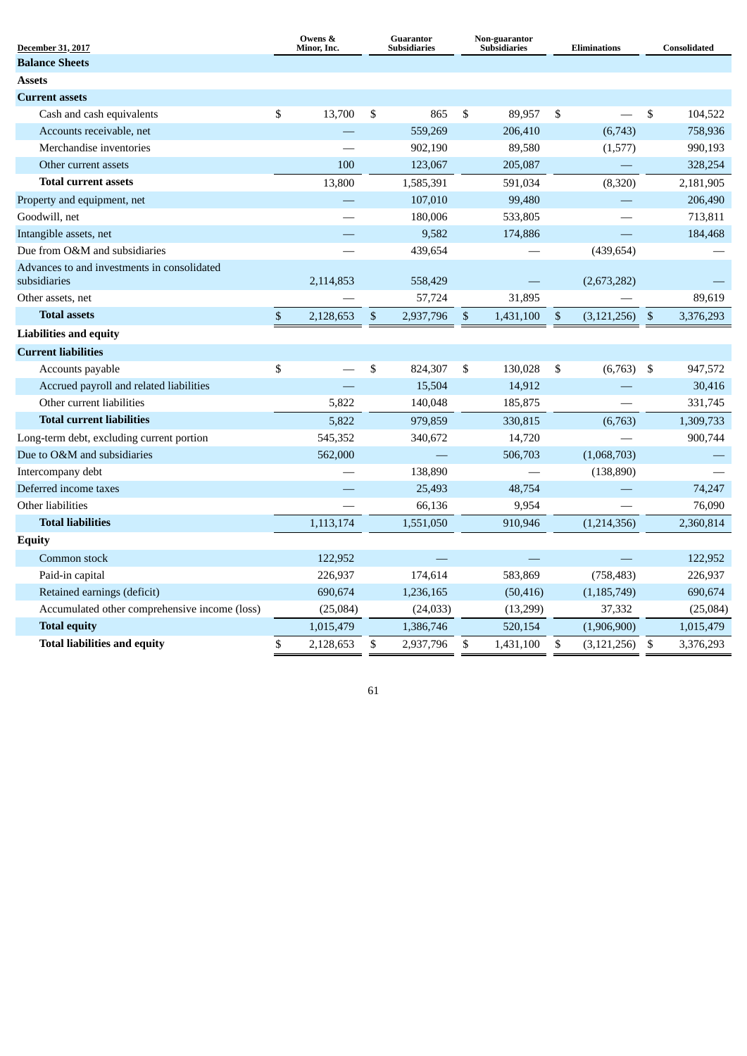| December 31, 2017                                           | Owens &<br>Minor, Inc. |           | <b>Guarantor</b><br><b>Subsidiaries</b> |           | Non-guarantor<br><b>Subsidiaries</b> |           | <b>Eliminations</b> |               | Consolidated    |
|-------------------------------------------------------------|------------------------|-----------|-----------------------------------------|-----------|--------------------------------------|-----------|---------------------|---------------|-----------------|
| <b>Balance Sheets</b>                                       |                        |           |                                         |           |                                      |           |                     |               |                 |
| Assets                                                      |                        |           |                                         |           |                                      |           |                     |               |                 |
| <b>Current assets</b>                                       |                        |           |                                         |           |                                      |           |                     |               |                 |
| Cash and cash equivalents                                   | \$                     | 13,700    | \$                                      | 865       | \$                                   | 89,957    | \$                  |               | \$<br>104,522   |
| Accounts receivable, net                                    |                        |           |                                         | 559,269   |                                      | 206,410   |                     | (6,743)       | 758,936         |
| Merchandise inventories                                     |                        |           |                                         | 902,190   |                                      | 89,580    |                     | (1,577)       | 990,193         |
| Other current assets                                        |                        | 100       |                                         | 123,067   |                                      | 205,087   |                     |               | 328,254         |
| <b>Total current assets</b>                                 |                        | 13,800    |                                         | 1,585,391 |                                      | 591,034   |                     | (8,320)       | 2,181,905       |
| Property and equipment, net                                 |                        |           |                                         | 107,010   |                                      | 99,480    |                     |               | 206,490         |
| Goodwill, net                                               |                        |           |                                         | 180,006   |                                      | 533,805   |                     |               | 713,811         |
| Intangible assets, net                                      |                        |           |                                         | 9,582     |                                      | 174,886   |                     |               | 184,468         |
| Due from O&M and subsidiaries                               |                        |           |                                         | 439,654   |                                      |           |                     | (439, 654)    |                 |
| Advances to and investments in consolidated<br>subsidiaries |                        | 2,114,853 |                                         | 558,429   |                                      |           |                     | (2,673,282)   |                 |
| Other assets, net                                           |                        |           |                                         | 57,724    |                                      | 31,895    |                     |               | 89,619          |
| <b>Total assets</b>                                         | $\mathbb{S}$           | 2,128,653 | \$                                      | 2,937,796 | \$                                   | 1,431,100 | \$                  | (3, 121, 256) | \$<br>3,376,293 |
| <b>Liabilities and equity</b>                               |                        |           |                                         |           |                                      |           |                     |               |                 |
| <b>Current liabilities</b>                                  |                        |           |                                         |           |                                      |           |                     |               |                 |
| Accounts payable                                            | \$                     |           | \$                                      | 824,307   | \$                                   | 130,028   | \$                  | (6,763)       | \$<br>947,572   |
| Accrued payroll and related liabilities                     |                        |           |                                         | 15,504    |                                      | 14,912    |                     |               | 30,416          |
| Other current liabilities                                   |                        | 5,822     |                                         | 140,048   |                                      | 185,875   |                     |               | 331,745         |
| <b>Total current liabilities</b>                            |                        | 5,822     |                                         | 979,859   |                                      | 330,815   |                     | (6,763)       | 1,309,733       |
| Long-term debt, excluding current portion                   |                        | 545,352   |                                         | 340,672   |                                      | 14,720    |                     |               | 900,744         |
| Due to O&M and subsidiaries                                 |                        | 562,000   |                                         |           |                                      | 506,703   |                     | (1,068,703)   |                 |
| Intercompany debt                                           |                        |           |                                         | 138,890   |                                      |           |                     | (138, 890)    |                 |
| Deferred income taxes                                       |                        |           |                                         | 25,493    |                                      | 48,754    |                     |               | 74,247          |
| Other liabilities                                           |                        |           |                                         | 66,136    |                                      | 9,954     |                     |               | 76,090          |
| <b>Total liabilities</b>                                    |                        | 1,113,174 |                                         | 1,551,050 |                                      | 910,946   |                     | (1,214,356)   | 2,360,814       |
| <b>Equity</b>                                               |                        |           |                                         |           |                                      |           |                     |               |                 |
| Common stock                                                |                        | 122,952   |                                         |           |                                      |           |                     |               | 122,952         |
| Paid-in capital                                             |                        | 226,937   |                                         | 174,614   |                                      | 583,869   |                     | (758, 483)    | 226,937         |
| Retained earnings (deficit)                                 |                        | 690,674   |                                         | 1,236,165 |                                      | (50, 416) |                     | (1, 185, 749) | 690,674         |
| Accumulated other comprehensive income (loss)               |                        | (25,084)  |                                         | (24, 033) |                                      | (13,299)  |                     | 37,332        | (25,084)        |
| <b>Total equity</b>                                         |                        | 1,015,479 |                                         | 1,386,746 |                                      | 520,154   |                     | (1,906,900)   | 1,015,479       |
| <b>Total liabilities and equity</b>                         | \$                     | 2,128,653 | \$                                      | 2,937,796 | \$                                   | 1,431,100 | \$                  | (3, 121, 256) | \$<br>3,376,293 |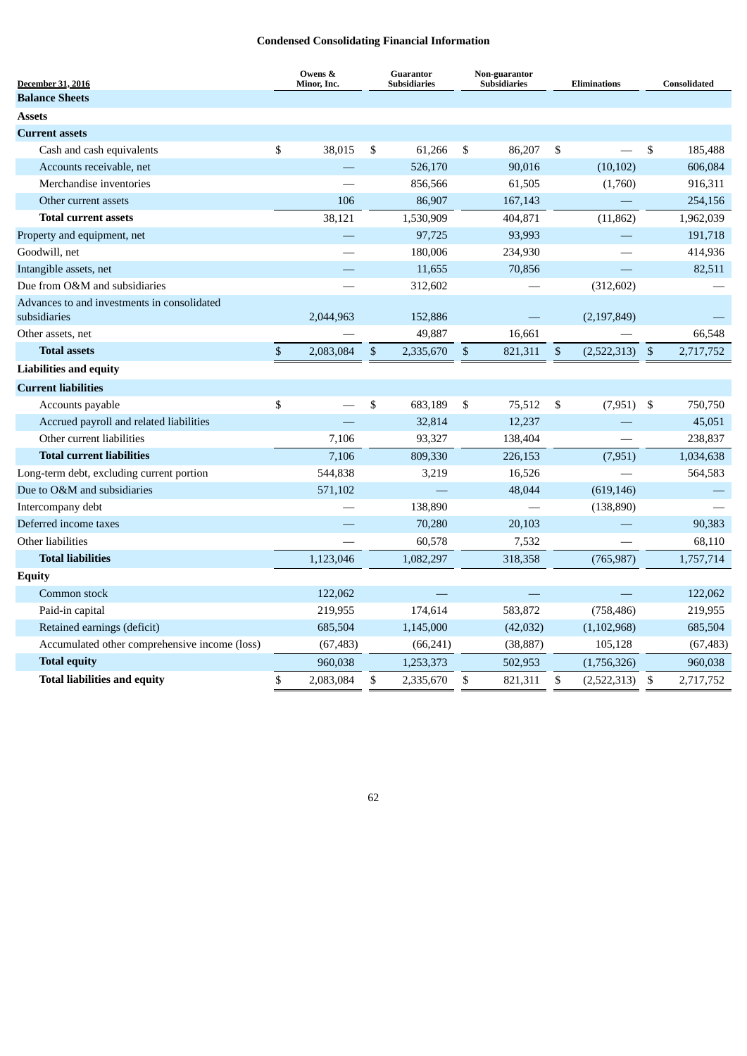# **Condensed Consolidating Financial Information**

| <b>December 31, 2016</b>                                    | Owens &<br>Minor, Inc. |           | Guarantor<br><b>Subsidiaries</b> |           | Non-guarantor<br><b>Subsidiaries</b> |           | <b>Eliminations</b> |               | Consolidated    |
|-------------------------------------------------------------|------------------------|-----------|----------------------------------|-----------|--------------------------------------|-----------|---------------------|---------------|-----------------|
| <b>Balance Sheets</b>                                       |                        |           |                                  |           |                                      |           |                     |               |                 |
| Assets                                                      |                        |           |                                  |           |                                      |           |                     |               |                 |
| <b>Current assets</b>                                       |                        |           |                                  |           |                                      |           |                     |               |                 |
| Cash and cash equivalents                                   | \$                     | 38,015    | \$                               | 61,266    | \$                                   | 86,207    | \$                  |               | \$<br>185,488   |
| Accounts receivable, net                                    |                        |           |                                  | 526,170   |                                      | 90,016    |                     | (10, 102)     | 606,084         |
| Merchandise inventories                                     |                        |           |                                  | 856,566   |                                      | 61,505    |                     | (1,760)       | 916,311         |
| Other current assets                                        |                        | 106       |                                  | 86,907    |                                      | 167,143   |                     |               | 254,156         |
| <b>Total current assets</b>                                 |                        | 38,121    |                                  | 1,530,909 |                                      | 404,871   |                     | (11, 862)     | 1,962,039       |
| Property and equipment, net                                 |                        |           |                                  | 97,725    |                                      | 93,993    |                     |               | 191,718         |
| Goodwill, net                                               |                        |           |                                  | 180,006   |                                      | 234,930   |                     |               | 414,936         |
| Intangible assets, net                                      |                        |           |                                  | 11,655    |                                      | 70,856    |                     |               | 82,511          |
| Due from O&M and subsidiaries                               |                        |           |                                  | 312,602   |                                      |           |                     | (312,602)     |                 |
| Advances to and investments in consolidated<br>subsidiaries |                        | 2,044,963 |                                  | 152,886   |                                      |           |                     | (2, 197, 849) |                 |
| Other assets, net                                           |                        |           |                                  | 49,887    |                                      | 16,661    |                     |               | 66,548          |
| <b>Total assets</b>                                         | \$                     | 2,083,084 | \$                               | 2,335,670 | \$                                   | 821,311   | $\mathfrak{S}$      | (2,522,313)   | \$<br>2,717,752 |
| <b>Liabilities and equity</b>                               |                        |           |                                  |           |                                      |           |                     |               |                 |
| <b>Current liabilities</b>                                  |                        |           |                                  |           |                                      |           |                     |               |                 |
| Accounts payable                                            | \$                     |           | \$                               | 683,189   | \$                                   | 75,512    | \$                  | (7,951)       | \$<br>750,750   |
| Accrued payroll and related liabilities                     |                        |           |                                  | 32,814    |                                      | 12,237    |                     |               | 45,051          |
| Other current liabilities                                   |                        | 7,106     |                                  | 93,327    |                                      | 138,404   |                     |               | 238,837         |
| <b>Total current liabilities</b>                            |                        | 7,106     |                                  | 809,330   |                                      | 226,153   |                     | (7,951)       | 1,034,638       |
| Long-term debt, excluding current portion                   |                        | 544,838   |                                  | 3,219     |                                      | 16,526    |                     |               | 564,583         |
| Due to O&M and subsidiaries                                 |                        | 571,102   |                                  |           |                                      | 48,044    |                     | (619, 146)    |                 |
| Intercompany debt                                           |                        |           |                                  | 138,890   |                                      |           |                     | (138, 890)    |                 |
| Deferred income taxes                                       |                        |           |                                  | 70,280    |                                      | 20,103    |                     |               | 90,383          |
| Other liabilities                                           |                        |           |                                  | 60,578    |                                      | 7,532     |                     |               | 68,110          |
| <b>Total liabilities</b>                                    |                        | 1,123,046 |                                  | 1,082,297 |                                      | 318,358   |                     | (765, 987)    | 1,757,714       |
| <b>Equity</b>                                               |                        |           |                                  |           |                                      |           |                     |               |                 |
| Common stock                                                |                        | 122,062   |                                  |           |                                      |           |                     |               | 122,062         |
| Paid-in capital                                             |                        | 219,955   |                                  | 174,614   |                                      | 583,872   |                     | (758, 486)    | 219,955         |
| Retained earnings (deficit)                                 |                        | 685,504   |                                  | 1,145,000 |                                      | (42, 032) |                     | (1, 102, 968) | 685,504         |
| Accumulated other comprehensive income (loss)               |                        | (67, 483) |                                  | (66, 241) |                                      | (38, 887) |                     | 105,128       | (67, 483)       |
| <b>Total equity</b>                                         |                        | 960,038   |                                  | 1,253,373 |                                      | 502,953   |                     | (1,756,326)   | 960,038         |
| <b>Total liabilities and equity</b>                         | \$                     | 2,083,084 | \$                               | 2,335,670 | \$                                   | 821,311   | \$                  | (2,522,313)   | \$<br>2,717,752 |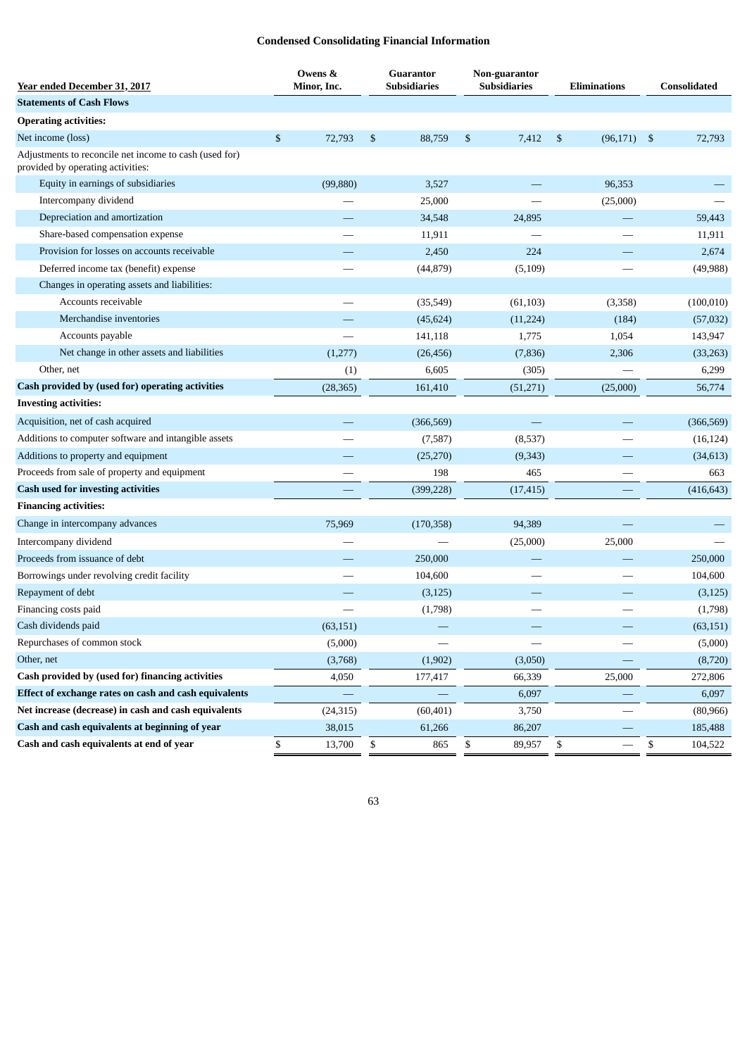# **Condensed Consolidating Financial Information**

| <b>Year ended December 31, 2017</b>                                                         | Owens &<br>Minor, Inc. |           | <b>Guarantor</b><br>Subsidiaries |            | Non-guarantor<br><b>Subsidiaries</b> |    | <b>Eliminations</b>      |    | <b>Consolidated</b> |  |
|---------------------------------------------------------------------------------------------|------------------------|-----------|----------------------------------|------------|--------------------------------------|----|--------------------------|----|---------------------|--|
| <b>Statements of Cash Flows</b>                                                             |                        |           |                                  |            |                                      |    |                          |    |                     |  |
| <b>Operating activities:</b>                                                                |                        |           |                                  |            |                                      |    |                          |    |                     |  |
| Net income (loss)                                                                           | \$                     | 72,793    | \$                               | 88,759     | \$<br>7,412                          | \$ | $(96,171)$ \$            |    | 72,793              |  |
| Adjustments to reconcile net income to cash (used for)<br>provided by operating activities: |                        |           |                                  |            |                                      |    |                          |    |                     |  |
| Equity in earnings of subsidiaries                                                          |                        | (99, 880) |                                  | 3,527      |                                      |    | 96,353                   |    |                     |  |
| Intercompany dividend                                                                       |                        |           |                                  | 25,000     |                                      |    | (25,000)                 |    |                     |  |
| Depreciation and amortization                                                               |                        |           |                                  | 34,548     | 24,895                               |    |                          |    | 59,443              |  |
| Share-based compensation expense                                                            |                        |           |                                  | 11,911     |                                      |    |                          |    | 11,911              |  |
| Provision for losses on accounts receivable                                                 |                        |           |                                  | 2,450      | 224                                  |    |                          |    | 2,674               |  |
| Deferred income tax (benefit) expense                                                       |                        |           |                                  | (44, 879)  | (5, 109)                             |    |                          |    | (49,988)            |  |
| Changes in operating assets and liabilities:                                                |                        |           |                                  |            |                                      |    |                          |    |                     |  |
| Accounts receivable                                                                         |                        |           |                                  | (35,549)   | (61, 103)                            |    | (3,358)                  |    | (100, 010)          |  |
| Merchandise inventories                                                                     |                        |           |                                  | (45, 624)  | (11,224)                             |    | (184)                    |    | (57,032)            |  |
| Accounts payable                                                                            |                        |           |                                  | 141,118    | 1,775                                |    | 1,054                    |    | 143,947             |  |
| Net change in other assets and liabilities                                                  |                        | (1,277)   |                                  | (26, 456)  | (7, 836)                             |    | 2,306                    |    | (33, 263)           |  |
| Other, net                                                                                  |                        | (1)       |                                  | 6,605      | (305)                                |    |                          |    | 6,299               |  |
| Cash provided by (used for) operating activities                                            |                        | (28, 365) |                                  | 161,410    | (51,271)                             |    | (25,000)                 |    | 56,774              |  |
| <b>Investing activities:</b>                                                                |                        |           |                                  |            |                                      |    |                          |    |                     |  |
| Acquisition, net of cash acquired                                                           |                        |           |                                  | (366, 569) |                                      |    |                          |    | (366, 569)          |  |
| Additions to computer software and intangible assets                                        |                        |           |                                  | (7,587)    | (8,537)                              |    |                          |    | (16, 124)           |  |
| Additions to property and equipment                                                         |                        |           |                                  | (25, 270)  | (9, 343)                             |    |                          |    | (34, 613)           |  |
| Proceeds from sale of property and equipment                                                |                        |           |                                  | 198        | 465                                  |    |                          |    | 663                 |  |
| Cash used for investing activities                                                          |                        |           |                                  | (399, 228) | (17, 415)                            |    |                          |    | (416, 643)          |  |
| <b>Financing activities:</b>                                                                |                        |           |                                  |            |                                      |    |                          |    |                     |  |
| Change in intercompany advances                                                             |                        | 75,969    |                                  | (170, 358) | 94,389                               |    |                          |    |                     |  |
| Intercompany dividend                                                                       |                        |           |                                  |            | (25,000)                             |    | 25,000                   |    |                     |  |
| Proceeds from issuance of debt                                                              |                        |           |                                  | 250,000    |                                      |    |                          |    | 250,000             |  |
| Borrowings under revolving credit facility                                                  |                        |           |                                  | 104,600    |                                      |    |                          |    | 104,600             |  |
| Repayment of debt                                                                           |                        |           |                                  | (3, 125)   |                                      |    |                          |    | (3, 125)            |  |
| Financing costs paid                                                                        |                        |           |                                  | (1,798)    |                                      |    |                          |    | (1,798)             |  |
| Cash dividends paid                                                                         |                        | (63, 151) |                                  |            |                                      |    |                          |    | (63, 151)           |  |
| Repurchases of common stock                                                                 |                        | (5,000)   |                                  |            |                                      |    |                          |    | (5,000)             |  |
| Other, net                                                                                  |                        | (3,768)   |                                  | (1,902)    | (3,050)                              |    |                          |    | (8,720)             |  |
| Cash provided by (used for) financing activities                                            |                        | 4,050     |                                  | 177,417    | 66,339                               |    | 25,000                   |    | 272,806             |  |
| Effect of exchange rates on cash and cash equivalents                                       |                        |           |                                  |            | 6,097                                |    |                          |    | 6,097               |  |
| Net increase (decrease) in cash and cash equivalents                                        |                        | (24, 315) |                                  | (60, 401)  | 3,750                                |    | $\overline{\phantom{0}}$ |    | (80, 966)           |  |
| Cash and cash equivalents at beginning of year                                              |                        | 38,015    |                                  | 61,266     | 86,207                               |    |                          |    | 185,488             |  |
| Cash and cash equivalents at end of year                                                    | \$                     | 13,700    | \$                               | 865        | \$<br>89,957                         | \$ | $\overline{\phantom{0}}$ | \$ | 104,522             |  |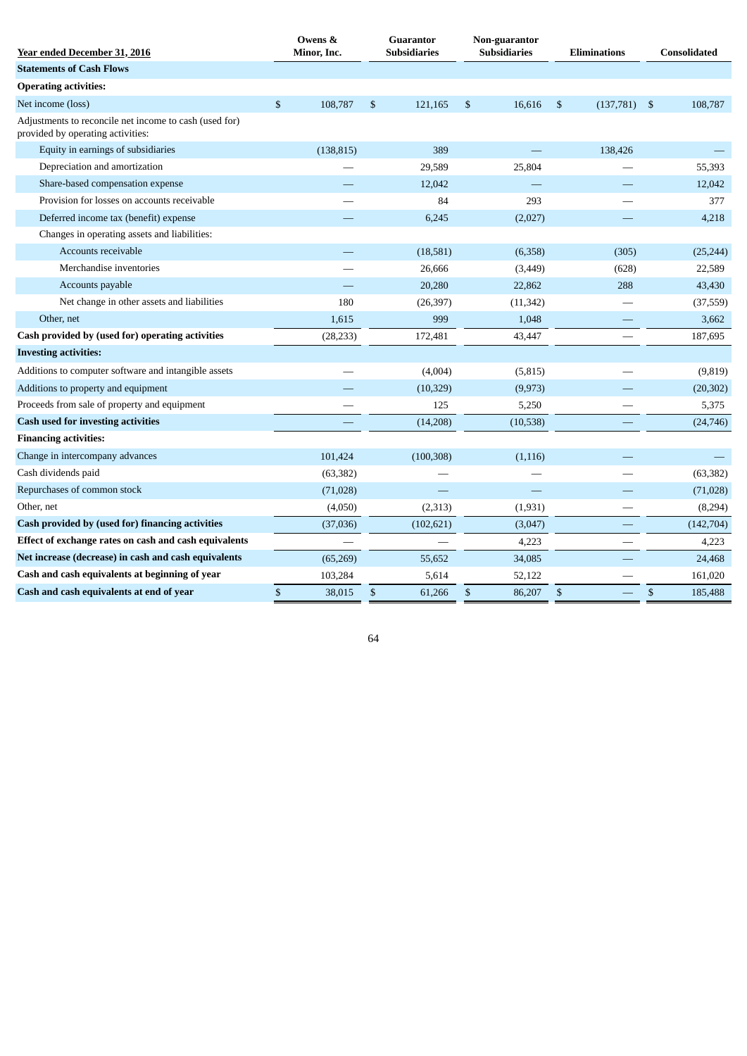| Year ended December 31, 2016                                                                |                | Owens &<br>Minor, Inc. | <b>Guarantor</b><br><b>Subsidiaries</b> | Non-guarantor<br><b>Subsidiaries</b> |           | <b>Eliminations</b> |                | Consolidated  |
|---------------------------------------------------------------------------------------------|----------------|------------------------|-----------------------------------------|--------------------------------------|-----------|---------------------|----------------|---------------|
| <b>Statements of Cash Flows</b>                                                             |                |                        |                                         |                                      |           |                     |                |               |
| <b>Operating activities:</b>                                                                |                |                        |                                         |                                      |           |                     |                |               |
| Net income (loss)                                                                           | $\mathfrak{S}$ | 108,787                | \$<br>121,165                           | \$                                   | 16,616    | $\mathfrak{S}$      | $(137,781)$ \$ | 108,787       |
| Adjustments to reconcile net income to cash (used for)<br>provided by operating activities: |                |                        |                                         |                                      |           |                     |                |               |
| Equity in earnings of subsidiaries                                                          |                | (138, 815)             | 389                                     |                                      |           |                     | 138,426        |               |
| Depreciation and amortization                                                               |                |                        | 29,589                                  |                                      | 25,804    |                     |                | 55,393        |
| Share-based compensation expense                                                            |                |                        | 12,042                                  |                                      |           |                     |                | 12,042        |
| Provision for losses on accounts receivable                                                 |                |                        | 84                                      |                                      | 293       |                     |                | 377           |
| Deferred income tax (benefit) expense                                                       |                |                        | 6,245                                   |                                      | (2,027)   |                     |                | 4,218         |
| Changes in operating assets and liabilities:                                                |                |                        |                                         |                                      |           |                     |                |               |
| Accounts receivable                                                                         |                |                        | (18, 581)                               |                                      | (6,358)   |                     | (305)          | (25, 244)     |
| Merchandise inventories                                                                     |                |                        | 26,666                                  |                                      | (3, 449)  |                     | (628)          | 22,589        |
| Accounts payable                                                                            |                |                        | 20,280                                  |                                      | 22,862    |                     | 288            | 43,430        |
| Net change in other assets and liabilities                                                  |                | 180                    | (26, 397)                               |                                      | (11, 342) |                     |                | (37, 559)     |
| Other, net                                                                                  |                | 1,615                  | 999                                     |                                      | 1,048     |                     |                | 3,662         |
| Cash provided by (used for) operating activities                                            |                | (28, 233)              | 172,481                                 |                                      | 43,447    |                     |                | 187,695       |
| <b>Investing activities:</b>                                                                |                |                        |                                         |                                      |           |                     |                |               |
| Additions to computer software and intangible assets                                        |                |                        | (4,004)                                 |                                      | (5,815)   |                     |                | (9, 819)      |
| Additions to property and equipment                                                         |                |                        | (10, 329)                               |                                      | (9, 973)  |                     |                | (20, 302)     |
| Proceeds from sale of property and equipment                                                |                |                        | 125                                     |                                      | 5,250     |                     |                | 5,375         |
| <b>Cash used for investing activities</b>                                                   |                |                        | (14,208)                                |                                      | (10,538)  |                     |                | (24,746)      |
| <b>Financing activities:</b>                                                                |                |                        |                                         |                                      |           |                     |                |               |
| Change in intercompany advances                                                             |                | 101,424                | (100, 308)                              |                                      | (1, 116)  |                     |                |               |
| Cash dividends paid                                                                         |                | (63, 382)              |                                         |                                      |           |                     |                | (63, 382)     |
| Repurchases of common stock                                                                 |                | (71,028)               |                                         |                                      |           |                     |                | (71, 028)     |
| Other, net                                                                                  |                | (4,050)                | (2,313)                                 |                                      | (1, 931)  |                     |                | (8, 294)      |
| Cash provided by (used for) financing activities                                            |                | (37,036)               | (102, 621)                              |                                      | (3,047)   |                     |                | (142, 704)    |
| Effect of exchange rates on cash and cash equivalents                                       |                |                        |                                         |                                      | 4,223     |                     |                | 4,223         |
| Net increase (decrease) in cash and cash equivalents                                        |                | (65, 269)              | 55,652                                  |                                      | 34,085    |                     |                | 24,468        |
| Cash and cash equivalents at beginning of year                                              |                | 103,284                | 5,614                                   |                                      | 52,122    |                     |                | 161,020       |
| Cash and cash equivalents at end of year                                                    | $\mathbb{S}$   | 38,015                 | \$<br>61,266                            | $\mathbb{S}$                         | 86,207    | $\mathbb{S}$        |                | \$<br>185,488 |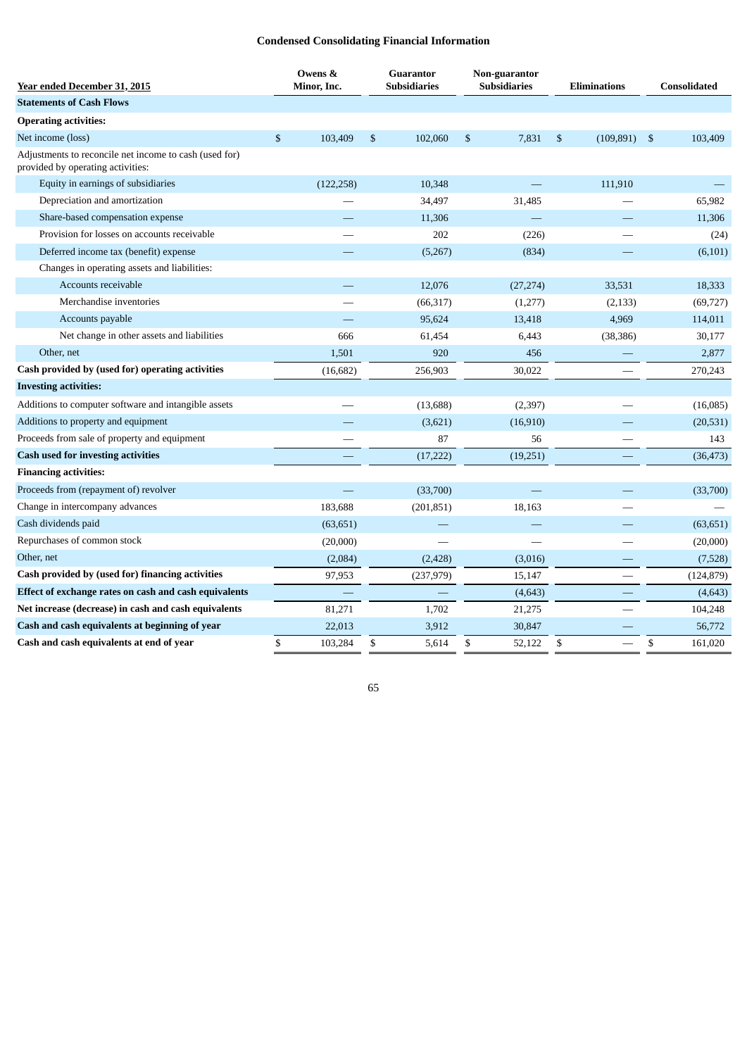# **Condensed Consolidating Financial Information**

| <b>Year ended December 31, 2015</b>                                                         | Owens &<br>Minor, Inc. | <b>Guarantor</b><br>Subsidiaries | Non-guarantor<br>Subsidiaries | <b>Eliminations</b> |            |                | <b>Consolidated</b> |
|---------------------------------------------------------------------------------------------|------------------------|----------------------------------|-------------------------------|---------------------|------------|----------------|---------------------|
| <b>Statements of Cash Flows</b>                                                             |                        |                                  |                               |                     |            |                |                     |
| <b>Operating activities:</b>                                                                |                        |                                  |                               |                     |            |                |                     |
| Net income (loss)                                                                           | \$<br>103,409          | \$<br>102,060                    | \$<br>7,831                   | $\mathbb{S}$        | (109, 891) | $\mathfrak{S}$ | 103,409             |
| Adjustments to reconcile net income to cash (used for)<br>provided by operating activities: |                        |                                  |                               |                     |            |                |                     |
| Equity in earnings of subsidiaries                                                          | (122, 258)             | 10,348                           |                               |                     | 111,910    |                |                     |
| Depreciation and amortization                                                               |                        | 34,497                           | 31,485                        |                     |            |                | 65,982              |
| Share-based compensation expense                                                            |                        | 11,306                           |                               |                     |            |                | 11,306              |
| Provision for losses on accounts receivable                                                 |                        | 202                              | (226)                         |                     |            |                | (24)                |
| Deferred income tax (benefit) expense                                                       |                        | (5,267)                          | (834)                         |                     |            |                | (6,101)             |
| Changes in operating assets and liabilities:                                                |                        |                                  |                               |                     |            |                |                     |
| Accounts receivable                                                                         |                        | 12,076                           | (27, 274)                     |                     | 33,531     |                | 18,333              |
| Merchandise inventories                                                                     |                        | (66, 317)                        | (1,277)                       |                     | (2, 133)   |                | (69, 727)           |
| Accounts payable                                                                            |                        | 95,624                           | 13,418                        |                     | 4,969      |                | 114,011             |
| Net change in other assets and liabilities                                                  | 666                    | 61,454                           | 6,443                         |                     | (38, 386)  |                | 30,177              |
| Other, net                                                                                  | 1,501                  | 920                              | 456                           |                     |            |                | 2,877               |
| Cash provided by (used for) operating activities                                            | (16, 682)              | 256,903                          | 30,022                        |                     |            |                | 270,243             |
| <b>Investing activities:</b>                                                                |                        |                                  |                               |                     |            |                |                     |
| Additions to computer software and intangible assets                                        |                        | (13,688)                         | (2, 397)                      |                     |            |                | (16,085)            |
| Additions to property and equipment                                                         |                        | (3,621)                          | (16,910)                      |                     |            |                | (20, 531)           |
| Proceeds from sale of property and equipment                                                |                        | 87                               | 56                            |                     |            |                | 143                 |
| <b>Cash used for investing activities</b>                                                   |                        | (17, 222)                        | (19,251)                      |                     |            |                | (36, 473)           |
| <b>Financing activities:</b>                                                                |                        |                                  |                               |                     |            |                |                     |
| Proceeds from (repayment of) revolver                                                       |                        | (33,700)                         |                               |                     |            |                | (33,700)            |
| Change in intercompany advances                                                             | 183,688                | (201, 851)                       | 18,163                        |                     |            |                |                     |
| Cash dividends paid                                                                         | (63, 651)              |                                  |                               |                     |            |                | (63, 651)           |
| Repurchases of common stock                                                                 | (20,000)               |                                  |                               |                     |            |                | (20,000)            |
| Other, net                                                                                  | (2,084)                | (2, 428)                         | (3,016)                       |                     |            |                | (7,528)             |
| Cash provided by (used for) financing activities                                            | 97,953                 | (237, 979)                       | 15,147                        |                     |            |                | (124, 879)          |
| Effect of exchange rates on cash and cash equivalents                                       |                        |                                  | (4,643)                       |                     |            |                | (4,643)             |
| Net increase (decrease) in cash and cash equivalents                                        | 81,271                 | 1,702                            | 21,275                        |                     |            |                | 104,248             |
| Cash and cash equivalents at beginning of year                                              | 22,013                 | 3,912                            | 30,847                        |                     |            |                | 56,772              |
| Cash and cash equivalents at end of year                                                    | \$<br>103,284          | \$<br>5,614                      | \$<br>52,122                  | \$                  |            | $\mathbf S$    | 161,020             |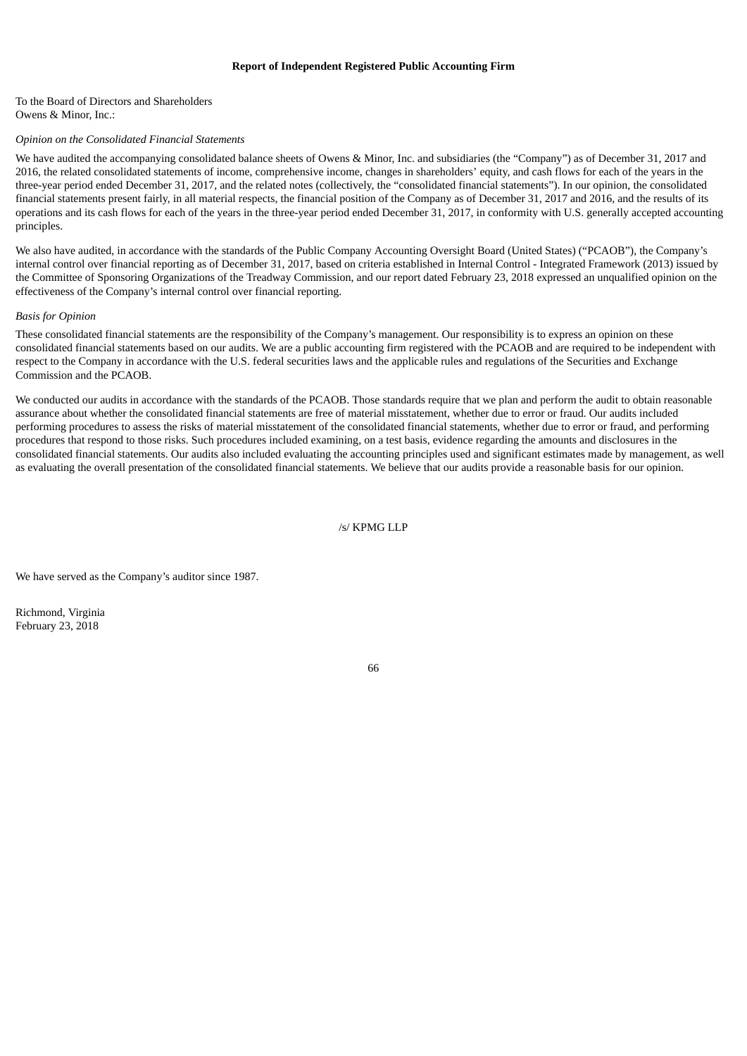### **Report of Independent Registered Public Accounting Firm**

To the Board of Directors and Shareholders Owens & Minor, Inc.:

### *Opinion on the Consolidated Financial Statements*

We have audited the accompanying consolidated balance sheets of Owens & Minor, Inc. and subsidiaries (the "Company") as of December 31, 2017 and 2016, the related consolidated statements of income, comprehensive income, changes in shareholders' equity, and cash flows for each of the years in the three-year period ended December 31, 2017, and the related notes (collectively, the "consolidated financial statements"). In our opinion, the consolidated financial statements present fairly, in all material respects, the financial position of the Company as of December 31, 2017 and 2016, and the results of its operations and its cash flows for each of the years in the three‑year period ended December 31, 2017, in conformity with U.S. generally accepted accounting principles.

We also have audited, in accordance with the standards of the Public Company Accounting Oversight Board (United States) ("PCAOB"), the Company's internal control over financial reporting as of December 31, 2017, based on criteria established in Internal Control - Integrated Framework (2013) issued by the Committee of Sponsoring Organizations of the Treadway Commission, and our report dated February 23, 2018 expressed an unqualified opinion on the effectiveness of the Company's internal control over financial reporting.

### *Basis for Opinion*

These consolidated financial statements are the responsibility of the Company's management. Our responsibility is to express an opinion on these consolidated financial statements based on our audits. We are a public accounting firm registered with the PCAOB and are required to be independent with respect to the Company in accordance with the U.S. federal securities laws and the applicable rules and regulations of the Securities and Exchange Commission and the PCAOB.

We conducted our audits in accordance with the standards of the PCAOB. Those standards require that we plan and perform the audit to obtain reasonable assurance about whether the consolidated financial statements are free of material misstatement, whether due to error or fraud. Our audits included performing procedures to assess the risks of material misstatement of the consolidated financial statements, whether due to error or fraud, and performing procedures that respond to those risks. Such procedures included examining, on a test basis, evidence regarding the amounts and disclosures in the consolidated financial statements. Our audits also included evaluating the accounting principles used and significant estimates made by management, as well as evaluating the overall presentation of the consolidated financial statements. We believe that our audits provide a reasonable basis for our opinion.

/s/ KPMG LLP

We have served as the Company's auditor since 1987.

Richmond, Virginia February 23, 2018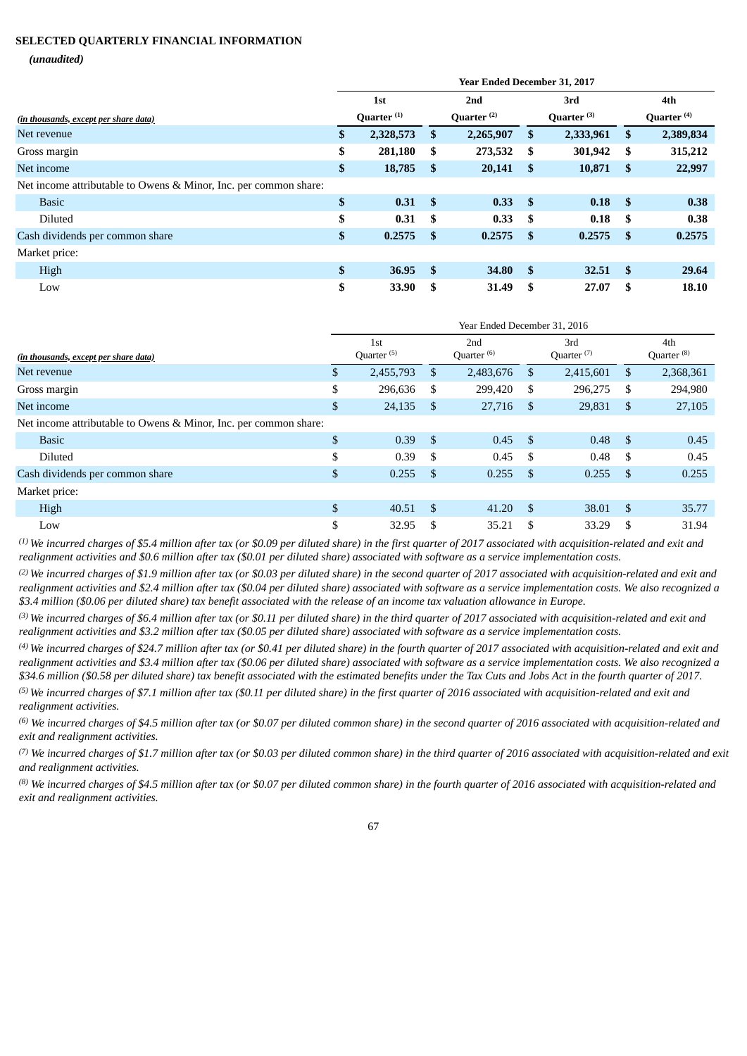### **SELECTED QUARTERLY FINANCIAL INFORMATION**

*(unaudited)*

|                                                                  | <b>Year Ended December 31, 2017</b> |           |                        |           |                        |           |                        |           |
|------------------------------------------------------------------|-------------------------------------|-----------|------------------------|-----------|------------------------|-----------|------------------------|-----------|
|                                                                  |                                     | 1st       |                        | 2nd       |                        | 3rd       |                        | 4th       |
| (in thousands, except per share data)                            | Quarter <sup>(1)</sup>              |           | Quarter <sup>(2)</sup> |           | Quarter <sup>(3)</sup> |           | Quarter <sup>(4)</sup> |           |
| Net revenue                                                      | \$                                  | 2,328,573 | -S                     | 2,265,907 | <sup>\$</sup>          | 2,333,961 | <sup>\$</sup>          | 2,389,834 |
| Gross margin                                                     | \$                                  | 281,180   | -S                     | 273,532   | \$                     | 301,942   | - \$                   | 315,212   |
| Net income                                                       | \$                                  | 18,785    | - \$                   | 20,141    | \$                     | 10,871    | - \$                   | 22,997    |
| Net income attributable to Owens & Minor, Inc. per common share: |                                     |           |                        |           |                        |           |                        |           |
| <b>Basic</b>                                                     | \$                                  | 0.31      | - \$                   | 0.33      | - \$                   | 0.18      | - \$                   | 0.38      |
| Diluted                                                          | \$                                  | 0.31      | - \$                   | 0.33      | \$                     | 0.18      | - \$                   | 0.38      |
| Cash dividends per common share                                  | \$                                  | 0.2575    | - \$                   | 0.2575    | -S                     | 0.2575    | - \$                   | 0.2575    |
| Market price:                                                    |                                     |           |                        |           |                        |           |                        |           |
| High                                                             | $\mathbf{s}$                        | 36.95     | - \$                   | 34.80     | - \$                   | 32.51     | - \$                   | 29.64     |
| Low                                                              | \$                                  | 33.90     | -S                     | 31.49     | \$                     | 27.07     | - \$                   | 18.10     |

|                                                                  |              | Year Ended December 31, 2016              |               |                      |               |                      |      |                               |  |  |
|------------------------------------------------------------------|--------------|-------------------------------------------|---------------|----------------------|---------------|----------------------|------|-------------------------------|--|--|
| (in thousands, except per share data)                            |              | 1 <sub>st</sub><br>Quarter <sup>(5)</sup> |               | 2nd<br>Quarter $(6)$ |               | 3rd<br>Quarter $(7)$ |      | 4th<br>Quarter <sup>(8)</sup> |  |  |
| Net revenue                                                      | $\mathbb{S}$ | 2,455,793                                 | <sup>\$</sup> | 2,483,676            | <sup>\$</sup> | 2,415,601            | \$.  | 2,368,361                     |  |  |
| Gross margin                                                     | \$           | 296,636                                   | -S            | 299,420              | \$            | 296,275              | \$   | 294,980                       |  |  |
| Net income                                                       | \$           | 24,135                                    | - \$          | 27,716               | \$            | 29,831               | - \$ | 27,105                        |  |  |
| Net income attributable to Owens & Minor, Inc. per common share: |              |                                           |               |                      |               |                      |      |                               |  |  |
| <b>Basic</b>                                                     | \$           | 0.39                                      | - \$          | 0.45                 | - \$          | 0.48                 | - \$ | 0.45                          |  |  |
| Diluted                                                          | \$           | 0.39                                      | -S            | 0.45                 | \$            | 0.48                 | - \$ | 0.45                          |  |  |
| Cash dividends per common share                                  | \$           | 0.255                                     | - \$          | 0.255                | <sup>\$</sup> | 0.255                | - \$ | 0.255                         |  |  |
| Market price:                                                    |              |                                           |               |                      |               |                      |      |                               |  |  |
| High                                                             | \$           | 40.51                                     | -\$           | 41.20                | \$            | 38.01                | - \$ | 35.77                         |  |  |
| Low                                                              | \$           | 32.95                                     | \$            | 35.21                | \$.           | 33.29                | -\$  | 31.94                         |  |  |

 $^{(1)}$  We incurred charges of \$5.4 million after tax (or \$0.09 per diluted share) in the first quarter of 2017 associated with acquisition-related and exit and realignment activities and \$0.6 million after tax (\$0.01 per diluted share) associated with software as a service implementation costs.

(2) We incurred charaes of \$1.9 million after tax (or \$0.03 per diluted share) in the second auarter of 2017 associated with acauisition-related and exit and realignment activities and \$2.4 million after tax (\$0.04 per diluted share) associated with software as a service implementation costs. We also recognized a \$3.4 million (\$0.06 per diluted share) tax benefit associated with the release of an income tax valuation allowance in Europe.

 $^{(3)}$  We incurred charges of \$6.4 million after tax (or \$0.11 per diluted share) in the third quarter of 2017 associated with acquisition-related and exit and realignment activities and \$3.2 million after tax (\$0.05 per diluted share) associated with software as a service implementation costs.

 $^{(4)}$  We incurred charges of \$24.7 million after tax (or \$0.41 per diluted share) in the fourth quarter of 2017 associated with acquisition-related and exit and realignment activities and \$3.4 million after tax (\$0.06 per diluted share) associated with software as a service implementation costs. We also recognized a \$34.6 million (\$0.58 per diluted share) tax benefit associated with the estimated benefits under the Tax Cuts and Jobs Act in the fourth quarter of 2017.

(5) We incurred charges of \$7.1 million after tax (\$0.11 per diluted share) in the first quarter of 2016 associated with acquisition-related and exit and *realignment activities.*

 $^{(6)}$  We incurred charges of \$4.5 million after tax (or \$0.07 per diluted common share) in the second quarter of 2016 associated with acquisition-related and *exit and realignment activities.*

(7) We incurred charges of \$1.7 million after tax (or \$0.03 per diluted common share) in the third quarter of 2016 associated with acquisition-related and exit *and realignment activities.*

 $^{(8)}$  We incurred charges of \$4.5 million after tax (or \$0.07 per diluted common share) in the fourth quarter of 2016 associated with acquisition-related and *exit and realignment activities.*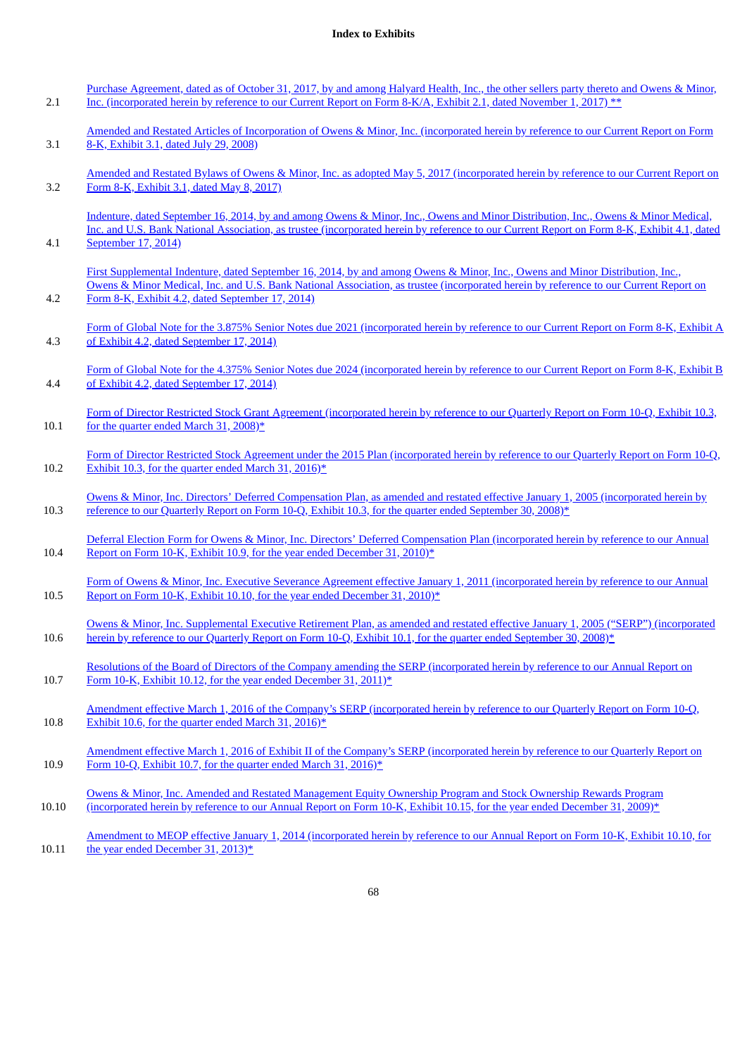# **Index to Exhibits**

| 2.1   | Purchase Agreement, dated as of October 31, 2017, by and among Halyard Health, Inc., the other sellers party thereto and Owens & Minor,<br>Inc. (incorporated herein by reference to our Current Report on Form 8-K/A, Exhibit 2.1, dated November 1, 2017) **                                                             |
|-------|----------------------------------------------------------------------------------------------------------------------------------------------------------------------------------------------------------------------------------------------------------------------------------------------------------------------------|
| 3.1   | Amended and Restated Articles of Incorporation of Owens & Minor, Inc. (incorporated herein by reference to our Current Report on Form<br>8-K, Exhibit 3.1, dated July 29, 2008)                                                                                                                                            |
| 3.2   | Amended and Restated Bylaws of Owens & Minor, Inc. as adopted May 5, 2017 (incorporated herein by reference to our Current Report on<br>Form 8-K, Exhibit 3.1, dated May 8, 2017)                                                                                                                                          |
| 4.1   | Indenture, dated September 16, 2014, by and among Owens & Minor, Inc., Owens and Minor Distribution, Inc., Owens & Minor Medical,<br>Inc. and U.S. Bank National Association, as trustee (incorporated herein by reference to our Current Report on Form 8-K, Exhibit 4.1, dated<br>September 17, 2014)                    |
| 4.2   | First Supplemental Indenture, dated September 16, 2014, by and among Owens & Minor, Inc., Owens and Minor Distribution, Inc.,<br>Owens & Minor Medical, Inc. and U.S. Bank National Association, as trustee (incorporated herein by reference to our Current Report on<br>Form 8-K, Exhibit 4.2, dated September 17, 2014) |
| 4.3   | Form of Global Note for the 3.875% Senior Notes due 2021 (incorporated herein by reference to our Current Report on Form 8-K, Exhibit A<br>of Exhibit 4.2, dated September 17, 2014)                                                                                                                                       |
| 4.4   | Form of Global Note for the 4.375% Senior Notes due 2024 (incorporated herein by reference to our Current Report on Form 8-K, Exhibit B<br>of Exhibit 4.2, dated September 17, 2014)                                                                                                                                       |
| 10.1  | Form of Director Restricted Stock Grant Agreement (incorporated herein by reference to our Quarterly Report on Form 10-Q, Exhibit 10.3,<br>for the quarter ended March 31, 2008)*                                                                                                                                          |
| 10.2  | Form of Director Restricted Stock Agreement under the 2015 Plan (incorporated herein by reference to our Quarterly Report on Form 10-Q,<br>Exhibit 10.3, for the quarter ended March 31, 2016)*                                                                                                                            |
| 10.3  | Owens & Minor, Inc. Directors' Deferred Compensation Plan, as amended and restated effective January 1, 2005 (incorporated herein by<br>reference to our Quarterly Report on Form 10-Q, Exhibit 10.3, for the quarter ended September 30, 2008)*                                                                           |
| 10.4  | Deferral Election Form for Owens & Minor, Inc. Directors' Deferred Compensation Plan (incorporated herein by reference to our Annual<br>Report on Form 10-K, Exhibit 10.9, for the year ended December 31, 2010)*                                                                                                          |
| 10.5  | Form of Owens & Minor, Inc. Executive Severance Agreement effective January 1, 2011 (incorporated herein by reference to our Annual<br>Report on Form 10-K, Exhibit 10.10, for the year ended December 31, 2010)*                                                                                                          |
| 10.6  | Owens & Minor, Inc. Supplemental Executive Retirement Plan, as amended and restated effective January 1, 2005 ("SERP") (incorporated<br>herein by reference to our Quarterly Report on Form 10-Q, Exhibit 10.1, for the quarter ended September 30, 2008)*                                                                 |
| 10.7  | Resolutions of the Board of Directors of the Company amending the SERP (incorporated herein by reference to our Annual Report on<br>Form 10-K, Exhibit 10.12, for the year ended December 31, 2011)*                                                                                                                       |
| 10.8  | <u>Amendment effective March 1, 2016 of the Company's SERP (incorporated herein by reference to our Quarterly Report on Form 10-Q,</u><br>Exhibit 10.6, for the quarter ended March 31, 2016)*                                                                                                                             |
| 10.9  | Amendment effective March 1, 2016 of Exhibit II of the Company's SERP (incorporated herein by reference to our Quarterly Report on<br>Form 10-Q, Exhibit 10.7, for the quarter ended March 31, 2016)*                                                                                                                      |
| 10.10 | Owens & Minor, Inc. Amended and Restated Management Equity Ownership Program and Stock Ownership Rewards Program<br>(incorporated herein by reference to our Annual Report on Form 10-K, Exhibit 10.15, for the year ended December 31, 2009)*                                                                             |
| 10.11 | Amendment to MEOP effective January 1, 2014 (incorporated herein by reference to our Annual Report on Form 10-K, Exhibit 10.10, for<br>the year ended December 31, 2013)*                                                                                                                                                  |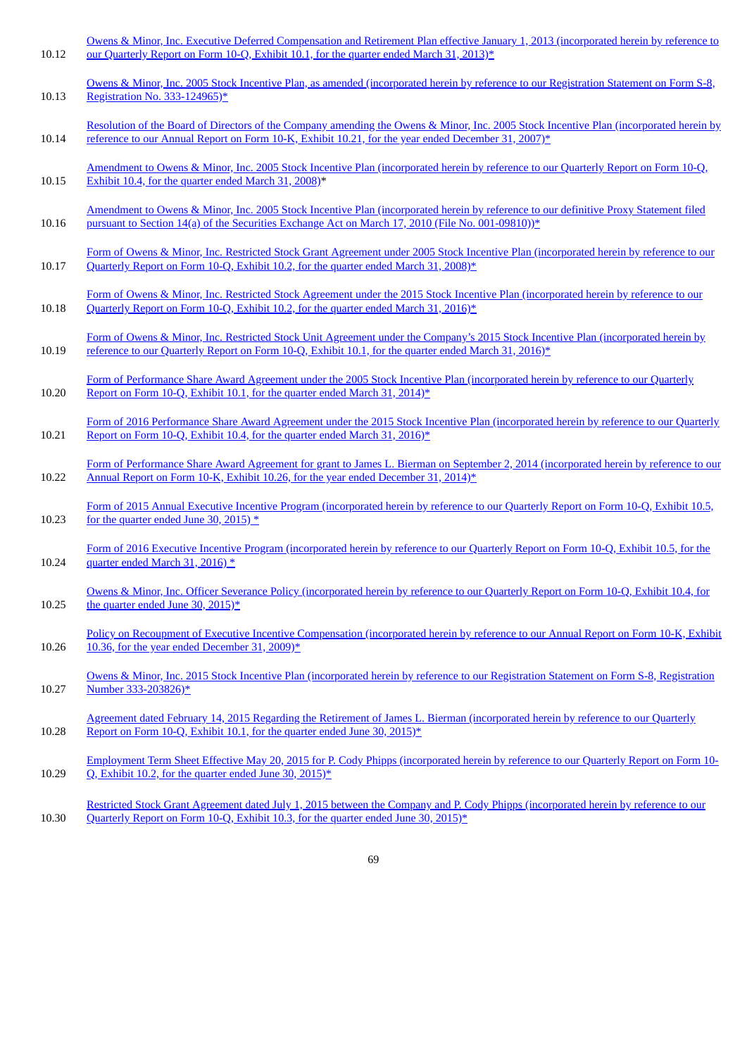| 10.12 | Owens & Minor, Inc. Executive Deferred Compensation and Retirement Plan effective January 1, 2013 (incorporated herein by reference to<br>our Quarterly Report on Form 10-Q, Exhibit 10.1, for the quarter ended March 31, 2013)*            |
|-------|----------------------------------------------------------------------------------------------------------------------------------------------------------------------------------------------------------------------------------------------|
| 10.13 | Owens & Minor, Inc. 2005 Stock Incentive Plan, as amended (incorporated herein by reference to our Registration Statement on Form S-8,<br>Registration No. 333-124965)*                                                                      |
| 10.14 | Resolution of the Board of Directors of the Company amending the Owens & Minor, Inc. 2005 Stock Incentive Plan (incorporated herein by<br>reference to our Annual Report on Form 10-K, Exhibit 10.21, for the year ended December 31, 2007)* |
| 10.15 | Amendment to Owens & Minor, Inc. 2005 Stock Incentive Plan (incorporated herein by reference to our Quarterly Report on Form 10-Q,<br>Exhibit 10.4, for the quarter ended March 31, 2008)*                                                   |
| 10.16 | Amendment to Owens & Minor, Inc. 2005 Stock Incentive Plan (incorporated herein by reference to our definitive Proxy Statement filed<br>pursuant to Section 14(a) of the Securities Exchange Act on March 17, 2010 (File No. 001-09810))*    |
| 10.17 | Form of Owens & Minor, Inc. Restricted Stock Grant Agreement under 2005 Stock Incentive Plan (incorporated herein by reference to our<br>Quarterly Report on Form 10-Q, Exhibit 10.2, for the quarter ended March 31, 2008)*                 |
| 10.18 | Form of Owens & Minor, Inc. Restricted Stock Agreement under the 2015 Stock Incentive Plan (incorporated herein by reference to our<br>Quarterly Report on Form 10-Q, Exhibit 10.2, for the quarter ended March 31, 2016)*                   |
| 10.19 | Form of Owens & Minor, Inc. Restricted Stock Unit Agreement under the Company's 2015 Stock Incentive Plan (incorporated herein by<br>reference to our Quarterly Report on Form 10-Q, Exhibit 10.1, for the quarter ended March 31, 2016)*    |
| 10.20 | Form of Performance Share Award Agreement under the 2005 Stock Incentive Plan (incorporated herein by reference to our Quarterly<br>Report on Form 10-Q, Exhibit 10.1, for the quarter ended March 31, 2014)*                                |
| 10.21 | Form of 2016 Performance Share Award Agreement under the 2015 Stock Incentive Plan (incorporated herein by reference to our Quarterly<br>Report on Form 10-Q, Exhibit 10.4, for the quarter ended March 31, 2016)*                           |
| 10.22 | Form of Performance Share Award Agreement for grant to James L. Bierman on September 2, 2014 (incorporated herein by reference to our<br>Annual Report on Form 10-K, Exhibit 10.26, for the year ended December 31, 2014)*                   |
| 10.23 | Form of 2015 Annual Executive Incentive Program (incorporated herein by reference to our Quarterly Report on Form 10-Q, Exhibit 10.5,<br>for the quarter ended June 30, 2015) $*$                                                            |
| 10.24 | Form of 2016 Executive Incentive Program (incorporated herein by reference to our Quarterly Report on Form 10-Q, Exhibit 10.5, for the<br>quarter ended March 31, 2016)*                                                                     |
| 10.25 | Owens & Minor, Inc. Officer Severance Policy (incorporated herein by reference to our Quarterly Report on Form 10-Q, Exhibit 10.4, for<br>the quarter ended June 30, 2015)*                                                                  |
| 10.26 | Policy on Recoupment of Executive Incentive Compensation (incorporated herein by reference to our Annual Report on Form 10-K, Exhibit<br>10.36, for the year ended December 31, 2009)*                                                       |
| 10.27 | Owens & Minor, Inc. 2015 Stock Incentive Plan (incorporated herein by reference to our Registration Statement on Form S-8, Registration<br>Number 333-203826)*                                                                               |
| 10.28 | Agreement dated February 14, 2015 Regarding the Retirement of James L. Bierman (incorporated herein by reference to our Quarterly<br>Report on Form 10-Q, Exhibit 10.1, for the quarter ended June 30, 2015)*                                |
| 10.29 | Employment Term Sheet Effective May 20, 2015 for P. Cody Phipps (incorporated herein by reference to our Quarterly Report on Form 10-<br>Q, Exhibit 10.2, for the quarter ended June 30, 2015)*                                              |
| 10.30 | Restricted Stock Grant Agreement dated July 1, 2015 between the Company and P. Cody Phipps (incorporated herein by reference to our<br>Quarterly Report on Form 10-Q, Exhibit 10.3, for the quarter ended June 30, 2015)*                    |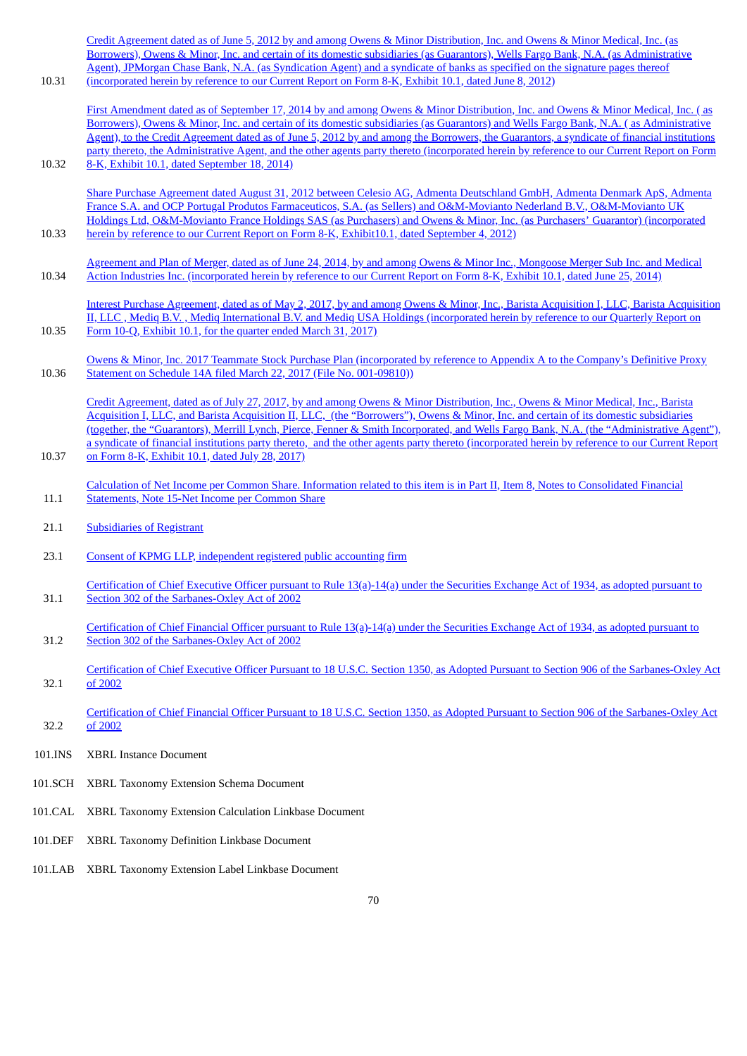Credit Agreement dated as of June 5, 2012 by and among Owens & Minor Distribution, Inc. and Owens & Minor Medical, Inc. (as Borrowers), Owens & Minor, Inc. and certain of its domestic subsidiaries (as Guarantors), Wells Fargo Bank, N.A. (as [Administrative](http://www.sec.gov/Archives/edgar/data/75252/000119312512265160/d363768dex101.htm) Agent), JPMorgan Chase Bank, N.A. (as Syndication Agent) and a syndicate of banks as specified on the signature pages thereof (incorporated herein by reference to our Current Report on Form 8-K, Exhibit 10.1, dated June 8, 2012)

First Amendment dated as of September 17, 2014 by and among Owens & Minor Distribution, Inc. and Owens & Minor Medical, Inc. ( as Borrowers), Owens & Minor, Inc. and certain of its domestic subsidiaries (as Guarantors) and Wells Fargo Bank, N.A. ( as [Administrative](http://www.sec.gov/Archives/edgar/data/75252/000119312514345601/d791915dex101.htm) Agent), to the Credit Agreement dated as of June 5, 2012 by and among the Borrowers, the Guarantors, a syndicate of financial institutions party thereto, the Administrative Agent, and the other agents party thereto (incorporated herein by reference to our Current Report on Form 8-K, Exhibit 10.1, dated September 18, 2014)

10.33 Share Purchase Agreement dated August 31, 2012 between Celesio AG, Admenta Deutschland GmbH, Admenta Denmark ApS, Admenta France S.A. and OCP Portugal Produtos Farmaceuticos, S.A. (as Sellers) and O&M-Movianto Nederland B.V., O&M-Movianto UK Holdings Ltd, [O&M-Movianto](http://www.sec.gov/Archives/edgar/data/75252/000119312512379218/d406350dex101.htm) France Holdings SAS (as Purchasers) and Owens & Minor, Inc. (as Purchasers' Guarantor) (incorporated herein by reference to our Current Report on Form 8-K, Exhibit10.1, dated September 4, 2012)

10.34 Agreement and Plan of Merger, dated as of June 24, 2014, by and among Owens & Minor Inc., Mongoose Merger Sub Inc. and Medical Action Industries Inc. [\(incorporated](http://www.sec.gov/Archives/edgar/data/75252/000119312514248045/d747719dex101.htm) herein by reference to our Current Report on Form 8-K, Exhibit 10.1, dated June 25, 2014)

10.35 Interest Purchase Agreement, dated as of May 2, 2017, by and among Owens & Minor, Inc., Barista Acquisition I, LLC, Barista Acquisition II, LLC , Mediq B.V. , Mediq International B.V. and Mediq USA Holdings [\(incorporated](http://www.sec.gov/Archives/edgar/data/75252/000007525217000072/projectbarista-interestpur.htm) herein by reference to our Quarterly Report on Form 10-Q, Exhibit 10.1, for the quarter ended March 31, 2017)

10.36 Owens & Minor, Inc. 2017 Teammate Stock Purchase Plan [\(incorporated](http://www.sec.gov/Archives/edgar/data/75252/000119312517092098/d336966ddef14a.htm) by reference to Appendix A to the Company's Definitive Proxy Statement on Schedule 14A filed March 22, 2017 (File No. 001-09810))

Credit Agreement, dated as of July 27, 2017, by and among Owens & Minor Distribution, Inc., Owens & Minor Medical, Inc., Barista Acquisition I, LLC, and Barista Acquisition II, LLC, (the "Borrowers"), Owens & Minor, Inc. and certain of its domestic subsidiaries (together, the "Guarantors), Merrill Lynch, Pierce, Fenner & Smith Incorporated, and Wells Fargo Bank, N.A. (the ["Administrative](http://www.sec.gov/Archives/edgar/data/75252/000007525217000106/creditagreementfinalvers.htm) Agent"), a syndicate of financial institutions party thereto, and the other agents party thereto (incorporated herein by reference to our Current Report on Form 8-K, Exhibit 10.1, dated July 28, 2017)

- 11.1 Calculation of Net Income per Common Share. Information related to this item is in Part II, Item 8, Notes to [Consolidated](#page-0-0) Financial Statements, Note 15-Net Income per Common Share
- 21.1 [Subsidiaries](#page-74-0) of Registrant

10.31

10.32

10.37

23.1 Consent of KPMG LLP, [independent](#page-76-0) registered public accounting firm

31.1 Certification of Chief Executive Officer pursuant to Rule 13(a)-14(a) under the Securities Exchange Act of 1934, as adopted pursuant to Section 302 of the [Sarbanes-Oxley](#page-77-0) Act of 2002

31.2 Certification of Chief Financial Officer pursuant to Rule 13(a)-14(a) under the Securities Exchange Act of 1934, as adopted pursuant to Section 302 of the [Sarbanes-Oxley](#page-78-0) Act of 2002

32.1 Certification of Chief Executive Officer Pursuant to 18 U.S.C. Section 1350, as Adopted Pursuant to Section 906 of the [Sarbanes-Oxley](#page-79-0) Act of 2002

#### 32.2 Certification of Chief Financial Officer Pursuant to 18 U.S.C. Section 1350, as Adopted Pursuant to Section 906 of the [Sarbanes-Oxley](#page-80-0) Act of 2002

- 101.INS XBRL Instance Document
- 101.SCH XBRL Taxonomy Extension Schema Document
- 101.CAL XBRL Taxonomy Extension Calculation Linkbase Document
- 101.DEF XBRL Taxonomy Definition Linkbase Document
- 101.LAB XBRL Taxonomy Extension Label Linkbase Document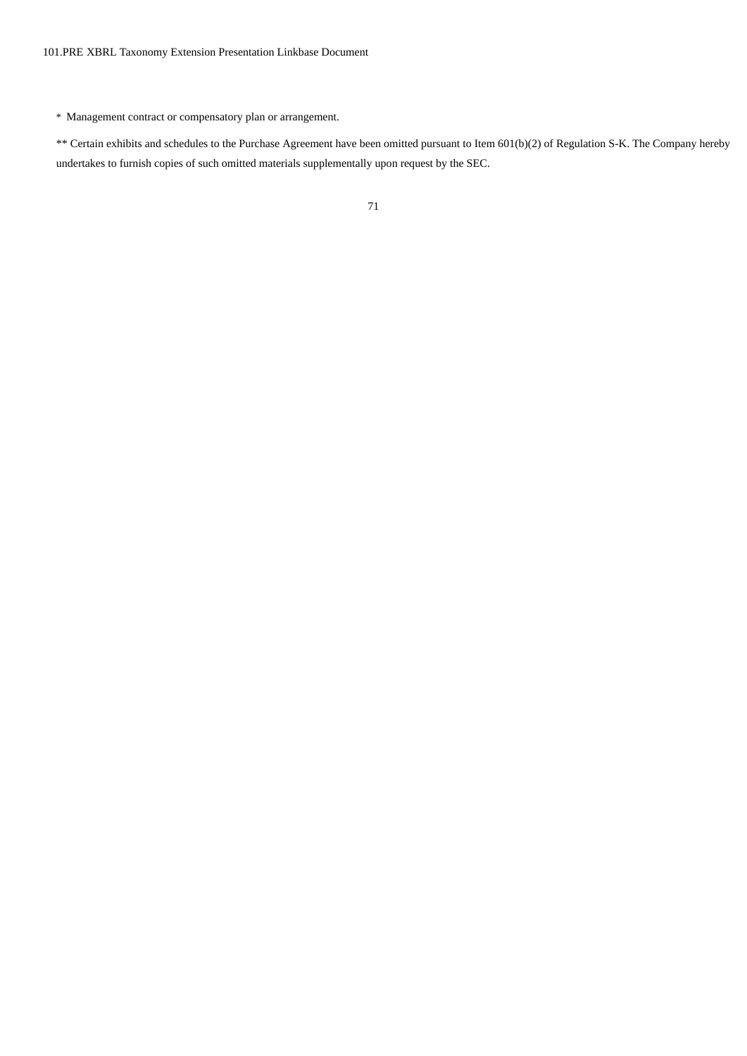\* Management contract or compensatory plan or arrangement.

\*\* Certain exhibits and schedules to the Purchase Agreement have been omitted pursuant to Item 601(b)(2) of Regulation S-K. The Company hereby undertakes to furnish copies of such omitted materials supplementally upon request by the SEC.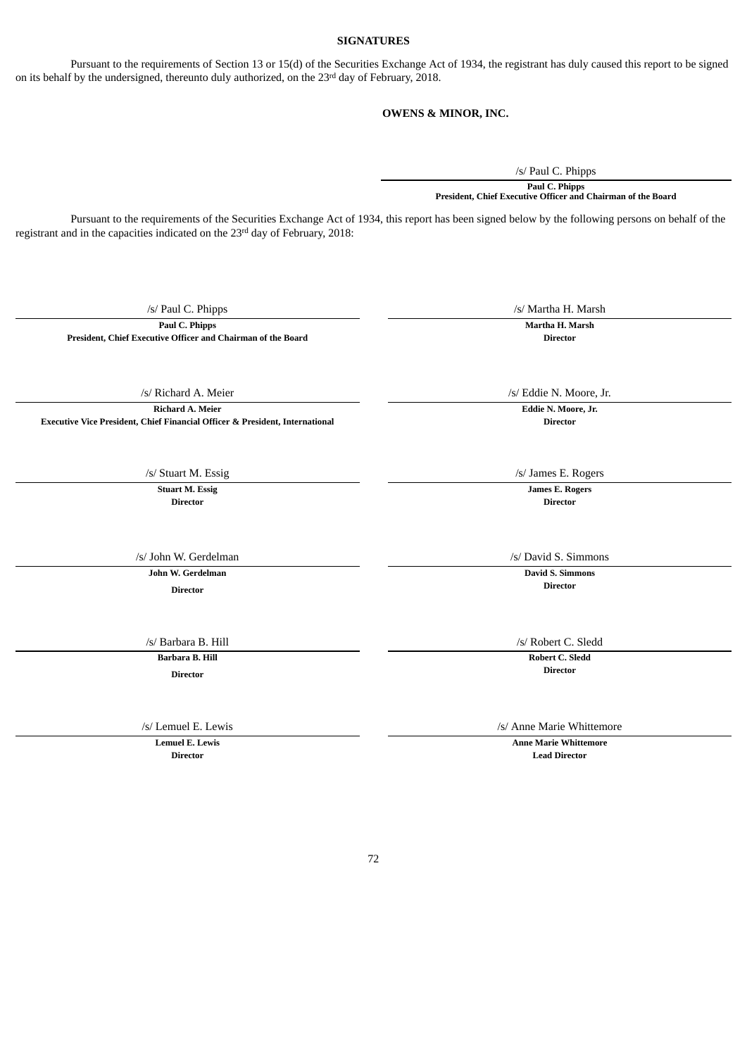### **SIGNATURES**

Pursuant to the requirements of Section 13 or 15(d) of the Securities Exchange Act of 1934, the registrant has duly caused this report to be signed on its behalf by the undersigned, thereunto duly authorized, on the 23<sup>rd</sup> day of February, 2018.

#### **OWENS & MINOR, INC.**

/s/ Paul C. Phipps **Paul C. Phipps President, Chief Executive Officer and Chairman of the Board**

Pursuant to the requirements of the Securities Exchange Act of 1934, this report has been signed below by the following persons on behalf of the registrant and in the capacities indicated on the 23<sup>rd</sup> day of February, 2018:

/s/ Paul C. Phipps /s/ Martha H. Marsh **Paul C. Phipps Martha H. Marsh President, Chief Executive Officer and Chairman of the Board Director** /s/ Richard A. Meier /s/ Eddie N. Moore, Jr. **Richard A. Meier Eddie N. Moore, Jr. Executive Vice President, Chief Financial Officer & President, International Director** /s/ Stuart M. Essig /s/ James E. Rogers **Stuart M. Essig James E. Rogers Director Director** /s/ John W. Gerdelman /s/ David S. Simmons **John W. Gerdelman David S. Simmons Director Director** /s/ Barbara B. Hill /s/ Robert C. Sledd **Barbara B. Hill Robert C. Sledd Director Director** /s/ Lemuel E. Lewis /s/ Anne Marie Whittemore **Lemuel E. Lewis Anne Marie Whittemore Director Lead Director**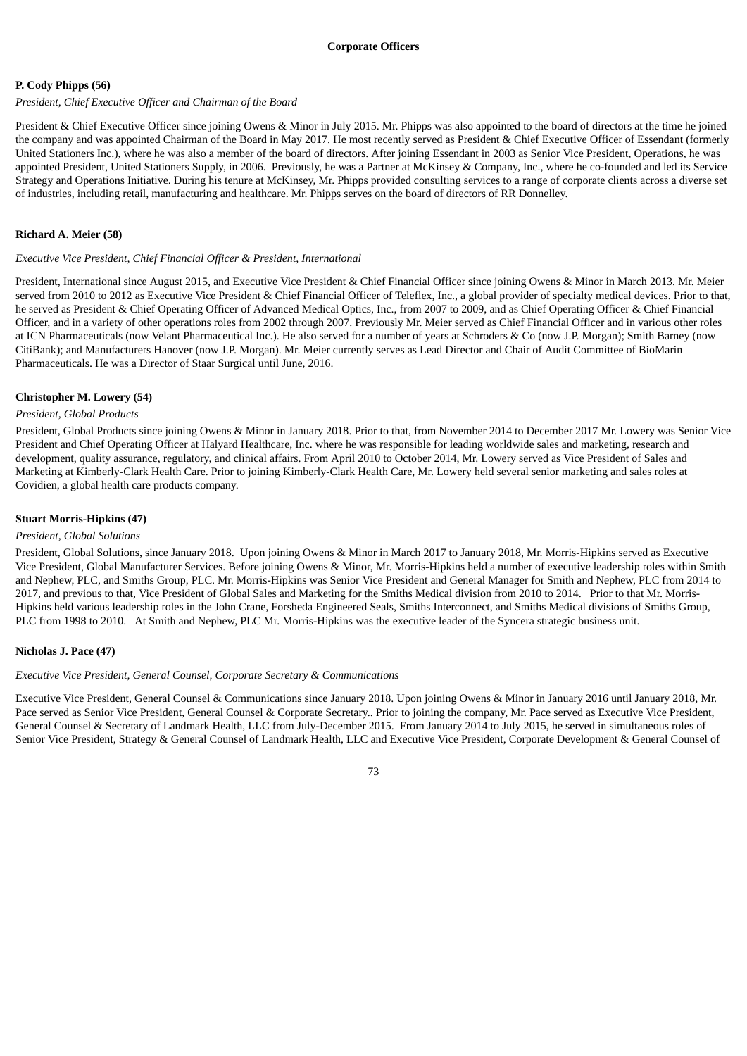### **P. Cody Phipps (56)**

## *President, Chief Executive Officer and Chairman of the Board*

President & Chief Executive Officer since joining Owens & Minor in July 2015. Mr. Phipps was also appointed to the board of directors at the time he joined the company and was appointed Chairman of the Board in May 2017. He most recently served as President & Chief Executive Officer of Essendant (formerly United Stationers Inc.), where he was also a member of the board of directors. After joining Essendant in 2003 as Senior Vice President, Operations, he was appointed President, United Stationers Supply, in 2006. Previously, he was a Partner at McKinsey & Company, Inc., where he co-founded and led its Service Strategy and Operations Initiative. During his tenure at McKinsey, Mr. Phipps provided consulting services to a range of corporate clients across a diverse set of industries, including retail, manufacturing and healthcare. Mr. Phipps serves on the board of directors of RR Donnelley.

### **Richard A. Meier (58)**

#### *Executive Vice President, Chief Financial Officer & President, International*

President, International since August 2015, and Executive Vice President & Chief Financial Officer since joining Owens & Minor in March 2013. Mr. Meier served from 2010 to 2012 as Executive Vice President & Chief Financial Officer of Teleflex, Inc., a global provider of specialty medical devices. Prior to that, he served as President & Chief Operating Officer of Advanced Medical Optics, Inc., from 2007 to 2009, and as Chief Operating Officer & Chief Financial Officer, and in a variety of other operations roles from 2002 through 2007. Previously Mr. Meier served as Chief Financial Officer and in various other roles at ICN Pharmaceuticals (now Velant Pharmaceutical Inc.). He also served for a number of years at Schroders & Co (now J.P. Morgan); Smith Barney (now CitiBank); and Manufacturers Hanover (now J.P. Morgan). Mr. Meier currently serves as Lead Director and Chair of Audit Committee of BioMarin Pharmaceuticals. He was a Director of Staar Surgical until June, 2016.

#### **Christopher M. Lowery (54)**

#### *President, Global Products*

President, Global Products since joining Owens & Minor in January 2018. Prior to that, from November 2014 to December 2017 Mr. Lowery was Senior Vice President and Chief Operating Officer at Halyard Healthcare, Inc. where he was responsible for leading worldwide sales and marketing, research and development, quality assurance, regulatory, and clinical affairs. From April 2010 to October 2014, Mr. Lowery served as Vice President of Sales and Marketing at Kimberly-Clark Health Care. Prior to joining Kimberly-Clark Health Care, Mr. Lowery held several senior marketing and sales roles at Covidien, a global health care products company.

### **Stuart Morris-Hipkins (47)**

#### *President, Global Solutions*

President, Global Solutions, since January 2018. Upon joining Owens & Minor in March 2017 to January 2018, Mr. Morris-Hipkins served as Executive Vice President, Global Manufacturer Services. Before joining Owens & Minor, Mr. Morris-Hipkins held a number of executive leadership roles within Smith and Nephew, PLC, and Smiths Group, PLC. Mr. Morris-Hipkins was Senior Vice President and General Manager for Smith and Nephew, PLC from 2014 to 2017, and previous to that, Vice President of Global Sales and Marketing for the Smiths Medical division from 2010 to 2014. Prior to that Mr. Morris-Hipkins held various leadership roles in the John Crane, Forsheda Engineered Seals, Smiths Interconnect, and Smiths Medical divisions of Smiths Group, PLC from 1998 to 2010. At Smith and Nephew, PLC Mr. Morris-Hipkins was the executive leader of the Syncera strategic business unit.

## **Nicholas J. Pace (47)**

#### *Executive Vice President, General Counsel, Corporate Secretary & Communications*

Executive Vice President, General Counsel & Communications since January 2018. Upon joining Owens & Minor in January 2016 until January 2018, Mr. Pace served as Senior Vice President, General Counsel & Corporate Secretary.. Prior to joining the company, Mr. Pace served as Executive Vice President, General Counsel & Secretary of Landmark Health, LLC from July-December 2015. From January 2014 to July 2015, he served in simultaneous roles of Senior Vice President, Strategy & General Counsel of Landmark Health, LLC and Executive Vice President, Corporate Development & General Counsel of

#### 73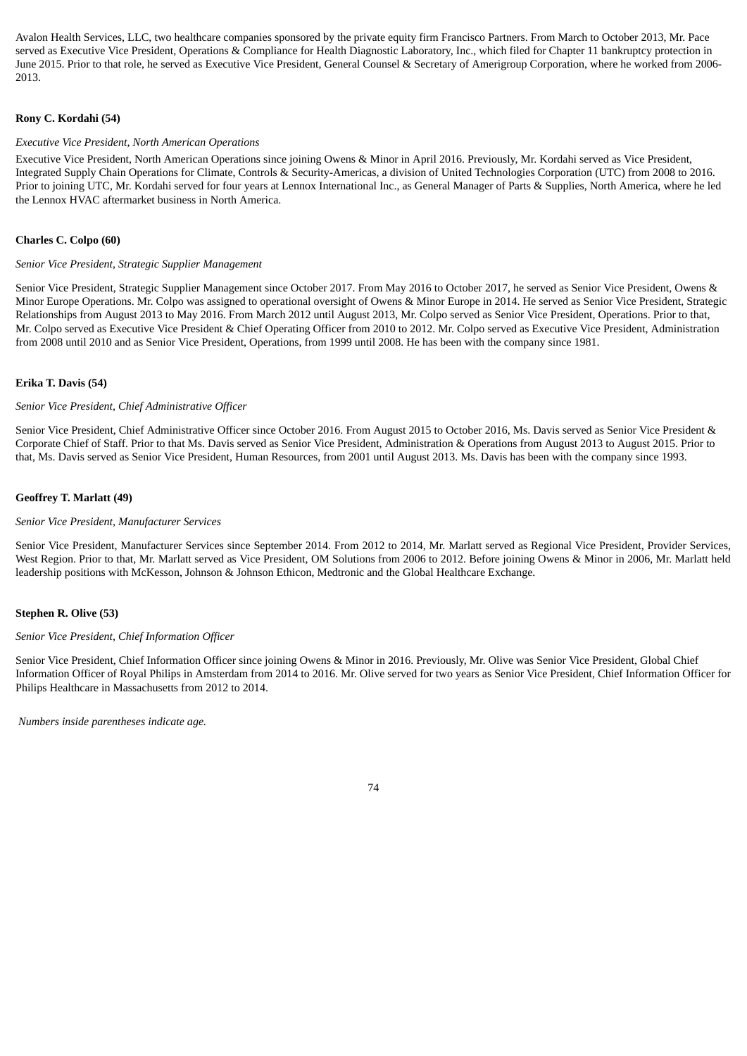Avalon Health Services, LLC, two healthcare companies sponsored by the private equity firm Francisco Partners. From March to October 2013, Mr. Pace served as Executive Vice President, Operations & Compliance for Health Diagnostic Laboratory, Inc., which filed for Chapter 11 bankruptcy protection in June 2015. Prior to that role, he served as Executive Vice President, General Counsel & Secretary of Amerigroup Corporation, where he worked from 2006- 2013.

## **Rony C. Kordahi (54)**

#### *Executive Vice President, North American Operations*

Executive Vice President, North American Operations since joining Owens & Minor in April 2016. Previously, Mr. Kordahi served as Vice President, Integrated Supply Chain Operations for Climate, Controls & Security-Americas, a division of United Technologies Corporation (UTC) from 2008 to 2016. Prior to joining UTC, Mr. Kordahi served for four years at Lennox International Inc., as General Manager of Parts & Supplies, North America, where he led the Lennox HVAC aftermarket business in North America.

## **Charles C. Colpo (60)**

#### *Senior Vice President, Strategic Supplier Management*

Senior Vice President, Strategic Supplier Management since October 2017. From May 2016 to October 2017, he served as Senior Vice President, Owens & Minor Europe Operations. Mr. Colpo was assigned to operational oversight of Owens & Minor Europe in 2014. He served as Senior Vice President, Strategic Relationships from August 2013 to May 2016. From March 2012 until August 2013, Mr. Colpo served as Senior Vice President, Operations. Prior to that, Mr. Colpo served as Executive Vice President & Chief Operating Officer from 2010 to 2012. Mr. Colpo served as Executive Vice President, Administration from 2008 until 2010 and as Senior Vice President, Operations, from 1999 until 2008. He has been with the company since 1981.

#### **Erika T. Davis (54)**

#### *Senior Vice President, Chief Administrative Officer*

Senior Vice President, Chief Administrative Officer since October 2016. From August 2015 to October 2016, Ms. Davis served as Senior Vice President & Corporate Chief of Staff. Prior to that Ms. Davis served as Senior Vice President, Administration & Operations from August 2013 to August 2015. Prior to that, Ms. Davis served as Senior Vice President, Human Resources, from 2001 until August 2013. Ms. Davis has been with the company since 1993.

#### **Geoffrey T. Marlatt (49)**

#### *Senior Vice President, Manufacturer Services*

Senior Vice President, Manufacturer Services since September 2014. From 2012 to 2014, Mr. Marlatt served as Regional Vice President, Provider Services, West Region. Prior to that, Mr. Marlatt served as Vice President, OM Solutions from 2006 to 2012. Before joining Owens & Minor in 2006, Mr. Marlatt held leadership positions with McKesson, Johnson & Johnson Ethicon, Medtronic and the Global Healthcare Exchange.

## **Stephen R. Olive (53)**

## *Senior Vice President, Chief Information Officer*

Senior Vice President, Chief Information Officer since joining Owens & Minor in 2016. Previously, Mr. Olive was Senior Vice President, Global Chief Information Officer of Royal Philips in Amsterdam from 2014 to 2016. Mr. Olive served for two years as Senior Vice President, Chief Information Officer for Philips Healthcare in Massachusetts from 2012 to 2014.

*Numbers inside parentheses indicate age.*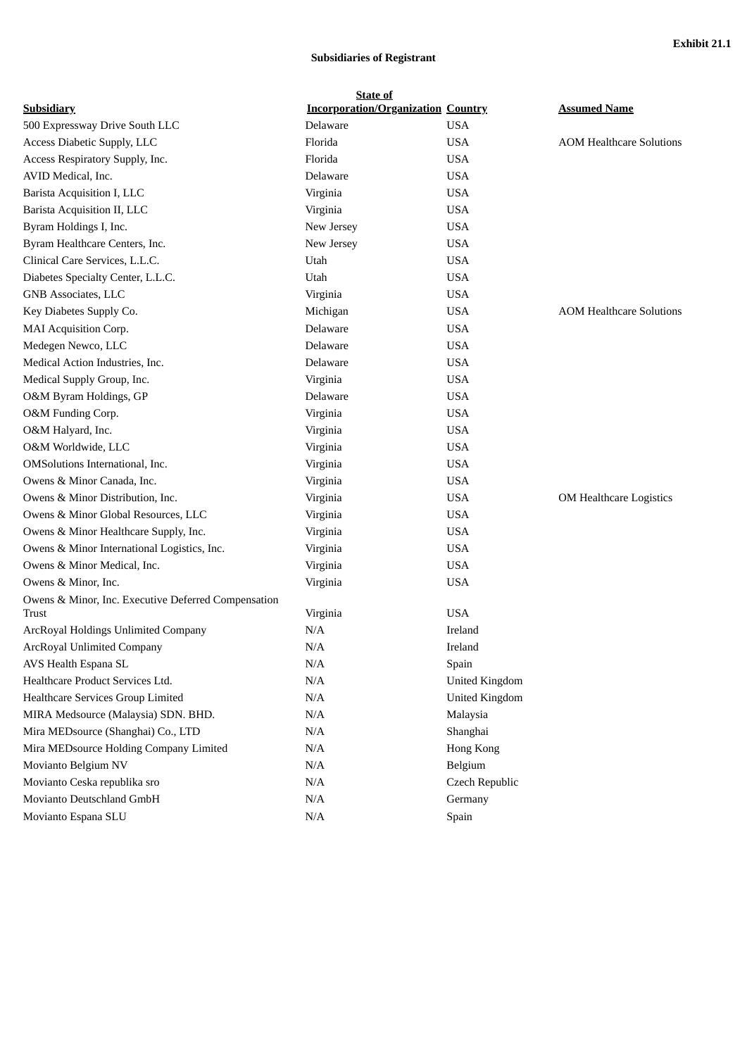# **Subsidiaries of Registrant**

| <b>State of</b>                                     |                                           |                       |                                 |  |
|-----------------------------------------------------|-------------------------------------------|-----------------------|---------------------------------|--|
| <b>Subsidiary</b>                                   | <b>Incorporation/Organization Country</b> |                       | <b>Assumed Name</b>             |  |
| 500 Expressway Drive South LLC                      | Delaware                                  | <b>USA</b>            |                                 |  |
| Access Diabetic Supply, LLC                         | Florida                                   | <b>USA</b>            | <b>AOM Healthcare Solutions</b> |  |
| Access Respiratory Supply, Inc.                     | Florida                                   | <b>USA</b>            |                                 |  |
| AVID Medical, Inc.                                  | Delaware                                  | <b>USA</b>            |                                 |  |
| Barista Acquisition I, LLC                          | Virginia                                  | <b>USA</b>            |                                 |  |
| Barista Acquisition II, LLC                         | Virginia                                  | <b>USA</b>            |                                 |  |
| Byram Holdings I, Inc.                              | New Jersey                                | <b>USA</b>            |                                 |  |
| Byram Healthcare Centers, Inc.                      | New Jersey                                | <b>USA</b>            |                                 |  |
| Clinical Care Services, L.L.C.                      | Utah                                      | <b>USA</b>            |                                 |  |
| Diabetes Specialty Center, L.L.C.                   | Utah                                      | <b>USA</b>            |                                 |  |
| <b>GNB Associates, LLC</b>                          | Virginia                                  | <b>USA</b>            |                                 |  |
| Key Diabetes Supply Co.                             | Michigan                                  | <b>USA</b>            | <b>AOM Healthcare Solutions</b> |  |
| MAI Acquisition Corp.                               | Delaware                                  | <b>USA</b>            |                                 |  |
| Medegen Newco, LLC                                  | Delaware                                  | <b>USA</b>            |                                 |  |
| Medical Action Industries, Inc.                     | Delaware                                  | <b>USA</b>            |                                 |  |
| Medical Supply Group, Inc.                          | Virginia                                  | <b>USA</b>            |                                 |  |
| O&M Byram Holdings, GP                              | Delaware                                  | <b>USA</b>            |                                 |  |
| O&M Funding Corp.                                   | Virginia                                  | <b>USA</b>            |                                 |  |
| O&M Halyard, Inc.                                   | Virginia                                  | <b>USA</b>            |                                 |  |
| O&M Worldwide, LLC                                  | Virginia                                  | <b>USA</b>            |                                 |  |
| OMSolutions International, Inc.                     | Virginia                                  | <b>USA</b>            |                                 |  |
| Owens & Minor Canada, Inc.                          | Virginia                                  | <b>USA</b>            |                                 |  |
| Owens & Minor Distribution, Inc.                    | Virginia                                  | <b>USA</b>            | <b>OM Healthcare Logistics</b>  |  |
| Owens & Minor Global Resources, LLC                 | Virginia                                  | <b>USA</b>            |                                 |  |
| Owens & Minor Healthcare Supply, Inc.               | Virginia                                  | <b>USA</b>            |                                 |  |
| Owens & Minor International Logistics, Inc.         | Virginia                                  | <b>USA</b>            |                                 |  |
| Owens & Minor Medical, Inc.                         | Virginia                                  | <b>USA</b>            |                                 |  |
| Owens & Minor, Inc.                                 | Virginia                                  | <b>USA</b>            |                                 |  |
| Owens & Minor, Inc. Executive Deferred Compensation |                                           |                       |                                 |  |
| Trust                                               | Virginia                                  | <b>USA</b>            |                                 |  |
| ArcRoyal Holdings Unlimited Company                 | N/A                                       | Ireland               |                                 |  |
| <b>ArcRoyal Unlimited Company</b>                   | N/A                                       | Ireland               |                                 |  |
| AVS Health Espana SL                                | N/A                                       | Spain                 |                                 |  |
| Healthcare Product Services Ltd.                    | $\rm N/A$                                 | <b>United Kingdom</b> |                                 |  |
| Healthcare Services Group Limited                   | $\rm N/A$                                 | <b>United Kingdom</b> |                                 |  |
| MIRA Medsource (Malaysia) SDN. BHD.                 | N/A                                       | Malaysia              |                                 |  |
| Mira MEDsource (Shanghai) Co., LTD                  | N/A                                       | Shanghai              |                                 |  |
| Mira MEDsource Holding Company Limited              | N/A                                       | Hong Kong             |                                 |  |
| Movianto Belgium NV                                 | $\rm N/A$                                 | Belgium               |                                 |  |
| Movianto Ceska republika sro                        | N/A                                       | Czech Republic        |                                 |  |
| Movianto Deutschland GmbH                           | $\rm N/A$                                 | Germany               |                                 |  |
| Movianto Espana SLU                                 | N/A                                       | Spain                 |                                 |  |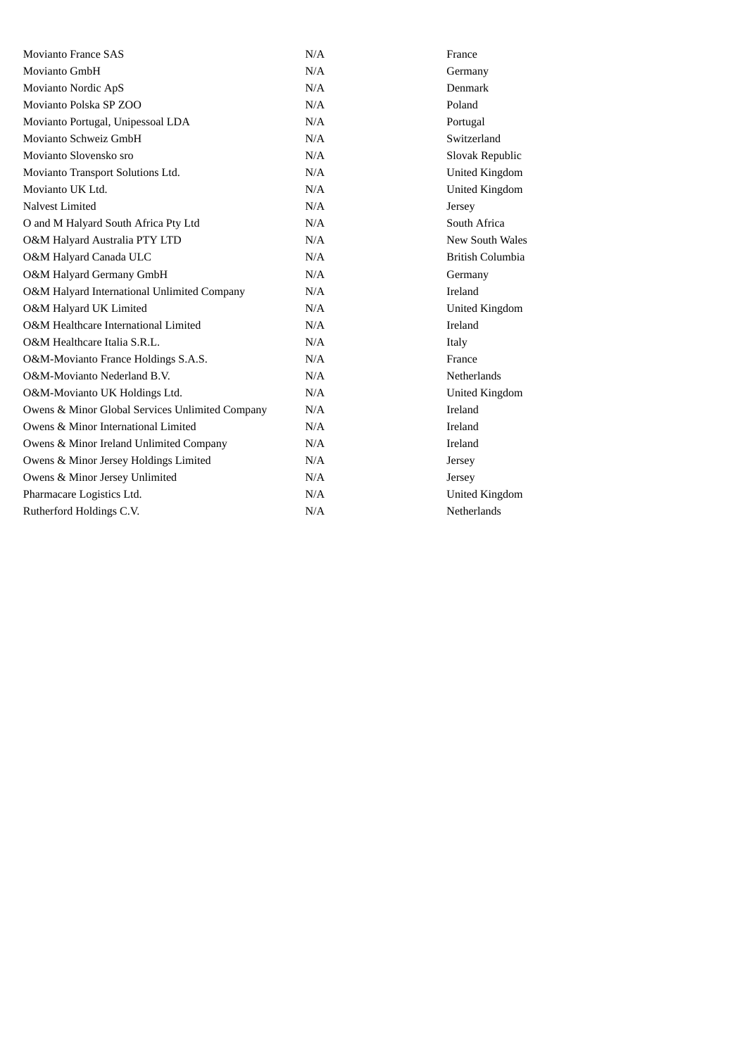| <b>Movianto France SAS</b>                      | N/A | France                |
|-------------------------------------------------|-----|-----------------------|
| Movianto GmbH                                   | N/A | Germany               |
| Movianto Nordic ApS                             | N/A | <b>Denmark</b>        |
| Movianto Polska SP ZOO                          | N/A | Poland                |
| Movianto Portugal, Unipessoal LDA               | N/A | Portugal              |
| Movianto Schweiz GmbH                           | N/A | Switzerland           |
| Movianto Slovensko sro                          | N/A | Slovak Republic       |
| Movianto Transport Solutions Ltd.               | N/A | <b>United Kingdom</b> |
| Movianto UK Ltd.                                | N/A | <b>United Kingdom</b> |
| Nalvest Limited                                 | N/A | Jersey                |
| O and M Halyard South Africa Pty Ltd            | N/A | South Africa          |
| O&M Halyard Australia PTY LTD                   | N/A | New South Wales       |
| O&M Halyard Canada ULC                          | N/A | British Columbia      |
| O&M Halyard Germany GmbH                        | N/A | Germany               |
| O&M Halyard International Unlimited Company     | N/A | <b>Ireland</b>        |
| O&M Halyard UK Limited                          | N/A | United Kingdom        |
| O&M Healthcare International Limited            | N/A | Ireland               |
| O&M Healthcare Italia S.R.L.                    | N/A | Italy                 |
| O&M-Movianto France Holdings S.A.S.             | N/A | France                |
| O&M-Movianto Nederland B.V.                     | N/A | Netherlands           |
| O&M-Movianto UK Holdings Ltd.                   | N/A | <b>United Kingdom</b> |
| Owens & Minor Global Services Unlimited Company | N/A | <b>Ireland</b>        |
| Owens & Minor International Limited             | N/A | Ireland               |
| Owens & Minor Ireland Unlimited Company         | N/A | Ireland               |
| Owens & Minor Jersey Holdings Limited           | N/A | Jersey                |
| Owens & Minor Jersey Unlimited                  | N/A | Jersey                |
| Pharmacare Logistics Ltd.                       | N/A | <b>United Kingdom</b> |
| Rutherford Holdings C.V.                        | N/A | <b>Netherlands</b>    |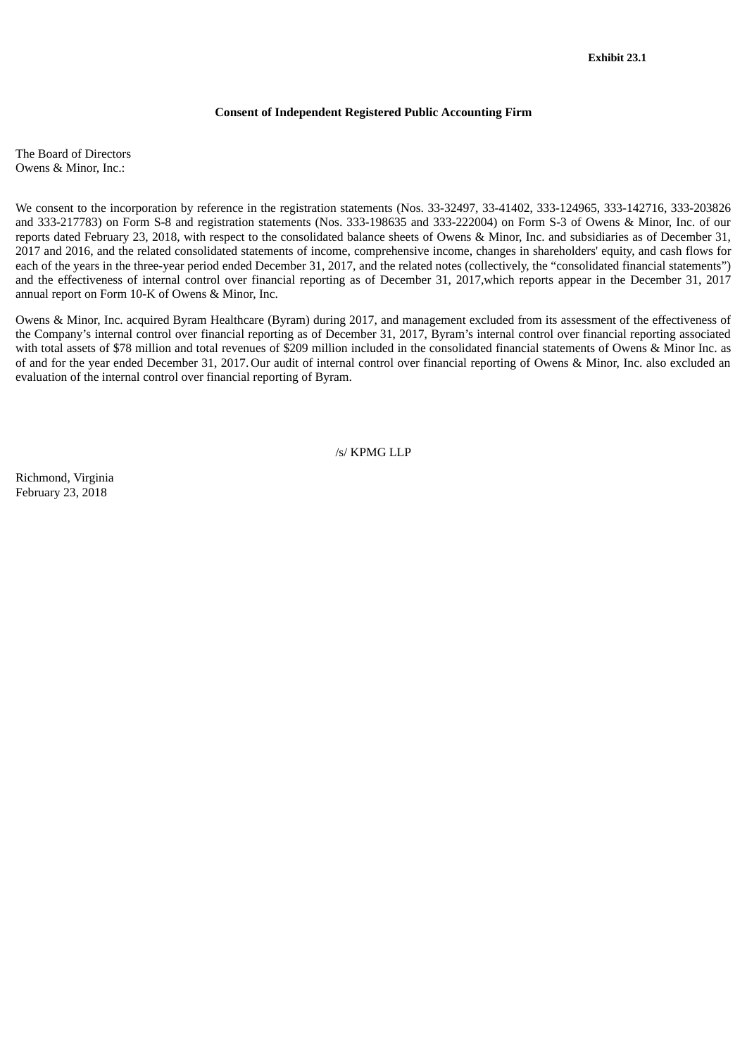### **Consent of Independent Registered Public Accounting Firm**

The Board of Directors Owens & Minor, Inc.:

We consent to the incorporation by reference in the registration statements (Nos. 33-32497, 33-41402, 333-124965, 333-142716, 333-203826 and 333-217783) on Form S-8 and registration statements (Nos. 333-198635 and 333-222004) on Form S-3 of Owens & Minor, Inc. of our reports dated February 23, 2018, with respect to the consolidated balance sheets of Owens & Minor, Inc. and subsidiaries as of December 31, 2017 and 2016, and the related consolidated statements of income, comprehensive income, changes in shareholders' equity, and cash flows for each of the years in the three-year period ended December 31, 2017, and the related notes (collectively, the "consolidated financial statements") and the effectiveness of internal control over financial reporting as of December 31, 2017,which reports appear in the December 31, 2017 annual report on Form 10-K of Owens & Minor, Inc.

Owens & Minor, Inc. acquired Byram Healthcare (Byram) during 2017, and management excluded from its assessment of the effectiveness of the Company's internal control over financial reporting as of December 31, 2017, Byram's internal control over financial reporting associated with total assets of \$78 million and total revenues of \$209 million included in the consolidated financial statements of Owens & Minor Inc. as of and for the year ended December 31, 2017. Our audit of internal control over financial reporting of Owens & Minor, Inc. also excluded an evaluation of the internal control over financial reporting of Byram.

/s/ KPMG LLP

Richmond, Virginia February 23, 2018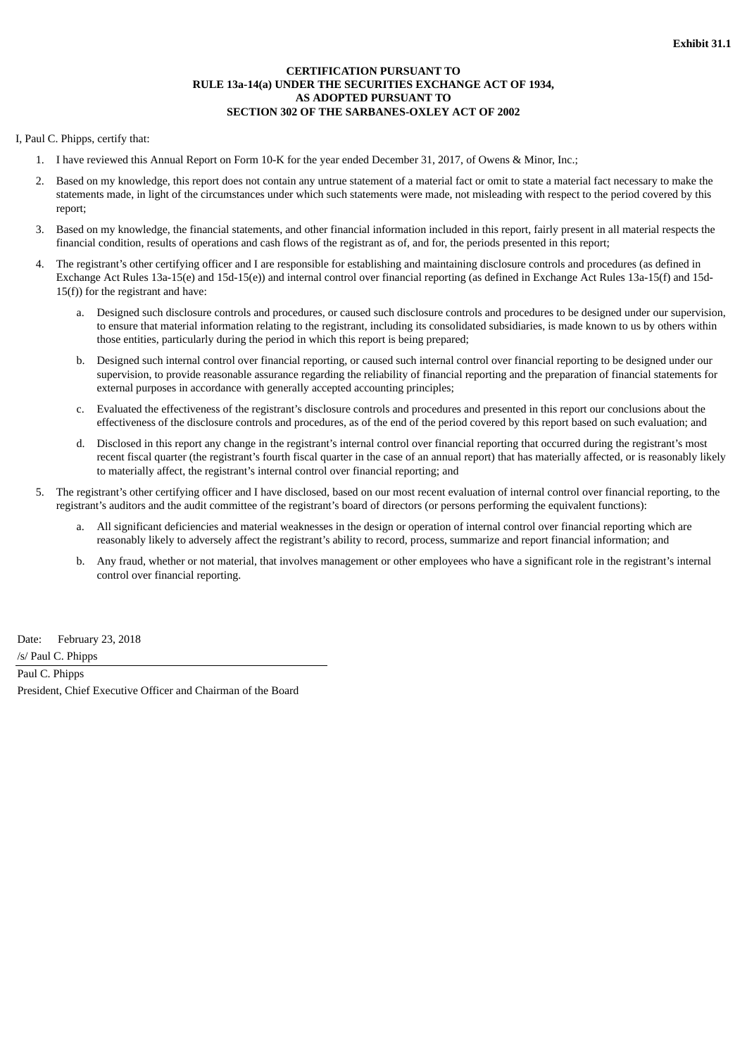# **CERTIFICATION PURSUANT TO RULE 13a-14(a) UNDER THE SECURITIES EXCHANGE ACT OF 1934, AS ADOPTED PURSUANT TO SECTION 302 OF THE SARBANES-OXLEY ACT OF 2002**

## I, Paul C. Phipps, certify that:

- 1. I have reviewed this Annual Report on Form 10-K for the year ended December 31, 2017, of Owens & Minor, Inc.;
- 2. Based on my knowledge, this report does not contain any untrue statement of a material fact or omit to state a material fact necessary to make the statements made, in light of the circumstances under which such statements were made, not misleading with respect to the period covered by this report;
- 3. Based on my knowledge, the financial statements, and other financial information included in this report, fairly present in all material respects the financial condition, results of operations and cash flows of the registrant as of, and for, the periods presented in this report;
- 4. The registrant's other certifying officer and I are responsible for establishing and maintaining disclosure controls and procedures (as defined in Exchange Act Rules 13a-15(e) and 15d-15(e)) and internal control over financial reporting (as defined in Exchange Act Rules 13a-15(f) and 15d- $15(f)$ ) for the registrant and have:
	- a. Designed such disclosure controls and procedures, or caused such disclosure controls and procedures to be designed under our supervision, to ensure that material information relating to the registrant, including its consolidated subsidiaries, is made known to us by others within those entities, particularly during the period in which this report is being prepared;
	- b. Designed such internal control over financial reporting, or caused such internal control over financial reporting to be designed under our supervision, to provide reasonable assurance regarding the reliability of financial reporting and the preparation of financial statements for external purposes in accordance with generally accepted accounting principles;
	- c. Evaluated the effectiveness of the registrant's disclosure controls and procedures and presented in this report our conclusions about the effectiveness of the disclosure controls and procedures, as of the end of the period covered by this report based on such evaluation; and
	- d. Disclosed in this report any change in the registrant's internal control over financial reporting that occurred during the registrant's most recent fiscal quarter (the registrant's fourth fiscal quarter in the case of an annual report) that has materially affected, or is reasonably likely to materially affect, the registrant's internal control over financial reporting; and
- 5. The registrant's other certifying officer and I have disclosed, based on our most recent evaluation of internal control over financial reporting, to the registrant's auditors and the audit committee of the registrant's board of directors (or persons performing the equivalent functions):
	- a. All significant deficiencies and material weaknesses in the design or operation of internal control over financial reporting which are reasonably likely to adversely affect the registrant's ability to record, process, summarize and report financial information; and
	- b. Any fraud, whether or not material, that involves management or other employees who have a significant role in the registrant's internal control over financial reporting.

Date: February 23, 2018

/s/ Paul C. Phipps Paul C. Phipps President, Chief Executive Officer and Chairman of the Board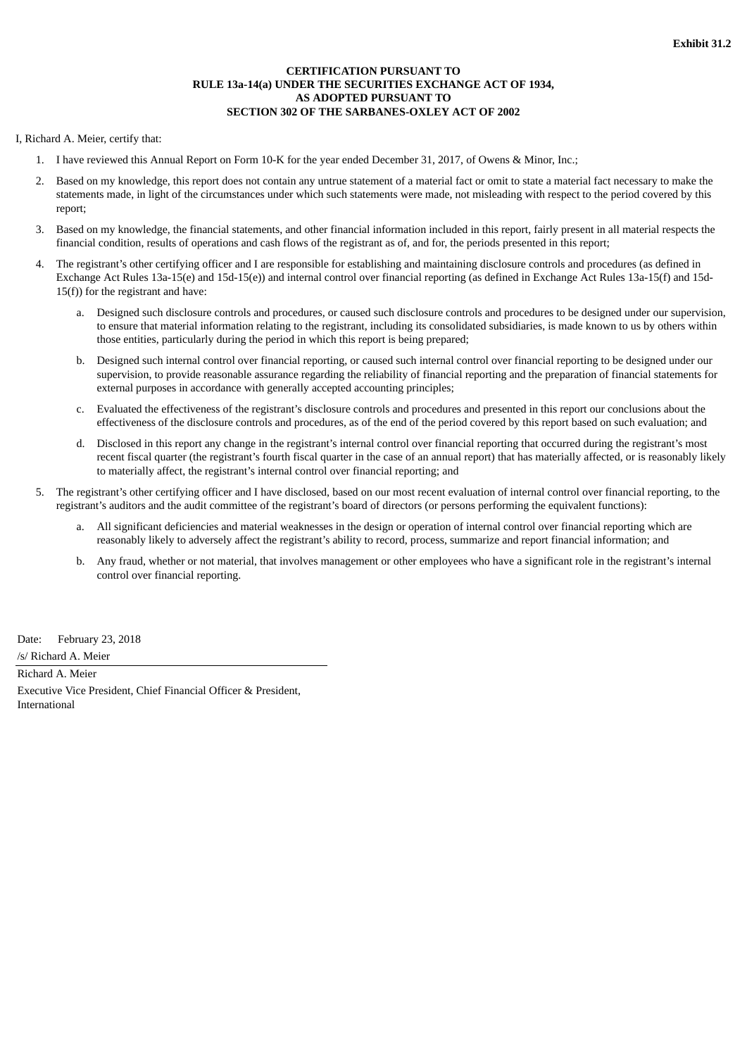# **CERTIFICATION PURSUANT TO RULE 13a-14(a) UNDER THE SECURITIES EXCHANGE ACT OF 1934, AS ADOPTED PURSUANT TO SECTION 302 OF THE SARBANES-OXLEY ACT OF 2002**

## I, Richard A. Meier, certify that:

- 1. I have reviewed this Annual Report on Form 10-K for the year ended December 31, 2017, of Owens & Minor, Inc.;
- 2. Based on my knowledge, this report does not contain any untrue statement of a material fact or omit to state a material fact necessary to make the statements made, in light of the circumstances under which such statements were made, not misleading with respect to the period covered by this report;
- 3. Based on my knowledge, the financial statements, and other financial information included in this report, fairly present in all material respects the financial condition, results of operations and cash flows of the registrant as of, and for, the periods presented in this report;
- 4. The registrant's other certifying officer and I are responsible for establishing and maintaining disclosure controls and procedures (as defined in Exchange Act Rules 13a-15(e) and 15d-15(e)) and internal control over financial reporting (as defined in Exchange Act Rules 13a-15(f) and 15d- $15(f)$ ) for the registrant and have:
	- a. Designed such disclosure controls and procedures, or caused such disclosure controls and procedures to be designed under our supervision, to ensure that material information relating to the registrant, including its consolidated subsidiaries, is made known to us by others within those entities, particularly during the period in which this report is being prepared;
	- b. Designed such internal control over financial reporting, or caused such internal control over financial reporting to be designed under our supervision, to provide reasonable assurance regarding the reliability of financial reporting and the preparation of financial statements for external purposes in accordance with generally accepted accounting principles;
	- c. Evaluated the effectiveness of the registrant's disclosure controls and procedures and presented in this report our conclusions about the effectiveness of the disclosure controls and procedures, as of the end of the period covered by this report based on such evaluation; and
	- d. Disclosed in this report any change in the registrant's internal control over financial reporting that occurred during the registrant's most recent fiscal quarter (the registrant's fourth fiscal quarter in the case of an annual report) that has materially affected, or is reasonably likely to materially affect, the registrant's internal control over financial reporting; and
- 5. The registrant's other certifying officer and I have disclosed, based on our most recent evaluation of internal control over financial reporting, to the registrant's auditors and the audit committee of the registrant's board of directors (or persons performing the equivalent functions):
	- a. All significant deficiencies and material weaknesses in the design or operation of internal control over financial reporting which are reasonably likely to adversely affect the registrant's ability to record, process, summarize and report financial information; and
	- b. Any fraud, whether or not material, that involves management or other employees who have a significant role in the registrant's internal control over financial reporting.

Date: February 23, 2018

/s/ Richard A. Meier Richard A. Meier

Executive Vice President, Chief Financial Officer & President, International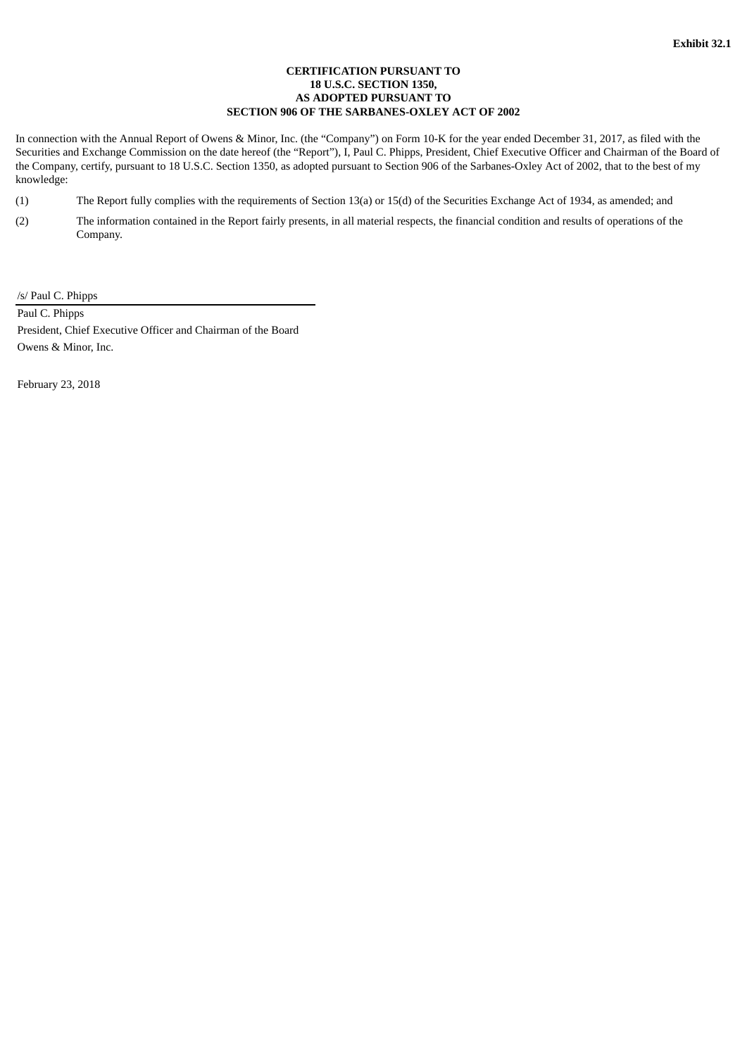# **CERTIFICATION PURSUANT TO 18 U.S.C. SECTION 1350, AS ADOPTED PURSUANT TO SECTION 906 OF THE SARBANES-OXLEY ACT OF 2002**

In connection with the Annual Report of Owens & Minor, Inc. (the "Company") on Form 10-K for the year ended December 31, 2017, as filed with the Securities and Exchange Commission on the date hereof (the "Report"), I, Paul C. Phipps, President, Chief Executive Officer and Chairman of the Board of the Company, certify, pursuant to 18 U.S.C. Section 1350, as adopted pursuant to Section 906 of the Sarbanes-Oxley Act of 2002, that to the best of my knowledge:

- (1) The Report fully complies with the requirements of Section 13(a) or 15(d) of the Securities Exchange Act of 1934, as amended; and
- (2) The information contained in the Report fairly presents, in all material respects, the financial condition and results of operations of the Company.

/s/ Paul C. Phipps

Paul C. Phipps President, Chief Executive Officer and Chairman of the Board Owens & Minor, Inc.

February 23, 2018